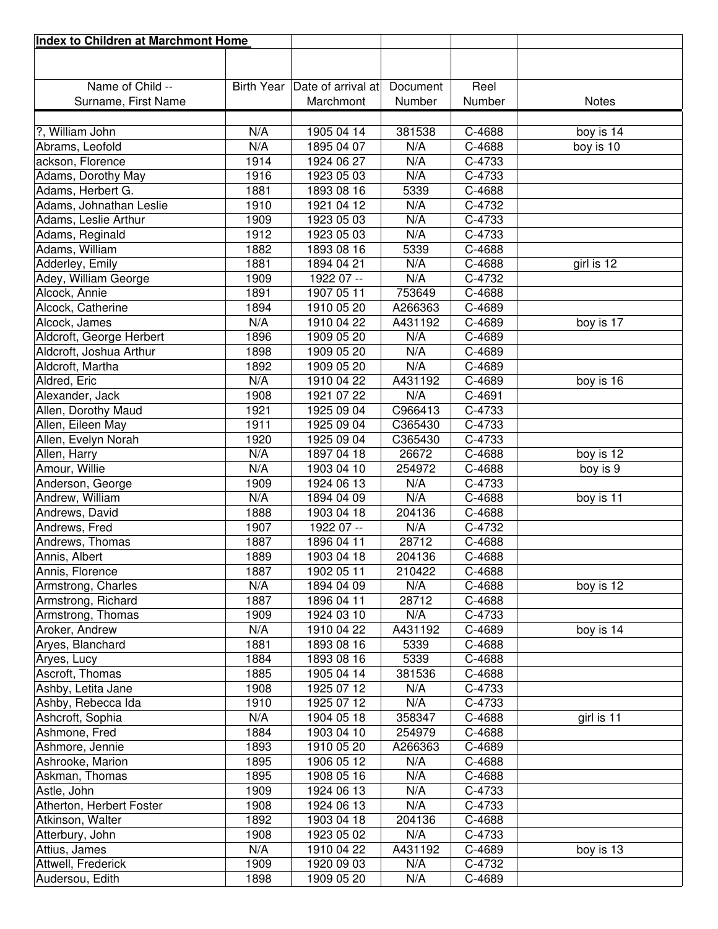| Index to Children at Marchmont Home |                   |                    |          |        |              |
|-------------------------------------|-------------------|--------------------|----------|--------|--------------|
|                                     |                   |                    |          |        |              |
|                                     |                   |                    |          |        |              |
| Name of Child --                    | <b>Birth Year</b> | Date of arrival at | Document | Reel   |              |
| Surname, First Name                 |                   | Marchmont          | Number   | Number | <b>Notes</b> |
|                                     |                   |                    |          |        |              |
| ?, William John                     | N/A               | 1905 04 14         | 381538   | C-4688 | boy is 14    |
| Abrams, Leofold                     | N/A               | 1895 04 07         | N/A      | C-4688 | boy is 10    |
| ackson, Florence                    | 1914              | 1924 06 27         | N/A      | C-4733 |              |
| Adams, Dorothy May                  | 1916              | 1923 05 03         | N/A      | C-4733 |              |
| Adams, Herbert G.                   | 1881              | 1893 08 16         | 5339     | C-4688 |              |
| Adams, Johnathan Leslie             | 1910              | 1921 04 12         | N/A      | C-4732 |              |
| Adams, Leslie Arthur                | 1909              | 1923 05 03         | N/A      | C-4733 |              |
| Adams, Reginald                     | 1912              | 1923 05 03         | N/A      | C-4733 |              |
| Adams, William                      | 1882              | 1893 08 16         | 5339     | C-4688 |              |
| Adderley, Emily                     | 1881              | 1894 04 21         | N/A      | C-4688 | girl is 12   |
| Adey, William George                | 1909              | 1922 07 --         | N/A      | C-4732 |              |
| Alcock, Annie                       | 1891              | 1907 05 11         | 753649   | C-4688 |              |
| Alcock, Catherine                   | 1894              | 1910 05 20         | A266363  | C-4689 |              |
| Alcock, James                       | N/A               | 1910 04 22         | A431192  | C-4689 | boy is 17    |
| Aldcroft, George Herbert            | 1896              | 1909 05 20         | N/A      | C-4689 |              |
| Aldcroft, Joshua Arthur             | 1898              | 1909 05 20         | N/A      | C-4689 |              |
| Aldcroft, Martha                    | 1892              | 1909 05 20         | N/A      | C-4689 |              |
| Aldred, Eric                        | N/A               | 1910 04 22         | A431192  | C-4689 | boy is 16    |
| Alexander, Jack                     | 1908              | 1921 07 22         | N/A      | C-4691 |              |
| Allen, Dorothy Maud                 | 1921              | 1925 09 04         | C966413  | C-4733 |              |
| Allen, Eileen May                   | 1911              | 1925 09 04         | C365430  | C-4733 |              |
| Allen, Evelyn Norah                 | 1920              | 1925 09 04         | C365430  | C-4733 |              |
| Allen, Harry                        | N/A               | 1897 04 18         | 26672    | C-4688 | boy is 12    |
| Amour, Willie                       | N/A               | 1903 04 10         | 254972   | C-4688 | boy is 9     |
| Anderson, George                    | 1909              | 1924 06 13         | N/A      | C-4733 |              |
| Andrew, William                     | N/A               | 1894 04 09         | N/A      | C-4688 | boy is 11    |
| Andrews, David                      | 1888              | 1903 04 18         | 204136   | C-4688 |              |
| Andrews, Fred                       | 1907              | 1922 07 --         | N/A      | C-4732 |              |
| Andrews, Thomas                     | 1887              | 1896 04 11         | 28712    | C-4688 |              |
| Annis, Albert                       | 1889              | 1903 04 18         | 204136   | C-4688 |              |
| Annis, Florence                     | 1887              | 1902 05 11         | 210422   | C-4688 |              |
| Armstrong, Charles                  | N/A               | 1894 04 09         | N/A      | C-4688 | boy is 12    |
| Armstrong, Richard                  | 1887              | 1896 04 11         | 28712    | C-4688 |              |
| Armstrong, Thomas                   | 1909              | 1924 03 10         | N/A      | C-4733 |              |
| Aroker, Andrew                      | N/A               | 1910 04 22         | A431192  | C-4689 | boy is 14    |
| Aryes, Blanchard                    | 1881              | 1893 08 16         | 5339     | C-4688 |              |
| Aryes, Lucy                         | 1884              | 1893 08 16         | 5339     | C-4688 |              |
| Ascroft, Thomas                     | 1885              | 1905 04 14         | 381536   | C-4688 |              |
| Ashby, Letita Jane                  | 1908              | 1925 07 12         | N/A      | C-4733 |              |
| Ashby, Rebecca Ida                  | 1910              | 1925 07 12         | N/A      | C-4733 |              |
| Ashcroft, Sophia                    | N/A               | 1904 05 18         | 358347   | C-4688 | girl is 11   |
| Ashmone, Fred                       | 1884              | 1903 04 10         | 254979   | C-4688 |              |
| Ashmore, Jennie                     | 1893              | 1910 05 20         | A266363  | C-4689 |              |
| Ashrooke, Marion                    | 1895              | 1906 05 12         | N/A      | C-4688 |              |
| Askman, Thomas                      | 1895              | 1908 05 16         | N/A      | C-4688 |              |
| Astle, John                         | 1909              | 1924 06 13         | N/A      | C-4733 |              |
| Atherton, Herbert Foster            | 1908              | 1924 06 13         | N/A      | C-4733 |              |
| Atkinson, Walter                    | 1892              | 1903 04 18         | 204136   | C-4688 |              |
| Atterbury, John                     | 1908              | 1923 05 02         | N/A      | C-4733 |              |
| Attius, James                       | N/A               | 1910 04 22         | A431192  | C-4689 | boy is 13    |
| Attwell, Frederick                  | 1909              | 1920 09 03         | N/A      | C-4732 |              |
| Audersou, Edith                     | 1898              | 1909 05 20         | N/A      | C-4689 |              |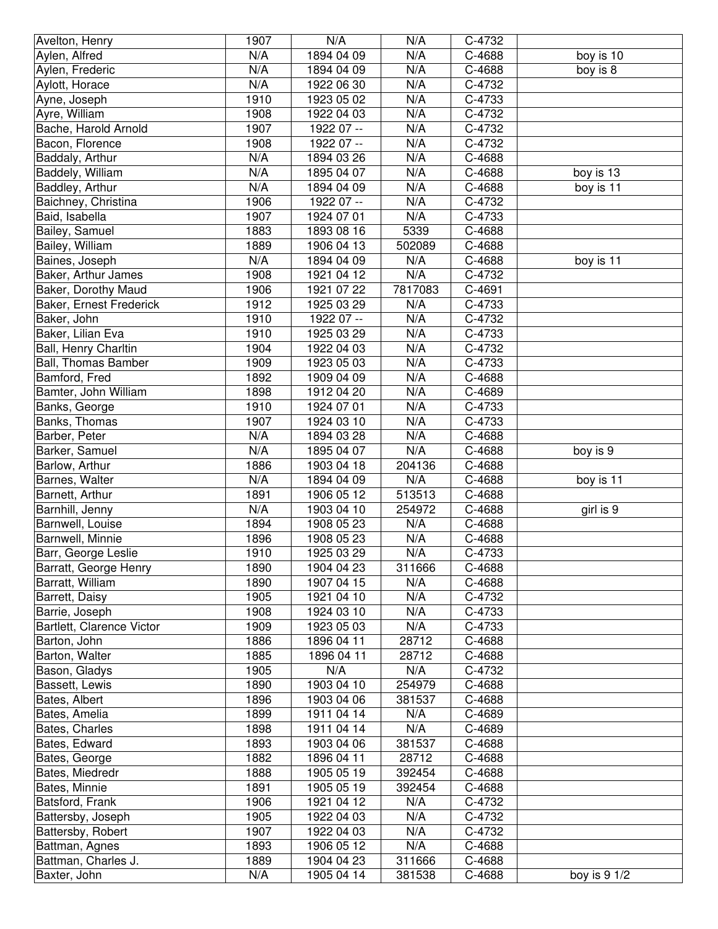| Avelton, Henry            | 1907 | N/A        | N/A     | C-4732 |              |
|---------------------------|------|------------|---------|--------|--------------|
| Aylen, Alfred             | N/A  | 1894 04 09 | N/A     | C-4688 | boy is 10    |
| Aylen, Frederic           | N/A  | 1894 04 09 | N/A     | C-4688 | boy is 8     |
| Aylott, Horace            | N/A  | 1922 06 30 | N/A     | C-4732 |              |
| Ayne, Joseph              | 1910 | 1923 05 02 | N/A     | C-4733 |              |
| Ayre, William             | 1908 | 1922 04 03 | N/A     | C-4732 |              |
| Bache, Harold Arnold      | 1907 | 1922 07 -- | N/A     | C-4732 |              |
| Bacon, Florence           | 1908 | 1922 07 -- | N/A     | C-4732 |              |
| Baddaly, Arthur           | N/A  | 1894 03 26 | N/A     | C-4688 |              |
| Baddely, William          | N/A  | 1895 04 07 | N/A     | C-4688 | boy is 13    |
| Baddley, Arthur           | N/A  | 1894 04 09 | N/A     | C-4688 | boy is 11    |
| Baichney, Christina       | 1906 | 1922 07 -- | N/A     | C-4732 |              |
| Baid, Isabella            | 1907 | 1924 07 01 | N/A     | C-4733 |              |
| Bailey, Samuel            | 1883 | 1893 08 16 | 5339    | C-4688 |              |
| Bailey, William           | 1889 | 1906 04 13 | 502089  | C-4688 |              |
| Baines, Joseph            | N/A  | 1894 04 09 | N/A     | C-4688 | boy is 11    |
| Baker, Arthur James       | 1908 | 1921 04 12 | N/A     | C-4732 |              |
| Baker, Dorothy Maud       | 1906 | 1921 07 22 | 7817083 | C-4691 |              |
| Baker, Ernest Frederick   | 1912 | 1925 03 29 | N/A     | C-4733 |              |
| Baker, John               | 1910 | 1922 07 -- | N/A     | C-4732 |              |
| Baker, Lilian Eva         | 1910 | 1925 03 29 | N/A     | C-4733 |              |
| Ball, Henry Charltin      | 1904 | 1922 04 03 | N/A     | C-4732 |              |
| Ball, Thomas Bamber       | 1909 | 1923 05 03 | N/A     | C-4733 |              |
| Bamford, Fred             | 1892 | 1909 04 09 | N/A     | C-4688 |              |
| Bamter, John William      | 1898 | 1912 04 20 | N/A     | C-4689 |              |
| Banks, George             | 1910 | 1924 07 01 | N/A     | C-4733 |              |
| Banks, Thomas             | 1907 | 1924 03 10 | N/A     | C-4733 |              |
| Barber, Peter             | N/A  | 1894 03 28 | N/A     | C-4688 |              |
| Barker, Samuel            | N/A  | 1895 04 07 | N/A     | C-4688 | boy is 9     |
| Barlow, Arthur            | 1886 | 1903 04 18 | 204136  | C-4688 |              |
| Barnes, Walter            | N/A  | 1894 04 09 | N/A     | C-4688 | boy is 11    |
| Barnett, Arthur           | 1891 | 1906 05 12 | 513513  | C-4688 |              |
| Barnhill, Jenny           | N/A  | 1903 04 10 | 254972  | C-4688 | girl is 9    |
| Barnwell, Louise          | 1894 | 1908 05 23 | N/A     | C-4688 |              |
| Barnwell, Minnie          | 1896 | 1908 05 23 | N/A     | C-4688 |              |
| Barr, George Leslie       | 1910 | 1925 03 29 | N/A     | C-4733 |              |
| Barratt, George Henry     | 1890 | 1904 04 23 | 311666  | C-4688 |              |
| Barratt, William          | 1890 | 1907 04 15 | N/A     | C-4688 |              |
| Barrett, Daisy            | 1905 | 1921 04 10 | N/A     | C-4732 |              |
| Barrie, Joseph            | 1908 | 1924 03 10 | N/A     | C-4733 |              |
| Bartlett, Clarence Victor | 1909 | 1923 05 03 | N/A     | C-4733 |              |
| Barton, John              | 1886 | 1896 04 11 | 28712   | C-4688 |              |
| Barton, Walter            | 1885 | 1896 04 11 | 28712   | C-4688 |              |
| Bason, Gladys             | 1905 | N/A        | N/A     | C-4732 |              |
| Bassett, Lewis            | 1890 | 1903 04 10 | 254979  | C-4688 |              |
| Bates, Albert             | 1896 | 1903 04 06 | 381537  | C-4688 |              |
| Bates, Amelia             | 1899 | 1911 04 14 | N/A     | C-4689 |              |
| Bates, Charles            | 1898 | 1911 04 14 | N/A     | C-4689 |              |
| Bates, Edward             | 1893 | 1903 04 06 | 381537  | C-4688 |              |
| Bates, George             | 1882 | 1896 04 11 | 28712   | C-4688 |              |
| Bates, Miedredr           | 1888 | 1905 05 19 | 392454  | C-4688 |              |
| Bates, Minnie             | 1891 | 1905 05 19 | 392454  | C-4688 |              |
| Batsford, Frank           | 1906 | 1921 04 12 | N/A     | C-4732 |              |
| Battersby, Joseph         | 1905 | 1922 04 03 | N/A     | C-4732 |              |
| Battersby, Robert         | 1907 | 1922 04 03 | N/A     | C-4732 |              |
| Battman, Agnes            | 1893 | 1906 05 12 | N/A     | C-4688 |              |
| Battman, Charles J.       | 1889 | 1904 04 23 | 311666  | C-4688 |              |
| Baxter, John              | N/A  | 1905 04 14 | 381538  | C-4688 | boy is 9 1/2 |
|                           |      |            |         |        |              |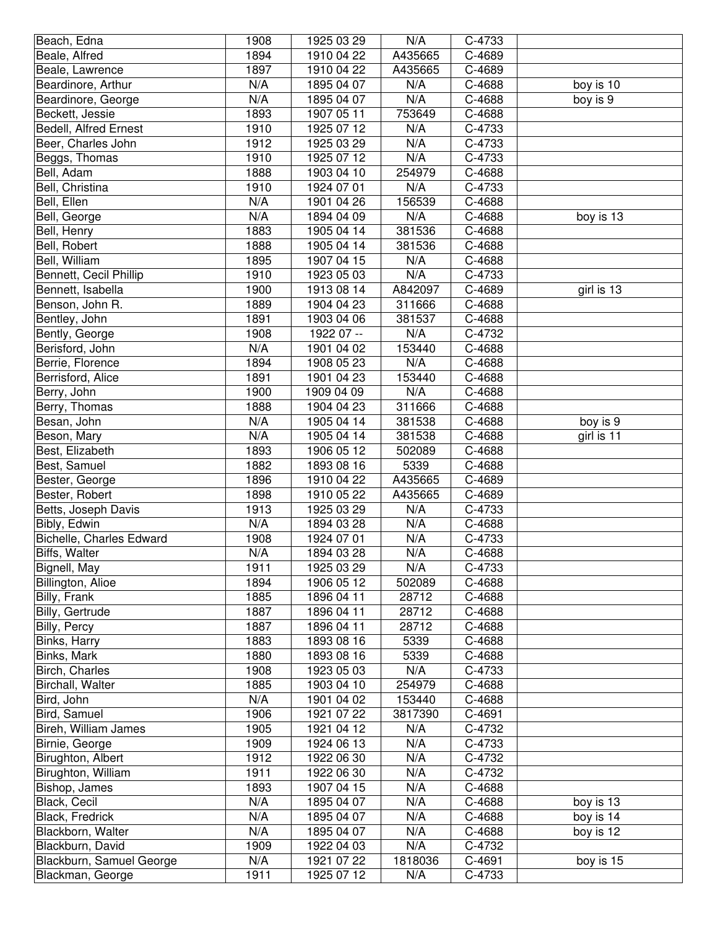| C-4689<br>Beale, Alfred<br>1894<br>1910 04 22<br>A435665<br>1897<br>C-4689<br>Beale, Lawrence<br>1910 04 22<br>A435665<br>Beardinore, Arthur<br>N/A<br>1895 04 07<br>N/A<br>C-4688<br>boy is 10<br>N/A<br>N/A<br>$C-4688$<br>boy is 9<br>Beardinore, George<br>1895 04 07<br>Beckett, Jessie<br>1893<br>753649<br>1907 05 11<br>C-4688<br>1910<br>N/A<br>Bedell, Alfred Ernest<br>1925 07 12<br>C-4733<br>1912<br>N/A<br>Beer, Charles John<br>1925 03 29<br>C-4733<br>1910<br>N/A<br>C-4733<br>Beggs, Thomas<br>1925 07 12<br>Bell, Adam<br>1888<br>254979<br>1903 04 10<br>C-4688<br>C-4733<br>Bell, Christina<br>1910<br>1924 07 01<br>N/A<br>N/A<br>Bell, Ellen<br>1901 04 26<br>156539<br>C-4688<br>N/A<br>N/A<br>1894 04 09<br>C-4688<br>boy is 13<br>Bell, George<br>381536<br>1883<br>1905 04 14<br>C-4688<br>Bell, Henry<br>1888<br>C-4688<br>Bell, Robert<br>1905 04 14<br>381536<br>Bell, William<br>1895<br>1907 04 15<br>N/A<br>C-4688<br>Bennett, Cecil Phillip<br>1910<br>1923 05 03<br>N/A<br>C-4733<br>1900<br>1913 08 14<br>A842097<br>C-4689<br>girl is 13<br>Bennett, Isabella<br>Benson, John R.<br>1889<br>1904 04 23<br>311666<br>C-4688<br>Bentley, John<br>1891<br>1903 04 06<br>381537<br>C-4688<br>1908<br>N/A<br>Bently, George<br>1922 07 --<br>C-4732<br>N/A<br>1901 04 02<br>C-4688<br>Berisford, John<br>153440<br>C-4688<br>Berrie, Florence<br>1894<br>1908 05 23<br>N/A<br>1891<br>153440<br>C-4688<br>Berrisford, Alice<br>1901 04 23<br>Berry, John<br>1900<br>N/A<br>1909 04 09<br>C-4688<br>1888<br>311666<br>Berry, Thomas<br>1904 04 23<br>C-4688<br>N/A<br>Besan, John<br>1905 04 14<br>381538<br>C-4688<br>boy is 9<br>N/A<br>girl is 11<br>Beson, Mary<br>1905 04 14<br>381538<br>C-4688<br>1893<br>1906 05 12<br>C-4688<br>Best, Elizabeth<br>502089<br>Best, Samuel<br>1882<br>1893 08 16<br>5339<br>C-4688<br>1896<br>1910 04 22<br>A435665<br>C-4689<br>Bester, George<br>Bester, Robert<br>1898<br>1910 05 22<br>A435665<br>C-4689<br>Betts, Joseph Davis<br>1913<br>1925 03 29<br>N/A<br>C-4733<br>Bibly, Edwin<br>N/A<br>N/A<br>C-4688<br>1894 03 28<br>Bichelle, Charles Edward<br>C-4733<br>1908<br>1924 07 01<br>N/A<br>N/A<br>N/A<br>Biffs, Walter<br>C-4688<br>1894 03 28<br>1911<br>N/A<br>Bignell, May<br>1925 03 29<br>C-4733<br>1894<br>C-4688<br>Billington, Alioe<br>1906 05 12<br>502089<br>1885<br>1896 04 11<br>Billy, Frank<br>28712<br>C-4688<br>1887<br>Billy, Gertrude<br>1896 04 11<br>28712<br>C-4688<br>Billy, Percy<br>1887<br>1896 04 11<br>28712<br>C-4688<br>Binks, Harry<br>1883<br>1893 08 16<br>5339<br>C-4688<br>1880<br>Binks, Mark<br>1893 08 16<br>5339<br>C-4688<br>1908<br>N/A<br>Birch, Charles<br>1923 05 03<br>C-4733<br>Birchall, Walter<br>1885<br>1903 04 10<br>254979<br>C-4688<br>N/A<br>Bird, John<br>1901 04 02<br>153440<br>C-4688<br>1906<br>1921 07 22<br>3817390<br>C-4691<br>Bird, Samuel<br>1905<br>1921 04 12<br>C-4732<br>Bireh, William James<br>N/A<br>1909<br>N/A<br>Birnie, George<br>1924 06 13<br>C-4733<br>1912<br>N/A<br>Birughton, Albert<br>1922 06 30<br>C-4732<br>1911<br>N/A<br>Birughton, William<br>1922 06 30<br>C-4732<br>Bishop, James<br>1893<br>1907 04 15<br>N/A<br>C-4688<br>Black, Cecil<br>N/A<br>N/A<br>C-4688<br>boy is 13<br>1895 04 07<br>Black, Fredrick<br>N/A<br>1895 04 07<br>N/A<br>C-4688<br>boy is 14<br>N/A<br>Blackborn, Walter<br>1895 04 07<br>N/A<br>C-4688<br>boy is 12<br>N/A<br>Blackburn, David<br>1909<br>1922 04 03<br>C-4732<br>N/A<br>Blackburn, Samuel George<br>1921 07 22<br>1818036<br>C-4691<br>boy is 15 | Beach, Edna | 1908 | 1925 03 29 | N/A | C-4733 |  |
|-----------------------------------------------------------------------------------------------------------------------------------------------------------------------------------------------------------------------------------------------------------------------------------------------------------------------------------------------------------------------------------------------------------------------------------------------------------------------------------------------------------------------------------------------------------------------------------------------------------------------------------------------------------------------------------------------------------------------------------------------------------------------------------------------------------------------------------------------------------------------------------------------------------------------------------------------------------------------------------------------------------------------------------------------------------------------------------------------------------------------------------------------------------------------------------------------------------------------------------------------------------------------------------------------------------------------------------------------------------------------------------------------------------------------------------------------------------------------------------------------------------------------------------------------------------------------------------------------------------------------------------------------------------------------------------------------------------------------------------------------------------------------------------------------------------------------------------------------------------------------------------------------------------------------------------------------------------------------------------------------------------------------------------------------------------------------------------------------------------------------------------------------------------------------------------------------------------------------------------------------------------------------------------------------------------------------------------------------------------------------------------------------------------------------------------------------------------------------------------------------------------------------------------------------------------------------------------------------------------------------------------------------------------------------------------------------------------------------------------------------------------------------------------------------------------------------------------------------------------------------------------------------------------------------------------------------------------------------------------------------------------------------------------------------------------------------------------------------------------------------------------------------------------------------------------------------------------------------------------------------------------------------------------------------------------------------------------------------------------------------------------------------------------------------------------------------------------------------------------------------------------------------------------------------------------------------|-------------|------|------------|-----|--------|--|
|                                                                                                                                                                                                                                                                                                                                                                                                                                                                                                                                                                                                                                                                                                                                                                                                                                                                                                                                                                                                                                                                                                                                                                                                                                                                                                                                                                                                                                                                                                                                                                                                                                                                                                                                                                                                                                                                                                                                                                                                                                                                                                                                                                                                                                                                                                                                                                                                                                                                                                                                                                                                                                                                                                                                                                                                                                                                                                                                                                                                                                                                                                                                                                                                                                                                                                                                                                                                                                                                                                                                                                       |             |      |            |     |        |  |
|                                                                                                                                                                                                                                                                                                                                                                                                                                                                                                                                                                                                                                                                                                                                                                                                                                                                                                                                                                                                                                                                                                                                                                                                                                                                                                                                                                                                                                                                                                                                                                                                                                                                                                                                                                                                                                                                                                                                                                                                                                                                                                                                                                                                                                                                                                                                                                                                                                                                                                                                                                                                                                                                                                                                                                                                                                                                                                                                                                                                                                                                                                                                                                                                                                                                                                                                                                                                                                                                                                                                                                       |             |      |            |     |        |  |
|                                                                                                                                                                                                                                                                                                                                                                                                                                                                                                                                                                                                                                                                                                                                                                                                                                                                                                                                                                                                                                                                                                                                                                                                                                                                                                                                                                                                                                                                                                                                                                                                                                                                                                                                                                                                                                                                                                                                                                                                                                                                                                                                                                                                                                                                                                                                                                                                                                                                                                                                                                                                                                                                                                                                                                                                                                                                                                                                                                                                                                                                                                                                                                                                                                                                                                                                                                                                                                                                                                                                                                       |             |      |            |     |        |  |
|                                                                                                                                                                                                                                                                                                                                                                                                                                                                                                                                                                                                                                                                                                                                                                                                                                                                                                                                                                                                                                                                                                                                                                                                                                                                                                                                                                                                                                                                                                                                                                                                                                                                                                                                                                                                                                                                                                                                                                                                                                                                                                                                                                                                                                                                                                                                                                                                                                                                                                                                                                                                                                                                                                                                                                                                                                                                                                                                                                                                                                                                                                                                                                                                                                                                                                                                                                                                                                                                                                                                                                       |             |      |            |     |        |  |
|                                                                                                                                                                                                                                                                                                                                                                                                                                                                                                                                                                                                                                                                                                                                                                                                                                                                                                                                                                                                                                                                                                                                                                                                                                                                                                                                                                                                                                                                                                                                                                                                                                                                                                                                                                                                                                                                                                                                                                                                                                                                                                                                                                                                                                                                                                                                                                                                                                                                                                                                                                                                                                                                                                                                                                                                                                                                                                                                                                                                                                                                                                                                                                                                                                                                                                                                                                                                                                                                                                                                                                       |             |      |            |     |        |  |
|                                                                                                                                                                                                                                                                                                                                                                                                                                                                                                                                                                                                                                                                                                                                                                                                                                                                                                                                                                                                                                                                                                                                                                                                                                                                                                                                                                                                                                                                                                                                                                                                                                                                                                                                                                                                                                                                                                                                                                                                                                                                                                                                                                                                                                                                                                                                                                                                                                                                                                                                                                                                                                                                                                                                                                                                                                                                                                                                                                                                                                                                                                                                                                                                                                                                                                                                                                                                                                                                                                                                                                       |             |      |            |     |        |  |
|                                                                                                                                                                                                                                                                                                                                                                                                                                                                                                                                                                                                                                                                                                                                                                                                                                                                                                                                                                                                                                                                                                                                                                                                                                                                                                                                                                                                                                                                                                                                                                                                                                                                                                                                                                                                                                                                                                                                                                                                                                                                                                                                                                                                                                                                                                                                                                                                                                                                                                                                                                                                                                                                                                                                                                                                                                                                                                                                                                                                                                                                                                                                                                                                                                                                                                                                                                                                                                                                                                                                                                       |             |      |            |     |        |  |
|                                                                                                                                                                                                                                                                                                                                                                                                                                                                                                                                                                                                                                                                                                                                                                                                                                                                                                                                                                                                                                                                                                                                                                                                                                                                                                                                                                                                                                                                                                                                                                                                                                                                                                                                                                                                                                                                                                                                                                                                                                                                                                                                                                                                                                                                                                                                                                                                                                                                                                                                                                                                                                                                                                                                                                                                                                                                                                                                                                                                                                                                                                                                                                                                                                                                                                                                                                                                                                                                                                                                                                       |             |      |            |     |        |  |
|                                                                                                                                                                                                                                                                                                                                                                                                                                                                                                                                                                                                                                                                                                                                                                                                                                                                                                                                                                                                                                                                                                                                                                                                                                                                                                                                                                                                                                                                                                                                                                                                                                                                                                                                                                                                                                                                                                                                                                                                                                                                                                                                                                                                                                                                                                                                                                                                                                                                                                                                                                                                                                                                                                                                                                                                                                                                                                                                                                                                                                                                                                                                                                                                                                                                                                                                                                                                                                                                                                                                                                       |             |      |            |     |        |  |
|                                                                                                                                                                                                                                                                                                                                                                                                                                                                                                                                                                                                                                                                                                                                                                                                                                                                                                                                                                                                                                                                                                                                                                                                                                                                                                                                                                                                                                                                                                                                                                                                                                                                                                                                                                                                                                                                                                                                                                                                                                                                                                                                                                                                                                                                                                                                                                                                                                                                                                                                                                                                                                                                                                                                                                                                                                                                                                                                                                                                                                                                                                                                                                                                                                                                                                                                                                                                                                                                                                                                                                       |             |      |            |     |        |  |
|                                                                                                                                                                                                                                                                                                                                                                                                                                                                                                                                                                                                                                                                                                                                                                                                                                                                                                                                                                                                                                                                                                                                                                                                                                                                                                                                                                                                                                                                                                                                                                                                                                                                                                                                                                                                                                                                                                                                                                                                                                                                                                                                                                                                                                                                                                                                                                                                                                                                                                                                                                                                                                                                                                                                                                                                                                                                                                                                                                                                                                                                                                                                                                                                                                                                                                                                                                                                                                                                                                                                                                       |             |      |            |     |        |  |
|                                                                                                                                                                                                                                                                                                                                                                                                                                                                                                                                                                                                                                                                                                                                                                                                                                                                                                                                                                                                                                                                                                                                                                                                                                                                                                                                                                                                                                                                                                                                                                                                                                                                                                                                                                                                                                                                                                                                                                                                                                                                                                                                                                                                                                                                                                                                                                                                                                                                                                                                                                                                                                                                                                                                                                                                                                                                                                                                                                                                                                                                                                                                                                                                                                                                                                                                                                                                                                                                                                                                                                       |             |      |            |     |        |  |
|                                                                                                                                                                                                                                                                                                                                                                                                                                                                                                                                                                                                                                                                                                                                                                                                                                                                                                                                                                                                                                                                                                                                                                                                                                                                                                                                                                                                                                                                                                                                                                                                                                                                                                                                                                                                                                                                                                                                                                                                                                                                                                                                                                                                                                                                                                                                                                                                                                                                                                                                                                                                                                                                                                                                                                                                                                                                                                                                                                                                                                                                                                                                                                                                                                                                                                                                                                                                                                                                                                                                                                       |             |      |            |     |        |  |
|                                                                                                                                                                                                                                                                                                                                                                                                                                                                                                                                                                                                                                                                                                                                                                                                                                                                                                                                                                                                                                                                                                                                                                                                                                                                                                                                                                                                                                                                                                                                                                                                                                                                                                                                                                                                                                                                                                                                                                                                                                                                                                                                                                                                                                                                                                                                                                                                                                                                                                                                                                                                                                                                                                                                                                                                                                                                                                                                                                                                                                                                                                                                                                                                                                                                                                                                                                                                                                                                                                                                                                       |             |      |            |     |        |  |
|                                                                                                                                                                                                                                                                                                                                                                                                                                                                                                                                                                                                                                                                                                                                                                                                                                                                                                                                                                                                                                                                                                                                                                                                                                                                                                                                                                                                                                                                                                                                                                                                                                                                                                                                                                                                                                                                                                                                                                                                                                                                                                                                                                                                                                                                                                                                                                                                                                                                                                                                                                                                                                                                                                                                                                                                                                                                                                                                                                                                                                                                                                                                                                                                                                                                                                                                                                                                                                                                                                                                                                       |             |      |            |     |        |  |
|                                                                                                                                                                                                                                                                                                                                                                                                                                                                                                                                                                                                                                                                                                                                                                                                                                                                                                                                                                                                                                                                                                                                                                                                                                                                                                                                                                                                                                                                                                                                                                                                                                                                                                                                                                                                                                                                                                                                                                                                                                                                                                                                                                                                                                                                                                                                                                                                                                                                                                                                                                                                                                                                                                                                                                                                                                                                                                                                                                                                                                                                                                                                                                                                                                                                                                                                                                                                                                                                                                                                                                       |             |      |            |     |        |  |
|                                                                                                                                                                                                                                                                                                                                                                                                                                                                                                                                                                                                                                                                                                                                                                                                                                                                                                                                                                                                                                                                                                                                                                                                                                                                                                                                                                                                                                                                                                                                                                                                                                                                                                                                                                                                                                                                                                                                                                                                                                                                                                                                                                                                                                                                                                                                                                                                                                                                                                                                                                                                                                                                                                                                                                                                                                                                                                                                                                                                                                                                                                                                                                                                                                                                                                                                                                                                                                                                                                                                                                       |             |      |            |     |        |  |
|                                                                                                                                                                                                                                                                                                                                                                                                                                                                                                                                                                                                                                                                                                                                                                                                                                                                                                                                                                                                                                                                                                                                                                                                                                                                                                                                                                                                                                                                                                                                                                                                                                                                                                                                                                                                                                                                                                                                                                                                                                                                                                                                                                                                                                                                                                                                                                                                                                                                                                                                                                                                                                                                                                                                                                                                                                                                                                                                                                                                                                                                                                                                                                                                                                                                                                                                                                                                                                                                                                                                                                       |             |      |            |     |        |  |
|                                                                                                                                                                                                                                                                                                                                                                                                                                                                                                                                                                                                                                                                                                                                                                                                                                                                                                                                                                                                                                                                                                                                                                                                                                                                                                                                                                                                                                                                                                                                                                                                                                                                                                                                                                                                                                                                                                                                                                                                                                                                                                                                                                                                                                                                                                                                                                                                                                                                                                                                                                                                                                                                                                                                                                                                                                                                                                                                                                                                                                                                                                                                                                                                                                                                                                                                                                                                                                                                                                                                                                       |             |      |            |     |        |  |
|                                                                                                                                                                                                                                                                                                                                                                                                                                                                                                                                                                                                                                                                                                                                                                                                                                                                                                                                                                                                                                                                                                                                                                                                                                                                                                                                                                                                                                                                                                                                                                                                                                                                                                                                                                                                                                                                                                                                                                                                                                                                                                                                                                                                                                                                                                                                                                                                                                                                                                                                                                                                                                                                                                                                                                                                                                                                                                                                                                                                                                                                                                                                                                                                                                                                                                                                                                                                                                                                                                                                                                       |             |      |            |     |        |  |
|                                                                                                                                                                                                                                                                                                                                                                                                                                                                                                                                                                                                                                                                                                                                                                                                                                                                                                                                                                                                                                                                                                                                                                                                                                                                                                                                                                                                                                                                                                                                                                                                                                                                                                                                                                                                                                                                                                                                                                                                                                                                                                                                                                                                                                                                                                                                                                                                                                                                                                                                                                                                                                                                                                                                                                                                                                                                                                                                                                                                                                                                                                                                                                                                                                                                                                                                                                                                                                                                                                                                                                       |             |      |            |     |        |  |
|                                                                                                                                                                                                                                                                                                                                                                                                                                                                                                                                                                                                                                                                                                                                                                                                                                                                                                                                                                                                                                                                                                                                                                                                                                                                                                                                                                                                                                                                                                                                                                                                                                                                                                                                                                                                                                                                                                                                                                                                                                                                                                                                                                                                                                                                                                                                                                                                                                                                                                                                                                                                                                                                                                                                                                                                                                                                                                                                                                                                                                                                                                                                                                                                                                                                                                                                                                                                                                                                                                                                                                       |             |      |            |     |        |  |
|                                                                                                                                                                                                                                                                                                                                                                                                                                                                                                                                                                                                                                                                                                                                                                                                                                                                                                                                                                                                                                                                                                                                                                                                                                                                                                                                                                                                                                                                                                                                                                                                                                                                                                                                                                                                                                                                                                                                                                                                                                                                                                                                                                                                                                                                                                                                                                                                                                                                                                                                                                                                                                                                                                                                                                                                                                                                                                                                                                                                                                                                                                                                                                                                                                                                                                                                                                                                                                                                                                                                                                       |             |      |            |     |        |  |
|                                                                                                                                                                                                                                                                                                                                                                                                                                                                                                                                                                                                                                                                                                                                                                                                                                                                                                                                                                                                                                                                                                                                                                                                                                                                                                                                                                                                                                                                                                                                                                                                                                                                                                                                                                                                                                                                                                                                                                                                                                                                                                                                                                                                                                                                                                                                                                                                                                                                                                                                                                                                                                                                                                                                                                                                                                                                                                                                                                                                                                                                                                                                                                                                                                                                                                                                                                                                                                                                                                                                                                       |             |      |            |     |        |  |
|                                                                                                                                                                                                                                                                                                                                                                                                                                                                                                                                                                                                                                                                                                                                                                                                                                                                                                                                                                                                                                                                                                                                                                                                                                                                                                                                                                                                                                                                                                                                                                                                                                                                                                                                                                                                                                                                                                                                                                                                                                                                                                                                                                                                                                                                                                                                                                                                                                                                                                                                                                                                                                                                                                                                                                                                                                                                                                                                                                                                                                                                                                                                                                                                                                                                                                                                                                                                                                                                                                                                                                       |             |      |            |     |        |  |
|                                                                                                                                                                                                                                                                                                                                                                                                                                                                                                                                                                                                                                                                                                                                                                                                                                                                                                                                                                                                                                                                                                                                                                                                                                                                                                                                                                                                                                                                                                                                                                                                                                                                                                                                                                                                                                                                                                                                                                                                                                                                                                                                                                                                                                                                                                                                                                                                                                                                                                                                                                                                                                                                                                                                                                                                                                                                                                                                                                                                                                                                                                                                                                                                                                                                                                                                                                                                                                                                                                                                                                       |             |      |            |     |        |  |
|                                                                                                                                                                                                                                                                                                                                                                                                                                                                                                                                                                                                                                                                                                                                                                                                                                                                                                                                                                                                                                                                                                                                                                                                                                                                                                                                                                                                                                                                                                                                                                                                                                                                                                                                                                                                                                                                                                                                                                                                                                                                                                                                                                                                                                                                                                                                                                                                                                                                                                                                                                                                                                                                                                                                                                                                                                                                                                                                                                                                                                                                                                                                                                                                                                                                                                                                                                                                                                                                                                                                                                       |             |      |            |     |        |  |
|                                                                                                                                                                                                                                                                                                                                                                                                                                                                                                                                                                                                                                                                                                                                                                                                                                                                                                                                                                                                                                                                                                                                                                                                                                                                                                                                                                                                                                                                                                                                                                                                                                                                                                                                                                                                                                                                                                                                                                                                                                                                                                                                                                                                                                                                                                                                                                                                                                                                                                                                                                                                                                                                                                                                                                                                                                                                                                                                                                                                                                                                                                                                                                                                                                                                                                                                                                                                                                                                                                                                                                       |             |      |            |     |        |  |
|                                                                                                                                                                                                                                                                                                                                                                                                                                                                                                                                                                                                                                                                                                                                                                                                                                                                                                                                                                                                                                                                                                                                                                                                                                                                                                                                                                                                                                                                                                                                                                                                                                                                                                                                                                                                                                                                                                                                                                                                                                                                                                                                                                                                                                                                                                                                                                                                                                                                                                                                                                                                                                                                                                                                                                                                                                                                                                                                                                                                                                                                                                                                                                                                                                                                                                                                                                                                                                                                                                                                                                       |             |      |            |     |        |  |
|                                                                                                                                                                                                                                                                                                                                                                                                                                                                                                                                                                                                                                                                                                                                                                                                                                                                                                                                                                                                                                                                                                                                                                                                                                                                                                                                                                                                                                                                                                                                                                                                                                                                                                                                                                                                                                                                                                                                                                                                                                                                                                                                                                                                                                                                                                                                                                                                                                                                                                                                                                                                                                                                                                                                                                                                                                                                                                                                                                                                                                                                                                                                                                                                                                                                                                                                                                                                                                                                                                                                                                       |             |      |            |     |        |  |
|                                                                                                                                                                                                                                                                                                                                                                                                                                                                                                                                                                                                                                                                                                                                                                                                                                                                                                                                                                                                                                                                                                                                                                                                                                                                                                                                                                                                                                                                                                                                                                                                                                                                                                                                                                                                                                                                                                                                                                                                                                                                                                                                                                                                                                                                                                                                                                                                                                                                                                                                                                                                                                                                                                                                                                                                                                                                                                                                                                                                                                                                                                                                                                                                                                                                                                                                                                                                                                                                                                                                                                       |             |      |            |     |        |  |
|                                                                                                                                                                                                                                                                                                                                                                                                                                                                                                                                                                                                                                                                                                                                                                                                                                                                                                                                                                                                                                                                                                                                                                                                                                                                                                                                                                                                                                                                                                                                                                                                                                                                                                                                                                                                                                                                                                                                                                                                                                                                                                                                                                                                                                                                                                                                                                                                                                                                                                                                                                                                                                                                                                                                                                                                                                                                                                                                                                                                                                                                                                                                                                                                                                                                                                                                                                                                                                                                                                                                                                       |             |      |            |     |        |  |
|                                                                                                                                                                                                                                                                                                                                                                                                                                                                                                                                                                                                                                                                                                                                                                                                                                                                                                                                                                                                                                                                                                                                                                                                                                                                                                                                                                                                                                                                                                                                                                                                                                                                                                                                                                                                                                                                                                                                                                                                                                                                                                                                                                                                                                                                                                                                                                                                                                                                                                                                                                                                                                                                                                                                                                                                                                                                                                                                                                                                                                                                                                                                                                                                                                                                                                                                                                                                                                                                                                                                                                       |             |      |            |     |        |  |
|                                                                                                                                                                                                                                                                                                                                                                                                                                                                                                                                                                                                                                                                                                                                                                                                                                                                                                                                                                                                                                                                                                                                                                                                                                                                                                                                                                                                                                                                                                                                                                                                                                                                                                                                                                                                                                                                                                                                                                                                                                                                                                                                                                                                                                                                                                                                                                                                                                                                                                                                                                                                                                                                                                                                                                                                                                                                                                                                                                                                                                                                                                                                                                                                                                                                                                                                                                                                                                                                                                                                                                       |             |      |            |     |        |  |
|                                                                                                                                                                                                                                                                                                                                                                                                                                                                                                                                                                                                                                                                                                                                                                                                                                                                                                                                                                                                                                                                                                                                                                                                                                                                                                                                                                                                                                                                                                                                                                                                                                                                                                                                                                                                                                                                                                                                                                                                                                                                                                                                                                                                                                                                                                                                                                                                                                                                                                                                                                                                                                                                                                                                                                                                                                                                                                                                                                                                                                                                                                                                                                                                                                                                                                                                                                                                                                                                                                                                                                       |             |      |            |     |        |  |
|                                                                                                                                                                                                                                                                                                                                                                                                                                                                                                                                                                                                                                                                                                                                                                                                                                                                                                                                                                                                                                                                                                                                                                                                                                                                                                                                                                                                                                                                                                                                                                                                                                                                                                                                                                                                                                                                                                                                                                                                                                                                                                                                                                                                                                                                                                                                                                                                                                                                                                                                                                                                                                                                                                                                                                                                                                                                                                                                                                                                                                                                                                                                                                                                                                                                                                                                                                                                                                                                                                                                                                       |             |      |            |     |        |  |
|                                                                                                                                                                                                                                                                                                                                                                                                                                                                                                                                                                                                                                                                                                                                                                                                                                                                                                                                                                                                                                                                                                                                                                                                                                                                                                                                                                                                                                                                                                                                                                                                                                                                                                                                                                                                                                                                                                                                                                                                                                                                                                                                                                                                                                                                                                                                                                                                                                                                                                                                                                                                                                                                                                                                                                                                                                                                                                                                                                                                                                                                                                                                                                                                                                                                                                                                                                                                                                                                                                                                                                       |             |      |            |     |        |  |
|                                                                                                                                                                                                                                                                                                                                                                                                                                                                                                                                                                                                                                                                                                                                                                                                                                                                                                                                                                                                                                                                                                                                                                                                                                                                                                                                                                                                                                                                                                                                                                                                                                                                                                                                                                                                                                                                                                                                                                                                                                                                                                                                                                                                                                                                                                                                                                                                                                                                                                                                                                                                                                                                                                                                                                                                                                                                                                                                                                                                                                                                                                                                                                                                                                                                                                                                                                                                                                                                                                                                                                       |             |      |            |     |        |  |
|                                                                                                                                                                                                                                                                                                                                                                                                                                                                                                                                                                                                                                                                                                                                                                                                                                                                                                                                                                                                                                                                                                                                                                                                                                                                                                                                                                                                                                                                                                                                                                                                                                                                                                                                                                                                                                                                                                                                                                                                                                                                                                                                                                                                                                                                                                                                                                                                                                                                                                                                                                                                                                                                                                                                                                                                                                                                                                                                                                                                                                                                                                                                                                                                                                                                                                                                                                                                                                                                                                                                                                       |             |      |            |     |        |  |
|                                                                                                                                                                                                                                                                                                                                                                                                                                                                                                                                                                                                                                                                                                                                                                                                                                                                                                                                                                                                                                                                                                                                                                                                                                                                                                                                                                                                                                                                                                                                                                                                                                                                                                                                                                                                                                                                                                                                                                                                                                                                                                                                                                                                                                                                                                                                                                                                                                                                                                                                                                                                                                                                                                                                                                                                                                                                                                                                                                                                                                                                                                                                                                                                                                                                                                                                                                                                                                                                                                                                                                       |             |      |            |     |        |  |
|                                                                                                                                                                                                                                                                                                                                                                                                                                                                                                                                                                                                                                                                                                                                                                                                                                                                                                                                                                                                                                                                                                                                                                                                                                                                                                                                                                                                                                                                                                                                                                                                                                                                                                                                                                                                                                                                                                                                                                                                                                                                                                                                                                                                                                                                                                                                                                                                                                                                                                                                                                                                                                                                                                                                                                                                                                                                                                                                                                                                                                                                                                                                                                                                                                                                                                                                                                                                                                                                                                                                                                       |             |      |            |     |        |  |
|                                                                                                                                                                                                                                                                                                                                                                                                                                                                                                                                                                                                                                                                                                                                                                                                                                                                                                                                                                                                                                                                                                                                                                                                                                                                                                                                                                                                                                                                                                                                                                                                                                                                                                                                                                                                                                                                                                                                                                                                                                                                                                                                                                                                                                                                                                                                                                                                                                                                                                                                                                                                                                                                                                                                                                                                                                                                                                                                                                                                                                                                                                                                                                                                                                                                                                                                                                                                                                                                                                                                                                       |             |      |            |     |        |  |
|                                                                                                                                                                                                                                                                                                                                                                                                                                                                                                                                                                                                                                                                                                                                                                                                                                                                                                                                                                                                                                                                                                                                                                                                                                                                                                                                                                                                                                                                                                                                                                                                                                                                                                                                                                                                                                                                                                                                                                                                                                                                                                                                                                                                                                                                                                                                                                                                                                                                                                                                                                                                                                                                                                                                                                                                                                                                                                                                                                                                                                                                                                                                                                                                                                                                                                                                                                                                                                                                                                                                                                       |             |      |            |     |        |  |
|                                                                                                                                                                                                                                                                                                                                                                                                                                                                                                                                                                                                                                                                                                                                                                                                                                                                                                                                                                                                                                                                                                                                                                                                                                                                                                                                                                                                                                                                                                                                                                                                                                                                                                                                                                                                                                                                                                                                                                                                                                                                                                                                                                                                                                                                                                                                                                                                                                                                                                                                                                                                                                                                                                                                                                                                                                                                                                                                                                                                                                                                                                                                                                                                                                                                                                                                                                                                                                                                                                                                                                       |             |      |            |     |        |  |
|                                                                                                                                                                                                                                                                                                                                                                                                                                                                                                                                                                                                                                                                                                                                                                                                                                                                                                                                                                                                                                                                                                                                                                                                                                                                                                                                                                                                                                                                                                                                                                                                                                                                                                                                                                                                                                                                                                                                                                                                                                                                                                                                                                                                                                                                                                                                                                                                                                                                                                                                                                                                                                                                                                                                                                                                                                                                                                                                                                                                                                                                                                                                                                                                                                                                                                                                                                                                                                                                                                                                                                       |             |      |            |     |        |  |
|                                                                                                                                                                                                                                                                                                                                                                                                                                                                                                                                                                                                                                                                                                                                                                                                                                                                                                                                                                                                                                                                                                                                                                                                                                                                                                                                                                                                                                                                                                                                                                                                                                                                                                                                                                                                                                                                                                                                                                                                                                                                                                                                                                                                                                                                                                                                                                                                                                                                                                                                                                                                                                                                                                                                                                                                                                                                                                                                                                                                                                                                                                                                                                                                                                                                                                                                                                                                                                                                                                                                                                       |             |      |            |     |        |  |
|                                                                                                                                                                                                                                                                                                                                                                                                                                                                                                                                                                                                                                                                                                                                                                                                                                                                                                                                                                                                                                                                                                                                                                                                                                                                                                                                                                                                                                                                                                                                                                                                                                                                                                                                                                                                                                                                                                                                                                                                                                                                                                                                                                                                                                                                                                                                                                                                                                                                                                                                                                                                                                                                                                                                                                                                                                                                                                                                                                                                                                                                                                                                                                                                                                                                                                                                                                                                                                                                                                                                                                       |             |      |            |     |        |  |
|                                                                                                                                                                                                                                                                                                                                                                                                                                                                                                                                                                                                                                                                                                                                                                                                                                                                                                                                                                                                                                                                                                                                                                                                                                                                                                                                                                                                                                                                                                                                                                                                                                                                                                                                                                                                                                                                                                                                                                                                                                                                                                                                                                                                                                                                                                                                                                                                                                                                                                                                                                                                                                                                                                                                                                                                                                                                                                                                                                                                                                                                                                                                                                                                                                                                                                                                                                                                                                                                                                                                                                       |             |      |            |     |        |  |
|                                                                                                                                                                                                                                                                                                                                                                                                                                                                                                                                                                                                                                                                                                                                                                                                                                                                                                                                                                                                                                                                                                                                                                                                                                                                                                                                                                                                                                                                                                                                                                                                                                                                                                                                                                                                                                                                                                                                                                                                                                                                                                                                                                                                                                                                                                                                                                                                                                                                                                                                                                                                                                                                                                                                                                                                                                                                                                                                                                                                                                                                                                                                                                                                                                                                                                                                                                                                                                                                                                                                                                       |             |      |            |     |        |  |
|                                                                                                                                                                                                                                                                                                                                                                                                                                                                                                                                                                                                                                                                                                                                                                                                                                                                                                                                                                                                                                                                                                                                                                                                                                                                                                                                                                                                                                                                                                                                                                                                                                                                                                                                                                                                                                                                                                                                                                                                                                                                                                                                                                                                                                                                                                                                                                                                                                                                                                                                                                                                                                                                                                                                                                                                                                                                                                                                                                                                                                                                                                                                                                                                                                                                                                                                                                                                                                                                                                                                                                       |             |      |            |     |        |  |
|                                                                                                                                                                                                                                                                                                                                                                                                                                                                                                                                                                                                                                                                                                                                                                                                                                                                                                                                                                                                                                                                                                                                                                                                                                                                                                                                                                                                                                                                                                                                                                                                                                                                                                                                                                                                                                                                                                                                                                                                                                                                                                                                                                                                                                                                                                                                                                                                                                                                                                                                                                                                                                                                                                                                                                                                                                                                                                                                                                                                                                                                                                                                                                                                                                                                                                                                                                                                                                                                                                                                                                       |             |      |            |     |        |  |
|                                                                                                                                                                                                                                                                                                                                                                                                                                                                                                                                                                                                                                                                                                                                                                                                                                                                                                                                                                                                                                                                                                                                                                                                                                                                                                                                                                                                                                                                                                                                                                                                                                                                                                                                                                                                                                                                                                                                                                                                                                                                                                                                                                                                                                                                                                                                                                                                                                                                                                                                                                                                                                                                                                                                                                                                                                                                                                                                                                                                                                                                                                                                                                                                                                                                                                                                                                                                                                                                                                                                                                       |             |      |            |     |        |  |
|                                                                                                                                                                                                                                                                                                                                                                                                                                                                                                                                                                                                                                                                                                                                                                                                                                                                                                                                                                                                                                                                                                                                                                                                                                                                                                                                                                                                                                                                                                                                                                                                                                                                                                                                                                                                                                                                                                                                                                                                                                                                                                                                                                                                                                                                                                                                                                                                                                                                                                                                                                                                                                                                                                                                                                                                                                                                                                                                                                                                                                                                                                                                                                                                                                                                                                                                                                                                                                                                                                                                                                       |             |      |            |     |        |  |
|                                                                                                                                                                                                                                                                                                                                                                                                                                                                                                                                                                                                                                                                                                                                                                                                                                                                                                                                                                                                                                                                                                                                                                                                                                                                                                                                                                                                                                                                                                                                                                                                                                                                                                                                                                                                                                                                                                                                                                                                                                                                                                                                                                                                                                                                                                                                                                                                                                                                                                                                                                                                                                                                                                                                                                                                                                                                                                                                                                                                                                                                                                                                                                                                                                                                                                                                                                                                                                                                                                                                                                       |             |      |            |     |        |  |
|                                                                                                                                                                                                                                                                                                                                                                                                                                                                                                                                                                                                                                                                                                                                                                                                                                                                                                                                                                                                                                                                                                                                                                                                                                                                                                                                                                                                                                                                                                                                                                                                                                                                                                                                                                                                                                                                                                                                                                                                                                                                                                                                                                                                                                                                                                                                                                                                                                                                                                                                                                                                                                                                                                                                                                                                                                                                                                                                                                                                                                                                                                                                                                                                                                                                                                                                                                                                                                                                                                                                                                       |             |      |            |     |        |  |
|                                                                                                                                                                                                                                                                                                                                                                                                                                                                                                                                                                                                                                                                                                                                                                                                                                                                                                                                                                                                                                                                                                                                                                                                                                                                                                                                                                                                                                                                                                                                                                                                                                                                                                                                                                                                                                                                                                                                                                                                                                                                                                                                                                                                                                                                                                                                                                                                                                                                                                                                                                                                                                                                                                                                                                                                                                                                                                                                                                                                                                                                                                                                                                                                                                                                                                                                                                                                                                                                                                                                                                       |             |      |            |     |        |  |
|                                                                                                                                                                                                                                                                                                                                                                                                                                                                                                                                                                                                                                                                                                                                                                                                                                                                                                                                                                                                                                                                                                                                                                                                                                                                                                                                                                                                                                                                                                                                                                                                                                                                                                                                                                                                                                                                                                                                                                                                                                                                                                                                                                                                                                                                                                                                                                                                                                                                                                                                                                                                                                                                                                                                                                                                                                                                                                                                                                                                                                                                                                                                                                                                                                                                                                                                                                                                                                                                                                                                                                       |             |      |            |     |        |  |
| 1911<br>C-4733<br>Blackman, George<br>1925 07 12<br>N/A                                                                                                                                                                                                                                                                                                                                                                                                                                                                                                                                                                                                                                                                                                                                                                                                                                                                                                                                                                                                                                                                                                                                                                                                                                                                                                                                                                                                                                                                                                                                                                                                                                                                                                                                                                                                                                                                                                                                                                                                                                                                                                                                                                                                                                                                                                                                                                                                                                                                                                                                                                                                                                                                                                                                                                                                                                                                                                                                                                                                                                                                                                                                                                                                                                                                                                                                                                                                                                                                                                               |             |      |            |     |        |  |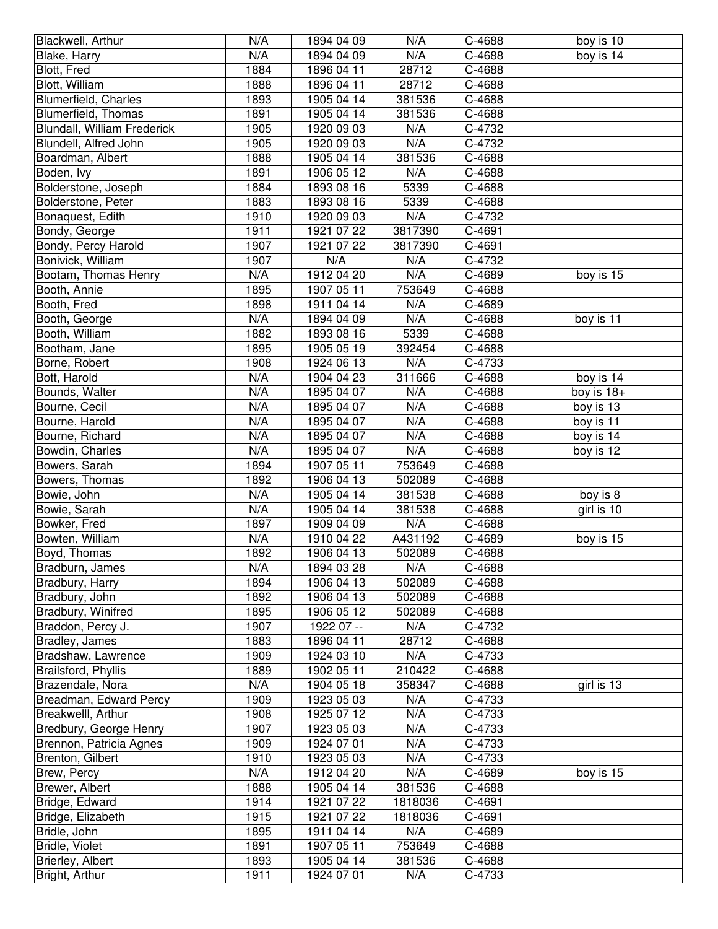| Blackwell, Arthur           | N/A  | 1894 04 09 | N/A     | C-4688 | boy is 10    |
|-----------------------------|------|------------|---------|--------|--------------|
| Blake, Harry                | N/A  | 1894 04 09 | N/A     | C-4688 | boy is 14    |
| Blott, Fred                 | 1884 | 1896 04 11 | 28712   | C-4688 |              |
| Blott, William              | 1888 | 1896 04 11 | 28712   | C-4688 |              |
| <b>Blumerfield, Charles</b> | 1893 | 1905 04 14 | 381536  | C-4688 |              |
| Blumerfield, Thomas         | 1891 | 1905 04 14 | 381536  | C-4688 |              |
| Blundall, William Frederick | 1905 | 1920 09 03 | N/A     | C-4732 |              |
| Blundell, Alfred John       | 1905 | 1920 09 03 | N/A     | C-4732 |              |
| Boardman, Albert            | 1888 | 1905 04 14 | 381536  | C-4688 |              |
| Boden, lvy                  | 1891 | 1906 05 12 | N/A     | C-4688 |              |
| Bolderstone, Joseph         | 1884 | 1893 08 16 | 5339    | C-4688 |              |
| Bolderstone, Peter          | 1883 | 1893 08 16 | 5339    | C-4688 |              |
| Bonaquest, Edith            | 1910 | 1920 09 03 | N/A     | C-4732 |              |
| Bondy, George               | 1911 | 1921 07 22 | 3817390 | C-4691 |              |
| Bondy, Percy Harold         | 1907 | 1921 07 22 | 3817390 | C-4691 |              |
| Bonivick, William           | 1907 | N/A        | N/A     | C-4732 |              |
| Bootam, Thomas Henry        | N/A  | 1912 04 20 | N/A     | C-4689 | boy is 15    |
| Booth, Annie                | 1895 | 1907 05 11 | 753649  | C-4688 |              |
| Booth, Fred                 | 1898 | 1911 04 14 | N/A     | C-4689 |              |
| Booth, George               | N/A  | 1894 04 09 | N/A     | C-4688 | boy is 11    |
| Booth, William              | 1882 | 1893 08 16 | 5339    | C-4688 |              |
| Bootham, Jane               | 1895 | 1905 05 19 | 392454  | C-4688 |              |
| Borne, Robert               | 1908 | 1924 06 13 | N/A     | C-4733 |              |
| Bott, Harold                | N/A  | 1904 04 23 | 311666  | C-4688 | boy is 14    |
| Bounds, Walter              | N/A  | 1895 04 07 | N/A     | C-4688 | boy is $18+$ |
| Bourne, Cecil               | N/A  | 1895 04 07 | N/A     | C-4688 | boy is 13    |
| Bourne, Harold              | N/A  | 1895 04 07 | N/A     | C-4688 | boy is 11    |
| Bourne, Richard             | N/A  | 1895 04 07 | N/A     | C-4688 | boy is 14    |
| Bowdin, Charles             | N/A  | 1895 04 07 | N/A     | C-4688 | boy is 12    |
| Bowers, Sarah               | 1894 | 1907 05 11 | 753649  | C-4688 |              |
| Bowers, Thomas              | 1892 | 1906 04 13 | 502089  | C-4688 |              |
| Bowie, John                 | N/A  | 1905 04 14 | 381538  | C-4688 | boy is 8     |
| Bowie, Sarah                | N/A  | 1905 04 14 | 381538  | C-4688 | girl is 10   |
| Bowker, Fred                | 1897 | 1909 04 09 | N/A     | C-4688 |              |
| Bowten, William             | N/A  | 1910 04 22 | A431192 | C-4689 | boy is 15    |
| Boyd, Thomas                | 1892 | 1906 04 13 | 502089  | C-4688 |              |
| Bradburn, James             | N/A  | 1894 03 28 | N/A     | C-4688 |              |
| Bradbury, Harry             | 1894 | 1906 04 13 | 502089  | C-4688 |              |
| Bradbury, John              | 1892 | 1906 04 13 | 502089  | C-4688 |              |
| Bradbury, Winifred          | 1895 | 1906 05 12 | 502089  | C-4688 |              |
| Braddon, Percy J.           | 1907 | 1922 07 -- | N/A     | C-4732 |              |
| Bradley, James              | 1883 | 1896 04 11 | 28712   | C-4688 |              |
| Bradshaw, Lawrence          | 1909 | 1924 03 10 | N/A     | C-4733 |              |
| Brailsford, Phyllis         | 1889 | 1902 05 11 | 210422  | C-4688 |              |
| Brazendale, Nora            | N/A  | 1904 05 18 | 358347  | C-4688 | girl is 13   |
| Breadman, Edward Percy      | 1909 | 1923 05 03 | N/A     | C-4733 |              |
| Breakwelll, Arthur          | 1908 | 1925 07 12 | N/A     | C-4733 |              |
| Bredbury, George Henry      | 1907 | 1923 05 03 | N/A     | C-4733 |              |
| Brennon, Patricia Agnes     | 1909 | 1924 07 01 | N/A     | C-4733 |              |
| Brenton, Gilbert            | 1910 | 1923 05 03 | N/A     | C-4733 |              |
| Brew, Percy                 | N/A  | 1912 04 20 | N/A     | C-4689 | boy is 15    |
| Brewer, Albert              | 1888 | 1905 04 14 | 381536  | C-4688 |              |
| Bridge, Edward              | 1914 | 1921 07 22 | 1818036 | C-4691 |              |
| Bridge, Elizabeth           | 1915 | 1921 07 22 | 1818036 | C-4691 |              |
| Bridle, John                | 1895 | 1911 04 14 | N/A     | C-4689 |              |
| Bridle, Violet              | 1891 | 1907 05 11 | 753649  | C-4688 |              |
| Brierley, Albert            | 1893 | 1905 04 14 | 381536  | C-4688 |              |
| Bright, Arthur              | 1911 | 1924 07 01 | N/A     | C-4733 |              |
|                             |      |            |         |        |              |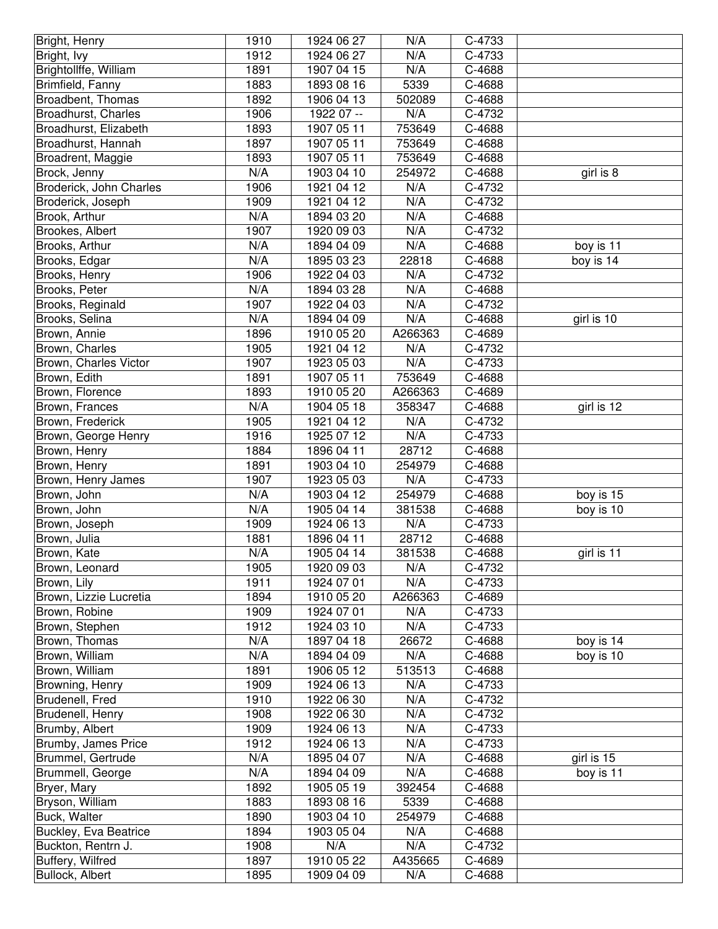| Bright, Henry           | 1910 | 1924 06 27 | N/A     | C-4733   |            |
|-------------------------|------|------------|---------|----------|------------|
| Bright, Ivy             | 1912 | 1924 06 27 | N/A     | C-4733   |            |
| Brightollffe, William   | 1891 | 1907 04 15 | N/A     | C-4688   |            |
| Brimfield, Fanny        | 1883 | 1893 08 16 | 5339    | C-4688   |            |
| Broadbent, Thomas       | 1892 | 1906 04 13 | 502089  | $C-4688$ |            |
| Broadhurst, Charles     | 1906 | 1922 07 -- | N/A     | C-4732   |            |
| Broadhurst, Elizabeth   | 1893 | 1907 05 11 | 753649  | C-4688   |            |
| Broadhurst, Hannah      | 1897 | 1907 05 11 | 753649  | C-4688   |            |
| Broadrent, Maggie       | 1893 | 1907 05 11 | 753649  | C-4688   |            |
| Brock, Jenny            | N/A  | 1903 04 10 | 254972  | C-4688   | girl is 8  |
| Broderick, John Charles | 1906 | 1921 04 12 | N/A     | C-4732   |            |
| Broderick, Joseph       | 1909 | 1921 04 12 | N/A     | C-4732   |            |
| Brook, Arthur           | N/A  | 1894 03 20 | N/A     | C-4688   |            |
| Brookes, Albert         | 1907 | 1920 09 03 | N/A     | C-4732   |            |
| Brooks, Arthur          | N/A  | 1894 04 09 | N/A     | C-4688   | boy is 11  |
| Brooks, Edgar           | N/A  | 1895 03 23 | 22818   | C-4688   | boy is 14  |
| Brooks, Henry           | 1906 | 1922 04 03 | N/A     | C-4732   |            |
| Brooks, Peter           | N/A  | 1894 03 28 | N/A     | C-4688   |            |
| Brooks, Reginald        | 1907 | 1922 04 03 | N/A     | C-4732   |            |
| Brooks, Selina          | N/A  | 1894 04 09 | N/A     | C-4688   | girl is 10 |
| Brown, Annie            | 1896 | 1910 05 20 | A266363 | C-4689   |            |
| Brown, Charles          | 1905 | 1921 04 12 | N/A     | C-4732   |            |
| Brown, Charles Victor   | 1907 | 1923 05 03 | N/A     | C-4733   |            |
| Brown, Edith            | 1891 | 1907 05 11 | 753649  | C-4688   |            |
| Brown, Florence         | 1893 | 1910 05 20 | A266363 | C-4689   |            |
| Brown, Frances          | N/A  | 1904 05 18 | 358347  | C-4688   | girl is 12 |
| Brown, Frederick        | 1905 | 1921 04 12 | N/A     | C-4732   |            |
| Brown, George Henry     | 1916 | 1925 07 12 | N/A     | C-4733   |            |
| Brown, Henry            | 1884 | 1896 04 11 | 28712   | C-4688   |            |
| Brown, Henry            | 1891 | 1903 04 10 | 254979  | C-4688   |            |
| Brown, Henry James      | 1907 | 1923 05 03 | N/A     | C-4733   |            |
| Brown, John             | N/A  | 1903 04 12 | 254979  | C-4688   | boy is 15  |
| Brown, John             | N/A  | 1905 04 14 | 381538  | C-4688   | boy is 10  |
| Brown, Joseph           | 1909 | 1924 06 13 | N/A     | C-4733   |            |
| Brown, Julia            | 1881 | 1896 04 11 | 28712   | C-4688   |            |
| Brown, Kate             | N/A  | 1905 04 14 | 381538  | C-4688   | girl is 11 |
| Brown, Leonard          | 1905 | 1920 09 03 | N/A     | C-4732   |            |
| Brown, Lily             | 1911 | 1924 07 01 | N/A     | C-4733   |            |
| Brown, Lizzie Lucretia  | 1894 | 1910 05 20 | A266363 | C-4689   |            |
| Brown, Robine           | 1909 | 1924 07 01 | N/A     | C-4733   |            |
| Brown, Stephen          | 1912 | 1924 03 10 | N/A     | C-4733   |            |
| Brown, Thomas           | N/A  | 1897 04 18 | 26672   | C-4688   | boy is 14  |
| Brown, William          | N/A  | 1894 04 09 | N/A     | C-4688   | boy is 10  |
| Brown, William          | 1891 | 1906 05 12 | 513513  | C-4688   |            |
| Browning, Henry         | 1909 | 1924 06 13 | N/A     | C-4733   |            |
| Brudenell, Fred         | 1910 | 1922 06 30 | N/A     | C-4732   |            |
| Brudenell, Henry        | 1908 | 1922 06 30 | N/A     | C-4732   |            |
| Brumby, Albert          | 1909 | 1924 06 13 | N/A     | C-4733   |            |
| Brumby, James Price     | 1912 | 1924 06 13 | N/A     | C-4733   |            |
| Brummel, Gertrude       | N/A  | 1895 04 07 | N/A     | C-4688   | girl is 15 |
| Brummell, George        | N/A  | 1894 04 09 | N/A     | C-4688   | boy is 11  |
| Bryer, Mary             | 1892 | 1905 05 19 | 392454  | C-4688   |            |
| Bryson, William         | 1883 | 1893 08 16 | 5339    | C-4688   |            |
| Buck, Walter            | 1890 | 1903 04 10 | 254979  | C-4688   |            |
| Buckley, Eva Beatrice   | 1894 | 1903 05 04 | N/A     | C-4688   |            |
| Buckton, Rentrn J.      | 1908 | N/A        | N/A     | C-4732   |            |
| Buffery, Wilfred        | 1897 | 1910 05 22 | A435665 | C-4689   |            |
| Bullock, Albert         | 1895 | 1909 04 09 | N/A     | C-4688   |            |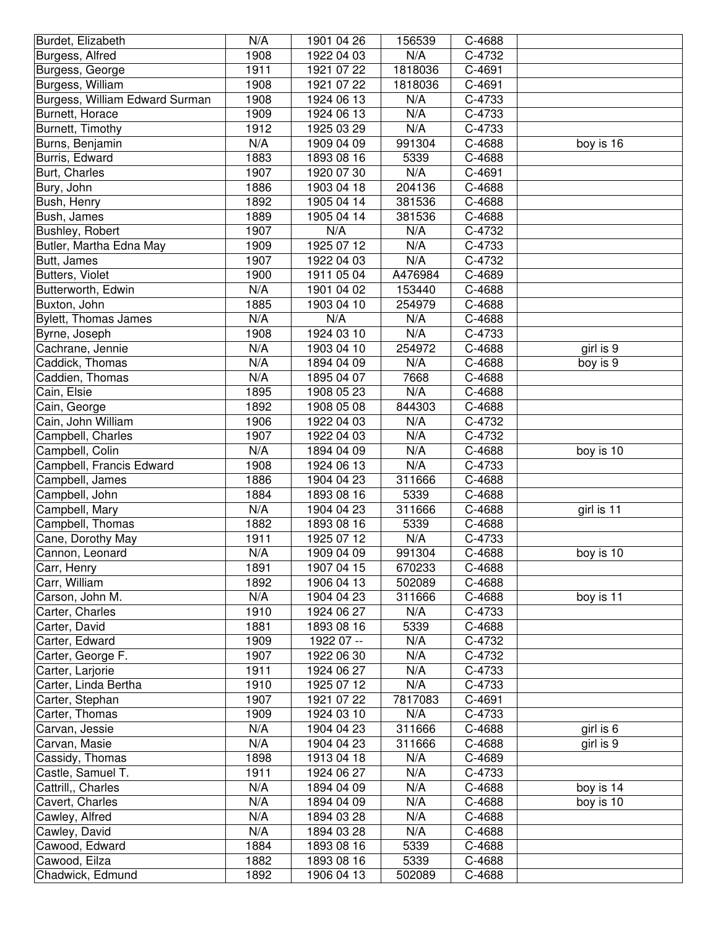| Burdet, Elizabeth              | N/A  | 1901 04 26 | 156539  | C-4688 |            |
|--------------------------------|------|------------|---------|--------|------------|
| Burgess, Alfred                | 1908 | 1922 04 03 | N/A     | C-4732 |            |
| Burgess, George                | 1911 | 1921 07 22 | 1818036 | C-4691 |            |
| Burgess, William               | 1908 | 1921 07 22 | 1818036 | C-4691 |            |
| Burgess, William Edward Surman | 1908 | 1924 06 13 | N/A     | C-4733 |            |
| Burnett, Horace                | 1909 | 1924 06 13 | N/A     | C-4733 |            |
| Burnett, Timothy               | 1912 | 1925 03 29 | N/A     | C-4733 |            |
| Burns, Benjamin                | N/A  | 1909 04 09 | 991304  | C-4688 | boy is 16  |
| Burris, Edward                 | 1883 | 1893 08 16 | 5339    | C-4688 |            |
| Burt, Charles                  | 1907 | 1920 07 30 | N/A     | C-4691 |            |
| Bury, John                     | 1886 | 1903 04 18 | 204136  | C-4688 |            |
| Bush, Henry                    | 1892 | 1905 04 14 | 381536  | C-4688 |            |
| Bush, James                    | 1889 | 1905 04 14 | 381536  | C-4688 |            |
| Bushley, Robert                | 1907 | N/A        | N/A     | C-4732 |            |
| Butler, Martha Edna May        | 1909 | 1925 07 12 | N/A     | C-4733 |            |
| Butt, James                    | 1907 | 1922 04 03 | N/A     | C-4732 |            |
| Butters, Violet                | 1900 | 1911 05 04 | A476984 | C-4689 |            |
| Butterworth, Edwin             | N/A  | 1901 04 02 | 153440  | C-4688 |            |
| Buxton, John                   | 1885 | 1903 04 10 | 254979  | C-4688 |            |
| Bylett, Thomas James           | N/A  | N/A        | N/A     | C-4688 |            |
| Byrne, Joseph                  | 1908 | 1924 03 10 | N/A     | C-4733 |            |
| Cachrane, Jennie               | N/A  | 1903 04 10 | 254972  | C-4688 | girl is 9  |
| Caddick, Thomas                | N/A  | 1894 04 09 | N/A     | C-4688 | boy is 9   |
| Caddien, Thomas                | N/A  | 1895 04 07 | 7668    | C-4688 |            |
| Cain, Elsie                    | 1895 | 1908 05 23 | N/A     | C-4688 |            |
| Cain, George                   | 1892 | 1908 05 08 | 844303  | C-4688 |            |
| Cain, John William             | 1906 | 1922 04 03 | N/A     | C-4732 |            |
| Campbell, Charles              | 1907 | 1922 04 03 | N/A     | C-4732 |            |
| Campbell, Colin                | N/A  | 1894 04 09 | N/A     | C-4688 | boy is 10  |
| Campbell, Francis Edward       | 1908 | 1924 06 13 | N/A     | C-4733 |            |
| Campbell, James                | 1886 | 1904 04 23 | 311666  | C-4688 |            |
| Campbell, John                 | 1884 | 1893 08 16 | 5339    | C-4688 |            |
| Campbell, Mary                 | N/A  | 1904 04 23 | 311666  | C-4688 | girl is 11 |
| Campbell, Thomas               | 1882 | 1893 08 16 | 5339    | C-4688 |            |
| Cane, Dorothy May              | 1911 | 1925 07 12 | N/A     | C-4733 |            |
| Cannon, Leonard                | N/A  | 1909 04 09 | 991304  | C-4688 | boy is 10  |
| Carr, Henry                    | 1891 | 1907 04 15 | 670233  | C-4688 |            |
| Carr, William                  | 1892 | 1906 04 13 | 502089  | C-4688 |            |
| Carson, John M.                | N/A  | 1904 04 23 | 311666  | C-4688 | boy is 11  |
| Carter, Charles                | 1910 | 1924 06 27 | N/A     | C-4733 |            |
| Carter, David                  | 1881 | 1893 08 16 | 5339    | C-4688 |            |
| Carter, Edward                 | 1909 | 1922 07 -- | N/A     | C-4732 |            |
| Carter, George F.              | 1907 | 1922 06 30 | N/A     | C-4732 |            |
| Carter, Larjorie               | 1911 | 1924 06 27 | N/A     | C-4733 |            |
| Carter, Linda Bertha           | 1910 | 1925 07 12 | N/A     | C-4733 |            |
| Carter, Stephan                | 1907 | 1921 07 22 | 7817083 | C-4691 |            |
| Carter, Thomas                 | 1909 | 1924 03 10 | N/A     | C-4733 |            |
| Carvan, Jessie                 | N/A  | 1904 04 23 | 311666  | C-4688 | girl is 6  |
| Carvan, Masie                  | N/A  | 1904 04 23 | 311666  | C-4688 | girl is 9  |
| Cassidy, Thomas                | 1898 | 1913 04 18 | N/A     | C-4689 |            |
| Castle, Samuel T.              | 1911 | 1924 06 27 | N/A     | C-4733 |            |
| Cattrill,, Charles             | N/A  | 1894 04 09 | N/A     | C-4688 | boy is 14  |
| Cavert, Charles                | N/A  | 1894 04 09 | N/A     | C-4688 | boy is 10  |
| Cawley, Alfred                 | N/A  | 1894 03 28 | N/A     | C-4688 |            |
| Cawley, David                  | N/A  | 1894 03 28 | N/A     | C-4688 |            |
| Cawood, Edward                 | 1884 | 1893 08 16 | 5339    | C-4688 |            |
| Cawood, Eilza                  | 1882 | 1893 08 16 | 5339    | C-4688 |            |
| Chadwick, Edmund               | 1892 | 1906 04 13 | 502089  | C-4688 |            |
|                                |      |            |         |        |            |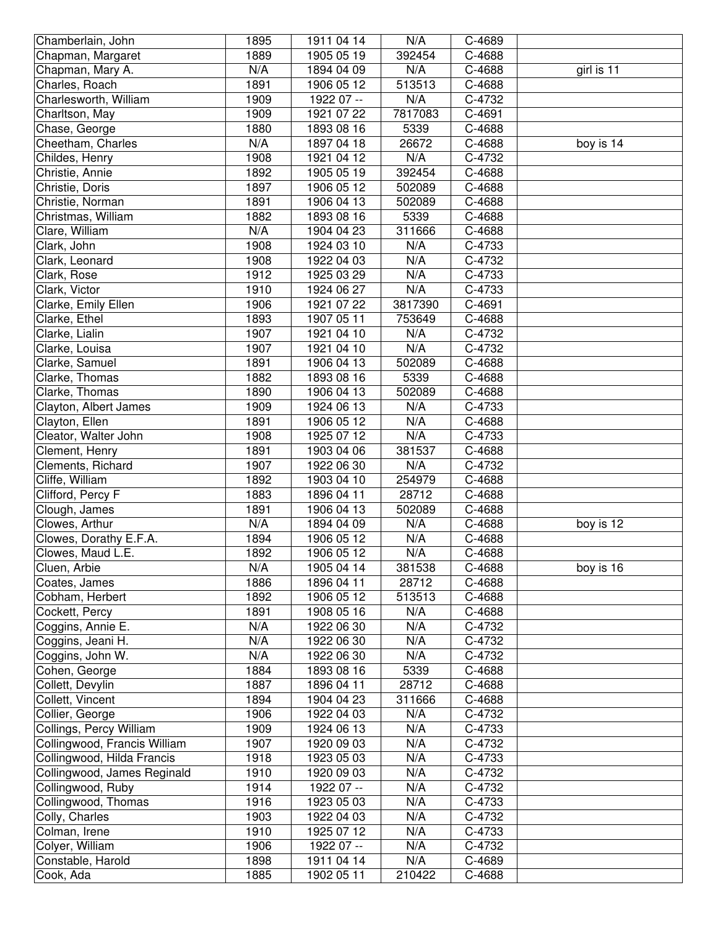| Chamberlain, John              | 1895         | 1911 04 14               | N/A           | C-4689           |            |
|--------------------------------|--------------|--------------------------|---------------|------------------|------------|
| Chapman, Margaret              | 1889         | 1905 05 19               | 392454        | C-4688           |            |
| Chapman, Mary A.               | N/A          | 1894 04 09               | N/A           | C-4688           | girl is 11 |
| Charles, Roach                 | 1891         | 1906 05 12               | 513513        | C-4688           |            |
| Charlesworth, William          | 1909         | 1922 07 --               | N/A           | C-4732           |            |
| Charltson, May                 | 1909         | 1921 07 22               | 7817083       | C-4691           |            |
| Chase, George                  | 1880         | 1893 08 16               | 5339          | C-4688           |            |
| Cheetham, Charles              | N/A          | 1897 04 18               | 26672         | C-4688           | boy is 14  |
| Childes, Henry                 | 1908         | 1921 04 12               | N/A           | C-4732           |            |
| Christie, Annie                | 1892         | 1905 05 19               | 392454        | C-4688           |            |
| Christie, Doris                | 1897         | 1906 05 12               | 502089        | C-4688           |            |
| Christie, Norman               | 1891         | 1906 04 13               | 502089        | C-4688           |            |
| Christmas, William             | 1882         | 1893 08 16               | 5339          | C-4688           |            |
| Clare, William                 | N/A          | 1904 04 23               | 311666        | C-4688           |            |
| Clark, John                    | 1908         | 1924 03 10               | N/A           | C-4733           |            |
| Clark, Leonard                 | 1908         | 1922 04 03               | N/A           | C-4732           |            |
| Clark, Rose                    | 1912         | 1925 03 29               | N/A           | C-4733           |            |
| Clark, Victor                  | 1910         | 1924 06 27               | N/A           | C-4733           |            |
| Clarke, Emily Ellen            | 1906         | 1921 07 22               | 3817390       | C-4691           |            |
| Clarke, Ethel                  | 1893         | 1907 05 11               | 753649        | C-4688           |            |
| Clarke, Lialin                 | 1907         | 1921 04 10               | N/A           | C-4732           |            |
| Clarke, Louisa                 | 1907         | 1921 04 10               | N/A           | C-4732           |            |
| Clarke, Samuel                 | 1891         | 1906 04 13               | 502089        | C-4688           |            |
| Clarke, Thomas                 | 1882         | 1893 08 16               | 5339          | C-4688           |            |
| Clarke, Thomas                 | 1890         | 1906 04 13               | 502089        | C-4688           |            |
| Clayton, Albert James          | 1909         | 1924 06 13               | N/A           | C-4733           |            |
| Clayton, Ellen                 | 1891         | 1906 05 12               | N/A           | C-4688           |            |
| Cleator, Walter John           | 1908         | 1925 07 12               | N/A           | C-4733           |            |
| Clement, Henry                 | 1891         | 1903 04 06               | 381537        | C-4688           |            |
|                                |              |                          |               |                  |            |
| Clements, Richard              | 1907         | 1922 06 30               | N/A           | C-4732           |            |
| Cliffe, William                | 1892         | 1903 04 10               | 254979        | C-4688           |            |
| Clifford, Percy F              | 1883         | 1896 04 11               | 28712         | C-4688           |            |
| Clough, James                  | 1891         | 1906 04 13               | 502089        | C-4688           |            |
| Clowes, Arthur                 | N/A          | 1894 04 09               | N/A           | C-4688           | boy is 12  |
| Clowes, Dorathy E.F.A.         | 1894         | 1906 05 12               | N/A           | C-4688           |            |
| Clowes, Maud L.E.              | 1892         | 1906 05 12               | N/A           | C-4688           |            |
| Cluen, Arbie                   | N/A          | 1905 04 14               | 381538        | C-4688           | boy is 16  |
| Coates, James                  | 1886         | 1896 04 11               | 28712         | C-4688           |            |
| Cobham, Herbert                | 1892         | 1906 05 12               | 513513        | C-4688           |            |
| Cockett, Percy                 | 1891         | 1908 05 16               | N/A           | C-4688           |            |
| Coggins, Annie E.              | N/A          | 1922 06 30               | N/A           | C-4732           |            |
| Coggins, Jeani H.              | N/A          | 1922 06 30               | N/A           | C-4732           |            |
| Coggins, John W.               | N/A          | 1922 06 30               | N/A           | C-4732           |            |
| Cohen, George                  | 1884         | 1893 08 16               | 5339          | C-4688           |            |
| Collett, Devylin               | 1887         | 1896 04 11               | 28712         | C-4688           |            |
| Collett, Vincent               | 1894         | 1904 04 23               | 311666        | C-4688           |            |
| Collier, George                | 1906         | 1922 04 03               | N/A           | C-4732           |            |
| Collings, Percy William        | 1909         | 1924 06 13               | N/A           | C-4733           |            |
| Collingwood, Francis William   | 1907         | 1920 09 03               | N/A           | C-4732           |            |
| Collingwood, Hilda Francis     | 1918         | 1923 05 03               | N/A           | C-4733           |            |
| Collingwood, James Reginald    | 1910         | 1920 09 03               | N/A           | C-4732           |            |
| Collingwood, Ruby              | 1914         | 1922 07 --               | N/A           | C-4732           |            |
| Collingwood, Thomas            | 1916         | 1923 05 03               | N/A           | C-4733           |            |
| Colly, Charles                 | 1903         | 1922 04 03               | N/A           | C-4732           |            |
| Colman, Irene                  | 1910         | 1925 07 12               | N/A           | C-4733           |            |
| Colyer, William                | 1906         | 1922 07 --               | N/A           | C-4732           |            |
| Constable, Harold<br>Cook, Ada | 1898<br>1885 | 1911 04 14<br>1902 05 11 | N/A<br>210422 | C-4689<br>C-4688 |            |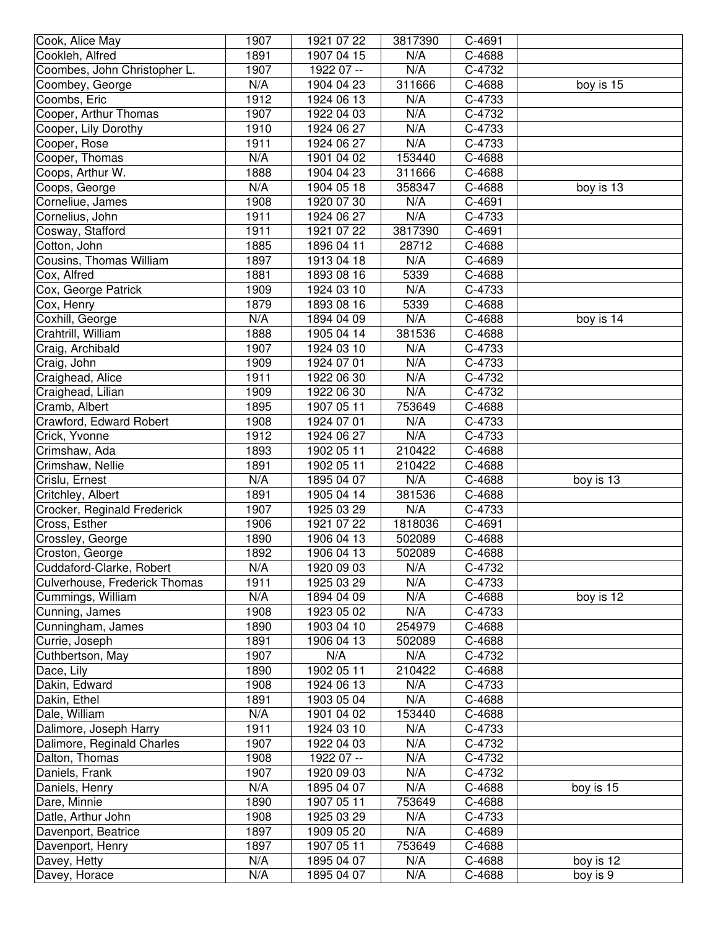| Cook, Alice May               | 1907 | 1921 07 22 | 3817390 | C-4691 |           |
|-------------------------------|------|------------|---------|--------|-----------|
| Cookleh, Alfred               | 1891 | 1907 04 15 | N/A     | C-4688 |           |
| Coombes, John Christopher L.  | 1907 | 1922 07 -- | N/A     | C-4732 |           |
| Coombey, George               | N/A  | 1904 04 23 | 311666  | C-4688 | boy is 15 |
| Coombs, Eric                  | 1912 | 1924 06 13 | N/A     | C-4733 |           |
| Cooper, Arthur Thomas         | 1907 | 1922 04 03 | N/A     | C-4732 |           |
| Cooper, Lily Dorothy          | 1910 | 1924 06 27 | N/A     | C-4733 |           |
| Cooper, Rose                  | 1911 | 1924 06 27 | N/A     | C-4733 |           |
| Cooper, Thomas                | N/A  | 1901 04 02 | 153440  | C-4688 |           |
| Coops, Arthur W.              | 1888 | 1904 04 23 | 311666  | C-4688 |           |
| Coops, George                 | N/A  | 1904 05 18 | 358347  | C-4688 | boy is 13 |
| Corneliue, James              | 1908 | 1920 07 30 | N/A     | C-4691 |           |
| Cornelius, John               | 1911 | 1924 06 27 | N/A     | C-4733 |           |
| Cosway, Stafford              | 1911 | 1921 07 22 | 3817390 | C-4691 |           |
| Cotton, John                  | 1885 | 1896 04 11 | 28712   | C-4688 |           |
| Cousins, Thomas William       | 1897 | 1913 04 18 | N/A     | C-4689 |           |
| Cox, Alfred                   | 1881 | 1893 08 16 | 5339    | C-4688 |           |
| Cox, George Patrick           | 1909 | 1924 03 10 | N/A     | C-4733 |           |
| Cox, Henry                    | 1879 | 1893 08 16 | 5339    | C-4688 |           |
| Coxhill, George               | N/A  | 1894 04 09 | N/A     | C-4688 | boy is 14 |
| Crahtrill, William            | 1888 | 1905 04 14 | 381536  | C-4688 |           |
| Craig, Archibald              | 1907 | 1924 03 10 | N/A     | C-4733 |           |
| Craig, John                   | 1909 | 1924 07 01 | N/A     | C-4733 |           |
| Craighead, Alice              | 1911 | 1922 06 30 | N/A     | C-4732 |           |
| Craighead, Lilian             | 1909 | 1922 06 30 | N/A     | C-4732 |           |
| Cramb, Albert                 | 1895 | 1907 05 11 | 753649  | C-4688 |           |
| Crawford, Edward Robert       | 1908 | 1924 07 01 | N/A     | C-4733 |           |
| Crick, Yvonne                 | 1912 | 1924 06 27 | N/A     | C-4733 |           |
| Crimshaw, Ada                 | 1893 | 1902 05 11 | 210422  | C-4688 |           |
| Crimshaw, Nellie              | 1891 | 1902 05 11 | 210422  | C-4688 |           |
| Crislu, Ernest                | N/A  | 1895 04 07 | N/A     | C-4688 | boy is 13 |
| Critchley, Albert             | 1891 | 1905 04 14 | 381536  | C-4688 |           |
| Crocker, Reginald Frederick   | 1907 | 1925 03 29 | N/A     | C-4733 |           |
| Cross, Esther                 | 1906 | 1921 07 22 | 1818036 | C-4691 |           |
| Crossley, George              | 1890 | 1906 04 13 | 502089  | C-4688 |           |
| Croston, George               | 1892 | 1906 04 13 | 502089  | C-4688 |           |
| Cuddaford-Clarke, Robert      | N/A  | 1920 09 03 | N/A     | C-4732 |           |
| Culverhouse, Frederick Thomas | 1911 | 1925 03 29 | N/A     | C-4733 |           |
| Cummings, William             | N/A  | 1894 04 09 | N/A     | C-4688 | boy is 12 |
| Cunning, James                | 1908 | 1923 05 02 | N/A     | C-4733 |           |
| Cunningham, James             | 1890 | 1903 04 10 | 254979  | C-4688 |           |
| Currie, Joseph                | 1891 | 1906 04 13 | 502089  | C-4688 |           |
| Cuthbertson, May              | 1907 | N/A        | N/A     | C-4732 |           |
| Dace, Lily                    | 1890 | 1902 05 11 | 210422  | C-4688 |           |
| Dakin, Edward                 | 1908 | 1924 06 13 | N/A     | C-4733 |           |
| Dakin, Ethel                  | 1891 | 1903 05 04 | N/A     | C-4688 |           |
| Dale, William                 | N/A  | 1901 04 02 | 153440  | C-4688 |           |
| Dalimore, Joseph Harry        | 1911 | 1924 03 10 | N/A     | C-4733 |           |
| Dalimore, Reginald Charles    | 1907 | 1922 04 03 | N/A     | C-4732 |           |
| Dalton, Thomas                | 1908 | 1922 07 -- | N/A     | C-4732 |           |
| Daniels, Frank                | 1907 | 1920 09 03 | N/A     | C-4732 |           |
|                               | N/A  |            | N/A     | C-4688 |           |
| Daniels, Henry                | 1890 | 1895 04 07 | 753649  | C-4688 | boy is 15 |
| Dare, Minnie                  | 1908 | 1907 05 11 |         |        |           |
| Datle, Arthur John            |      | 1925 03 29 | N/A     | C-4733 |           |
| Davenport, Beatrice           | 1897 | 1909 05 20 | N/A     | C-4689 |           |
| Davenport, Henry              | 1897 | 1907 05 11 | 753649  | C-4688 |           |
| Davey, Hetty                  | N/A  | 1895 04 07 | N/A     | C-4688 | boy is 12 |
| Davey, Horace                 | N/A  | 1895 04 07 | N/A     | C-4688 | boy is 9  |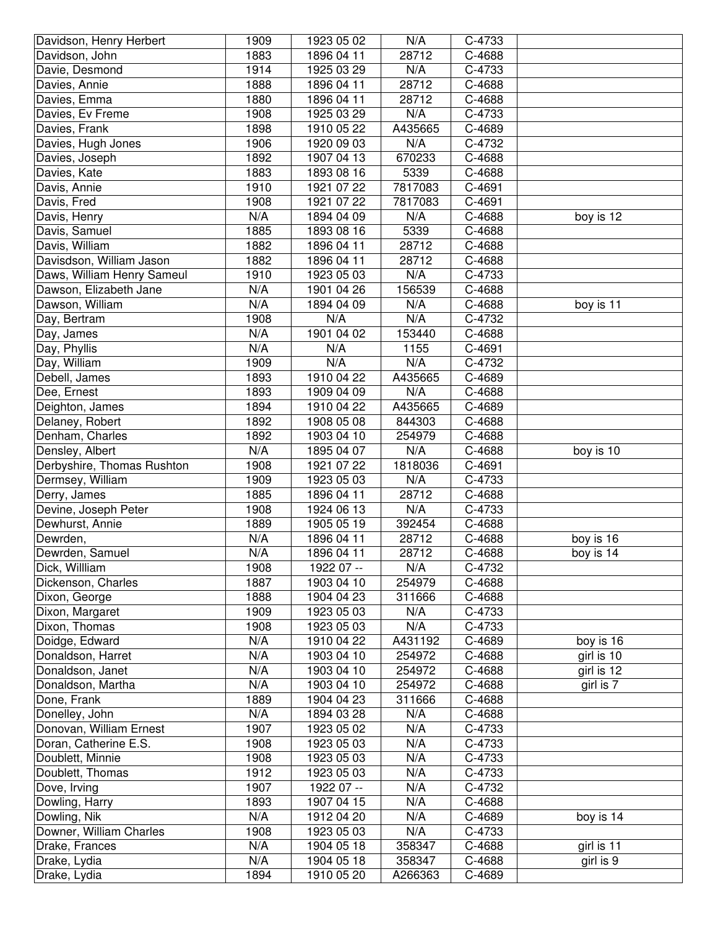| Davidson, Henry Herbert    | 1909 | 1923 05 02 | N/A     | C-4733 |            |
|----------------------------|------|------------|---------|--------|------------|
| Davidson, John             | 1883 | 1896 04 11 | 28712   | C-4688 |            |
| Davie, Desmond             | 1914 | 1925 03 29 | N/A     | C-4733 |            |
| Davies, Annie              | 1888 | 1896 04 11 | 28712   | C-4688 |            |
| Davies, Emma               | 1880 | 1896 04 11 | 28712   | C-4688 |            |
| Davies, Ev Freme           | 1908 | 1925 03 29 | N/A     | C-4733 |            |
| Davies, Frank              | 1898 | 1910 05 22 | A435665 | C-4689 |            |
| Davies, Hugh Jones         | 1906 | 1920 09 03 | N/A     | C-4732 |            |
| Davies, Joseph             | 1892 | 1907 04 13 | 670233  | C-4688 |            |
| Davies, Kate               | 1883 | 1893 08 16 | 5339    | C-4688 |            |
| Davis, Annie               | 1910 | 1921 07 22 | 7817083 | C-4691 |            |
| Davis, Fred                | 1908 | 1921 07 22 | 7817083 | C-4691 |            |
| Davis, Henry               | N/A  | 1894 04 09 | N/A     | C-4688 | boy is 12  |
| Davis, Samuel              | 1885 | 1893 08 16 | 5339    | C-4688 |            |
| Davis, William             | 1882 | 1896 04 11 | 28712   | C-4688 |            |
| Davisdson, William Jason   | 1882 | 1896 04 11 | 28712   | C-4688 |            |
| Daws, William Henry Sameul | 1910 | 1923 05 03 | N/A     | C-4733 |            |
| Dawson, Elizabeth Jane     | N/A  | 1901 04 26 | 156539  | C-4688 |            |
| Dawson, William            | N/A  | 1894 04 09 | N/A     | C-4688 | boy is 11  |
| Day, Bertram               | 1908 | N/A        | N/A     | C-4732 |            |
| Day, James                 | N/A  | 1901 04 02 | 153440  | C-4688 |            |
| Day, Phyllis               | N/A  | N/A        | 1155    | C-4691 |            |
|                            |      | N/A        | N/A     | C-4732 |            |
| Day, William               | 1909 |            |         |        |            |
| Debell, James              | 1893 | 1910 04 22 | A435665 | C-4689 |            |
| Dee, Ernest                | 1893 | 1909 04 09 | N/A     | C-4688 |            |
| Deighton, James            | 1894 | 1910 04 22 | A435665 | C-4689 |            |
| Delaney, Robert            | 1892 | 1908 05 08 | 844303  | C-4688 |            |
| Denham, Charles            | 1892 | 1903 04 10 | 254979  | C-4688 |            |
| Densley, Albert            | N/A  | 1895 04 07 | N/A     | C-4688 | boy is 10  |
| Derbyshire, Thomas Rushton | 1908 | 1921 07 22 | 1818036 | C-4691 |            |
| Dermsey, William           | 1909 | 1923 05 03 | N/A     | C-4733 |            |
| Derry, James               | 1885 | 1896 04 11 | 28712   | C-4688 |            |
| Devine, Joseph Peter       | 1908 | 1924 06 13 | N/A     | C-4733 |            |
| Dewhurst, Annie            | 1889 | 1905 05 19 | 392454  | C-4688 |            |
| Dewrden,                   | N/A  | 1896 04 11 | 28712   | C-4688 | boy is 16  |
| Dewrden, Samuel            | N/A  | 1896 04 11 | 28712   | C-4688 | boy is 14  |
| Dick, Willliam             | 1908 | 1922 07 -- | N/A     | C-4732 |            |
| Dickenson, Charles         | 1887 | 1903 04 10 | 254979  | C-4688 |            |
| Dixon, George              | 1888 | 1904 04 23 | 311666  | C-4688 |            |
| Dixon, Margaret            | 1909 | 1923 05 03 | N/A     | C-4733 |            |
| Dixon, Thomas              | 1908 | 1923 05 03 | N/A     | C-4733 |            |
| Doidge, Edward             | N/A  | 1910 04 22 | A431192 | C-4689 | boy is 16  |
| Donaldson, Harret          | N/A  | 1903 04 10 | 254972  | C-4688 | girl is 10 |
| Donaldson, Janet           | N/A  | 1903 04 10 | 254972  | C-4688 | girl is 12 |
| Donaldson, Martha          | N/A  | 1903 04 10 | 254972  | C-4688 | girl is 7  |
| Done, Frank                | 1889 | 1904 04 23 | 311666  | C-4688 |            |
| Donelley, John             | N/A  | 1894 03 28 | N/A     | C-4688 |            |
| Donovan, William Ernest    | 1907 | 1923 05 02 | N/A     | C-4733 |            |
| Doran, Catherine E.S.      | 1908 | 1923 05 03 | N/A     | C-4733 |            |
| Doublett, Minnie           | 1908 | 1923 05 03 | N/A     | C-4733 |            |
| Doublett, Thomas           | 1912 | 1923 05 03 | N/A     | C-4733 |            |
| Dove, Irving               | 1907 | 1922 07 -- | N/A     | C-4732 |            |
| Dowling, Harry             | 1893 | 1907 04 15 | N/A     | C-4688 |            |
| Dowling, Nik               | N/A  | 1912 04 20 | N/A     | C-4689 | boy is 14  |
| Downer, William Charles    | 1908 | 1923 05 03 | N/A     | C-4733 |            |
| Drake, Frances             | N/A  | 1904 05 18 | 358347  | C-4688 | girl is 11 |
| Drake, Lydia               | N/A  | 1904 05 18 | 358347  | C-4688 | girl is 9  |
| Drake, Lydia               | 1894 | 1910 05 20 | A266363 | C-4689 |            |
|                            |      |            |         |        |            |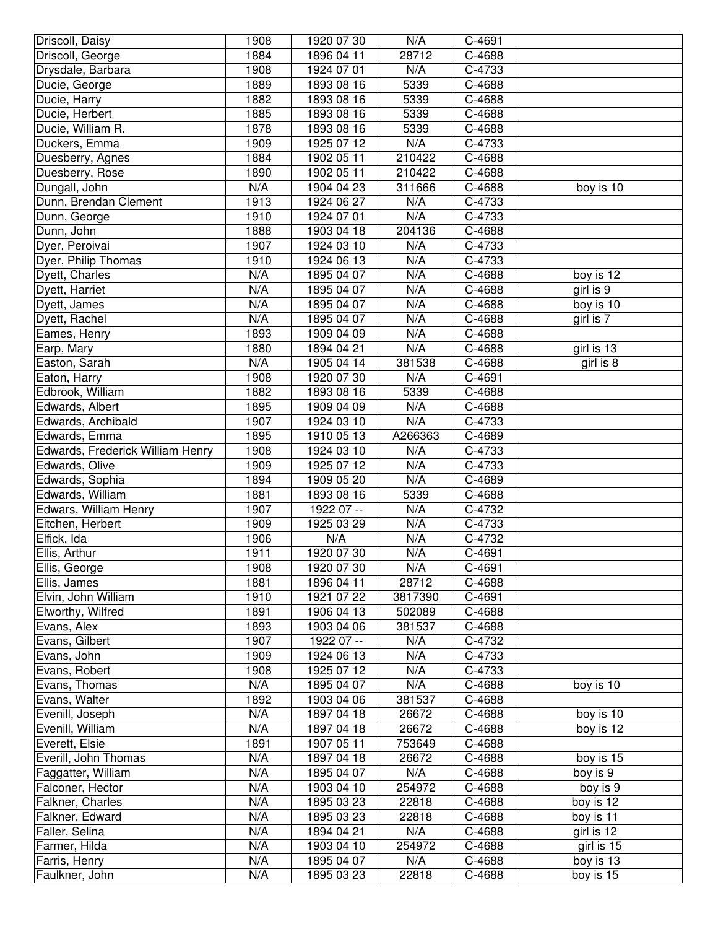| Driscoll, Daisy                  | 1908       | 1920 07 30               | N/A          | C-4691           |                        |
|----------------------------------|------------|--------------------------|--------------|------------------|------------------------|
| Driscoll, George                 | 1884       | 1896 04 11               | 28712        | C-4688           |                        |
| Drysdale, Barbara                | 1908       | 1924 07 01               | N/A          | C-4733           |                        |
| Ducie, George                    | 1889       | 1893 08 16               | 5339         | C-4688           |                        |
| Ducie, Harry                     | 1882       | 1893 08 16               | 5339         | C-4688           |                        |
| Ducie, Herbert                   | 1885       | 1893 08 16               | 5339         | C-4688           |                        |
| Ducie, William R.                | 1878       | 1893 08 16               | 5339         | C-4688           |                        |
| Duckers, Emma                    | 1909       | 1925 07 12               | N/A          | C-4733           |                        |
| Duesberry, Agnes                 | 1884       | 1902 05 11               | 210422       | C-4688           |                        |
| Duesberry, Rose                  | 1890       | 1902 05 11               | 210422       | C-4688           |                        |
| Dungall, John                    | N/A        | 1904 04 23               | 311666       | C-4688           | boy is 10              |
| Dunn, Brendan Clement            | 1913       | 1924 06 27               | N/A          | C-4733           |                        |
| Dunn, George                     | 1910       | 1924 07 01               | N/A          | C-4733           |                        |
| Dunn, John                       | 1888       | 1903 04 18               | 204136       | C-4688           |                        |
| Dyer, Peroivai                   | 1907       | 1924 03 10               | N/A          | C-4733           |                        |
| Dyer, Philip Thomas              | 1910       | 1924 06 13               | N/A          | C-4733           |                        |
| Dyett, Charles                   | N/A        | 1895 04 07               | N/A          | C-4688           | boy is 12              |
| Dyett, Harriet                   | N/A        | 1895 04 07               | N/A          | C-4688           | girl is 9              |
| Dyett, James                     | N/A        | 1895 04 07               | N/A          | C-4688           | boy is 10              |
| Dyett, Rachel                    | N/A        | 1895 04 07               | N/A          | C-4688           | girl is 7              |
| Eames, Henry                     | 1893       | 1909 04 09               | N/A          | C-4688           |                        |
| Earp, Mary                       | 1880       | 1894 04 21               | N/A          | C-4688           | girl is 13             |
| Easton, Sarah                    | N/A        | 1905 04 14               | 381538       | C-4688           | girl is 8              |
| Eaton, Harry                     | 1908       | 1920 07 30               | N/A          | C-4691           |                        |
| Edbrook, William                 | 1882       | 1893 08 16               | 5339         | C-4688           |                        |
| Edwards, Albert                  | 1895       | 1909 04 09               | N/A          | C-4688           |                        |
| Edwards, Archibald               | 1907       | 1924 03 10               | N/A          | C-4733           |                        |
| Edwards, Emma                    | 1895       | 1910 05 13               | A266363      | C-4689           |                        |
| Edwards, Frederick William Henry | 1908       | 1924 03 10               | N/A          | C-4733           |                        |
|                                  |            |                          |              |                  |                        |
|                                  |            |                          |              |                  |                        |
| Edwards, Olive                   | 1909       | 1925 07 12               | N/A          | C-4733           |                        |
| Edwards, Sophia                  | 1894       | 1909 05 20               | N/A          | C-4689           |                        |
| Edwards, William                 | 1881       | 1893 08 16               | 5339         | C-4688           |                        |
| Edwars, William Henry            | 1907       | 1922 07 --               | N/A          | C-4732           |                        |
| Eitchen, Herbert                 | 1909       | 1925 03 29               | N/A          | C-4733           |                        |
| Elfick, Ida                      | 1906       | N/A                      | N/A          | C-4732           |                        |
| Ellis, Arthur                    | 1911       | 1920 07 30               | N/A          | C-4691           |                        |
| Ellis, George                    | 1908       | 1920 07 30               | N/A          | C-4691           |                        |
| Ellis, James                     | 1881       | 1896 04 11               | 28712        | C-4688           |                        |
| Elvin, John William              | 1910       | 1921 07 22               | 3817390      | C-4691           |                        |
| Elworthy, Wilfred                | 1891       | 1906 04 13               | 502089       | C-4688           |                        |
| Evans, Alex                      | 1893       | 1903 04 06               | 381537       | C-4688           |                        |
| Evans, Gilbert                   | 1907       | 1922 07 --               | N/A          | C-4732           |                        |
| Evans, John                      | 1909       | 1924 06 13               | N/A          | C-4733           |                        |
| Evans, Robert                    | 1908       | 1925 07 12               | N/A          | C-4733           |                        |
| Evans, Thomas                    | N/A        | 1895 04 07               | N/A          | C-4688           | boy is 10              |
| Evans, Walter                    | 1892       | 1903 04 06               | 381537       | C-4688           |                        |
| Evenill, Joseph                  | N/A        | 1897 04 18               | 26672        | C-4688           | boy is 10              |
| Evenill, William                 | N/A        | 1897 04 18               | 26672        | C-4688           | boy is 12              |
| Everett, Elsie                   | 1891       | 1907 05 11               | 753649       | C-4688           |                        |
| Everill, John Thomas             | N/A        | 1897 04 18               | 26672        | C-4688           | boy is 15              |
| Faggatter, William               | N/A        | 1895 04 07               | N/A          | C-4688           | boy is 9               |
| Falconer, Hector                 | N/A        | 1903 04 10               | 254972       | C-4688           | boy is 9               |
| Falkner, Charles                 | N/A        | 1895 03 23               | 22818        | C-4688           | boy is 12              |
| Falkner, Edward                  | N/A        | 1895 03 23               | 22818        | C-4688           | boy is 11              |
| Faller, Selina                   | N/A        | 1894 04 21               | N/A          | C-4688           | girl is 12             |
| Farmer, Hilda                    | N/A        | 1903 04 10               | 254972       | C-4688           | girl is 15             |
| Farris, Henry<br>Faulkner, John  | N/A<br>N/A | 1895 04 07<br>1895 03 23 | N/A<br>22818 | C-4688<br>C-4688 | boy is 13<br>boy is 15 |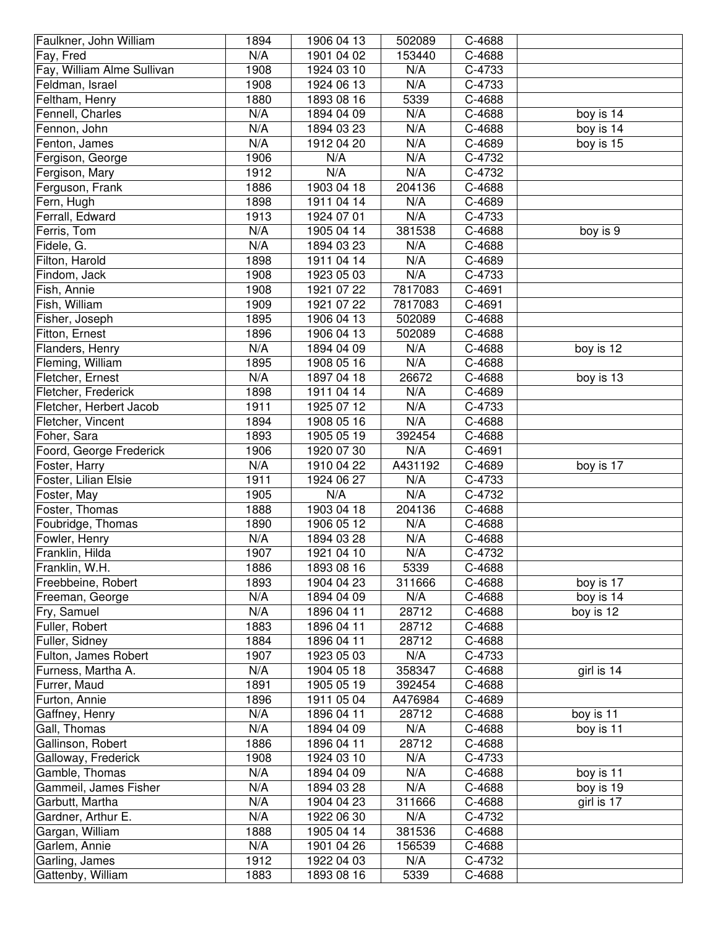| Faulkner, John William     | 1894 | 1906 04 13       | 502089  | C-4688 |            |
|----------------------------|------|------------------|---------|--------|------------|
| Fay, Fred                  | N/A  | 1901 04 02       | 153440  | C-4688 |            |
| Fay, William Alme Sullivan | 1908 | 1924 03 10       | N/A     | C-4733 |            |
| Feldman, Israel            | 1908 | 1924 06 13       | N/A     | C-4733 |            |
| Feltham, Henry             | 1880 | 1893 08 16       | 5339    | C-4688 |            |
| Fennell, Charles           | N/A  | 1894 04 09       | N/A     | C-4688 | boy is 14  |
| Fennon, John               | N/A  | 1894 03 23       | N/A     | C-4688 | boy is 14  |
| Fenton, James              | N/A  | 1912 04 20       | N/A     | C-4689 | boy is 15  |
| Fergison, George           | 1906 | N/A              | N/A     | C-4732 |            |
| Fergison, Mary             | 1912 | $N/\overline{A}$ | N/A     | C-4732 |            |
| Ferguson, Frank            | 1886 | 1903 04 18       | 204136  | C-4688 |            |
| Fern, Hugh                 | 1898 | 1911 04 14       | N/A     | C-4689 |            |
| Ferrall, Edward            | 1913 | 1924 07 01       | N/A     | C-4733 |            |
| Ferris, Tom                | N/A  | 1905 04 14       | 381538  | C-4688 | boy is 9   |
| Fidele, G.                 | N/A  | 1894 03 23       | N/A     | C-4688 |            |
| Filton, Harold             | 1898 | 1911 04 14       | N/A     | C-4689 |            |
| Findom, Jack               | 1908 | 1923 05 03       | N/A     | C-4733 |            |
| Fish, Annie                | 1908 | 1921 07 22       | 7817083 | C-4691 |            |
| Fish, William              | 1909 | 1921 07 22       | 7817083 | C-4691 |            |
| Fisher, Joseph             | 1895 | 1906 04 13       | 502089  | C-4688 |            |
| Fitton, Ernest             | 1896 | 1906 04 13       | 502089  | C-4688 |            |
| Flanders, Henry            | N/A  | 1894 04 09       | N/A     | C-4688 | boy is 12  |
| Fleming, William           | 1895 | 1908 05 16       | N/A     | C-4688 |            |
| Fletcher, Ernest           | N/A  | 1897 04 18       | 26672   | C-4688 | boy is 13  |
| Fletcher, Frederick        | 1898 | 1911 04 14       | N/A     | C-4689 |            |
| Fletcher, Herbert Jacob    | 1911 | 1925 07 12       | N/A     | C-4733 |            |
| Fletcher, Vincent          | 1894 | 1908 05 16       | N/A     | C-4688 |            |
| Foher, Sara                | 1893 | 1905 05 19       | 392454  | C-4688 |            |
| Foord, George Frederick    | 1906 | 1920 07 30       | N/A     | C-4691 |            |
| Foster, Harry              | N/A  | 1910 04 22       | A431192 | C-4689 | boy is 17  |
| Foster, Lilian Elsie       | 1911 | 1924 06 27       | N/A     | C-4733 |            |
| Foster, May                | 1905 | N/A              | N/A     | C-4732 |            |
| Foster, Thomas             | 1888 | 1903 04 18       | 204136  | C-4688 |            |
| Foubridge, Thomas          | 1890 | 1906 05 12       | N/A     | C-4688 |            |
| Fowler, Henry              | N/A  | 1894 03 28       | N/A     | C-4688 |            |
| Franklin, Hilda            | 1907 | 1921 04 10       | N/A     | C-4732 |            |
| Franklin, W.H.             | 1886 | 1893 08 16       | 5339    | C-4688 |            |
| Freebbeine, Robert         | 1893 | 1904 04 23       | 311666  | C-4688 | boy is 17  |
| Freeman, George            | N/A  | 1894 04 09       | N/A     | C-4688 | boy is 14  |
| Fry, Samuel                | N/A  | 1896 04 11       | 28712   | C-4688 | boy is 12  |
| Fuller, Robert             | 1883 | 1896 04 11       | 28712   | C-4688 |            |
| Fuller, Sidney             | 1884 | 1896 04 11       | 28712   | C-4688 |            |
| Fulton, James Robert       | 1907 | 1923 05 03       | N/A     | C-4733 |            |
| Furness, Martha A.         | N/A  | 1904 05 18       | 358347  | C-4688 | girl is 14 |
| Furrer, Maud               | 1891 | 1905 05 19       | 392454  | C-4688 |            |
| Furton, Annie              | 1896 | 1911 05 04       | A476984 | C-4689 |            |
| Gaffney, Henry             | N/A  | 1896 04 11       | 28712   | C-4688 | boy is 11  |
| Gall, Thomas               | N/A  | 1894 04 09       | N/A     | C-4688 | boy is 11  |
| Gallinson, Robert          | 1886 | 1896 04 11       | 28712   | C-4688 |            |
| Galloway, Frederick        | 1908 | 1924 03 10       | N/A     | C-4733 |            |
| Gamble, Thomas             | N/A  | 1894 04 09       | N/A     | C-4688 | boy is 11  |
| Gammeil, James Fisher      | N/A  | 1894 03 28       | N/A     | C-4688 | boy is 19  |
| Garbutt, Martha            | N/A  | 1904 04 23       | 311666  | C-4688 | girl is 17 |
| Gardner, Arthur E.         | N/A  | 1922 06 30       | N/A     | C-4732 |            |
| Gargan, William            | 1888 | 1905 04 14       | 381536  | C-4688 |            |
| Garlem, Annie              | N/A  | 1901 04 26       | 156539  | C-4688 |            |
| Garling, James             | 1912 | 1922 04 03       | N/A     | C-4732 |            |
| Gattenby, William          | 1883 | 1893 08 16       | 5339    | C-4688 |            |
|                            |      |                  |         |        |            |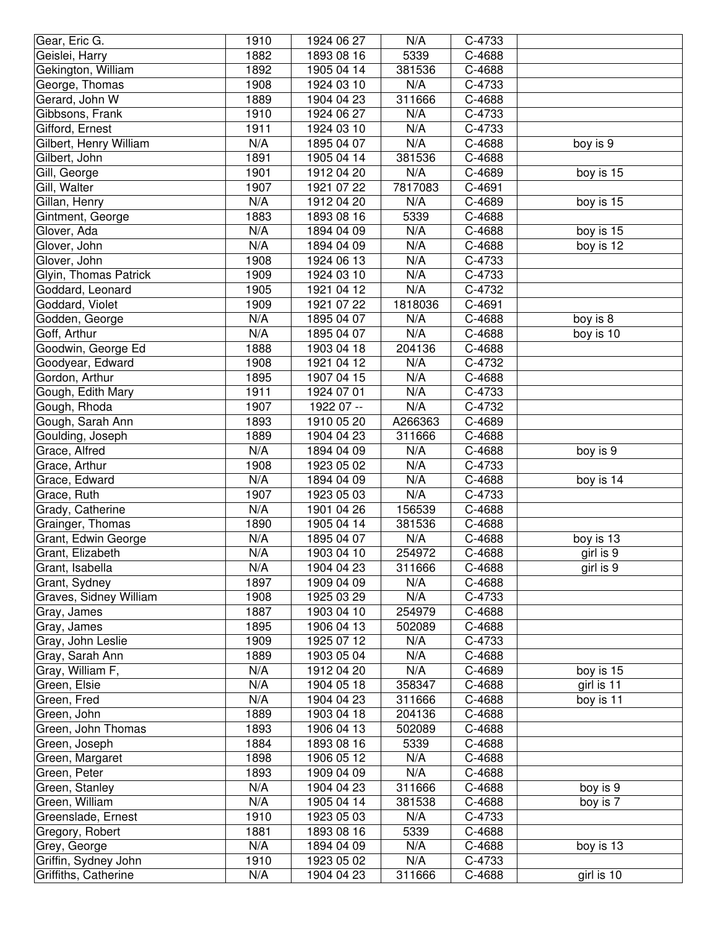| Geislei, Harry<br>1882<br>1893 08 16<br>5339<br>C-4688<br>Gekington, William<br>1892<br>1905 04 14<br>381536<br>C-4688<br>1908<br>N/A<br>George, Thomas<br>1924 03 10<br>C-4733<br>Gerard, John W<br>1889<br>1904 04 23<br>311666<br>$C - 4688$<br>Gibbsons, Frank<br>1910<br>N/A<br>C-4733<br>1924 06 27<br>C-4733<br>Gifford, Ernest<br>1911<br>N/A<br>1924 03 10<br>N/A<br>N/A<br>Gilbert, Henry William<br>C-4688<br>1895 04 07<br>boy is 9<br>Gilbert, John<br>1891<br>C-4688<br>1905 04 14<br>381536<br>N/A<br>1901<br>C-4689<br>Gill, George<br>1912 04 20<br>boy is 15<br>1907<br>7817083<br>Gill, Walter<br>1921 07 22<br>C-4691<br>Gillan, Henry<br>N/A<br>1912 04 20<br>N/A<br>C-4689<br>boy is 15<br>Gintment, George<br>1883<br>1893 08 16<br>5339<br>C-4688<br>Glover, Ada<br>N/A<br>1894 04 09<br>N/A<br>C-4688<br>boy is 15<br>Glover, John<br>N/A<br>1894 04 09<br>N/A<br>C-4688<br>boy is 12<br>Glover, John<br>1908<br>N/A<br>1924 06 13<br>C-4733<br>1909<br>N/A<br>Glyin, Thomas Patrick<br>1924 03 10<br>C-4733<br>N/A<br>1905<br>Goddard, Leonard<br>1921 04 12<br>C-4732<br>Goddard, Violet<br>1909<br>1818036<br>1921 07 22<br>C-4691<br>N/A<br>Godden, George<br>1895 04 07<br>N/A<br>C-4688<br>boy is 8<br>N/A<br>N/A<br>Goff, Arthur<br>1895 04 07<br>C-4688<br>boy is 10<br>Goodwin, George Ed<br>1888<br>204136<br>C-4688<br>1903 04 18<br>Goodyear, Edward<br>1908<br>N/A<br>C-4732<br>1921 04 12<br>Gordon, Arthur<br>1895<br>N/A<br>C-4688<br>1907 04 15<br>Gough, Edith Mary<br>1911<br>N/A<br>1924 07 01<br>C-4733<br>Gough, Rhoda<br>1907<br>N/A<br>C-4732<br>1922 07 --<br>Gough, Sarah Ann<br>1893<br>A266363<br>C-4689<br>1910 05 20<br>Goulding, Joseph<br>1889<br>1904 04 23<br>311666<br>C-4688<br>N/A<br>N/A<br>boy is 9<br>Grace, Alfred<br>1894 04 09<br>C-4688<br>Grace, Arthur<br>1908<br>1923 05 02<br>N/A<br>C-4733<br>N/A<br>N/A<br>Grace, Edward<br>1894 04 09<br>C-4688<br>boy is 14<br>N/A<br>1907<br>1923 05 03<br>C-4733<br>Grace, Ruth<br>N/A<br>1901 04 26<br>156539<br>C-4688<br>Grady, Catherine<br>C-4688<br>Grainger, Thomas<br>1890<br>1905 04 14<br>381536<br>N/A<br>1895 04 07<br>N/A<br>Grant, Edwin George<br>C-4688<br>boy is 13<br>N/A<br>254972<br>C-4688<br>girl is 9<br>Grant, Elizabeth<br>1903 04 10<br>N/A<br>1904 04 23<br>311666<br>C-4688<br>girl is 9<br>Grant, Isabella<br>1897<br>1909 04 09<br>N/A<br>C-4688<br>Grant, Sydney<br>Graves, Sidney William<br>1908<br>1925 03 29<br>N/A<br>C-4733<br>1887<br>1903 04 10<br>254979<br>C-4688<br>Gray, James<br>Gray, James<br>1895<br>1906 04 13<br>502089<br>C-4688<br>Gray, John Leslie<br>1909<br>1925 07 12<br>N/A<br>C-4733<br>N/A<br>Gray, Sarah Ann<br>1889<br>1903 05 04<br>C-4688<br>N/A<br>N/A<br>Gray, William F,<br>1912 04 20<br>C-4689<br>boy is 15<br>N/A<br>C-4688<br>girl is 11<br>Green, Elsie<br>1904 05 18<br>358347<br>N/A<br>1904 04 23<br>311666<br>C-4688<br>boy is 11<br>Green, Fred<br>1889<br>1903 04 18<br>204136<br>C-4688<br>Green, John<br>1893<br>1906 04 13<br>Green, John Thomas<br>502089<br>C-4688<br>1884<br>Green, Joseph<br>1893 08 16<br>5339<br>C-4688<br>1898<br>1906 05 12<br>N/A<br>C-4688<br>Green, Margaret<br>1893<br>1909 04 09<br>N/A<br>C-4688<br>Green, Peter<br>Green, Stanley<br>N/A<br>1904 04 23<br>311666<br>C-4688<br>boy is 9<br>N/A<br>1905 04 14<br>boy is 7<br>Green, William<br>381538<br>C-4688<br>Greenslade, Ernest<br>1910<br>1923 05 03<br>N/A<br>C-4733<br>Gregory, Robert<br>1881<br>1893 08 16<br>5339<br>C-4688<br>N/A<br>N/A<br>Grey, George<br>1894 04 09<br>C-4688<br>boy is 13<br>N/A<br>1910<br>1923 05 02<br>C-4733<br>Griffin, Sydney John<br>N/A<br>311666<br>C-4688<br>girl is 10<br>Griffiths, Catherine<br>1904 04 23 | Gear, Eric G. | 1910 | 1924 06 27 | N/A | C-4733 |  |
|--------------------------------------------------------------------------------------------------------------------------------------------------------------------------------------------------------------------------------------------------------------------------------------------------------------------------------------------------------------------------------------------------------------------------------------------------------------------------------------------------------------------------------------------------------------------------------------------------------------------------------------------------------------------------------------------------------------------------------------------------------------------------------------------------------------------------------------------------------------------------------------------------------------------------------------------------------------------------------------------------------------------------------------------------------------------------------------------------------------------------------------------------------------------------------------------------------------------------------------------------------------------------------------------------------------------------------------------------------------------------------------------------------------------------------------------------------------------------------------------------------------------------------------------------------------------------------------------------------------------------------------------------------------------------------------------------------------------------------------------------------------------------------------------------------------------------------------------------------------------------------------------------------------------------------------------------------------------------------------------------------------------------------------------------------------------------------------------------------------------------------------------------------------------------------------------------------------------------------------------------------------------------------------------------------------------------------------------------------------------------------------------------------------------------------------------------------------------------------------------------------------------------------------------------------------------------------------------------------------------------------------------------------------------------------------------------------------------------------------------------------------------------------------------------------------------------------------------------------------------------------------------------------------------------------------------------------------------------------------------------------------------------------------------------------------------------------------------------------------------------------------------------------------------------------------------------------------------------------------------------------------------------------------------------------------------------------------------------------------------------------------------------------------------------------------------------------------------------------------------------------------------------------------------------------------------------------------------------------------------------------------------------------------------------------------------------------------------------------------|---------------|------|------------|-----|--------|--|
|                                                                                                                                                                                                                                                                                                                                                                                                                                                                                                                                                                                                                                                                                                                                                                                                                                                                                                                                                                                                                                                                                                                                                                                                                                                                                                                                                                                                                                                                                                                                                                                                                                                                                                                                                                                                                                                                                                                                                                                                                                                                                                                                                                                                                                                                                                                                                                                                                                                                                                                                                                                                                                                                                                                                                                                                                                                                                                                                                                                                                                                                                                                                                                                                                                                                                                                                                                                                                                                                                                                                                                                                                                                                                                                                      |               |      |            |     |        |  |
|                                                                                                                                                                                                                                                                                                                                                                                                                                                                                                                                                                                                                                                                                                                                                                                                                                                                                                                                                                                                                                                                                                                                                                                                                                                                                                                                                                                                                                                                                                                                                                                                                                                                                                                                                                                                                                                                                                                                                                                                                                                                                                                                                                                                                                                                                                                                                                                                                                                                                                                                                                                                                                                                                                                                                                                                                                                                                                                                                                                                                                                                                                                                                                                                                                                                                                                                                                                                                                                                                                                                                                                                                                                                                                                                      |               |      |            |     |        |  |
|                                                                                                                                                                                                                                                                                                                                                                                                                                                                                                                                                                                                                                                                                                                                                                                                                                                                                                                                                                                                                                                                                                                                                                                                                                                                                                                                                                                                                                                                                                                                                                                                                                                                                                                                                                                                                                                                                                                                                                                                                                                                                                                                                                                                                                                                                                                                                                                                                                                                                                                                                                                                                                                                                                                                                                                                                                                                                                                                                                                                                                                                                                                                                                                                                                                                                                                                                                                                                                                                                                                                                                                                                                                                                                                                      |               |      |            |     |        |  |
|                                                                                                                                                                                                                                                                                                                                                                                                                                                                                                                                                                                                                                                                                                                                                                                                                                                                                                                                                                                                                                                                                                                                                                                                                                                                                                                                                                                                                                                                                                                                                                                                                                                                                                                                                                                                                                                                                                                                                                                                                                                                                                                                                                                                                                                                                                                                                                                                                                                                                                                                                                                                                                                                                                                                                                                                                                                                                                                                                                                                                                                                                                                                                                                                                                                                                                                                                                                                                                                                                                                                                                                                                                                                                                                                      |               |      |            |     |        |  |
|                                                                                                                                                                                                                                                                                                                                                                                                                                                                                                                                                                                                                                                                                                                                                                                                                                                                                                                                                                                                                                                                                                                                                                                                                                                                                                                                                                                                                                                                                                                                                                                                                                                                                                                                                                                                                                                                                                                                                                                                                                                                                                                                                                                                                                                                                                                                                                                                                                                                                                                                                                                                                                                                                                                                                                                                                                                                                                                                                                                                                                                                                                                                                                                                                                                                                                                                                                                                                                                                                                                                                                                                                                                                                                                                      |               |      |            |     |        |  |
|                                                                                                                                                                                                                                                                                                                                                                                                                                                                                                                                                                                                                                                                                                                                                                                                                                                                                                                                                                                                                                                                                                                                                                                                                                                                                                                                                                                                                                                                                                                                                                                                                                                                                                                                                                                                                                                                                                                                                                                                                                                                                                                                                                                                                                                                                                                                                                                                                                                                                                                                                                                                                                                                                                                                                                                                                                                                                                                                                                                                                                                                                                                                                                                                                                                                                                                                                                                                                                                                                                                                                                                                                                                                                                                                      |               |      |            |     |        |  |
|                                                                                                                                                                                                                                                                                                                                                                                                                                                                                                                                                                                                                                                                                                                                                                                                                                                                                                                                                                                                                                                                                                                                                                                                                                                                                                                                                                                                                                                                                                                                                                                                                                                                                                                                                                                                                                                                                                                                                                                                                                                                                                                                                                                                                                                                                                                                                                                                                                                                                                                                                                                                                                                                                                                                                                                                                                                                                                                                                                                                                                                                                                                                                                                                                                                                                                                                                                                                                                                                                                                                                                                                                                                                                                                                      |               |      |            |     |        |  |
|                                                                                                                                                                                                                                                                                                                                                                                                                                                                                                                                                                                                                                                                                                                                                                                                                                                                                                                                                                                                                                                                                                                                                                                                                                                                                                                                                                                                                                                                                                                                                                                                                                                                                                                                                                                                                                                                                                                                                                                                                                                                                                                                                                                                                                                                                                                                                                                                                                                                                                                                                                                                                                                                                                                                                                                                                                                                                                                                                                                                                                                                                                                                                                                                                                                                                                                                                                                                                                                                                                                                                                                                                                                                                                                                      |               |      |            |     |        |  |
|                                                                                                                                                                                                                                                                                                                                                                                                                                                                                                                                                                                                                                                                                                                                                                                                                                                                                                                                                                                                                                                                                                                                                                                                                                                                                                                                                                                                                                                                                                                                                                                                                                                                                                                                                                                                                                                                                                                                                                                                                                                                                                                                                                                                                                                                                                                                                                                                                                                                                                                                                                                                                                                                                                                                                                                                                                                                                                                                                                                                                                                                                                                                                                                                                                                                                                                                                                                                                                                                                                                                                                                                                                                                                                                                      |               |      |            |     |        |  |
|                                                                                                                                                                                                                                                                                                                                                                                                                                                                                                                                                                                                                                                                                                                                                                                                                                                                                                                                                                                                                                                                                                                                                                                                                                                                                                                                                                                                                                                                                                                                                                                                                                                                                                                                                                                                                                                                                                                                                                                                                                                                                                                                                                                                                                                                                                                                                                                                                                                                                                                                                                                                                                                                                                                                                                                                                                                                                                                                                                                                                                                                                                                                                                                                                                                                                                                                                                                                                                                                                                                                                                                                                                                                                                                                      |               |      |            |     |        |  |
|                                                                                                                                                                                                                                                                                                                                                                                                                                                                                                                                                                                                                                                                                                                                                                                                                                                                                                                                                                                                                                                                                                                                                                                                                                                                                                                                                                                                                                                                                                                                                                                                                                                                                                                                                                                                                                                                                                                                                                                                                                                                                                                                                                                                                                                                                                                                                                                                                                                                                                                                                                                                                                                                                                                                                                                                                                                                                                                                                                                                                                                                                                                                                                                                                                                                                                                                                                                                                                                                                                                                                                                                                                                                                                                                      |               |      |            |     |        |  |
|                                                                                                                                                                                                                                                                                                                                                                                                                                                                                                                                                                                                                                                                                                                                                                                                                                                                                                                                                                                                                                                                                                                                                                                                                                                                                                                                                                                                                                                                                                                                                                                                                                                                                                                                                                                                                                                                                                                                                                                                                                                                                                                                                                                                                                                                                                                                                                                                                                                                                                                                                                                                                                                                                                                                                                                                                                                                                                                                                                                                                                                                                                                                                                                                                                                                                                                                                                                                                                                                                                                                                                                                                                                                                                                                      |               |      |            |     |        |  |
|                                                                                                                                                                                                                                                                                                                                                                                                                                                                                                                                                                                                                                                                                                                                                                                                                                                                                                                                                                                                                                                                                                                                                                                                                                                                                                                                                                                                                                                                                                                                                                                                                                                                                                                                                                                                                                                                                                                                                                                                                                                                                                                                                                                                                                                                                                                                                                                                                                                                                                                                                                                                                                                                                                                                                                                                                                                                                                                                                                                                                                                                                                                                                                                                                                                                                                                                                                                                                                                                                                                                                                                                                                                                                                                                      |               |      |            |     |        |  |
|                                                                                                                                                                                                                                                                                                                                                                                                                                                                                                                                                                                                                                                                                                                                                                                                                                                                                                                                                                                                                                                                                                                                                                                                                                                                                                                                                                                                                                                                                                                                                                                                                                                                                                                                                                                                                                                                                                                                                                                                                                                                                                                                                                                                                                                                                                                                                                                                                                                                                                                                                                                                                                                                                                                                                                                                                                                                                                                                                                                                                                                                                                                                                                                                                                                                                                                                                                                                                                                                                                                                                                                                                                                                                                                                      |               |      |            |     |        |  |
|                                                                                                                                                                                                                                                                                                                                                                                                                                                                                                                                                                                                                                                                                                                                                                                                                                                                                                                                                                                                                                                                                                                                                                                                                                                                                                                                                                                                                                                                                                                                                                                                                                                                                                                                                                                                                                                                                                                                                                                                                                                                                                                                                                                                                                                                                                                                                                                                                                                                                                                                                                                                                                                                                                                                                                                                                                                                                                                                                                                                                                                                                                                                                                                                                                                                                                                                                                                                                                                                                                                                                                                                                                                                                                                                      |               |      |            |     |        |  |
|                                                                                                                                                                                                                                                                                                                                                                                                                                                                                                                                                                                                                                                                                                                                                                                                                                                                                                                                                                                                                                                                                                                                                                                                                                                                                                                                                                                                                                                                                                                                                                                                                                                                                                                                                                                                                                                                                                                                                                                                                                                                                                                                                                                                                                                                                                                                                                                                                                                                                                                                                                                                                                                                                                                                                                                                                                                                                                                                                                                                                                                                                                                                                                                                                                                                                                                                                                                                                                                                                                                                                                                                                                                                                                                                      |               |      |            |     |        |  |
|                                                                                                                                                                                                                                                                                                                                                                                                                                                                                                                                                                                                                                                                                                                                                                                                                                                                                                                                                                                                                                                                                                                                                                                                                                                                                                                                                                                                                                                                                                                                                                                                                                                                                                                                                                                                                                                                                                                                                                                                                                                                                                                                                                                                                                                                                                                                                                                                                                                                                                                                                                                                                                                                                                                                                                                                                                                                                                                                                                                                                                                                                                                                                                                                                                                                                                                                                                                                                                                                                                                                                                                                                                                                                                                                      |               |      |            |     |        |  |
|                                                                                                                                                                                                                                                                                                                                                                                                                                                                                                                                                                                                                                                                                                                                                                                                                                                                                                                                                                                                                                                                                                                                                                                                                                                                                                                                                                                                                                                                                                                                                                                                                                                                                                                                                                                                                                                                                                                                                                                                                                                                                                                                                                                                                                                                                                                                                                                                                                                                                                                                                                                                                                                                                                                                                                                                                                                                                                                                                                                                                                                                                                                                                                                                                                                                                                                                                                                                                                                                                                                                                                                                                                                                                                                                      |               |      |            |     |        |  |
|                                                                                                                                                                                                                                                                                                                                                                                                                                                                                                                                                                                                                                                                                                                                                                                                                                                                                                                                                                                                                                                                                                                                                                                                                                                                                                                                                                                                                                                                                                                                                                                                                                                                                                                                                                                                                                                                                                                                                                                                                                                                                                                                                                                                                                                                                                                                                                                                                                                                                                                                                                                                                                                                                                                                                                                                                                                                                                                                                                                                                                                                                                                                                                                                                                                                                                                                                                                                                                                                                                                                                                                                                                                                                                                                      |               |      |            |     |        |  |
|                                                                                                                                                                                                                                                                                                                                                                                                                                                                                                                                                                                                                                                                                                                                                                                                                                                                                                                                                                                                                                                                                                                                                                                                                                                                                                                                                                                                                                                                                                                                                                                                                                                                                                                                                                                                                                                                                                                                                                                                                                                                                                                                                                                                                                                                                                                                                                                                                                                                                                                                                                                                                                                                                                                                                                                                                                                                                                                                                                                                                                                                                                                                                                                                                                                                                                                                                                                                                                                                                                                                                                                                                                                                                                                                      |               |      |            |     |        |  |
|                                                                                                                                                                                                                                                                                                                                                                                                                                                                                                                                                                                                                                                                                                                                                                                                                                                                                                                                                                                                                                                                                                                                                                                                                                                                                                                                                                                                                                                                                                                                                                                                                                                                                                                                                                                                                                                                                                                                                                                                                                                                                                                                                                                                                                                                                                                                                                                                                                                                                                                                                                                                                                                                                                                                                                                                                                                                                                                                                                                                                                                                                                                                                                                                                                                                                                                                                                                                                                                                                                                                                                                                                                                                                                                                      |               |      |            |     |        |  |
|                                                                                                                                                                                                                                                                                                                                                                                                                                                                                                                                                                                                                                                                                                                                                                                                                                                                                                                                                                                                                                                                                                                                                                                                                                                                                                                                                                                                                                                                                                                                                                                                                                                                                                                                                                                                                                                                                                                                                                                                                                                                                                                                                                                                                                                                                                                                                                                                                                                                                                                                                                                                                                                                                                                                                                                                                                                                                                                                                                                                                                                                                                                                                                                                                                                                                                                                                                                                                                                                                                                                                                                                                                                                                                                                      |               |      |            |     |        |  |
|                                                                                                                                                                                                                                                                                                                                                                                                                                                                                                                                                                                                                                                                                                                                                                                                                                                                                                                                                                                                                                                                                                                                                                                                                                                                                                                                                                                                                                                                                                                                                                                                                                                                                                                                                                                                                                                                                                                                                                                                                                                                                                                                                                                                                                                                                                                                                                                                                                                                                                                                                                                                                                                                                                                                                                                                                                                                                                                                                                                                                                                                                                                                                                                                                                                                                                                                                                                                                                                                                                                                                                                                                                                                                                                                      |               |      |            |     |        |  |
|                                                                                                                                                                                                                                                                                                                                                                                                                                                                                                                                                                                                                                                                                                                                                                                                                                                                                                                                                                                                                                                                                                                                                                                                                                                                                                                                                                                                                                                                                                                                                                                                                                                                                                                                                                                                                                                                                                                                                                                                                                                                                                                                                                                                                                                                                                                                                                                                                                                                                                                                                                                                                                                                                                                                                                                                                                                                                                                                                                                                                                                                                                                                                                                                                                                                                                                                                                                                                                                                                                                                                                                                                                                                                                                                      |               |      |            |     |        |  |
|                                                                                                                                                                                                                                                                                                                                                                                                                                                                                                                                                                                                                                                                                                                                                                                                                                                                                                                                                                                                                                                                                                                                                                                                                                                                                                                                                                                                                                                                                                                                                                                                                                                                                                                                                                                                                                                                                                                                                                                                                                                                                                                                                                                                                                                                                                                                                                                                                                                                                                                                                                                                                                                                                                                                                                                                                                                                                                                                                                                                                                                                                                                                                                                                                                                                                                                                                                                                                                                                                                                                                                                                                                                                                                                                      |               |      |            |     |        |  |
|                                                                                                                                                                                                                                                                                                                                                                                                                                                                                                                                                                                                                                                                                                                                                                                                                                                                                                                                                                                                                                                                                                                                                                                                                                                                                                                                                                                                                                                                                                                                                                                                                                                                                                                                                                                                                                                                                                                                                                                                                                                                                                                                                                                                                                                                                                                                                                                                                                                                                                                                                                                                                                                                                                                                                                                                                                                                                                                                                                                                                                                                                                                                                                                                                                                                                                                                                                                                                                                                                                                                                                                                                                                                                                                                      |               |      |            |     |        |  |
|                                                                                                                                                                                                                                                                                                                                                                                                                                                                                                                                                                                                                                                                                                                                                                                                                                                                                                                                                                                                                                                                                                                                                                                                                                                                                                                                                                                                                                                                                                                                                                                                                                                                                                                                                                                                                                                                                                                                                                                                                                                                                                                                                                                                                                                                                                                                                                                                                                                                                                                                                                                                                                                                                                                                                                                                                                                                                                                                                                                                                                                                                                                                                                                                                                                                                                                                                                                                                                                                                                                                                                                                                                                                                                                                      |               |      |            |     |        |  |
|                                                                                                                                                                                                                                                                                                                                                                                                                                                                                                                                                                                                                                                                                                                                                                                                                                                                                                                                                                                                                                                                                                                                                                                                                                                                                                                                                                                                                                                                                                                                                                                                                                                                                                                                                                                                                                                                                                                                                                                                                                                                                                                                                                                                                                                                                                                                                                                                                                                                                                                                                                                                                                                                                                                                                                                                                                                                                                                                                                                                                                                                                                                                                                                                                                                                                                                                                                                                                                                                                                                                                                                                                                                                                                                                      |               |      |            |     |        |  |
|                                                                                                                                                                                                                                                                                                                                                                                                                                                                                                                                                                                                                                                                                                                                                                                                                                                                                                                                                                                                                                                                                                                                                                                                                                                                                                                                                                                                                                                                                                                                                                                                                                                                                                                                                                                                                                                                                                                                                                                                                                                                                                                                                                                                                                                                                                                                                                                                                                                                                                                                                                                                                                                                                                                                                                                                                                                                                                                                                                                                                                                                                                                                                                                                                                                                                                                                                                                                                                                                                                                                                                                                                                                                                                                                      |               |      |            |     |        |  |
|                                                                                                                                                                                                                                                                                                                                                                                                                                                                                                                                                                                                                                                                                                                                                                                                                                                                                                                                                                                                                                                                                                                                                                                                                                                                                                                                                                                                                                                                                                                                                                                                                                                                                                                                                                                                                                                                                                                                                                                                                                                                                                                                                                                                                                                                                                                                                                                                                                                                                                                                                                                                                                                                                                                                                                                                                                                                                                                                                                                                                                                                                                                                                                                                                                                                                                                                                                                                                                                                                                                                                                                                                                                                                                                                      |               |      |            |     |        |  |
|                                                                                                                                                                                                                                                                                                                                                                                                                                                                                                                                                                                                                                                                                                                                                                                                                                                                                                                                                                                                                                                                                                                                                                                                                                                                                                                                                                                                                                                                                                                                                                                                                                                                                                                                                                                                                                                                                                                                                                                                                                                                                                                                                                                                                                                                                                                                                                                                                                                                                                                                                                                                                                                                                                                                                                                                                                                                                                                                                                                                                                                                                                                                                                                                                                                                                                                                                                                                                                                                                                                                                                                                                                                                                                                                      |               |      |            |     |        |  |
|                                                                                                                                                                                                                                                                                                                                                                                                                                                                                                                                                                                                                                                                                                                                                                                                                                                                                                                                                                                                                                                                                                                                                                                                                                                                                                                                                                                                                                                                                                                                                                                                                                                                                                                                                                                                                                                                                                                                                                                                                                                                                                                                                                                                                                                                                                                                                                                                                                                                                                                                                                                                                                                                                                                                                                                                                                                                                                                                                                                                                                                                                                                                                                                                                                                                                                                                                                                                                                                                                                                                                                                                                                                                                                                                      |               |      |            |     |        |  |
|                                                                                                                                                                                                                                                                                                                                                                                                                                                                                                                                                                                                                                                                                                                                                                                                                                                                                                                                                                                                                                                                                                                                                                                                                                                                                                                                                                                                                                                                                                                                                                                                                                                                                                                                                                                                                                                                                                                                                                                                                                                                                                                                                                                                                                                                                                                                                                                                                                                                                                                                                                                                                                                                                                                                                                                                                                                                                                                                                                                                                                                                                                                                                                                                                                                                                                                                                                                                                                                                                                                                                                                                                                                                                                                                      |               |      |            |     |        |  |
|                                                                                                                                                                                                                                                                                                                                                                                                                                                                                                                                                                                                                                                                                                                                                                                                                                                                                                                                                                                                                                                                                                                                                                                                                                                                                                                                                                                                                                                                                                                                                                                                                                                                                                                                                                                                                                                                                                                                                                                                                                                                                                                                                                                                                                                                                                                                                                                                                                                                                                                                                                                                                                                                                                                                                                                                                                                                                                                                                                                                                                                                                                                                                                                                                                                                                                                                                                                                                                                                                                                                                                                                                                                                                                                                      |               |      |            |     |        |  |
|                                                                                                                                                                                                                                                                                                                                                                                                                                                                                                                                                                                                                                                                                                                                                                                                                                                                                                                                                                                                                                                                                                                                                                                                                                                                                                                                                                                                                                                                                                                                                                                                                                                                                                                                                                                                                                                                                                                                                                                                                                                                                                                                                                                                                                                                                                                                                                                                                                                                                                                                                                                                                                                                                                                                                                                                                                                                                                                                                                                                                                                                                                                                                                                                                                                                                                                                                                                                                                                                                                                                                                                                                                                                                                                                      |               |      |            |     |        |  |
|                                                                                                                                                                                                                                                                                                                                                                                                                                                                                                                                                                                                                                                                                                                                                                                                                                                                                                                                                                                                                                                                                                                                                                                                                                                                                                                                                                                                                                                                                                                                                                                                                                                                                                                                                                                                                                                                                                                                                                                                                                                                                                                                                                                                                                                                                                                                                                                                                                                                                                                                                                                                                                                                                                                                                                                                                                                                                                                                                                                                                                                                                                                                                                                                                                                                                                                                                                                                                                                                                                                                                                                                                                                                                                                                      |               |      |            |     |        |  |
|                                                                                                                                                                                                                                                                                                                                                                                                                                                                                                                                                                                                                                                                                                                                                                                                                                                                                                                                                                                                                                                                                                                                                                                                                                                                                                                                                                                                                                                                                                                                                                                                                                                                                                                                                                                                                                                                                                                                                                                                                                                                                                                                                                                                                                                                                                                                                                                                                                                                                                                                                                                                                                                                                                                                                                                                                                                                                                                                                                                                                                                                                                                                                                                                                                                                                                                                                                                                                                                                                                                                                                                                                                                                                                                                      |               |      |            |     |        |  |
|                                                                                                                                                                                                                                                                                                                                                                                                                                                                                                                                                                                                                                                                                                                                                                                                                                                                                                                                                                                                                                                                                                                                                                                                                                                                                                                                                                                                                                                                                                                                                                                                                                                                                                                                                                                                                                                                                                                                                                                                                                                                                                                                                                                                                                                                                                                                                                                                                                                                                                                                                                                                                                                                                                                                                                                                                                                                                                                                                                                                                                                                                                                                                                                                                                                                                                                                                                                                                                                                                                                                                                                                                                                                                                                                      |               |      |            |     |        |  |
|                                                                                                                                                                                                                                                                                                                                                                                                                                                                                                                                                                                                                                                                                                                                                                                                                                                                                                                                                                                                                                                                                                                                                                                                                                                                                                                                                                                                                                                                                                                                                                                                                                                                                                                                                                                                                                                                                                                                                                                                                                                                                                                                                                                                                                                                                                                                                                                                                                                                                                                                                                                                                                                                                                                                                                                                                                                                                                                                                                                                                                                                                                                                                                                                                                                                                                                                                                                                                                                                                                                                                                                                                                                                                                                                      |               |      |            |     |        |  |
|                                                                                                                                                                                                                                                                                                                                                                                                                                                                                                                                                                                                                                                                                                                                                                                                                                                                                                                                                                                                                                                                                                                                                                                                                                                                                                                                                                                                                                                                                                                                                                                                                                                                                                                                                                                                                                                                                                                                                                                                                                                                                                                                                                                                                                                                                                                                                                                                                                                                                                                                                                                                                                                                                                                                                                                                                                                                                                                                                                                                                                                                                                                                                                                                                                                                                                                                                                                                                                                                                                                                                                                                                                                                                                                                      |               |      |            |     |        |  |
|                                                                                                                                                                                                                                                                                                                                                                                                                                                                                                                                                                                                                                                                                                                                                                                                                                                                                                                                                                                                                                                                                                                                                                                                                                                                                                                                                                                                                                                                                                                                                                                                                                                                                                                                                                                                                                                                                                                                                                                                                                                                                                                                                                                                                                                                                                                                                                                                                                                                                                                                                                                                                                                                                                                                                                                                                                                                                                                                                                                                                                                                                                                                                                                                                                                                                                                                                                                                                                                                                                                                                                                                                                                                                                                                      |               |      |            |     |        |  |
|                                                                                                                                                                                                                                                                                                                                                                                                                                                                                                                                                                                                                                                                                                                                                                                                                                                                                                                                                                                                                                                                                                                                                                                                                                                                                                                                                                                                                                                                                                                                                                                                                                                                                                                                                                                                                                                                                                                                                                                                                                                                                                                                                                                                                                                                                                                                                                                                                                                                                                                                                                                                                                                                                                                                                                                                                                                                                                                                                                                                                                                                                                                                                                                                                                                                                                                                                                                                                                                                                                                                                                                                                                                                                                                                      |               |      |            |     |        |  |
|                                                                                                                                                                                                                                                                                                                                                                                                                                                                                                                                                                                                                                                                                                                                                                                                                                                                                                                                                                                                                                                                                                                                                                                                                                                                                                                                                                                                                                                                                                                                                                                                                                                                                                                                                                                                                                                                                                                                                                                                                                                                                                                                                                                                                                                                                                                                                                                                                                                                                                                                                                                                                                                                                                                                                                                                                                                                                                                                                                                                                                                                                                                                                                                                                                                                                                                                                                                                                                                                                                                                                                                                                                                                                                                                      |               |      |            |     |        |  |
|                                                                                                                                                                                                                                                                                                                                                                                                                                                                                                                                                                                                                                                                                                                                                                                                                                                                                                                                                                                                                                                                                                                                                                                                                                                                                                                                                                                                                                                                                                                                                                                                                                                                                                                                                                                                                                                                                                                                                                                                                                                                                                                                                                                                                                                                                                                                                                                                                                                                                                                                                                                                                                                                                                                                                                                                                                                                                                                                                                                                                                                                                                                                                                                                                                                                                                                                                                                                                                                                                                                                                                                                                                                                                                                                      |               |      |            |     |        |  |
|                                                                                                                                                                                                                                                                                                                                                                                                                                                                                                                                                                                                                                                                                                                                                                                                                                                                                                                                                                                                                                                                                                                                                                                                                                                                                                                                                                                                                                                                                                                                                                                                                                                                                                                                                                                                                                                                                                                                                                                                                                                                                                                                                                                                                                                                                                                                                                                                                                                                                                                                                                                                                                                                                                                                                                                                                                                                                                                                                                                                                                                                                                                                                                                                                                                                                                                                                                                                                                                                                                                                                                                                                                                                                                                                      |               |      |            |     |        |  |
|                                                                                                                                                                                                                                                                                                                                                                                                                                                                                                                                                                                                                                                                                                                                                                                                                                                                                                                                                                                                                                                                                                                                                                                                                                                                                                                                                                                                                                                                                                                                                                                                                                                                                                                                                                                                                                                                                                                                                                                                                                                                                                                                                                                                                                                                                                                                                                                                                                                                                                                                                                                                                                                                                                                                                                                                                                                                                                                                                                                                                                                                                                                                                                                                                                                                                                                                                                                                                                                                                                                                                                                                                                                                                                                                      |               |      |            |     |        |  |
|                                                                                                                                                                                                                                                                                                                                                                                                                                                                                                                                                                                                                                                                                                                                                                                                                                                                                                                                                                                                                                                                                                                                                                                                                                                                                                                                                                                                                                                                                                                                                                                                                                                                                                                                                                                                                                                                                                                                                                                                                                                                                                                                                                                                                                                                                                                                                                                                                                                                                                                                                                                                                                                                                                                                                                                                                                                                                                                                                                                                                                                                                                                                                                                                                                                                                                                                                                                                                                                                                                                                                                                                                                                                                                                                      |               |      |            |     |        |  |
|                                                                                                                                                                                                                                                                                                                                                                                                                                                                                                                                                                                                                                                                                                                                                                                                                                                                                                                                                                                                                                                                                                                                                                                                                                                                                                                                                                                                                                                                                                                                                                                                                                                                                                                                                                                                                                                                                                                                                                                                                                                                                                                                                                                                                                                                                                                                                                                                                                                                                                                                                                                                                                                                                                                                                                                                                                                                                                                                                                                                                                                                                                                                                                                                                                                                                                                                                                                                                                                                                                                                                                                                                                                                                                                                      |               |      |            |     |        |  |
|                                                                                                                                                                                                                                                                                                                                                                                                                                                                                                                                                                                                                                                                                                                                                                                                                                                                                                                                                                                                                                                                                                                                                                                                                                                                                                                                                                                                                                                                                                                                                                                                                                                                                                                                                                                                                                                                                                                                                                                                                                                                                                                                                                                                                                                                                                                                                                                                                                                                                                                                                                                                                                                                                                                                                                                                                                                                                                                                                                                                                                                                                                                                                                                                                                                                                                                                                                                                                                                                                                                                                                                                                                                                                                                                      |               |      |            |     |        |  |
|                                                                                                                                                                                                                                                                                                                                                                                                                                                                                                                                                                                                                                                                                                                                                                                                                                                                                                                                                                                                                                                                                                                                                                                                                                                                                                                                                                                                                                                                                                                                                                                                                                                                                                                                                                                                                                                                                                                                                                                                                                                                                                                                                                                                                                                                                                                                                                                                                                                                                                                                                                                                                                                                                                                                                                                                                                                                                                                                                                                                                                                                                                                                                                                                                                                                                                                                                                                                                                                                                                                                                                                                                                                                                                                                      |               |      |            |     |        |  |
|                                                                                                                                                                                                                                                                                                                                                                                                                                                                                                                                                                                                                                                                                                                                                                                                                                                                                                                                                                                                                                                                                                                                                                                                                                                                                                                                                                                                                                                                                                                                                                                                                                                                                                                                                                                                                                                                                                                                                                                                                                                                                                                                                                                                                                                                                                                                                                                                                                                                                                                                                                                                                                                                                                                                                                                                                                                                                                                                                                                                                                                                                                                                                                                                                                                                                                                                                                                                                                                                                                                                                                                                                                                                                                                                      |               |      |            |     |        |  |
|                                                                                                                                                                                                                                                                                                                                                                                                                                                                                                                                                                                                                                                                                                                                                                                                                                                                                                                                                                                                                                                                                                                                                                                                                                                                                                                                                                                                                                                                                                                                                                                                                                                                                                                                                                                                                                                                                                                                                                                                                                                                                                                                                                                                                                                                                                                                                                                                                                                                                                                                                                                                                                                                                                                                                                                                                                                                                                                                                                                                                                                                                                                                                                                                                                                                                                                                                                                                                                                                                                                                                                                                                                                                                                                                      |               |      |            |     |        |  |
|                                                                                                                                                                                                                                                                                                                                                                                                                                                                                                                                                                                                                                                                                                                                                                                                                                                                                                                                                                                                                                                                                                                                                                                                                                                                                                                                                                                                                                                                                                                                                                                                                                                                                                                                                                                                                                                                                                                                                                                                                                                                                                                                                                                                                                                                                                                                                                                                                                                                                                                                                                                                                                                                                                                                                                                                                                                                                                                                                                                                                                                                                                                                                                                                                                                                                                                                                                                                                                                                                                                                                                                                                                                                                                                                      |               |      |            |     |        |  |
|                                                                                                                                                                                                                                                                                                                                                                                                                                                                                                                                                                                                                                                                                                                                                                                                                                                                                                                                                                                                                                                                                                                                                                                                                                                                                                                                                                                                                                                                                                                                                                                                                                                                                                                                                                                                                                                                                                                                                                                                                                                                                                                                                                                                                                                                                                                                                                                                                                                                                                                                                                                                                                                                                                                                                                                                                                                                                                                                                                                                                                                                                                                                                                                                                                                                                                                                                                                                                                                                                                                                                                                                                                                                                                                                      |               |      |            |     |        |  |
|                                                                                                                                                                                                                                                                                                                                                                                                                                                                                                                                                                                                                                                                                                                                                                                                                                                                                                                                                                                                                                                                                                                                                                                                                                                                                                                                                                                                                                                                                                                                                                                                                                                                                                                                                                                                                                                                                                                                                                                                                                                                                                                                                                                                                                                                                                                                                                                                                                                                                                                                                                                                                                                                                                                                                                                                                                                                                                                                                                                                                                                                                                                                                                                                                                                                                                                                                                                                                                                                                                                                                                                                                                                                                                                                      |               |      |            |     |        |  |
|                                                                                                                                                                                                                                                                                                                                                                                                                                                                                                                                                                                                                                                                                                                                                                                                                                                                                                                                                                                                                                                                                                                                                                                                                                                                                                                                                                                                                                                                                                                                                                                                                                                                                                                                                                                                                                                                                                                                                                                                                                                                                                                                                                                                                                                                                                                                                                                                                                                                                                                                                                                                                                                                                                                                                                                                                                                                                                                                                                                                                                                                                                                                                                                                                                                                                                                                                                                                                                                                                                                                                                                                                                                                                                                                      |               |      |            |     |        |  |
|                                                                                                                                                                                                                                                                                                                                                                                                                                                                                                                                                                                                                                                                                                                                                                                                                                                                                                                                                                                                                                                                                                                                                                                                                                                                                                                                                                                                                                                                                                                                                                                                                                                                                                                                                                                                                                                                                                                                                                                                                                                                                                                                                                                                                                                                                                                                                                                                                                                                                                                                                                                                                                                                                                                                                                                                                                                                                                                                                                                                                                                                                                                                                                                                                                                                                                                                                                                                                                                                                                                                                                                                                                                                                                                                      |               |      |            |     |        |  |
|                                                                                                                                                                                                                                                                                                                                                                                                                                                                                                                                                                                                                                                                                                                                                                                                                                                                                                                                                                                                                                                                                                                                                                                                                                                                                                                                                                                                                                                                                                                                                                                                                                                                                                                                                                                                                                                                                                                                                                                                                                                                                                                                                                                                                                                                                                                                                                                                                                                                                                                                                                                                                                                                                                                                                                                                                                                                                                                                                                                                                                                                                                                                                                                                                                                                                                                                                                                                                                                                                                                                                                                                                                                                                                                                      |               |      |            |     |        |  |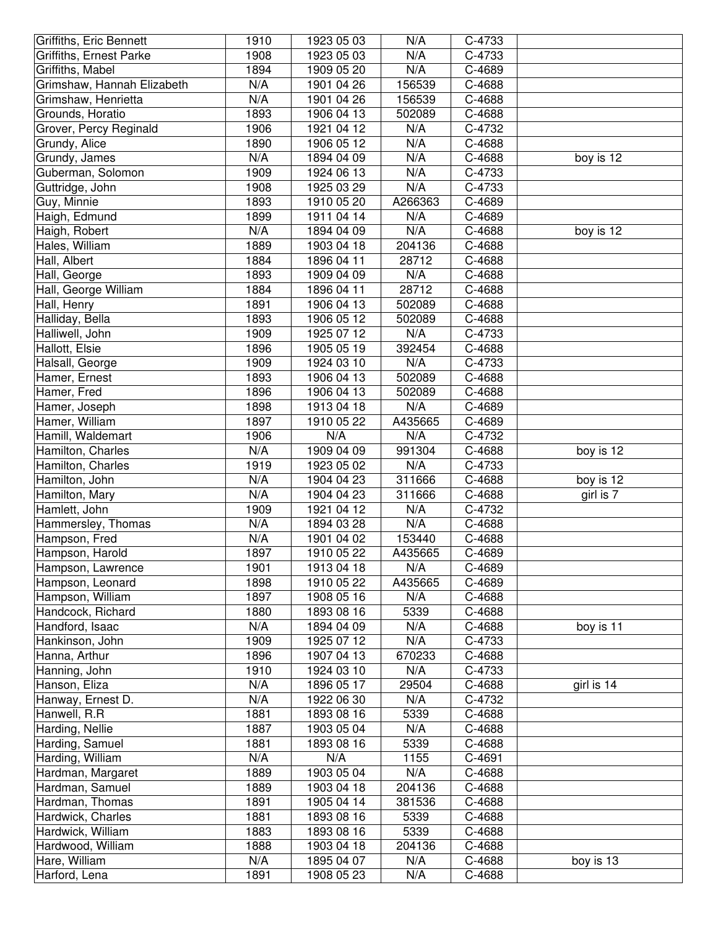| Griffiths, Eric Bennett    | 1910 | 1923 05 03 | N/A     | C-4733 |            |
|----------------------------|------|------------|---------|--------|------------|
| Griffiths, Ernest Parke    | 1908 | 1923 05 03 | N/A     | C-4733 |            |
| Griffiths, Mabel           | 1894 | 1909 05 20 | N/A     | C-4689 |            |
| Grimshaw, Hannah Elizabeth | N/A  | 1901 04 26 | 156539  | C-4688 |            |
| Grimshaw, Henrietta        | N/A  | 1901 04 26 | 156539  | C-4688 |            |
| Grounds, Horatio           | 1893 | 1906 04 13 | 502089  | C-4688 |            |
| Grover, Percy Reginald     | 1906 | 1921 04 12 | N/A     | C-4732 |            |
| Grundy, Alice              | 1890 | 1906 05 12 | N/A     | C-4688 |            |
| Grundy, James              | N/A  | 1894 04 09 | N/A     | C-4688 | boy is 12  |
| Guberman, Solomon          | 1909 | 1924 06 13 | N/A     | C-4733 |            |
| Guttridge, John            | 1908 | 1925 03 29 | N/A     | C-4733 |            |
| Guy, Minnie                | 1893 | 1910 05 20 | A266363 | C-4689 |            |
| Haigh, Edmund              | 1899 | 1911 04 14 | N/A     | C-4689 |            |
| Haigh, Robert              | N/A  | 1894 04 09 | N/A     | C-4688 | boy is 12  |
| Hales, William             | 1889 | 1903 04 18 | 204136  | C-4688 |            |
| Hall, Albert               | 1884 | 1896 04 11 | 28712   | C-4688 |            |
| Hall, George               | 1893 | 1909 04 09 | N/A     | C-4688 |            |
| Hall, George William       | 1884 | 1896 04 11 | 28712   | C-4688 |            |
| Hall, Henry                | 1891 | 1906 04 13 | 502089  | C-4688 |            |
| Halliday, Bella            | 1893 | 1906 05 12 | 502089  | C-4688 |            |
| Halliwell, John            | 1909 | 1925 07 12 | N/A     | C-4733 |            |
| Hallott, Elsie             | 1896 | 1905 05 19 | 392454  | C-4688 |            |
| Halsall, George            | 1909 | 1924 03 10 | N/A     | C-4733 |            |
| Hamer, Ernest              | 1893 | 1906 04 13 | 502089  | C-4688 |            |
| Hamer, Fred                | 1896 | 1906 04 13 | 502089  | C-4688 |            |
| Hamer, Joseph              | 1898 | 1913 04 18 | N/A     | C-4689 |            |
| Hamer, William             | 1897 | 1910 05 22 | A435665 | C-4689 |            |
| Hamill, Waldemart          | 1906 | N/A        | N/A     | C-4732 |            |
| Hamilton, Charles          | N/A  | 1909 04 09 | 991304  | C-4688 | boy is 12  |
| Hamilton, Charles          | 1919 | 1923 05 02 | N/A     | C-4733 |            |
| Hamilton, John             | N/A  | 1904 04 23 | 311666  | C-4688 | boy is 12  |
| Hamilton, Mary             | N/A  | 1904 04 23 | 311666  | C-4688 | girl is 7  |
| Hamlett, John              | 1909 | 1921 04 12 | N/A     | C-4732 |            |
| Hammersley, Thomas         | N/A  | 1894 03 28 | N/A     | C-4688 |            |
| Hampson, Fred              | N/A  | 1901 04 02 | 153440  | C-4688 |            |
| Hampson, Harold            | 1897 | 1910 05 22 | A435665 | C-4689 |            |
| Hampson, Lawrence          | 1901 | 1913 04 18 | N/A     | C-4689 |            |
| Hampson, Leonard           | 1898 | 1910 05 22 | A435665 | C-4689 |            |
| Hampson, William           | 1897 | 1908 05 16 | N/A     | C-4688 |            |
| Handcock, Richard          | 1880 | 1893 08 16 | 5339    | C-4688 |            |
| Handford, Isaac            | N/A  | 1894 04 09 | N/A     | C-4688 | boy is 11  |
| Hankinson, John            | 1909 | 1925 07 12 | N/A     | C-4733 |            |
| Hanna, Arthur              | 1896 | 1907 04 13 | 670233  | C-4688 |            |
| Hanning, John              | 1910 | 1924 03 10 | N/A     | C-4733 |            |
| Hanson, Eliza              | N/A  | 1896 05 17 | 29504   | C-4688 | girl is 14 |
| Hanway, Ernest D.          | N/A  | 1922 06 30 | N/A     | C-4732 |            |
| Hanwell, R.R               | 1881 | 1893 08 16 | 5339    | C-4688 |            |
| Harding, Nellie            | 1887 | 1903 05 04 | N/A     | C-4688 |            |
| Harding, Samuel            | 1881 | 1893 08 16 | 5339    | C-4688 |            |
| Harding, William           | N/A  | N/A        | 1155    | C-4691 |            |
| Hardman, Margaret          | 1889 | 1903 05 04 | N/A     | C-4688 |            |
| Hardman, Samuel            | 1889 | 1903 04 18 | 204136  | C-4688 |            |
| Hardman, Thomas            | 1891 | 1905 04 14 | 381536  | C-4688 |            |
| Hardwick, Charles          | 1881 | 1893 08 16 | 5339    | C-4688 |            |
| Hardwick, William          | 1883 | 1893 08 16 | 5339    | C-4688 |            |
| Hardwood, William          | 1888 | 1903 04 18 | 204136  | C-4688 |            |
| Hare, William              | N/A  | 1895 04 07 | N/A     | C-4688 | boy is 13  |
| Harford, Lena              | 1891 | 1908 05 23 | N/A     | C-4688 |            |
|                            |      |            |         |        |            |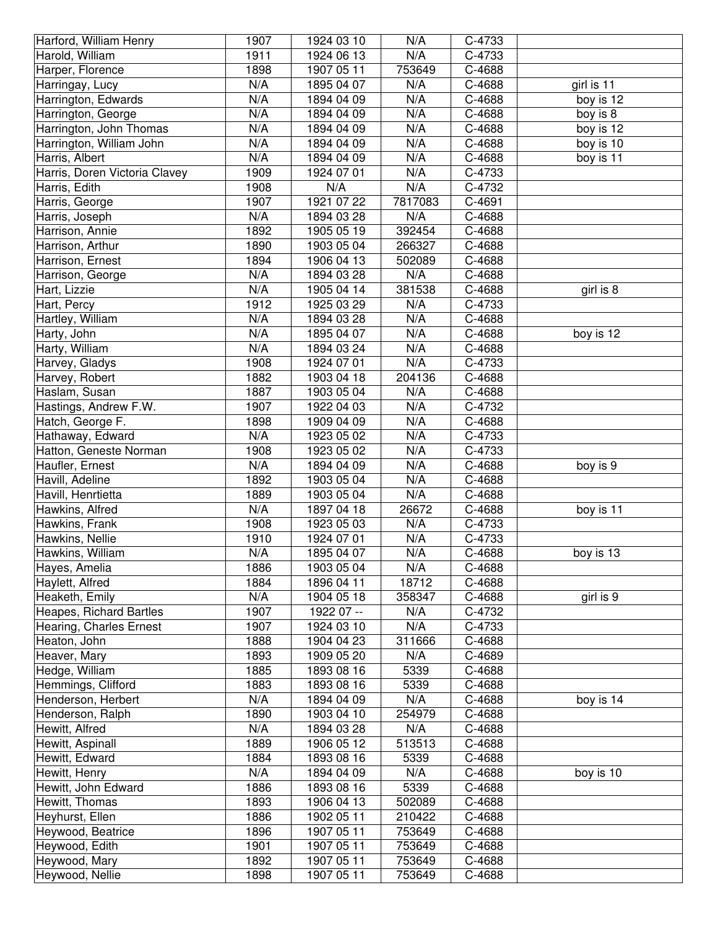| Harford, William Henry        | 1907 | 1924 03 10 | N/A     | C-4733 |            |
|-------------------------------|------|------------|---------|--------|------------|
| Harold, William               | 1911 | 1924 06 13 | N/A     | C-4733 |            |
| Harper, Florence              | 1898 | 1907 05 11 | 753649  | C-4688 |            |
| Harringay, Lucy               | N/A  | 1895 04 07 | N/A     | C-4688 | girl is 11 |
| Harrington, Edwards           | N/A  | 1894 04 09 | N/A     | C-4688 | boy is 12  |
| Harrington, George            | N/A  | 1894 04 09 | N/A     | C-4688 | boy is 8   |
| Harrington, John Thomas       | N/A  | 1894 04 09 | N/A     | C-4688 | boy is 12  |
| Harrington, William John      | N/A  | 1894 04 09 | N/A     | C-4688 | boy is 10  |
| Harris, Albert                | N/A  | 1894 04 09 | N/A     | C-4688 | boy is 11  |
| Harris, Doren Victoria Clavey | 1909 | 1924 07 01 | N/A     | C-4733 |            |
| Harris, Edith                 | 1908 | N/A        | N/A     | C-4732 |            |
| Harris, George                | 1907 | 1921 07 22 | 7817083 | C-4691 |            |
| Harris, Joseph                | N/A  | 1894 03 28 | N/A     | C-4688 |            |
| Harrison, Annie               | 1892 | 1905 05 19 | 392454  | C-4688 |            |
| Harrison, Arthur              | 1890 | 1903 05 04 | 266327  | C-4688 |            |
| Harrison, Ernest              | 1894 | 1906 04 13 | 502089  | C-4688 |            |
| Harrison, George              | N/A  | 1894 03 28 | N/A     | C-4688 |            |
| Hart, Lizzie                  | N/A  | 1905 04 14 | 381538  | C-4688 | girl is 8  |
| Hart, Percy                   | 1912 | 1925 03 29 | N/A     | C-4733 |            |
| Hartley, William              | N/A  | 1894 03 28 | N/A     | C-4688 |            |
| Harty, John                   | N/A  | 1895 04 07 | N/A     | C-4688 | boy is 12  |
| Harty, William                | N/A  | 1894 03 24 | N/A     | C-4688 |            |
| Harvey, Gladys                | 1908 | 1924 07 01 | N/A     | C-4733 |            |
| Harvey, Robert                | 1882 | 1903 04 18 | 204136  | C-4688 |            |
| Haslam, Susan                 | 1887 | 1903 05 04 | N/A     | C-4688 |            |
| Hastings, Andrew F.W.         | 1907 | 1922 04 03 | N/A     | C-4732 |            |
| Hatch, George F.              | 1898 | 1909 04 09 | N/A     | C-4688 |            |
| Hathaway, Edward              | N/A  | 1923 05 02 | N/A     | C-4733 |            |
| Hatton, Geneste Norman        | 1908 | 1923 05 02 | N/A     | C-4733 |            |
| Haufler, Ernest               | N/A  | 1894 04 09 | N/A     | C-4688 | boy is 9   |
| Havill, Adeline               | 1892 | 1903 05 04 | N/A     | C-4688 |            |
| Havill, Henrtietta            | 1889 | 1903 05 04 | N/A     | C-4688 |            |
| Hawkins, Alfred               | N/A  | 1897 04 18 | 26672   | C-4688 | boy is 11  |
| Hawkins, Frank                | 1908 | 1923 05 03 | N/A     | C-4733 |            |
| Hawkins, Nellie               | 1910 | 1924 07 01 | N/A     | C-4733 |            |
| Hawkins, William              | N/A  | 1895 04 07 | N/A     | C-4688 | boy is 13  |
| Hayes, Amelia                 | 1886 | 1903 05 04 | N/A     | C-4688 |            |
| Haylett, Alfred               | 1884 | 1896 04 11 | 18712   | C-4688 |            |
| Heaketh, Emily                | N/A  | 1904 05 18 | 358347  | C-4688 | girl is 9  |
| Heapes, Richard Bartles       | 1907 | 1922 07 -- | N/A     | C-4732 |            |
| Hearing, Charles Ernest       | 1907 | 1924 03 10 | N/A     | C-4733 |            |
| Heaton, John                  | 1888 | 1904 04 23 | 311666  | C-4688 |            |
| Heaver, Mary                  | 1893 | 1909 05 20 | N/A     | C-4689 |            |
| Hedge, William                | 1885 | 1893 08 16 | 5339    | C-4688 |            |
| Hemmings, Clifford            | 1883 | 1893 08 16 | 5339    | C-4688 |            |
| Henderson, Herbert            | N/A  | 1894 04 09 | N/A     | C-4688 | boy is 14  |
| Henderson, Ralph              | 1890 | 1903 04 10 | 254979  | C-4688 |            |
| Hewitt, Alfred                | N/A  | 1894 03 28 | N/A     | C-4688 |            |
| Hewitt, Aspinall              | 1889 | 1906 05 12 | 513513  | C-4688 |            |
| Hewitt, Edward                | 1884 | 1893 08 16 | 5339    | C-4688 |            |
| Hewitt, Henry                 | N/A  | 1894 04 09 | N/A     | C-4688 | boy is 10  |
| Hewitt, John Edward           | 1886 | 1893 08 16 | 5339    | C-4688 |            |
| Hewitt, Thomas                | 1893 | 1906 04 13 | 502089  | C-4688 |            |
| Heyhurst, Ellen               | 1886 | 1902 05 11 | 210422  | C-4688 |            |
| Heywood, Beatrice             | 1896 | 1907 05 11 | 753649  | C-4688 |            |
| Heywood, Edith                | 1901 | 1907 05 11 | 753649  | C-4688 |            |
| Heywood, Mary                 | 1892 | 1907 05 11 | 753649  | C-4688 |            |
| Heywood, Nellie               | 1898 | 1907 05 11 | 753649  | C-4688 |            |
|                               |      |            |         |        |            |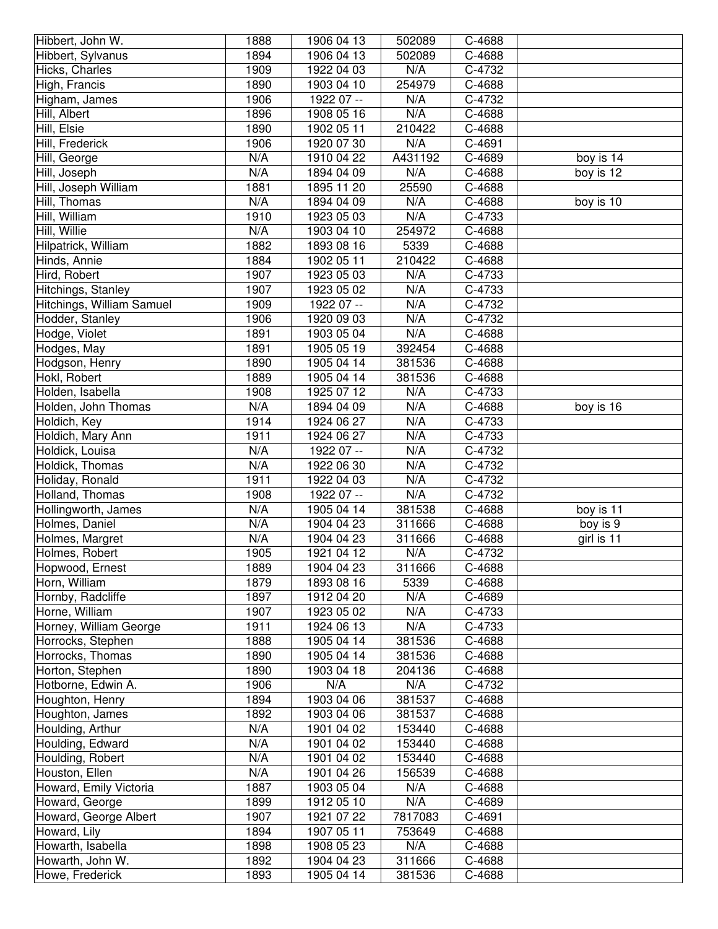| Hibbert, John W.          | 1888 | 1906 04 13 | 502089  | C-4688 |            |
|---------------------------|------|------------|---------|--------|------------|
| Hibbert, Sylvanus         | 1894 | 1906 04 13 | 502089  | C-4688 |            |
| Hicks, Charles            | 1909 | 1922 04 03 | N/A     | C-4732 |            |
| High, Francis             | 1890 | 1903 04 10 | 254979  | C-4688 |            |
| Higham, James             | 1906 | 1922 07 -- | N/A     | C-4732 |            |
| Hill, Albert              | 1896 | 1908 05 16 | N/A     | C-4688 |            |
| Hill, Elsie               | 1890 | 1902 05 11 | 210422  | C-4688 |            |
| Hill, Frederick           | 1906 | 1920 07 30 | N/A     | C-4691 |            |
| Hill, George              | N/A  | 1910 04 22 | A431192 | C-4689 | boy is 14  |
| Hill, Joseph              | N/A  | 1894 04 09 | N/A     | C-4688 | boy is 12  |
| Hill, Joseph William      | 1881 | 1895 11 20 | 25590   | C-4688 |            |
| Hill, Thomas              | N/A  | 1894 04 09 | N/A     | C-4688 | boy is 10  |
| Hill, William             | 1910 | 1923 05 03 | N/A     | C-4733 |            |
| Hill, Willie              | N/A  | 1903 04 10 | 254972  | C-4688 |            |
| Hilpatrick, William       | 1882 | 1893 08 16 | 5339    | C-4688 |            |
| Hinds, Annie              | 1884 | 1902 05 11 | 210422  | C-4688 |            |
| Hird, Robert              | 1907 | 1923 05 03 | N/A     | C-4733 |            |
| Hitchings, Stanley        | 1907 | 1923 05 02 | N/A     | C-4733 |            |
| Hitchings, William Samuel | 1909 | 1922 07 -- | N/A     | C-4732 |            |
| Hodder, Stanley           | 1906 | 1920 09 03 | N/A     | C-4732 |            |
| Hodge, Violet             | 1891 | 1903 05 04 | N/A     | C-4688 |            |
| Hodges, May               | 1891 | 1905 05 19 | 392454  | C-4688 |            |
| Hodgson, Henry            | 1890 | 1905 04 14 | 381536  | C-4688 |            |
| Hokl, Robert              | 1889 | 1905 04 14 | 381536  | C-4688 |            |
| Holden, Isabella          | 1908 | 1925 07 12 | N/A     | C-4733 |            |
| Holden, John Thomas       | N/A  | 1894 04 09 | N/A     | C-4688 | boy is 16  |
| Holdich, Key              | 1914 | 1924 06 27 | N/A     | C-4733 |            |
| Holdich, Mary Ann         | 1911 | 1924 06 27 | N/A     | C-4733 |            |
| Holdick, Louisa           | N/A  | 1922 07 -- | N/A     | C-4732 |            |
| Holdick, Thomas           | N/A  | 1922 06 30 | N/A     | C-4732 |            |
| Holiday, Ronald           | 1911 | 1922 04 03 | N/A     | C-4732 |            |
| Holland, Thomas           | 1908 | 1922 07 -- | N/A     | C-4732 |            |
| Hollingworth, James       | N/A  | 1905 04 14 | 381538  | C-4688 | boy is 11  |
| Holmes, Daniel            | N/A  | 1904 04 23 | 311666  | C-4688 | boy is 9   |
| Holmes, Margret           | N/A  | 1904 04 23 | 311666  | C-4688 | girl is 11 |
| Holmes, Robert            | 1905 | 1921 04 12 | N/A     | C-4732 |            |
| Hopwood, Ernest           | 1889 | 1904 04 23 | 311666  | C-4688 |            |
| Horn, William             | 1879 | 1893 08 16 | 5339    | C-4688 |            |
| Hornby, Radcliffe         | 1897 | 1912 04 20 | N/A     | C-4689 |            |
| Horne, William            | 1907 | 1923 05 02 | N/A     | C-4733 |            |
| Horney, William George    | 1911 | 1924 06 13 | N/A     | C-4733 |            |
| Horrocks, Stephen         | 1888 | 1905 04 14 | 381536  | C-4688 |            |
| Horrocks, Thomas          | 1890 | 1905 04 14 | 381536  | C-4688 |            |
| Horton, Stephen           | 1890 | 1903 04 18 | 204136  | C-4688 |            |
| Hotborne, Edwin A.        | 1906 | N/A        | N/A     | C-4732 |            |
| Houghton, Henry           | 1894 | 1903 04 06 | 381537  | C-4688 |            |
| Houghton, James           | 1892 | 1903 04 06 | 381537  | C-4688 |            |
| Houlding, Arthur          | N/A  | 1901 04 02 | 153440  | C-4688 |            |
| Houlding, Edward          | N/A  | 1901 04 02 | 153440  | C-4688 |            |
| Houlding, Robert          | N/A  | 1901 04 02 | 153440  | C-4688 |            |
| Houston, Ellen            | N/A  | 1901 04 26 | 156539  | C-4688 |            |
| Howard, Emily Victoria    | 1887 | 1903 05 04 | N/A     | C-4688 |            |
| Howard, George            | 1899 | 1912 05 10 | N/A     | C-4689 |            |
| Howard, George Albert     | 1907 | 1921 07 22 | 7817083 | C-4691 |            |
| Howard, Lily              | 1894 | 1907 05 11 | 753649  | C-4688 |            |
| Howarth, Isabella         | 1898 | 1908 05 23 | N/A     | C-4688 |            |
| Howarth, John W.          | 1892 | 1904 04 23 | 311666  | C-4688 |            |
| Howe, Frederick           | 1893 | 1905 04 14 | 381536  | C-4688 |            |
|                           |      |            |         |        |            |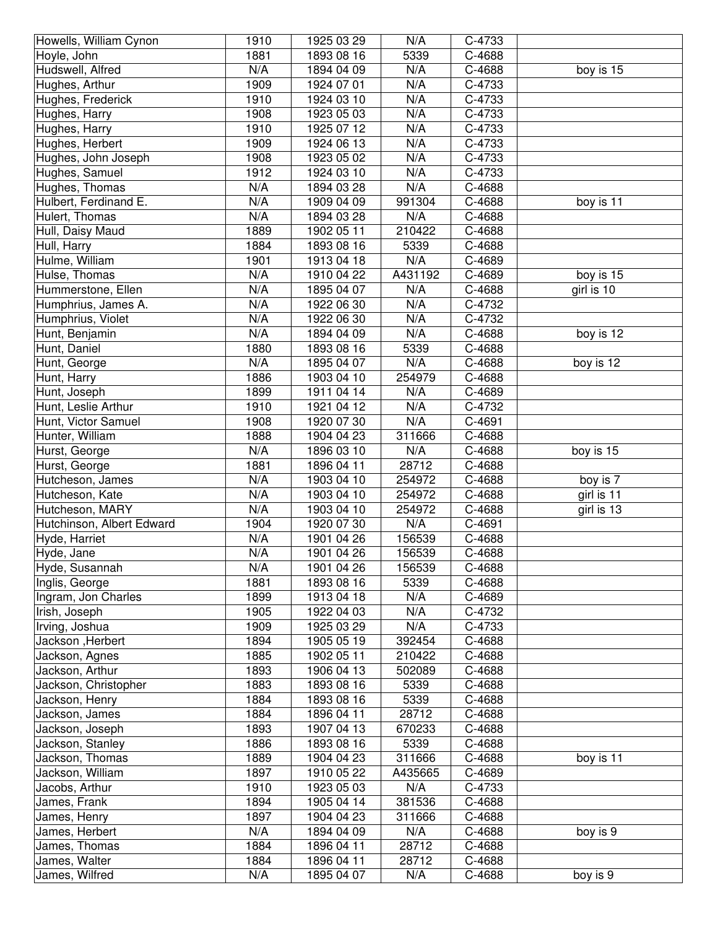| Howells, William Cynon          | 1910        | 1925 03 29               | N/A          | C-4733           |            |
|---------------------------------|-------------|--------------------------|--------------|------------------|------------|
| Hoyle, John                     | 1881        | 1893 08 16               | 5339         | C-4688           |            |
| Hudswell, Alfred                | N/A         | 1894 04 09               | N/A          | C-4688           | boy is 15  |
| Hughes, Arthur                  | 1909        | 1924 07 01               | N/A          | C-4733           |            |
| Hughes, Frederick               | 1910        | 1924 03 10               | N/A          | C-4733           |            |
| Hughes, Harry                   | 1908        | 1923 05 03               | N/A          | C-4733           |            |
| Hughes, Harry                   | 1910        | 1925 07 12               | N/A          | C-4733           |            |
| Hughes, Herbert                 | 1909        | 1924 06 13               | N/A          | C-4733           |            |
| Hughes, John Joseph             | 1908        | 1923 05 02               | N/A          | C-4733           |            |
| Hughes, Samuel                  | 1912        | 1924 03 10               | N/A          | C-4733           |            |
| Hughes, Thomas                  | N/A         | 1894 03 28               | N/A          | C-4688           |            |
| Hulbert, Ferdinand E.           | N/A         | 1909 04 09               | 991304       | C-4688           | boy is 11  |
| Hulert, Thomas                  | N/A         | 1894 03 28               | N/A          | C-4688           |            |
| Hull, Daisy Maud                | 1889        | 1902 05 11               | 210422       | C-4688           |            |
| Hull, Harry                     | 1884        | 1893 08 16               | 5339         | C-4688           |            |
| Hulme, William                  | 1901        | 1913 04 18               | N/A          | C-4689           |            |
| Hulse, Thomas                   | N/A         | 1910 04 22               | A431192      | C-4689           | boy is 15  |
| Hummerstone, Ellen              | N/A         | 1895 04 07               | N/A          | C-4688           | girl is 10 |
| Humphrius, James A.             | N/A         | 1922 06 30               | N/A          | C-4732           |            |
| Humphrius, Violet               | N/A         | 1922 06 30               | N/A          | C-4732           |            |
| Hunt, Benjamin                  | N/A         | 1894 04 09               | N/A          | C-4688           | boy is 12  |
| Hunt, Daniel                    | 1880        | 1893 08 16               | 5339         | C-4688           |            |
| Hunt, George                    | N/A         | 1895 04 07               | N/A          | C-4688           | boy is 12  |
| Hunt, Harry                     | 1886        | 1903 04 10               | 254979       | C-4688           |            |
| Hunt, Joseph                    | 1899        | 1911 04 14               | N/A          | C-4689           |            |
| Hunt, Leslie Arthur             | 1910        | 1921 04 12               | N/A          | C-4732           |            |
| Hunt, Victor Samuel             | 1908        | 1920 07 30               | N/A          | C-4691           |            |
| Hunter, William                 | 1888        | 1904 04 23               | 311666       | C-4688           |            |
| Hurst, George                   | N/A         | 1896 03 10               | N/A          | C-4688           | boy is 15  |
| Hurst, George                   | 1881        | 1896 04 11               | 28712        | C-4688           |            |
| Hutcheson, James                | N/A         | 1903 04 10               | 254972       | C-4688           | boy is 7   |
| Hutcheson, Kate                 | N/A         | 1903 04 10               | 254972       | C-4688           | girl is 11 |
| Hutcheson, MARY                 | N/A         | 1903 04 10               | 254972       | C-4688           | girl is 13 |
| Hutchinson, Albert Edward       | 1904        | 1920 07 30               | N/A          | C-4691           |            |
| Hyde, Harriet                   | N/A         | 1901 04 26               | 156539       | C-4688           |            |
| Hyde, Jane                      | N/A         | 1901 04 26               | 156539       | C-4688           |            |
| Hyde, Susannah                  | N/A         | 1901 04 26               | 156539       | C-4688           |            |
| Inglis, George                  | 1881        | 1893 08 16               | 5339         | C-4688           |            |
| Ingram, Jon Charles             | 1899        | 1913 04 18               | N/A          | C-4689           |            |
| Irish, Joseph                   | 1905        | 1922 04 03               | N/A          | C-4732           |            |
| Irving, Joshua                  | 1909        | 1925 03 29               | N/A          | C-4733           |            |
| Jackson, Herbert                | 1894        | 1905 05 19               | 392454       | C-4688           |            |
| Jackson, Agnes                  | 1885        | 1902 05 11               | 210422       | C-4688           |            |
| Jackson, Arthur                 | 1893        | 1906 04 13               | 502089       | C-4688           |            |
| Jackson, Christopher            | 1883        | 1893 08 16               | 5339         | C-4688           |            |
| Jackson, Henry                  | 1884        | 1893 08 16               | 5339         | C-4688           |            |
| Jackson, James                  | 1884        | 1896 04 11               | 28712        | C-4688           |            |
| Jackson, Joseph                 | 1893        | 1907 04 13               | 670233       | C-4688           |            |
| Jackson, Stanley                | 1886        | 1893 08 16               | 5339         | C-4688           |            |
| Jackson, Thomas                 | 1889        | 1904 04 23               | 311666       | C-4688           | boy is 11  |
| Jackson, William                |             |                          |              | C-4689           |            |
| Jacobs, Arthur                  |             |                          |              |                  |            |
|                                 | 1897        | 1910 05 22               | A435665      |                  |            |
|                                 | 1910        | 1923 05 03               | N/A          | C-4733           |            |
| James, Frank                    | 1894        | 1905 04 14               | 381536       | C-4688           |            |
| James, Henry                    | 1897        | 1904 04 23               | 311666       | C-4688           |            |
| James, Herbert                  | N/A         | 1894 04 09               | N/A          | C-4688           | boy is 9   |
| James, Thomas                   | 1884        | 1896 04 11               | 28712        | C-4688           |            |
| James, Walter<br>James, Wilfred | 1884<br>N/A | 1896 04 11<br>1895 04 07 | 28712<br>N/A | C-4688<br>C-4688 | boy is 9   |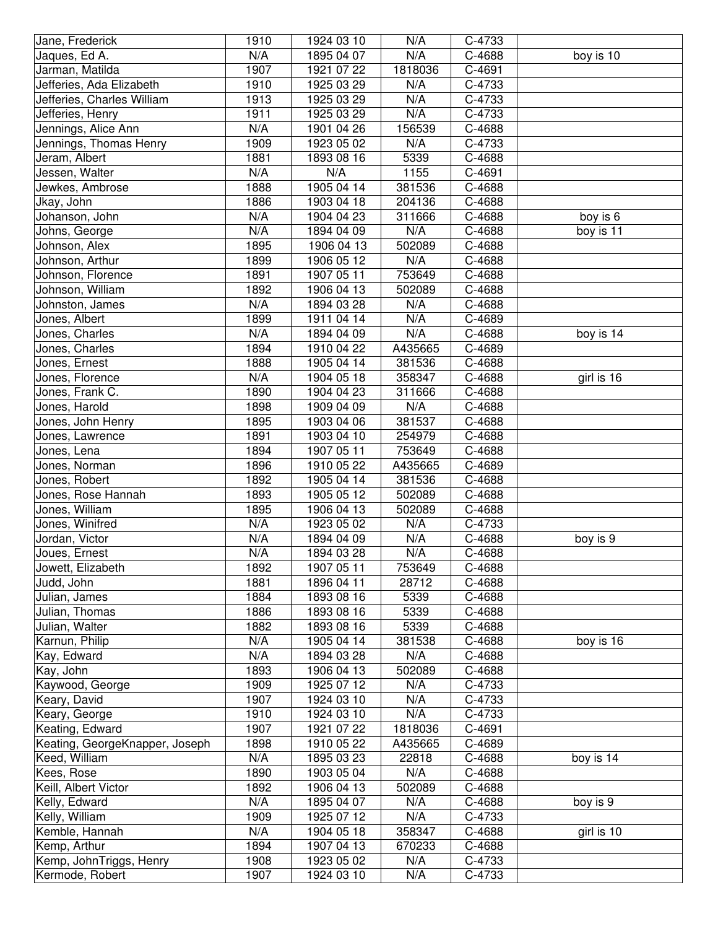| N/A<br>N/A<br>C-4688<br>Jaques, Ed A.<br>1895 04 07<br>boy is 10<br>1907<br>C-4691<br>Jarman, Matilda<br>1921 07 22<br>1818036<br>1910<br>Jefferies, Ada Elizabeth<br>1925 03 29<br>N/A<br>C-4733<br>1913<br>N/A<br>Jefferies, Charles William<br>1925 03 29<br>C-4733<br>N/A<br>1911<br>C-4733<br>Jefferies, Henry<br>1925 03 29<br>N/A<br>156539<br>Jennings, Alice Ann<br>1901 04 26<br>C-4688<br>Jennings, Thomas Henry<br>N/A<br>1909<br>1923 05 02<br>C-4733<br>1881<br>1893 08 16<br>C-4688<br>Jeram, Albert<br>5339<br>N/A<br>N/A<br>1155<br>C-4691<br>Jessen, Walter<br>1905 04 14<br>C-4688<br>1888<br>381536<br>Jewkes, Ambrose<br>1886<br>Jkay, John<br>1903 04 18<br>204136<br>C-4688<br>N/A<br>Johanson, John<br>1904 04 23<br>311666<br>C-4688<br>boy is 6<br>N/A<br>N/A<br>Johns, George<br>1894 04 09<br>C-4688<br>boy is 11<br>1895<br>Johnson, Alex<br>1906 04 13<br>502089<br>C-4688<br>Johnson, Arthur<br>1899<br>1906 05 12<br>N/A<br>C-4688<br>Johnson, Florence<br>1891<br>1907 05 11<br>753649<br>C-4688<br>1892<br>1906 04 13<br>502089<br>C-4688<br>Johnson, William<br>N/A<br>N/A<br>Johnston, James<br>1894 03 28<br>C-4688<br>1911 04 14<br>N/A<br>Jones, Albert<br>1899<br>C-4689<br>N/A<br>N/A<br>1894 04 09<br>C-4688<br>boy is 14<br>Jones, Charles<br>1894<br>1910 04 22<br>A435665<br>C-4689<br>Jones, Charles<br>C-4688<br>Jones, Ernest<br>1888<br>1905 04 14<br>381536<br>N/A<br>C-4688<br>1904 05 18<br>358347<br>girl is 16<br>Jones, Florence<br>1890<br>C-4688<br>Jones, Frank C.<br>1904 04 23<br>311666<br>1898<br>N/A<br>C-4688<br>Jones, Harold<br>1909 04 09<br>1895<br>C-4688<br>Jones, John Henry<br>1903 04 06<br>381537<br>1891<br>C-4688<br>Jones, Lawrence<br>1903 04 10<br>254979<br>1894<br>1907 05 11<br>753649<br>C-4688<br>Jones, Lena<br>Jones, Norman<br>1896<br>1910 05 22<br>A435665<br>C-4689<br>1892<br>Jones, Robert<br>1905 04 14<br>381536<br>C-4688<br>Jones, Rose Hannah<br>1893<br>1905 05 12<br>502089<br>C-4688<br>Jones, William<br>1895<br>1906 04 13<br>502089<br>C-4688<br>Jones, Winifred<br>N/A<br>1923 05 02<br>N/A<br>C-4733<br>N/A<br>C-4688<br>Jordan, Victor<br>1894 04 09<br>N/A<br>boy is 9<br>N/A<br>Joues, Ernest<br>1894 03 28<br>N/A<br>C-4688<br>1892<br>Jowett, Elizabeth<br>1907 05 11<br>753649<br>C-4688<br>1881<br>1896 04 11<br>C-4688<br>Judd, John<br>28712<br>1884<br>5339<br>1893 08 16<br>C-4688<br>Julian, James<br>1886<br>1893 08 16<br>5339<br>C-4688<br>Julian, Thomas<br>Julian, Walter<br>1882<br>1893 08 16<br>5339<br>C-4688<br>Karnun, Philip<br>N/A<br>1905 04 14<br>381538<br>C-4688<br>boy is 16<br>Kay, Edward<br>N/A<br>1894 03 28<br>N/A<br>C-4688<br>Kay, John<br>1893<br>1906 04 13<br>502089<br>C-4688<br>1909<br>Kaywood, George<br>1925 07 12<br>N/A<br>C-4733<br>1907<br>Keary, David<br>1924 03 10<br>N/A<br>C-4733<br>1910<br>N/A<br>C-4733<br>Keary, George<br>1924 03 10<br>Keating, Edward<br>1907<br>C-4691<br>1921 07 22<br>1818036<br>1898<br>C-4689<br>Keating, GeorgeKnapper, Joseph<br>1910 05 22<br>A435665<br>N/A<br>Keed, William<br>1895 03 23<br>22818<br>C-4688<br>boy is 14<br>N/A<br>Kees, Rose<br>1890<br>1903 05 04<br>C-4688<br>1892<br>1906 04 13<br>502089<br>C-4688<br>Keill, Albert Victor<br>Kelly, Edward<br>N/A<br>N/A<br>1895 04 07<br>C-4688<br>boy is 9<br>1909<br>1925 07 12<br>N/A<br>C-4733<br>Kelly, William<br>N/A<br>Kemble, Hannah<br>358347<br>C-4688<br>girl is 10<br>1904 05 18<br>Kemp, Arthur<br>1894<br>1907 04 13<br>670233<br>C-4688<br>Kemp, JohnTriggs, Henry<br>1908<br>1923 05 02<br>N/A<br>C-4733<br>C-4733<br>Kermode, Robert<br>1907<br>1924 03 10<br>N/A | Jane, Frederick | 1910 | 1924 03 10 | N/A | C-4733 |  |
|---------------------------------------------------------------------------------------------------------------------------------------------------------------------------------------------------------------------------------------------------------------------------------------------------------------------------------------------------------------------------------------------------------------------------------------------------------------------------------------------------------------------------------------------------------------------------------------------------------------------------------------------------------------------------------------------------------------------------------------------------------------------------------------------------------------------------------------------------------------------------------------------------------------------------------------------------------------------------------------------------------------------------------------------------------------------------------------------------------------------------------------------------------------------------------------------------------------------------------------------------------------------------------------------------------------------------------------------------------------------------------------------------------------------------------------------------------------------------------------------------------------------------------------------------------------------------------------------------------------------------------------------------------------------------------------------------------------------------------------------------------------------------------------------------------------------------------------------------------------------------------------------------------------------------------------------------------------------------------------------------------------------------------------------------------------------------------------------------------------------------------------------------------------------------------------------------------------------------------------------------------------------------------------------------------------------------------------------------------------------------------------------------------------------------------------------------------------------------------------------------------------------------------------------------------------------------------------------------------------------------------------------------------------------------------------------------------------------------------------------------------------------------------------------------------------------------------------------------------------------------------------------------------------------------------------------------------------------------------------------------------------------------------------------------------------------------------------------------------------------------------------------------------------------------------------------------------------------------------------------------------------------------------------------------------------------------------------------------------------------------------------------------------------------------------------------------------------------------------------------------------------------------------------------------------------------------------------------------------------------------------------------|-----------------|------|------------|-----|--------|--|
|                                                                                                                                                                                                                                                                                                                                                                                                                                                                                                                                                                                                                                                                                                                                                                                                                                                                                                                                                                                                                                                                                                                                                                                                                                                                                                                                                                                                                                                                                                                                                                                                                                                                                                                                                                                                                                                                                                                                                                                                                                                                                                                                                                                                                                                                                                                                                                                                                                                                                                                                                                                                                                                                                                                                                                                                                                                                                                                                                                                                                                                                                                                                                                                                                                                                                                                                                                                                                                                                                                                                                                                                                                             |                 |      |            |     |        |  |
|                                                                                                                                                                                                                                                                                                                                                                                                                                                                                                                                                                                                                                                                                                                                                                                                                                                                                                                                                                                                                                                                                                                                                                                                                                                                                                                                                                                                                                                                                                                                                                                                                                                                                                                                                                                                                                                                                                                                                                                                                                                                                                                                                                                                                                                                                                                                                                                                                                                                                                                                                                                                                                                                                                                                                                                                                                                                                                                                                                                                                                                                                                                                                                                                                                                                                                                                                                                                                                                                                                                                                                                                                                             |                 |      |            |     |        |  |
|                                                                                                                                                                                                                                                                                                                                                                                                                                                                                                                                                                                                                                                                                                                                                                                                                                                                                                                                                                                                                                                                                                                                                                                                                                                                                                                                                                                                                                                                                                                                                                                                                                                                                                                                                                                                                                                                                                                                                                                                                                                                                                                                                                                                                                                                                                                                                                                                                                                                                                                                                                                                                                                                                                                                                                                                                                                                                                                                                                                                                                                                                                                                                                                                                                                                                                                                                                                                                                                                                                                                                                                                                                             |                 |      |            |     |        |  |
|                                                                                                                                                                                                                                                                                                                                                                                                                                                                                                                                                                                                                                                                                                                                                                                                                                                                                                                                                                                                                                                                                                                                                                                                                                                                                                                                                                                                                                                                                                                                                                                                                                                                                                                                                                                                                                                                                                                                                                                                                                                                                                                                                                                                                                                                                                                                                                                                                                                                                                                                                                                                                                                                                                                                                                                                                                                                                                                                                                                                                                                                                                                                                                                                                                                                                                                                                                                                                                                                                                                                                                                                                                             |                 |      |            |     |        |  |
|                                                                                                                                                                                                                                                                                                                                                                                                                                                                                                                                                                                                                                                                                                                                                                                                                                                                                                                                                                                                                                                                                                                                                                                                                                                                                                                                                                                                                                                                                                                                                                                                                                                                                                                                                                                                                                                                                                                                                                                                                                                                                                                                                                                                                                                                                                                                                                                                                                                                                                                                                                                                                                                                                                                                                                                                                                                                                                                                                                                                                                                                                                                                                                                                                                                                                                                                                                                                                                                                                                                                                                                                                                             |                 |      |            |     |        |  |
|                                                                                                                                                                                                                                                                                                                                                                                                                                                                                                                                                                                                                                                                                                                                                                                                                                                                                                                                                                                                                                                                                                                                                                                                                                                                                                                                                                                                                                                                                                                                                                                                                                                                                                                                                                                                                                                                                                                                                                                                                                                                                                                                                                                                                                                                                                                                                                                                                                                                                                                                                                                                                                                                                                                                                                                                                                                                                                                                                                                                                                                                                                                                                                                                                                                                                                                                                                                                                                                                                                                                                                                                                                             |                 |      |            |     |        |  |
|                                                                                                                                                                                                                                                                                                                                                                                                                                                                                                                                                                                                                                                                                                                                                                                                                                                                                                                                                                                                                                                                                                                                                                                                                                                                                                                                                                                                                                                                                                                                                                                                                                                                                                                                                                                                                                                                                                                                                                                                                                                                                                                                                                                                                                                                                                                                                                                                                                                                                                                                                                                                                                                                                                                                                                                                                                                                                                                                                                                                                                                                                                                                                                                                                                                                                                                                                                                                                                                                                                                                                                                                                                             |                 |      |            |     |        |  |
|                                                                                                                                                                                                                                                                                                                                                                                                                                                                                                                                                                                                                                                                                                                                                                                                                                                                                                                                                                                                                                                                                                                                                                                                                                                                                                                                                                                                                                                                                                                                                                                                                                                                                                                                                                                                                                                                                                                                                                                                                                                                                                                                                                                                                                                                                                                                                                                                                                                                                                                                                                                                                                                                                                                                                                                                                                                                                                                                                                                                                                                                                                                                                                                                                                                                                                                                                                                                                                                                                                                                                                                                                                             |                 |      |            |     |        |  |
|                                                                                                                                                                                                                                                                                                                                                                                                                                                                                                                                                                                                                                                                                                                                                                                                                                                                                                                                                                                                                                                                                                                                                                                                                                                                                                                                                                                                                                                                                                                                                                                                                                                                                                                                                                                                                                                                                                                                                                                                                                                                                                                                                                                                                                                                                                                                                                                                                                                                                                                                                                                                                                                                                                                                                                                                                                                                                                                                                                                                                                                                                                                                                                                                                                                                                                                                                                                                                                                                                                                                                                                                                                             |                 |      |            |     |        |  |
|                                                                                                                                                                                                                                                                                                                                                                                                                                                                                                                                                                                                                                                                                                                                                                                                                                                                                                                                                                                                                                                                                                                                                                                                                                                                                                                                                                                                                                                                                                                                                                                                                                                                                                                                                                                                                                                                                                                                                                                                                                                                                                                                                                                                                                                                                                                                                                                                                                                                                                                                                                                                                                                                                                                                                                                                                                                                                                                                                                                                                                                                                                                                                                                                                                                                                                                                                                                                                                                                                                                                                                                                                                             |                 |      |            |     |        |  |
|                                                                                                                                                                                                                                                                                                                                                                                                                                                                                                                                                                                                                                                                                                                                                                                                                                                                                                                                                                                                                                                                                                                                                                                                                                                                                                                                                                                                                                                                                                                                                                                                                                                                                                                                                                                                                                                                                                                                                                                                                                                                                                                                                                                                                                                                                                                                                                                                                                                                                                                                                                                                                                                                                                                                                                                                                                                                                                                                                                                                                                                                                                                                                                                                                                                                                                                                                                                                                                                                                                                                                                                                                                             |                 |      |            |     |        |  |
|                                                                                                                                                                                                                                                                                                                                                                                                                                                                                                                                                                                                                                                                                                                                                                                                                                                                                                                                                                                                                                                                                                                                                                                                                                                                                                                                                                                                                                                                                                                                                                                                                                                                                                                                                                                                                                                                                                                                                                                                                                                                                                                                                                                                                                                                                                                                                                                                                                                                                                                                                                                                                                                                                                                                                                                                                                                                                                                                                                                                                                                                                                                                                                                                                                                                                                                                                                                                                                                                                                                                                                                                                                             |                 |      |            |     |        |  |
|                                                                                                                                                                                                                                                                                                                                                                                                                                                                                                                                                                                                                                                                                                                                                                                                                                                                                                                                                                                                                                                                                                                                                                                                                                                                                                                                                                                                                                                                                                                                                                                                                                                                                                                                                                                                                                                                                                                                                                                                                                                                                                                                                                                                                                                                                                                                                                                                                                                                                                                                                                                                                                                                                                                                                                                                                                                                                                                                                                                                                                                                                                                                                                                                                                                                                                                                                                                                                                                                                                                                                                                                                                             |                 |      |            |     |        |  |
|                                                                                                                                                                                                                                                                                                                                                                                                                                                                                                                                                                                                                                                                                                                                                                                                                                                                                                                                                                                                                                                                                                                                                                                                                                                                                                                                                                                                                                                                                                                                                                                                                                                                                                                                                                                                                                                                                                                                                                                                                                                                                                                                                                                                                                                                                                                                                                                                                                                                                                                                                                                                                                                                                                                                                                                                                                                                                                                                                                                                                                                                                                                                                                                                                                                                                                                                                                                                                                                                                                                                                                                                                                             |                 |      |            |     |        |  |
|                                                                                                                                                                                                                                                                                                                                                                                                                                                                                                                                                                                                                                                                                                                                                                                                                                                                                                                                                                                                                                                                                                                                                                                                                                                                                                                                                                                                                                                                                                                                                                                                                                                                                                                                                                                                                                                                                                                                                                                                                                                                                                                                                                                                                                                                                                                                                                                                                                                                                                                                                                                                                                                                                                                                                                                                                                                                                                                                                                                                                                                                                                                                                                                                                                                                                                                                                                                                                                                                                                                                                                                                                                             |                 |      |            |     |        |  |
|                                                                                                                                                                                                                                                                                                                                                                                                                                                                                                                                                                                                                                                                                                                                                                                                                                                                                                                                                                                                                                                                                                                                                                                                                                                                                                                                                                                                                                                                                                                                                                                                                                                                                                                                                                                                                                                                                                                                                                                                                                                                                                                                                                                                                                                                                                                                                                                                                                                                                                                                                                                                                                                                                                                                                                                                                                                                                                                                                                                                                                                                                                                                                                                                                                                                                                                                                                                                                                                                                                                                                                                                                                             |                 |      |            |     |        |  |
|                                                                                                                                                                                                                                                                                                                                                                                                                                                                                                                                                                                                                                                                                                                                                                                                                                                                                                                                                                                                                                                                                                                                                                                                                                                                                                                                                                                                                                                                                                                                                                                                                                                                                                                                                                                                                                                                                                                                                                                                                                                                                                                                                                                                                                                                                                                                                                                                                                                                                                                                                                                                                                                                                                                                                                                                                                                                                                                                                                                                                                                                                                                                                                                                                                                                                                                                                                                                                                                                                                                                                                                                                                             |                 |      |            |     |        |  |
|                                                                                                                                                                                                                                                                                                                                                                                                                                                                                                                                                                                                                                                                                                                                                                                                                                                                                                                                                                                                                                                                                                                                                                                                                                                                                                                                                                                                                                                                                                                                                                                                                                                                                                                                                                                                                                                                                                                                                                                                                                                                                                                                                                                                                                                                                                                                                                                                                                                                                                                                                                                                                                                                                                                                                                                                                                                                                                                                                                                                                                                                                                                                                                                                                                                                                                                                                                                                                                                                                                                                                                                                                                             |                 |      |            |     |        |  |
|                                                                                                                                                                                                                                                                                                                                                                                                                                                                                                                                                                                                                                                                                                                                                                                                                                                                                                                                                                                                                                                                                                                                                                                                                                                                                                                                                                                                                                                                                                                                                                                                                                                                                                                                                                                                                                                                                                                                                                                                                                                                                                                                                                                                                                                                                                                                                                                                                                                                                                                                                                                                                                                                                                                                                                                                                                                                                                                                                                                                                                                                                                                                                                                                                                                                                                                                                                                                                                                                                                                                                                                                                                             |                 |      |            |     |        |  |
|                                                                                                                                                                                                                                                                                                                                                                                                                                                                                                                                                                                                                                                                                                                                                                                                                                                                                                                                                                                                                                                                                                                                                                                                                                                                                                                                                                                                                                                                                                                                                                                                                                                                                                                                                                                                                                                                                                                                                                                                                                                                                                                                                                                                                                                                                                                                                                                                                                                                                                                                                                                                                                                                                                                                                                                                                                                                                                                                                                                                                                                                                                                                                                                                                                                                                                                                                                                                                                                                                                                                                                                                                                             |                 |      |            |     |        |  |
|                                                                                                                                                                                                                                                                                                                                                                                                                                                                                                                                                                                                                                                                                                                                                                                                                                                                                                                                                                                                                                                                                                                                                                                                                                                                                                                                                                                                                                                                                                                                                                                                                                                                                                                                                                                                                                                                                                                                                                                                                                                                                                                                                                                                                                                                                                                                                                                                                                                                                                                                                                                                                                                                                                                                                                                                                                                                                                                                                                                                                                                                                                                                                                                                                                                                                                                                                                                                                                                                                                                                                                                                                                             |                 |      |            |     |        |  |
|                                                                                                                                                                                                                                                                                                                                                                                                                                                                                                                                                                                                                                                                                                                                                                                                                                                                                                                                                                                                                                                                                                                                                                                                                                                                                                                                                                                                                                                                                                                                                                                                                                                                                                                                                                                                                                                                                                                                                                                                                                                                                                                                                                                                                                                                                                                                                                                                                                                                                                                                                                                                                                                                                                                                                                                                                                                                                                                                                                                                                                                                                                                                                                                                                                                                                                                                                                                                                                                                                                                                                                                                                                             |                 |      |            |     |        |  |
|                                                                                                                                                                                                                                                                                                                                                                                                                                                                                                                                                                                                                                                                                                                                                                                                                                                                                                                                                                                                                                                                                                                                                                                                                                                                                                                                                                                                                                                                                                                                                                                                                                                                                                                                                                                                                                                                                                                                                                                                                                                                                                                                                                                                                                                                                                                                                                                                                                                                                                                                                                                                                                                                                                                                                                                                                                                                                                                                                                                                                                                                                                                                                                                                                                                                                                                                                                                                                                                                                                                                                                                                                                             |                 |      |            |     |        |  |
|                                                                                                                                                                                                                                                                                                                                                                                                                                                                                                                                                                                                                                                                                                                                                                                                                                                                                                                                                                                                                                                                                                                                                                                                                                                                                                                                                                                                                                                                                                                                                                                                                                                                                                                                                                                                                                                                                                                                                                                                                                                                                                                                                                                                                                                                                                                                                                                                                                                                                                                                                                                                                                                                                                                                                                                                                                                                                                                                                                                                                                                                                                                                                                                                                                                                                                                                                                                                                                                                                                                                                                                                                                             |                 |      |            |     |        |  |
|                                                                                                                                                                                                                                                                                                                                                                                                                                                                                                                                                                                                                                                                                                                                                                                                                                                                                                                                                                                                                                                                                                                                                                                                                                                                                                                                                                                                                                                                                                                                                                                                                                                                                                                                                                                                                                                                                                                                                                                                                                                                                                                                                                                                                                                                                                                                                                                                                                                                                                                                                                                                                                                                                                                                                                                                                                                                                                                                                                                                                                                                                                                                                                                                                                                                                                                                                                                                                                                                                                                                                                                                                                             |                 |      |            |     |        |  |
|                                                                                                                                                                                                                                                                                                                                                                                                                                                                                                                                                                                                                                                                                                                                                                                                                                                                                                                                                                                                                                                                                                                                                                                                                                                                                                                                                                                                                                                                                                                                                                                                                                                                                                                                                                                                                                                                                                                                                                                                                                                                                                                                                                                                                                                                                                                                                                                                                                                                                                                                                                                                                                                                                                                                                                                                                                                                                                                                                                                                                                                                                                                                                                                                                                                                                                                                                                                                                                                                                                                                                                                                                                             |                 |      |            |     |        |  |
|                                                                                                                                                                                                                                                                                                                                                                                                                                                                                                                                                                                                                                                                                                                                                                                                                                                                                                                                                                                                                                                                                                                                                                                                                                                                                                                                                                                                                                                                                                                                                                                                                                                                                                                                                                                                                                                                                                                                                                                                                                                                                                                                                                                                                                                                                                                                                                                                                                                                                                                                                                                                                                                                                                                                                                                                                                                                                                                                                                                                                                                                                                                                                                                                                                                                                                                                                                                                                                                                                                                                                                                                                                             |                 |      |            |     |        |  |
|                                                                                                                                                                                                                                                                                                                                                                                                                                                                                                                                                                                                                                                                                                                                                                                                                                                                                                                                                                                                                                                                                                                                                                                                                                                                                                                                                                                                                                                                                                                                                                                                                                                                                                                                                                                                                                                                                                                                                                                                                                                                                                                                                                                                                                                                                                                                                                                                                                                                                                                                                                                                                                                                                                                                                                                                                                                                                                                                                                                                                                                                                                                                                                                                                                                                                                                                                                                                                                                                                                                                                                                                                                             |                 |      |            |     |        |  |
|                                                                                                                                                                                                                                                                                                                                                                                                                                                                                                                                                                                                                                                                                                                                                                                                                                                                                                                                                                                                                                                                                                                                                                                                                                                                                                                                                                                                                                                                                                                                                                                                                                                                                                                                                                                                                                                                                                                                                                                                                                                                                                                                                                                                                                                                                                                                                                                                                                                                                                                                                                                                                                                                                                                                                                                                                                                                                                                                                                                                                                                                                                                                                                                                                                                                                                                                                                                                                                                                                                                                                                                                                                             |                 |      |            |     |        |  |
|                                                                                                                                                                                                                                                                                                                                                                                                                                                                                                                                                                                                                                                                                                                                                                                                                                                                                                                                                                                                                                                                                                                                                                                                                                                                                                                                                                                                                                                                                                                                                                                                                                                                                                                                                                                                                                                                                                                                                                                                                                                                                                                                                                                                                                                                                                                                                                                                                                                                                                                                                                                                                                                                                                                                                                                                                                                                                                                                                                                                                                                                                                                                                                                                                                                                                                                                                                                                                                                                                                                                                                                                                                             |                 |      |            |     |        |  |
|                                                                                                                                                                                                                                                                                                                                                                                                                                                                                                                                                                                                                                                                                                                                                                                                                                                                                                                                                                                                                                                                                                                                                                                                                                                                                                                                                                                                                                                                                                                                                                                                                                                                                                                                                                                                                                                                                                                                                                                                                                                                                                                                                                                                                                                                                                                                                                                                                                                                                                                                                                                                                                                                                                                                                                                                                                                                                                                                                                                                                                                                                                                                                                                                                                                                                                                                                                                                                                                                                                                                                                                                                                             |                 |      |            |     |        |  |
|                                                                                                                                                                                                                                                                                                                                                                                                                                                                                                                                                                                                                                                                                                                                                                                                                                                                                                                                                                                                                                                                                                                                                                                                                                                                                                                                                                                                                                                                                                                                                                                                                                                                                                                                                                                                                                                                                                                                                                                                                                                                                                                                                                                                                                                                                                                                                                                                                                                                                                                                                                                                                                                                                                                                                                                                                                                                                                                                                                                                                                                                                                                                                                                                                                                                                                                                                                                                                                                                                                                                                                                                                                             |                 |      |            |     |        |  |
|                                                                                                                                                                                                                                                                                                                                                                                                                                                                                                                                                                                                                                                                                                                                                                                                                                                                                                                                                                                                                                                                                                                                                                                                                                                                                                                                                                                                                                                                                                                                                                                                                                                                                                                                                                                                                                                                                                                                                                                                                                                                                                                                                                                                                                                                                                                                                                                                                                                                                                                                                                                                                                                                                                                                                                                                                                                                                                                                                                                                                                                                                                                                                                                                                                                                                                                                                                                                                                                                                                                                                                                                                                             |                 |      |            |     |        |  |
|                                                                                                                                                                                                                                                                                                                                                                                                                                                                                                                                                                                                                                                                                                                                                                                                                                                                                                                                                                                                                                                                                                                                                                                                                                                                                                                                                                                                                                                                                                                                                                                                                                                                                                                                                                                                                                                                                                                                                                                                                                                                                                                                                                                                                                                                                                                                                                                                                                                                                                                                                                                                                                                                                                                                                                                                                                                                                                                                                                                                                                                                                                                                                                                                                                                                                                                                                                                                                                                                                                                                                                                                                                             |                 |      |            |     |        |  |
|                                                                                                                                                                                                                                                                                                                                                                                                                                                                                                                                                                                                                                                                                                                                                                                                                                                                                                                                                                                                                                                                                                                                                                                                                                                                                                                                                                                                                                                                                                                                                                                                                                                                                                                                                                                                                                                                                                                                                                                                                                                                                                                                                                                                                                                                                                                                                                                                                                                                                                                                                                                                                                                                                                                                                                                                                                                                                                                                                                                                                                                                                                                                                                                                                                                                                                                                                                                                                                                                                                                                                                                                                                             |                 |      |            |     |        |  |
|                                                                                                                                                                                                                                                                                                                                                                                                                                                                                                                                                                                                                                                                                                                                                                                                                                                                                                                                                                                                                                                                                                                                                                                                                                                                                                                                                                                                                                                                                                                                                                                                                                                                                                                                                                                                                                                                                                                                                                                                                                                                                                                                                                                                                                                                                                                                                                                                                                                                                                                                                                                                                                                                                                                                                                                                                                                                                                                                                                                                                                                                                                                                                                                                                                                                                                                                                                                                                                                                                                                                                                                                                                             |                 |      |            |     |        |  |
|                                                                                                                                                                                                                                                                                                                                                                                                                                                                                                                                                                                                                                                                                                                                                                                                                                                                                                                                                                                                                                                                                                                                                                                                                                                                                                                                                                                                                                                                                                                                                                                                                                                                                                                                                                                                                                                                                                                                                                                                                                                                                                                                                                                                                                                                                                                                                                                                                                                                                                                                                                                                                                                                                                                                                                                                                                                                                                                                                                                                                                                                                                                                                                                                                                                                                                                                                                                                                                                                                                                                                                                                                                             |                 |      |            |     |        |  |
|                                                                                                                                                                                                                                                                                                                                                                                                                                                                                                                                                                                                                                                                                                                                                                                                                                                                                                                                                                                                                                                                                                                                                                                                                                                                                                                                                                                                                                                                                                                                                                                                                                                                                                                                                                                                                                                                                                                                                                                                                                                                                                                                                                                                                                                                                                                                                                                                                                                                                                                                                                                                                                                                                                                                                                                                                                                                                                                                                                                                                                                                                                                                                                                                                                                                                                                                                                                                                                                                                                                                                                                                                                             |                 |      |            |     |        |  |
|                                                                                                                                                                                                                                                                                                                                                                                                                                                                                                                                                                                                                                                                                                                                                                                                                                                                                                                                                                                                                                                                                                                                                                                                                                                                                                                                                                                                                                                                                                                                                                                                                                                                                                                                                                                                                                                                                                                                                                                                                                                                                                                                                                                                                                                                                                                                                                                                                                                                                                                                                                                                                                                                                                                                                                                                                                                                                                                                                                                                                                                                                                                                                                                                                                                                                                                                                                                                                                                                                                                                                                                                                                             |                 |      |            |     |        |  |
|                                                                                                                                                                                                                                                                                                                                                                                                                                                                                                                                                                                                                                                                                                                                                                                                                                                                                                                                                                                                                                                                                                                                                                                                                                                                                                                                                                                                                                                                                                                                                                                                                                                                                                                                                                                                                                                                                                                                                                                                                                                                                                                                                                                                                                                                                                                                                                                                                                                                                                                                                                                                                                                                                                                                                                                                                                                                                                                                                                                                                                                                                                                                                                                                                                                                                                                                                                                                                                                                                                                                                                                                                                             |                 |      |            |     |        |  |
|                                                                                                                                                                                                                                                                                                                                                                                                                                                                                                                                                                                                                                                                                                                                                                                                                                                                                                                                                                                                                                                                                                                                                                                                                                                                                                                                                                                                                                                                                                                                                                                                                                                                                                                                                                                                                                                                                                                                                                                                                                                                                                                                                                                                                                                                                                                                                                                                                                                                                                                                                                                                                                                                                                                                                                                                                                                                                                                                                                                                                                                                                                                                                                                                                                                                                                                                                                                                                                                                                                                                                                                                                                             |                 |      |            |     |        |  |
|                                                                                                                                                                                                                                                                                                                                                                                                                                                                                                                                                                                                                                                                                                                                                                                                                                                                                                                                                                                                                                                                                                                                                                                                                                                                                                                                                                                                                                                                                                                                                                                                                                                                                                                                                                                                                                                                                                                                                                                                                                                                                                                                                                                                                                                                                                                                                                                                                                                                                                                                                                                                                                                                                                                                                                                                                                                                                                                                                                                                                                                                                                                                                                                                                                                                                                                                                                                                                                                                                                                                                                                                                                             |                 |      |            |     |        |  |
|                                                                                                                                                                                                                                                                                                                                                                                                                                                                                                                                                                                                                                                                                                                                                                                                                                                                                                                                                                                                                                                                                                                                                                                                                                                                                                                                                                                                                                                                                                                                                                                                                                                                                                                                                                                                                                                                                                                                                                                                                                                                                                                                                                                                                                                                                                                                                                                                                                                                                                                                                                                                                                                                                                                                                                                                                                                                                                                                                                                                                                                                                                                                                                                                                                                                                                                                                                                                                                                                                                                                                                                                                                             |                 |      |            |     |        |  |
|                                                                                                                                                                                                                                                                                                                                                                                                                                                                                                                                                                                                                                                                                                                                                                                                                                                                                                                                                                                                                                                                                                                                                                                                                                                                                                                                                                                                                                                                                                                                                                                                                                                                                                                                                                                                                                                                                                                                                                                                                                                                                                                                                                                                                                                                                                                                                                                                                                                                                                                                                                                                                                                                                                                                                                                                                                                                                                                                                                                                                                                                                                                                                                                                                                                                                                                                                                                                                                                                                                                                                                                                                                             |                 |      |            |     |        |  |
|                                                                                                                                                                                                                                                                                                                                                                                                                                                                                                                                                                                                                                                                                                                                                                                                                                                                                                                                                                                                                                                                                                                                                                                                                                                                                                                                                                                                                                                                                                                                                                                                                                                                                                                                                                                                                                                                                                                                                                                                                                                                                                                                                                                                                                                                                                                                                                                                                                                                                                                                                                                                                                                                                                                                                                                                                                                                                                                                                                                                                                                                                                                                                                                                                                                                                                                                                                                                                                                                                                                                                                                                                                             |                 |      |            |     |        |  |
|                                                                                                                                                                                                                                                                                                                                                                                                                                                                                                                                                                                                                                                                                                                                                                                                                                                                                                                                                                                                                                                                                                                                                                                                                                                                                                                                                                                                                                                                                                                                                                                                                                                                                                                                                                                                                                                                                                                                                                                                                                                                                                                                                                                                                                                                                                                                                                                                                                                                                                                                                                                                                                                                                                                                                                                                                                                                                                                                                                                                                                                                                                                                                                                                                                                                                                                                                                                                                                                                                                                                                                                                                                             |                 |      |            |     |        |  |
|                                                                                                                                                                                                                                                                                                                                                                                                                                                                                                                                                                                                                                                                                                                                                                                                                                                                                                                                                                                                                                                                                                                                                                                                                                                                                                                                                                                                                                                                                                                                                                                                                                                                                                                                                                                                                                                                                                                                                                                                                                                                                                                                                                                                                                                                                                                                                                                                                                                                                                                                                                                                                                                                                                                                                                                                                                                                                                                                                                                                                                                                                                                                                                                                                                                                                                                                                                                                                                                                                                                                                                                                                                             |                 |      |            |     |        |  |
|                                                                                                                                                                                                                                                                                                                                                                                                                                                                                                                                                                                                                                                                                                                                                                                                                                                                                                                                                                                                                                                                                                                                                                                                                                                                                                                                                                                                                                                                                                                                                                                                                                                                                                                                                                                                                                                                                                                                                                                                                                                                                                                                                                                                                                                                                                                                                                                                                                                                                                                                                                                                                                                                                                                                                                                                                                                                                                                                                                                                                                                                                                                                                                                                                                                                                                                                                                                                                                                                                                                                                                                                                                             |                 |      |            |     |        |  |
|                                                                                                                                                                                                                                                                                                                                                                                                                                                                                                                                                                                                                                                                                                                                                                                                                                                                                                                                                                                                                                                                                                                                                                                                                                                                                                                                                                                                                                                                                                                                                                                                                                                                                                                                                                                                                                                                                                                                                                                                                                                                                                                                                                                                                                                                                                                                                                                                                                                                                                                                                                                                                                                                                                                                                                                                                                                                                                                                                                                                                                                                                                                                                                                                                                                                                                                                                                                                                                                                                                                                                                                                                                             |                 |      |            |     |        |  |
|                                                                                                                                                                                                                                                                                                                                                                                                                                                                                                                                                                                                                                                                                                                                                                                                                                                                                                                                                                                                                                                                                                                                                                                                                                                                                                                                                                                                                                                                                                                                                                                                                                                                                                                                                                                                                                                                                                                                                                                                                                                                                                                                                                                                                                                                                                                                                                                                                                                                                                                                                                                                                                                                                                                                                                                                                                                                                                                                                                                                                                                                                                                                                                                                                                                                                                                                                                                                                                                                                                                                                                                                                                             |                 |      |            |     |        |  |
|                                                                                                                                                                                                                                                                                                                                                                                                                                                                                                                                                                                                                                                                                                                                                                                                                                                                                                                                                                                                                                                                                                                                                                                                                                                                                                                                                                                                                                                                                                                                                                                                                                                                                                                                                                                                                                                                                                                                                                                                                                                                                                                                                                                                                                                                                                                                                                                                                                                                                                                                                                                                                                                                                                                                                                                                                                                                                                                                                                                                                                                                                                                                                                                                                                                                                                                                                                                                                                                                                                                                                                                                                                             |                 |      |            |     |        |  |
|                                                                                                                                                                                                                                                                                                                                                                                                                                                                                                                                                                                                                                                                                                                                                                                                                                                                                                                                                                                                                                                                                                                                                                                                                                                                                                                                                                                                                                                                                                                                                                                                                                                                                                                                                                                                                                                                                                                                                                                                                                                                                                                                                                                                                                                                                                                                                                                                                                                                                                                                                                                                                                                                                                                                                                                                                                                                                                                                                                                                                                                                                                                                                                                                                                                                                                                                                                                                                                                                                                                                                                                                                                             |                 |      |            |     |        |  |
|                                                                                                                                                                                                                                                                                                                                                                                                                                                                                                                                                                                                                                                                                                                                                                                                                                                                                                                                                                                                                                                                                                                                                                                                                                                                                                                                                                                                                                                                                                                                                                                                                                                                                                                                                                                                                                                                                                                                                                                                                                                                                                                                                                                                                                                                                                                                                                                                                                                                                                                                                                                                                                                                                                                                                                                                                                                                                                                                                                                                                                                                                                                                                                                                                                                                                                                                                                                                                                                                                                                                                                                                                                             |                 |      |            |     |        |  |
|                                                                                                                                                                                                                                                                                                                                                                                                                                                                                                                                                                                                                                                                                                                                                                                                                                                                                                                                                                                                                                                                                                                                                                                                                                                                                                                                                                                                                                                                                                                                                                                                                                                                                                                                                                                                                                                                                                                                                                                                                                                                                                                                                                                                                                                                                                                                                                                                                                                                                                                                                                                                                                                                                                                                                                                                                                                                                                                                                                                                                                                                                                                                                                                                                                                                                                                                                                                                                                                                                                                                                                                                                                             |                 |      |            |     |        |  |
|                                                                                                                                                                                                                                                                                                                                                                                                                                                                                                                                                                                                                                                                                                                                                                                                                                                                                                                                                                                                                                                                                                                                                                                                                                                                                                                                                                                                                                                                                                                                                                                                                                                                                                                                                                                                                                                                                                                                                                                                                                                                                                                                                                                                                                                                                                                                                                                                                                                                                                                                                                                                                                                                                                                                                                                                                                                                                                                                                                                                                                                                                                                                                                                                                                                                                                                                                                                                                                                                                                                                                                                                                                             |                 |      |            |     |        |  |
|                                                                                                                                                                                                                                                                                                                                                                                                                                                                                                                                                                                                                                                                                                                                                                                                                                                                                                                                                                                                                                                                                                                                                                                                                                                                                                                                                                                                                                                                                                                                                                                                                                                                                                                                                                                                                                                                                                                                                                                                                                                                                                                                                                                                                                                                                                                                                                                                                                                                                                                                                                                                                                                                                                                                                                                                                                                                                                                                                                                                                                                                                                                                                                                                                                                                                                                                                                                                                                                                                                                                                                                                                                             |                 |      |            |     |        |  |
|                                                                                                                                                                                                                                                                                                                                                                                                                                                                                                                                                                                                                                                                                                                                                                                                                                                                                                                                                                                                                                                                                                                                                                                                                                                                                                                                                                                                                                                                                                                                                                                                                                                                                                                                                                                                                                                                                                                                                                                                                                                                                                                                                                                                                                                                                                                                                                                                                                                                                                                                                                                                                                                                                                                                                                                                                                                                                                                                                                                                                                                                                                                                                                                                                                                                                                                                                                                                                                                                                                                                                                                                                                             |                 |      |            |     |        |  |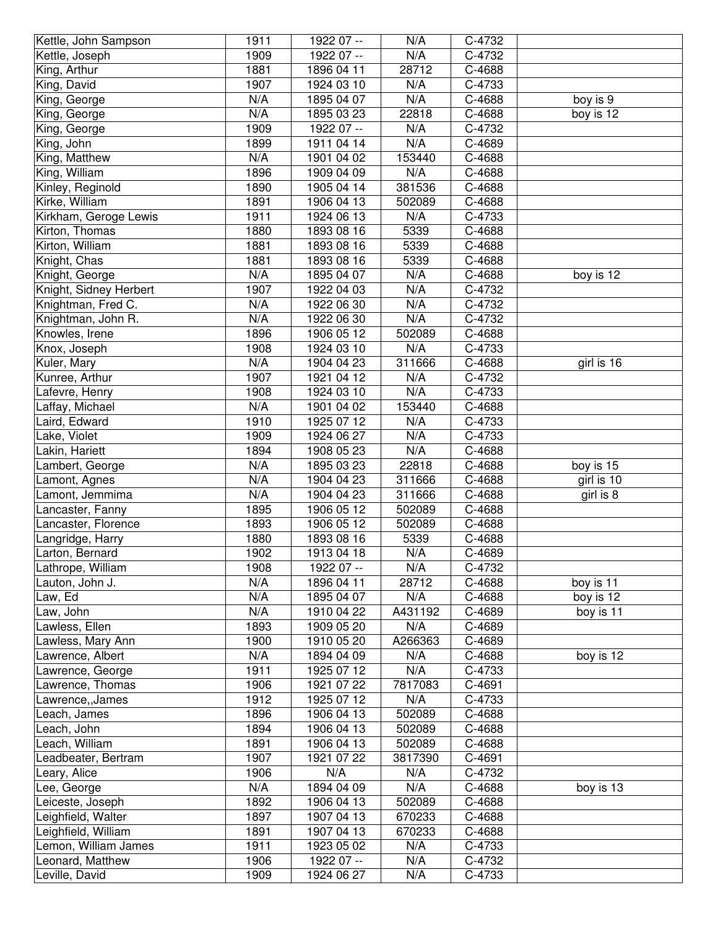| Kettle, John Sampson   | 1911         | 1922 07 -- | N/A        | C-4732 |            |
|------------------------|--------------|------------|------------|--------|------------|
| Kettle, Joseph         | 1909         | 1922 07 -- | N/A        | C-4732 |            |
| King, Arthur           | 1881         | 1896 04 11 | 28712      | C-4688 |            |
| King, David            | 1907         | 1924 03 10 | N/A        | C-4733 |            |
| King, George           | N/A          | 1895 04 07 | N/A        | C-4688 | boy is 9   |
| King, George           | N/A          | 1895 03 23 | 22818      | C-4688 | boy is 12  |
| King, George           | 1909         | 1922 07 -- | N/A        | C-4732 |            |
| King, John             | 1899         | 1911 04 14 | N/A        | C-4689 |            |
| King, Matthew          | N/A          | 1901 04 02 | 153440     | C-4688 |            |
| King, William          | 1896         | 1909 04 09 | N/A        | C-4688 |            |
|                        | 1890         | 1905 04 14 | 381536     | C-4688 |            |
| Kinley, Reginold       | 1891         |            |            |        |            |
| Kirke, William         |              | 1906 04 13 | 502089     | C-4688 |            |
| Kirkham, Geroge Lewis  | 1911         | 1924 06 13 | N/A        | C-4733 |            |
| Kirton, Thomas         | 1880         | 1893 08 16 | 5339       | C-4688 |            |
| Kirton, William        | 1881         | 1893 08 16 | 5339       | C-4688 |            |
| Knight, Chas           | 1881         | 1893 08 16 | 5339       | C-4688 |            |
| Knight, George         | N/A          | 1895 04 07 | N/A        | C-4688 | boy is 12  |
| Knight, Sidney Herbert | 1907         | 1922 04 03 | N/A        | C-4732 |            |
| Knightman, Fred C.     | N/A          | 1922 06 30 | N/A        | C-4732 |            |
| Knightman, John R.     | N/A          | 1922 06 30 | N/A        | C-4732 |            |
| Knowles, Irene         | 1896         | 1906 05 12 | 502089     | C-4688 |            |
| Knox, Joseph           | 1908         | 1924 03 10 | N/A        | C-4733 |            |
| Kuler, Mary            | N/A          | 1904 04 23 | 311666     | C-4688 | girl is 16 |
| Kunree, Arthur         | 1907         | 1921 04 12 | N/A        | C-4732 |            |
| Lafevre, Henry         | 1908         | 1924 03 10 | N/A        | C-4733 |            |
| Laffay, Michael        | N/A          | 1901 04 02 | 153440     | C-4688 |            |
| Laird, Edward          | 1910         | 1925 07 12 | N/A        | C-4733 |            |
| Lake, Violet           | 1909         | 1924 06 27 | N/A        | C-4733 |            |
| Lakin, Hariett         | 1894         | 1908 05 23 | N/A        | C-4688 |            |
| Lambert, George        | N/A          | 1895 03 23 | 22818      | C-4688 | boy is 15  |
| Lamont, Agnes          | N/A          | 1904 04 23 | 311666     | C-4688 | girl is 10 |
| Lamont, Jemmima        | N/A          | 1904 04 23 | 311666     | C-4688 | girl is 8  |
| Lancaster, Fanny       | 1895         | 1906 05 12 | 502089     | C-4688 |            |
| Lancaster, Florence    | 1893         | 1906 05 12 | 502089     | C-4688 |            |
| Langridge, Harry       | 1880         | 1893 08 16 | 5339       | C-4688 |            |
| Larton, Bernard        | 1902         | 1913 04 18 | N/A        | C-4689 |            |
| Lathrope, William      | 1908         | 1922 07 -- | N/A        | C-4732 |            |
| Lauton, John J.        | N/A          | 1896 04 11 | 28712      | C-4688 | boy is 11  |
| Law, Ed                | N/A          | 1895 04 07 | N/A        | C-4688 | boy is 12  |
| Law, John              | N/A          | 1910 04 22 | A431192    | C-4689 | boy is 11  |
| Lawless, Ellen         | 1893         | 1909 05 20 | N/A        | C-4689 |            |
| Lawless, Mary Ann      | 1900         | 1910 05 20 | A266363    | C-4689 |            |
| Lawrence, Albert       | N/A          | 1894 04 09 | N/A        | C-4688 | boy is 12  |
| Lawrence, George       | 1911         | 1925 07 12 | N/A        | C-4733 |            |
| Lawrence, Thomas       | 1906         | 1921 07 22 | 7817083    | C-4691 |            |
| Lawrence,, James       | 1912         | 1925 07 12 | N/A        | C-4733 |            |
| Leach, James           | 1896         | 1906 04 13 | 502089     | C-4688 |            |
| Leach, John            | 1894         | 1906 04 13 | 502089     | C-4688 |            |
| Leach, William         | 1891         | 1906 04 13 | 502089     | C-4688 |            |
| Leadbeater, Bertram    | 1907         | 1921 07 22 | 3817390    | C-4691 |            |
| Leary, Alice           | 1906         | N/A        | N/A        | C-4732 |            |
| Lee, George            | N/A          | 1894 04 09 | N/A        | C-4688 | boy is 13  |
| Leiceste, Joseph       | 1892         | 1906 04 13 | 502089     | C-4688 |            |
| Leighfield, Walter     | 1897         | 1907 04 13 | 670233     | C-4688 |            |
|                        | 1891         | 1907 04 13 | 670233     |        |            |
| Leighfield, William    |              |            |            | C-4688 |            |
| Lemon, William James   | 1911         | 1923 05 02 | N/A        | C-4733 |            |
| Leonard, Matthew       | 1906<br>1909 | 1922 07 -- | N/A<br>N/A | C-4732 |            |
| Leville, David         |              | 1924 06 27 |            | C-4733 |            |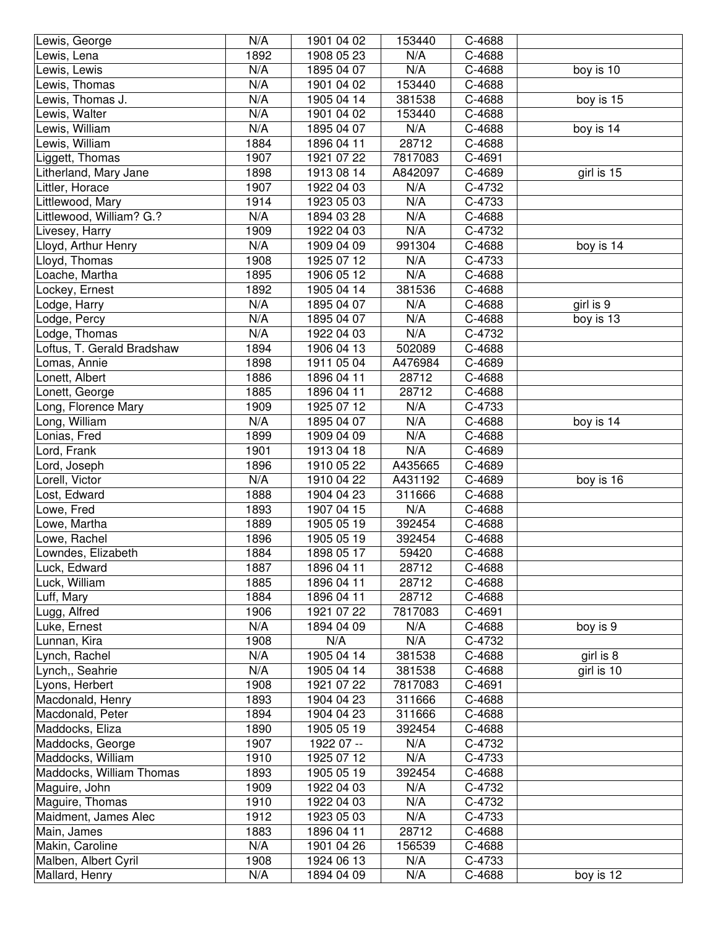| Lewis, George              | N/A  | 1901 04 02 | 153440  | C-4688               |            |
|----------------------------|------|------------|---------|----------------------|------------|
| Lewis, Lena                | 1892 | 1908 05 23 | N/A     | C-4688               |            |
| Lewis, Lewis               | N/A  | 1895 04 07 | N/A     | C-4688               | boy is 10  |
| Lewis, Thomas              | N/A  | 1901 04 02 | 153440  | C-4688               |            |
| Lewis, Thomas J.           | N/A  | 1905 04 14 | 381538  | C-4688               | boy is 15  |
| Lewis, Walter              | N/A  | 1901 04 02 | 153440  | C-4688               |            |
| Lewis, William             | N/A  | 1895 04 07 | N/A     | C-4688               | boy is 14  |
| Lewis, William             | 1884 | 1896 04 11 | 28712   | C-4688               |            |
| Liggett, Thomas            | 1907 | 1921 07 22 | 7817083 | C-4691               |            |
| Litherland, Mary Jane      | 1898 | 1913 08 14 | A842097 | C-4689               | girl is 15 |
| Littler, Horace            | 1907 | 1922 04 03 | N/A     | C-4732               |            |
| Littlewood, Mary           | 1914 | 1923 05 03 | N/A     | C-4733               |            |
|                            | N/A  |            | N/A     |                      |            |
| Littlewood, William? G.?   |      | 1894 03 28 |         | C-4688               |            |
| Livesey, Harry             | 1909 | 1922 04 03 | N/A     | C-4732               |            |
| Lloyd, Arthur Henry        | N/A  | 1909 04 09 | 991304  | C-4688               | boy is 14  |
| Lloyd, Thomas              | 1908 | 1925 07 12 | N/A     | C-4733               |            |
| Loache, Martha             | 1895 | 1906 05 12 | N/A     | C-4688               |            |
| Lockey, Ernest             | 1892 | 1905 04 14 | 381536  | C-4688               |            |
| Lodge, Harry               | N/A  | 1895 04 07 | N/A     | C-4688               | girl is 9  |
| Lodge, Percy               | N/A  | 1895 04 07 | N/A     | C-4688               | boy is 13  |
| Lodge, Thomas              | N/A  | 1922 04 03 | N/A     | C-4732               |            |
| Loftus, T. Gerald Bradshaw | 1894 | 1906 04 13 | 502089  | C-4688               |            |
| Lomas, Annie               | 1898 | 1911 05 04 | A476984 | C-4689               |            |
| Lonett, Albert             | 1886 | 1896 04 11 | 28712   | C-4688               |            |
| Lonett, George             | 1885 | 1896 04 11 | 28712   | C-4688               |            |
| Long, Florence Mary        | 1909 | 1925 07 12 | N/A     | C-4733               |            |
| Long, William              | N/A  | 1895 04 07 | N/A     | C-4688               | boy is 14  |
| Lonias, Fred               | 1899 | 1909 04 09 | N/A     | C-4688               |            |
| Lord, Frank                | 1901 | 1913 04 18 | N/A     | C-4689               |            |
| Lord, Joseph               | 1896 | 1910 05 22 | A435665 | C-4689               |            |
| Lorell, Victor             | N/A  | 1910 04 22 | A431192 | C-4689               | boy is 16  |
| Lost, Edward               | 1888 | 1904 04 23 | 311666  | C-4688               |            |
| Lowe, Fred                 | 1893 | 1907 04 15 | N/A     | C-4688               |            |
| Lowe, Martha               | 1889 | 1905 05 19 | 392454  | C-4688               |            |
| Lowe, Rachel               | 1896 | 1905 05 19 | 392454  | C-4688               |            |
| Lowndes, Elizabeth         | 1884 | 1898 05 17 | 59420   | $\overline{C}$ -4688 |            |
| Luck, Edward               | 1887 | 1896 04 11 | 28712   | C-4688               |            |
| Luck, William              | 1885 | 1896 04 11 | 28712   | C-4688               |            |
| Luff, Mary                 | 1884 | 1896 04 11 | 28712   | C-4688               |            |
| Lugg, Alfred               | 1906 | 1921 07 22 | 7817083 | C-4691               |            |
| Luke, Ernest               | N/A  | 1894 04 09 | N/A     | C-4688               | boy is 9   |
| Lunnan, Kira               | 1908 | N/A        | N/A     | C-4732               |            |
| Lynch, Rachel              | N/A  | 1905 04 14 | 381538  | C-4688               | girl is 8  |
| Lynch,, Seahrie            | N/A  | 1905 04 14 | 381538  | C-4688               | girl is 10 |
| Lyons, Herbert             | 1908 | 1921 07 22 | 7817083 | C-4691               |            |
| Macdonald, Henry           | 1893 | 1904 04 23 | 311666  | C-4688               |            |
| Macdonald, Peter           | 1894 | 1904 04 23 | 311666  | C-4688               |            |
| Maddocks, Eliza            | 1890 | 1905 05 19 | 392454  | C-4688               |            |
| Maddocks, George           | 1907 | 1922 07 -- | N/A     | C-4732               |            |
| Maddocks, William          | 1910 | 1925 07 12 | N/A     | C-4733               |            |
| Maddocks, William Thomas   | 1893 | 1905 05 19 | 392454  | C-4688               |            |
| Maguire, John              | 1909 | 1922 04 03 | N/A     | C-4732               |            |
| Maguire, Thomas            | 1910 | 1922 04 03 | N/A     | C-4732               |            |
| Maidment, James Alec       | 1912 | 1923 05 03 | N/A     | C-4733               |            |
| Main, James                | 1883 | 1896 04 11 | 28712   | C-4688               |            |
| Makin, Caroline            | N/A  | 1901 04 26 | 156539  | C-4688               |            |
| Malben, Albert Cyril       | 1908 | 1924 06 13 | N/A     | C-4733               |            |
| Mallard, Henry             | N/A  | 1894 04 09 | N/A     | C-4688               | boy is 12  |
|                            |      |            |         |                      |            |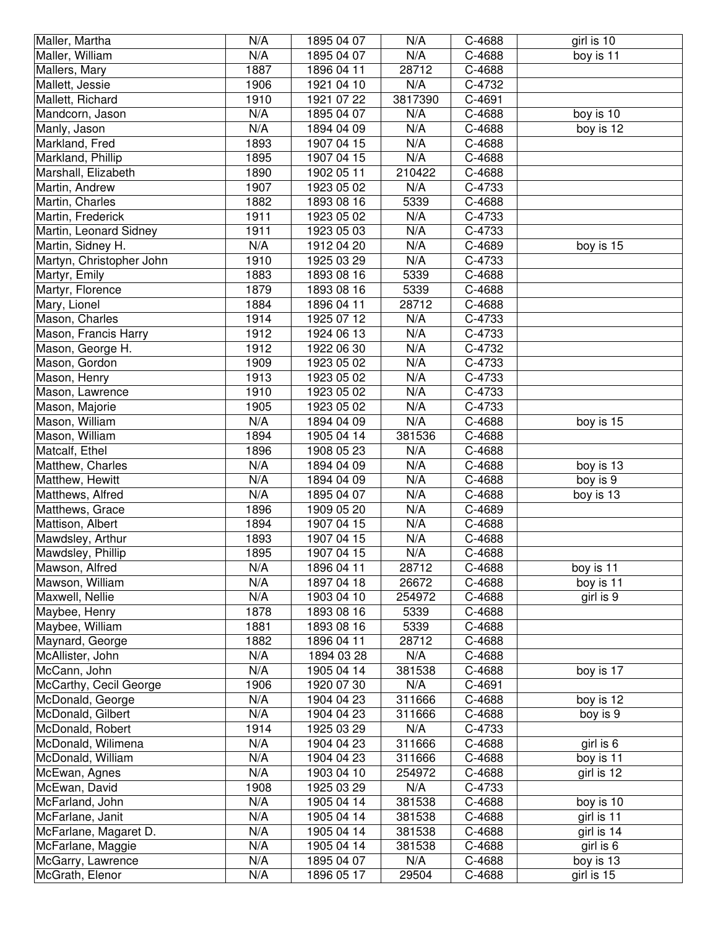| Maller, Martha                       | N/A        | 1895 04 07               | N/A          | C-4688           | girl is 10              |
|--------------------------------------|------------|--------------------------|--------------|------------------|-------------------------|
| Maller, William                      | N/A        | 1895 04 07               | N/A          | C-4688           | boy is 11               |
| Mallers, Mary                        | 1887       | 1896 04 11               | 28712        | C-4688           |                         |
| Mallett, Jessie                      | 1906       | 1921 04 10               | N/A          | C-4732           |                         |
| Mallett, Richard                     | 1910       | 1921 07 22               | 3817390      | C-4691           |                         |
| Mandcorn, Jason                      | N/A        | 1895 04 07               | N/A          | C-4688           | boy is 10               |
| Manly, Jason                         | N/A        | 1894 04 09               | N/A          | C-4688           | boy is 12               |
| Markland, Fred                       | 1893       | 1907 04 15               | N/A          | C-4688           |                         |
| Markland, Phillip                    | 1895       | 1907 04 15               | N/A          | C-4688           |                         |
| Marshall, Elizabeth                  | 1890       | 1902 05 11               | 210422       | C-4688           |                         |
| Martin, Andrew                       | 1907       | 1923 05 02               | N/A          | C-4733           |                         |
| Martin, Charles                      | 1882       | 1893 08 16               | 5339         | C-4688           |                         |
| Martin, Frederick                    | 1911       | 1923 05 02               | N/A          | C-4733           |                         |
| Martin, Leonard Sidney               | 1911       | 1923 05 03               | N/A          | C-4733           |                         |
| Martin, Sidney H.                    | N/A        | 1912 04 20               | N/A          | C-4689           | boy is 15               |
| Martyn, Christopher John             | 1910       | 1925 03 29               | N/A          | C-4733           |                         |
| Martyr, Emily                        | 1883       | 1893 08 16               | 5339         | C-4688           |                         |
| Martyr, Florence                     | 1879       | 1893 08 16               | 5339         | C-4688           |                         |
| Mary, Lionel                         | 1884       | 1896 04 11               | 28712        | C-4688           |                         |
| Mason, Charles                       | 1914       | 1925 07 12               | N/A          | C-4733           |                         |
| Mason, Francis Harry                 | 1912       | 1924 06 13               | N/A          | C-4733           |                         |
| Mason, George H.                     | 1912       | 1922 06 30               | N/A          | C-4732           |                         |
| Mason, Gordon                        | 1909       | 1923 05 02               | N/A          | C-4733           |                         |
| Mason, Henry                         | 1913       | 1923 05 02               | N/A          | C-4733           |                         |
| Mason, Lawrence                      | 1910       | 1923 05 02               | N/A          | C-4733           |                         |
| Mason, Majorie                       | 1905       | 1923 05 02               | N/A          | C-4733           |                         |
| Mason, William                       | N/A        | 1894 04 09               | N/A          | C-4688           | boy is 15               |
| Mason, William                       | 1894       | 1905 04 14               | 381536       | C-4688           |                         |
| Matcalf, Ethel                       | 1896       | 1908 05 23               | N/A          | C-4688           |                         |
|                                      |            |                          |              |                  |                         |
| Matthew, Charles                     | N/A        | 1894 04 09               | N/A          | C-4688           | boy is 13               |
| Matthew, Hewitt                      | N/A        | 1894 04 09               | N/A          | C-4688           | boy is 9                |
| Matthews, Alfred                     | N/A        | 1895 04 07               | N/A          | C-4688           | boy is 13               |
| Matthews, Grace                      | 1896       | 1909 05 20               | N/A          | C-4689           |                         |
| Mattison, Albert                     | 1894       | 1907 04 15               | N/A          | C-4688           |                         |
| Mawdsley, Arthur                     | 1893       | 1907 04 15               | N/A          | C-4688           |                         |
| Mawdsley, Phillip                    | 1895       | 1907 04 15               | N/A          | C-4688           |                         |
| Mawson, Alfred                       | N/A        | 1896 04 11               | 28712        | C-4688           | boy is 11               |
| Mawson, William                      | N/A        | 1897 04 18               | 26672        | C-4688           | boy is 11               |
| Maxwell, Nellie                      | N/A        | 1903 04 10               | 254972       | C-4688           | girl is 9               |
| Maybee, Henry                        | 1878       | 1893 08 16               | 5339         | C-4688           |                         |
| Maybee, William                      | 1881       | 1893 08 16               | 5339         | C-4688           |                         |
| Maynard, George                      | 1882       | 1896 04 11               | 28712        | C-4688           |                         |
| McAllister, John                     | N/A        | 1894 03 28               | N/A          | C-4688           |                         |
| McCann, John                         | N/A        | 1905 04 14               | 381538       | C-4688           | boy is 17               |
| McCarthy, Cecil George               | 1906       | 1920 07 30               | N/A          | C-4691           |                         |
| McDonald, George                     | N/A        | 1904 04 23               | 311666       | C-4688           | boy is 12               |
| McDonald, Gilbert                    | N/A        | 1904 04 23               | 311666       | C-4688           | boy is 9                |
| McDonald, Robert                     | 1914       | 1925 03 29               | N/A          | C-4733           |                         |
| McDonald, Wilimena                   | N/A        | 1904 04 23               | 311666       | C-4688           | girl is 6               |
| McDonald, William                    | N/A        | 1904 04 23               | 311666       | C-4688           | boy is 11               |
| McEwan, Agnes                        | N/A        | 1903 04 10               | 254972       | C-4688           | girl is 12              |
| McEwan, David                        | 1908       | 1925 03 29               | N/A          | C-4733           |                         |
| McFarland, John                      | N/A        | 1905 04 14               | 381538       | C-4688           | boy is 10               |
| McFarlane, Janit                     | N/A        | 1905 04 14               | 381538       | C-4688           | girl is 11              |
| McFarlane, Magaret D.                | N/A        | 1905 04 14               | 381538       | C-4688           | girl is 14              |
| McFarlane, Maggie                    | N/A        | 1905 04 14               | 381538       | C-4688           | girl is 6               |
| McGarry, Lawrence<br>McGrath, Elenor | N/A<br>N/A | 1895 04 07<br>1896 05 17 | N/A<br>29504 | C-4688<br>C-4688 | boy is 13<br>girl is 15 |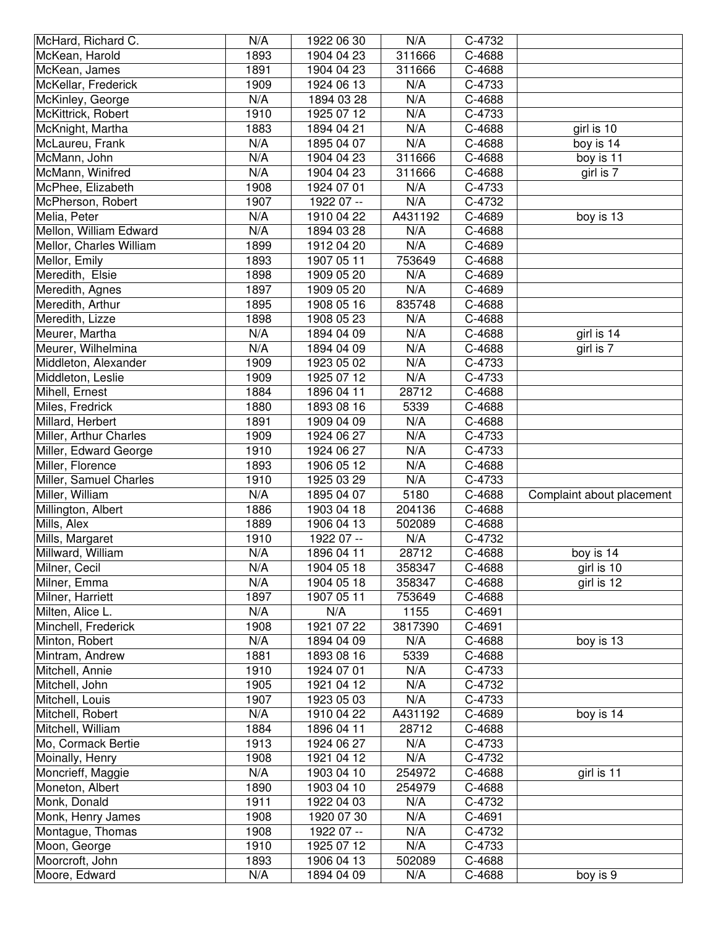| McHard, Richard C.               | N/A         | 1922 06 30               | N/A           | C-4732               |                           |
|----------------------------------|-------------|--------------------------|---------------|----------------------|---------------------------|
| McKean, Harold                   | 1893        | 1904 04 23               | 311666        | C-4688               |                           |
| McKean, James                    | 1891        | 1904 04 23               | 311666        | C-4688               |                           |
| McKellar, Frederick              | 1909        | 1924 06 13               | N/A           | C-4733               |                           |
| McKinley, George                 | N/A         | 1894 03 28               | N/A           | C-4688               |                           |
| McKittrick, Robert               | 1910        | 1925 07 12               | N/A           | C-4733               |                           |
| McKnight, Martha                 | 1883        | 1894 04 21               | N/A           | C-4688               | girl is 10                |
| McLaureu, Frank                  | N/A         | 1895 04 07               | N/A           | C-4688               | boy is 14                 |
| McMann, John                     | N/A         | 1904 04 23               | 311666        | C-4688               | $\overline{boy}$ is 11    |
| McMann, Winifred                 | N/A         | 1904 04 23               | 311666        | C-4688               | girl is 7                 |
| McPhee, Elizabeth                | 1908        | 1924 07 01               | N/A           | C-4733               |                           |
| McPherson, Robert                | 1907        | 1922 07 --               | N/A           | C-4732               |                           |
| Melia, Peter                     | N/A         | 1910 04 22               | A431192       | C-4689               | boy is 13                 |
| Mellon, William Edward           | N/A         | 1894 03 28               | N/A           | C-4688               |                           |
| Mellor, Charles William          | 1899        | 1912 04 20               | N/A           | C-4689               |                           |
| Mellor, Emily                    | 1893        | 1907 05 11               | 753649        | C-4688               |                           |
| Meredith, Elsie                  | 1898        | 1909 05 20               | N/A           | C-4689               |                           |
| Meredith, Agnes                  | 1897        | 1909 05 20               | N/A           | C-4689               |                           |
| Meredith, Arthur                 | 1895        | 1908 05 16               | 835748        | C-4688               |                           |
| Meredith, Lizze                  | 1898        |                          | N/A           |                      |                           |
|                                  | N/A         | 1908 05 23               | N/A           | C-4688               |                           |
| Meurer, Martha                   |             | 1894 04 09               |               | C-4688               | girl is 14                |
| Meurer, Wilhelmina               | N/A         | 1894 04 09               | N/A           | C-4688               | girl is 7                 |
| Middleton, Alexander             | 1909        | 1923 05 02               | N/A           | C-4733               |                           |
| Middleton, Leslie                | 1909        | 1925 07 12               | N/A           | C-4733               |                           |
| Mihell, Ernest                   | 1884        | 1896 04 11               | 28712         | C-4688               |                           |
| Miles, Fredrick                  | 1880        | 1893 08 16               | 5339          | C-4688               |                           |
| Millard, Herbert                 | 1891        | 1909 04 09               | N/A           | C-4688               |                           |
| Miller, Arthur Charles           | 1909        | 1924 06 27               | N/A           | C-4733               |                           |
| Miller, Edward George            | 1910        | 1924 06 27               | N/A           | C-4733               |                           |
| Miller, Florence                 | 1893        | 1906 05 12               | N/A           | C-4688               |                           |
| Miller, Samuel Charles           | 1910        | 1925 03 29               | N/A           | C-4733               |                           |
| Miller, William                  | N/A         | 1895 04 07               | 5180          | C-4688               | Complaint about placement |
| Millington, Albert               | 1886        | 1903 04 18               | 204136        | C-4688               |                           |
| Mills, Alex                      | 1889        | 1906 04 13               | 502089        | C-4688               |                           |
| Mills, Margaret                  | 1910        | 1922 07 --               | N/A           | C-4732               |                           |
| Millward, William                | N/A         | 1896 04 11               | 28712         | $\overline{C}$ -4688 | boy is 14                 |
| Milner, Cecil                    | N/A         | 1904 05 18               | 358347        | C-4688               | girl is 10                |
| Milner, Emma                     | N/A         | 1904 05 18               | 358347        | C-4688               | girl is 12                |
| Milner, Harriett                 | 1897        | 1907 05 11               | 753649        | C-4688               |                           |
| Milten, Alice L.                 | N/A         | N/A                      | 1155          | C-4691               |                           |
| Minchell, Frederick              | 1908        | 1921 07 22               | 3817390       | C-4691               |                           |
| Minton, Robert                   | N/A         | 1894 04 09               | N/A           | C-4688               | boy is 13                 |
| Mintram, Andrew                  | 1881        | 1893 08 16               | 5339          | C-4688               |                           |
| Mitchell, Annie                  | 1910        | 1924 07 01               | N/A           | C-4733               |                           |
| Mitchell, John                   | 1905        | 1921 04 12               | N/A           | C-4732               |                           |
| Mitchell, Louis                  | 1907        | 1923 05 03               | N/A           | C-4733               |                           |
| Mitchell, Robert                 | N/A         | 1910 04 22               | A431192       | C-4689               | boy is 14                 |
| Mitchell, William                | 1884        | 1896 04 11               | 28712         | C-4688               |                           |
| Mo, Cormack Bertie               | 1913        | 1924 06 27               | N/A           | C-4733               |                           |
| Moinally, Henry                  | 1908        | 1921 04 12               | N/A           | C-4732               |                           |
| Moncrieff, Maggie                | N/A         | 1903 04 10               | 254972        | C-4688               | girl is 11                |
| Moneton, Albert                  | 1890        | 1903 04 10               | 254979        | C-4688               |                           |
| Monk, Donald                     | 1911        | 1922 04 03               | N/A           | C-4732               |                           |
| Monk, Henry James                | 1908        | 1920 07 30               | N/A           | C-4691               |                           |
| Montague, Thomas                 | 1908        | 1922 07 --               | N/A           | C-4732               |                           |
| Moon, George                     | 1910        | 1925 07 12               | N/A           | C-4733               |                           |
|                                  |             |                          |               |                      |                           |
|                                  |             |                          |               |                      |                           |
| Moorcroft, John<br>Moore, Edward | 1893<br>N/A | 1906 04 13<br>1894 04 09 | 502089<br>N/A | C-4688<br>C-4688     | boy is 9                  |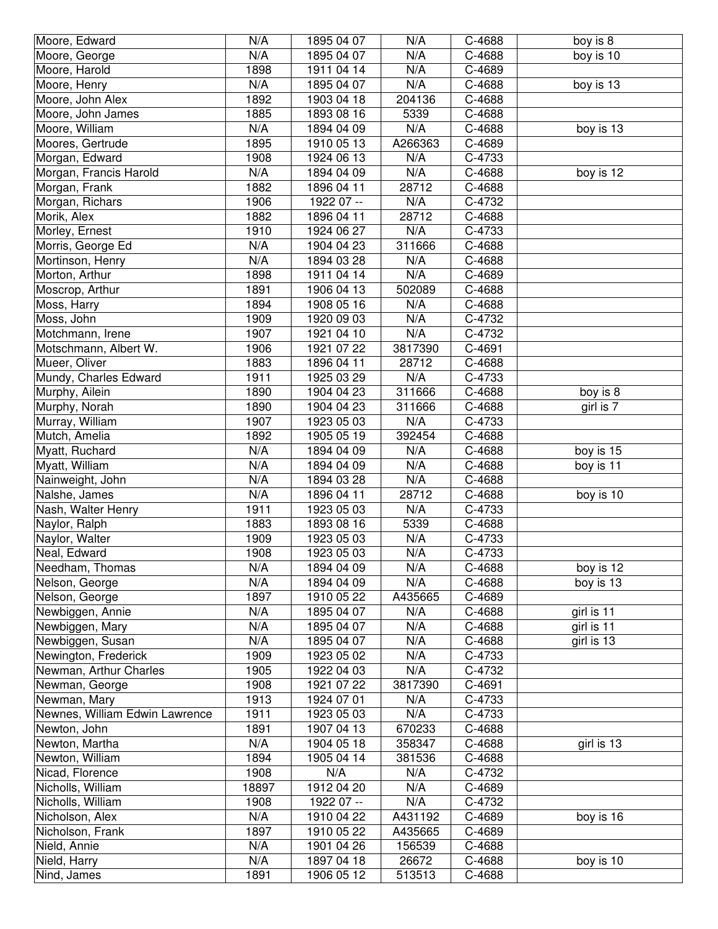| Moore, Edward                  | N/A         | 1895 04 07               | N/A             | C-4688           | boy is 8   |
|--------------------------------|-------------|--------------------------|-----------------|------------------|------------|
| Moore, George                  | N/A         | 1895 04 07               | N/A             | C-4688           | boy is 10  |
| Moore, Harold                  | 1898        | 1911 04 14               | N/A             | C-4689           |            |
| Moore, Henry                   | N/A         | 1895 04 07               | N/A             | C-4688           | boy is 13  |
| Moore, John Alex               | 1892        | 1903 04 18               | 204136          | C-4688           |            |
| Moore, John James              | 1885        | 1893 08 16               | 5339            | C-4688           |            |
| Moore, William                 | N/A         | 1894 04 09               | N/A             | C-4688           | boy is 13  |
| Moores, Gertrude               | 1895        | 1910 05 13               | A266363         | C-4689           |            |
| Morgan, Edward                 | 1908        | 1924 06 13               | N/A             | C-4733           |            |
| Morgan, Francis Harold         | N/A         | 1894 04 09               | N/A             | C-4688           | boy is 12  |
| Morgan, Frank                  | 1882        | 1896 04 11               | 28712           | C-4688           |            |
| Morgan, Richars                | 1906        | 1922 07 --               | N/A             | C-4732           |            |
| Morik, Alex                    | 1882        | 1896 04 11               | 28712           | C-4688           |            |
| Morley, Ernest                 | 1910        | 1924 06 27               | N/A             | C-4733           |            |
| Morris, George Ed              | N/A         | 1904 04 23               | 311666          | C-4688           |            |
| Mortinson, Henry               | N/A         | 1894 03 28               | N/A             | C-4688           |            |
| Morton, Arthur                 | 1898        | 1911 04 14               | N/A             | C-4689           |            |
| Moscrop, Arthur                | 1891        | 1906 04 13               | 502089          | C-4688           |            |
| Moss, Harry                    | 1894        | 1908 05 16               | N/A             | C-4688           |            |
| Moss, John                     | 1909        | 1920 09 03               | N/A             | C-4732           |            |
| Motchmann, Irene               | 1907        | 1921 04 10               | N/A             | C-4732           |            |
| Motschmann, Albert W.          | 1906        | 1921 07 22               | 3817390         | C-4691           |            |
| Mueer, Oliver                  | 1883        | 1896 04 11               | 28712           | C-4688           |            |
| Mundy, Charles Edward          | 1911        | 1925 03 29               | N/A             | C-4733           |            |
| Murphy, Ailein                 | 1890        | 1904 04 23               | 311666          | C-4688           | boy is 8   |
| Murphy, Norah                  | 1890        | 1904 04 23               | 311666          | C-4688           | girl is 7  |
| Murray, William                | 1907        | 1923 05 03               | N/A             | C-4733           |            |
| Mutch, Amelia                  | 1892        | 1905 05 19               | 392454          | C-4688           |            |
| Myatt, Ruchard                 | N/A         | 1894 04 09               | N/A             | C-4688           | boy is 15  |
| Myatt, William                 | N/A         | 1894 04 09               | N/A             | C-4688           | boy is 11  |
| Nainweight, John               | N/A         | 1894 03 28               | N/A             | C-4688           |            |
| Nalshe, James                  | N/A         | 1896 04 11               | 28712           | C-4688           | boy is 10  |
| Nash, Walter Henry             | 1911        | 1923 05 03               | N/A             | C-4733           |            |
| Naylor, Ralph                  | 1883        | 1893 08 16               | 5339            | C-4688           |            |
|                                |             |                          |                 |                  |            |
| Naylor, Walter                 | 1909        | 1923 05 03               | N/A             | C-4733           |            |
| Neal, Edward                   | 1908        | 1923 05 03               | N/A             | C-4733           |            |
| Needham, Thomas                | N/A         | 1894 04 09               | N/A             | C-4688           | boy is 12  |
| Nelson, George                 | N/A         | 1894 04 09               | N/A             | C-4688           | boy is 13  |
| Nelson, George                 | 1897        | 1910 05 22               | A435665         | C-4689           |            |
| Newbiggen, Annie               | N/A         | 1895 04 07               | N/A             | C-4688           | girl is 11 |
| Newbiggen, Mary                | N/A         | 1895 04 07               | N/A             | C-4688           | girl is 11 |
| Newbiggen, Susan               | N/A         | 1895 04 07               | N/A             | C-4688           | girl is 13 |
| Newington, Frederick           | 1909        | 1923 05 02               | N/A             | C-4733           |            |
| Newman, Arthur Charles         | 1905        | 1922 04 03               | N/A             | C-4732           |            |
| Newman, George                 | 1908        | 1921 07 22               | 3817390         | C-4691           |            |
| Newman, Mary                   | 1913        | 1924 07 01               | N/A             | C-4733           |            |
| Newnes, William Edwin Lawrence | 1911        | 1923 05 03               | N/A             | C-4733           |            |
| Newton, John                   | 1891        | 1907 04 13               | 670233          | C-4688           |            |
| Newton, Martha                 | N/A         | 1904 05 18               | 358347          | C-4688           | girl is 13 |
| Newton, William                | 1894        | 1905 04 14               | 381536          | C-4688           |            |
| Nicad, Florence                | 1908        | N/A                      | N/A             | C-4732           |            |
| Nicholls, William              | 18897       | 1912 04 20               | N/A             | C-4689           |            |
| Nicholls, William              | 1908        | 1922 07 --               | N/A             | C-4732           |            |
| Nicholson, Alex                | N/A         | 1910 04 22               | A431192         | C-4689           | boy is 16  |
| Nicholson, Frank               | 1897        | 1910 05 22               | A435665         | C-4689           |            |
| Nield, Annie                   | N/A         | 1901 04 26               | 156539          | C-4688           |            |
| Nield, Harry<br>Nind, James    | N/A<br>1891 | 1897 04 18<br>1906 05 12 | 26672<br>513513 | C-4688<br>C-4688 | boy is 10  |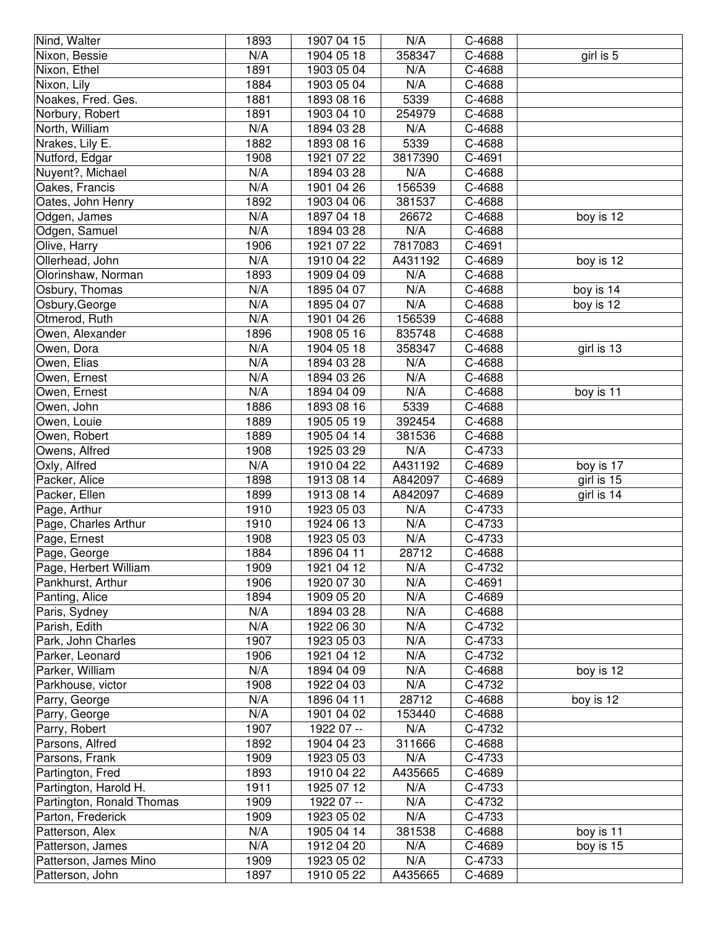| Nind, Walter                               | 1893         | 1907 04 15               | N/A            | $C-4688$         |            |
|--------------------------------------------|--------------|--------------------------|----------------|------------------|------------|
| Nixon, Bessie                              | N/A          | 1904 05 18               | 358347         | C-4688           | girl is 5  |
| Nixon, Ethel                               | 1891         | 1903 05 04               | N/A            | C-4688           |            |
| Nixon, Lily                                | 1884         | 1903 05 04               | N/A            | C-4688           |            |
| Noakes, Fred. Ges.                         | 1881         | 1893 08 16               | 5339           | C-4688           |            |
| Norbury, Robert                            | 1891         | 1903 04 10               | 254979         | C-4688           |            |
| North, William                             | N/A          | 1894 03 28               | N/A            | C-4688           |            |
| Nrakes, Lily E.                            | 1882         | 1893 08 16               | 5339           | C-4688           |            |
| Nutford, Edgar                             | 1908         | 1921 07 22               | 3817390        | C-4691           |            |
| Nuyent?, Michael                           | N/A          | 1894 03 28               | N/A            | C-4688           |            |
| Oakes, Francis                             | N/A          | 1901 04 26               | 156539         | C-4688           |            |
| Oates, John Henry                          | 1892         | 1903 04 06               | 381537         | C-4688           |            |
| Odgen, James                               | N/A          | 1897 04 18               | 26672          | C-4688           | boy is 12  |
| Odgen, Samuel                              | N/A          | 1894 03 28               | N/A            | C-4688           |            |
| Olive, Harry                               | 1906         | 1921 07 22               | 7817083        | C-4691           |            |
| Ollerhead, John                            | N/A          | 1910 04 22               | A431192        | C-4689           | boy is 12  |
| Olorinshaw, Norman                         | 1893         | 1909 04 09               | N/A            | C-4688           |            |
| Osbury, Thomas                             | N/A          | 1895 04 07               | N/A            | C-4688           | boy is 14  |
| Osbury, George                             | N/A          | 1895 04 07               | N/A            | C-4688           | boy is 12  |
| Otmerod, Ruth                              | N/A          | 1901 04 26               | 156539         | C-4688           |            |
| Owen, Alexander                            | 1896         | 1908 05 16               | 835748         | C-4688           |            |
| Owen, Dora                                 | N/A          | 1904 05 18               | 358347         | C-4688           | girl is 13 |
| Owen, Elias                                | N/A          | 1894 03 28               | N/A            | C-4688           |            |
| Owen, Ernest                               | N/A          | 1894 03 26               | N/A            | C-4688           |            |
| Owen, Ernest                               | N/A          | 1894 04 09               | N/A            | C-4688           | boy is 11  |
| Owen, John                                 | 1886         | 1893 08 16               | 5339           | C-4688           |            |
| Owen, Louie                                | 1889         | 1905 05 19               | 392454         | C-4688           |            |
| Owen, Robert                               | 1889         | 1905 04 14               | 381536         | C-4688           |            |
| Owens, Alfred                              | 1908         | 1925 03 29               | N/A            | C-4733           |            |
|                                            |              |                          |                |                  |            |
|                                            |              |                          |                |                  |            |
| Oxly, Alfred                               | N/A          | 1910 04 22               | A431192        | C-4689           | boy is 17  |
| Packer, Alice                              | 1898         | 1913 08 14               | A842097        | C-4689           | girl is 15 |
| Packer, Ellen                              | 1899<br>1910 | 1913 08 14<br>1923 05 03 | A842097<br>N/A | C-4689<br>C-4733 | girl is 14 |
| Page, Arthur                               |              | 1924 06 13               |                |                  |            |
| Page, Charles Arthur                       | 1910         |                          | N/A            | C-4733           |            |
| Page, Ernest<br>Page, George               | 1908<br>1884 | 1923 05 03<br>1896 04 11 | N/A<br>28712   | C-4733<br>C-4688 |            |
|                                            | 1909         | 1921 04 12               | N/A            | C-4732           |            |
| Page, Herbert William<br>Pankhurst, Arthur | 1906         | 1920 07 30               | N/A            | C-4691           |            |
|                                            | 1894         | 1909 05 20               | N/A            | C-4689           |            |
| Panting, Alice<br>Paris, Sydney            | N/A          | 1894 03 28               | N/A            | C-4688           |            |
| Parish, Edith                              | N/A          | 1922 06 30               | N/A            | C-4732           |            |
| Park, John Charles                         | 1907         | 1923 05 03               | N/A            | C-4733           |            |
| Parker, Leonard                            | 1906         | 1921 04 12               | N/A            | C-4732           |            |
| Parker, William                            | N/A          | 1894 04 09               | N/A            | C-4688           | boy is 12  |
|                                            | 1908         | 1922 04 03               | N/A            | C-4732           |            |
| Parkhouse, victor<br>Parry, George         | N/A          | 1896 04 11               | 28712          | C-4688           | boy is 12  |
| Parry, George                              | N/A          | 1901 04 02               | 153440         | C-4688           |            |
| Parry, Robert                              | 1907         | 1922 07 --               | N/A            | C-4732           |            |
| Parsons, Alfred                            | 1892         | 1904 04 23               | 311666         | C-4688           |            |
| Parsons, Frank                             | 1909         | 1923 05 03               | N/A            | C-4733           |            |
| Partington, Fred                           | 1893         | 1910 04 22               | A435665        | C-4689           |            |
| Partington, Harold H.                      | 1911         | 1925 07 12               | N/A            | C-4733           |            |
| Partington, Ronald Thomas                  | 1909         | 1922 07 --               | N/A            | C-4732           |            |
| Parton, Frederick                          | 1909         | 1923 05 02               | N/A            | C-4733           |            |
| Patterson, Alex                            | N/A          | 1905 04 14               | 381538         | C-4688           | boy is 11  |
| Patterson, James                           | N/A          | 1912 04 20               | N/A            | C-4689           | boy is 15  |
| Patterson, James Mino                      | 1909         | 1923 05 02               | N/A            | C-4733           |            |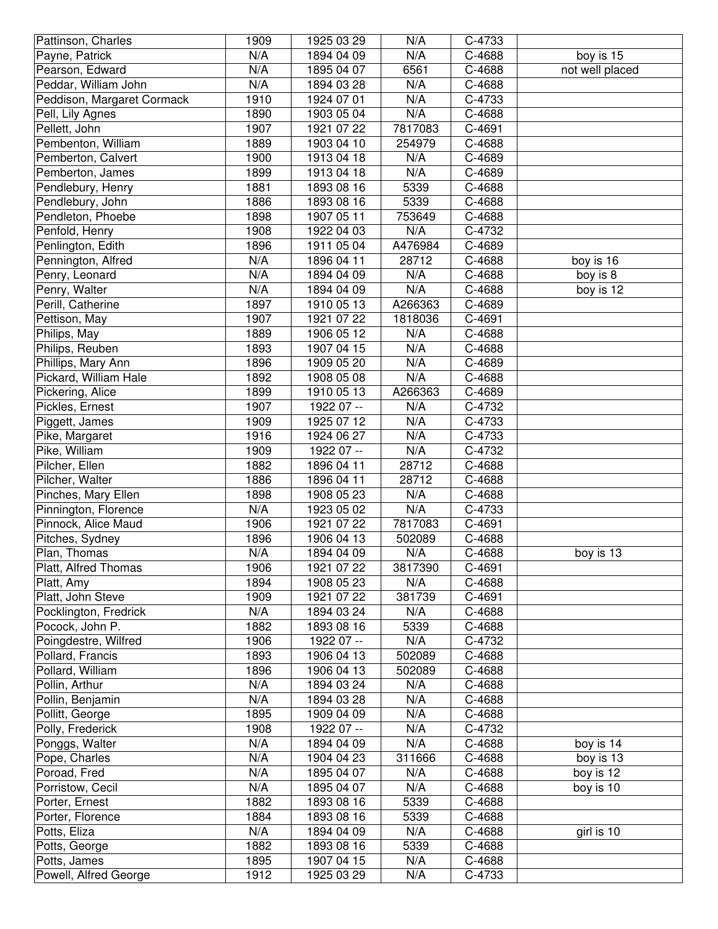| Pattinson, Charles                    | 1909         | 1925 03 29               | N/A        | C-4733           |                 |
|---------------------------------------|--------------|--------------------------|------------|------------------|-----------------|
| Payne, Patrick                        | N/A          | 1894 04 09               | N/A        | C-4688           | boy is 15       |
| Pearson, Edward                       | N/A          | 1895 04 07               | 6561       | C-4688           | not well placed |
| Peddar, William John                  | N/A          | 1894 03 28               | N/A        | C-4688           |                 |
| Peddison, Margaret Cormack            | 1910         | 1924 07 01               | N/A        | C-4733           |                 |
| Pell, Lily Agnes                      | 1890         | 1903 05 04               | N/A        | C-4688           |                 |
| Pellett, John                         | 1907         | 1921 07 22               | 7817083    | C-4691           |                 |
| Pembenton, William                    | 1889         | 1903 04 10               | 254979     | C-4688           |                 |
| Pemberton, Calvert                    | 1900         | 1913 04 18               | N/A        | C-4689           |                 |
| Pemberton, James                      | 1899         | 1913 04 18               | N/A        | C-4689           |                 |
| Pendlebury, Henry                     | 1881         | 1893 08 16               | 5339       | C-4688           |                 |
| Pendlebury, John                      | 1886         | 1893 08 16               | 5339       | C-4688           |                 |
| Pendleton, Phoebe                     | 1898         | 1907 05 11               | 753649     | C-4688           |                 |
| Penfold, Henry                        | 1908         | 1922 04 03               | N/A        | C-4732           |                 |
| Penlington, Edith                     | 1896         | 1911 05 04               | A476984    | C-4689           |                 |
| Pennington, Alfred                    | N/A          | 1896 04 11               | 28712      | C-4688           | boy is 16       |
| Penry, Leonard                        | N/A          | 1894 04 09               | N/A        | C-4688           | boy is 8        |
| Penry, Walter                         | N/A          | 1894 04 09               | N/A        | C-4688           | boy is 12       |
| Perill, Catherine                     | 1897         | 1910 05 13               | A266363    | C-4689           |                 |
| Pettison, May                         | 1907         | 1921 07 22               | 1818036    | C-4691           |                 |
| Philips, May                          | 1889         | 1906 05 12               | N/A        | C-4688           |                 |
| Philips, Reuben                       | 1893         | 1907 04 15               | N/A        | C-4688           |                 |
| Phillips, Mary Ann                    | 1896         | 1909 05 20               | N/A        | C-4689           |                 |
| Pickard, William Hale                 | 1892         | 1908 05 08               | N/A        | C-4688           |                 |
| Pickering, Alice                      | 1899         | 1910 05 13               | A266363    | C-4689           |                 |
| Pickles, Ernest                       | 1907         | 1922 07 --               | N/A        | C-4732           |                 |
| Piggett, James                        | 1909         | 1925 07 12               | N/A        | C-4733           |                 |
| Pike, Margaret                        | 1916         | 1924 06 27               | N/A        | C-4733           |                 |
| Pike, William                         | 1909         | 1922 07 --               | N/A        | C-4732           |                 |
| Pilcher, Ellen                        | 1882         | 1896 04 11               | 28712      | C-4688           |                 |
|                                       |              |                          |            |                  |                 |
| Pilcher, Walter                       | 1886         | 1896 04 11               | 28712      | C-4688           |                 |
| Pinches, Mary Ellen                   | 1898         | 1908 05 23               | N/A        | C-4688           |                 |
| Pinnington, Florence                  | N/A          | 1923 05 02               | N/A        | C-4733           |                 |
| Pinnock, Alice Maud                   | 1906         | 1921 07 22               | 7817083    | C-4691           |                 |
| Pitches, Sydney                       | 1896         | 1906 04 13               | 502089     | C-4688           |                 |
| Plan, Thomas                          | N/A          | 1894 04 09               | N/A        | C-4688           | boy is 13       |
| Platt, Alfred Thomas                  | 1906         | 1921 07 22               | 3817390    | C-4691           |                 |
| Platt, Amy                            | 1894         | 1908 05 23               | N/A        | C-4688           |                 |
| Platt, John Steve                     | 1909         | 1921 07 22               | 381739     | C-4691           |                 |
| Pocklington, Fredrick                 | N/A          | 1894 03 24               | N/A        | C-4688           |                 |
| Pocock, John P.                       | 1882         | 1893 08 16               | 5339       | C-4688           |                 |
| Poingdestre, Wilfred                  | 1906         | 1922 07 --               | N/A        | C-4732           |                 |
| Pollard, Francis                      | 1893         | 1906 04 13               | 502089     | C-4688           |                 |
| Pollard, William                      | 1896         | 1906 04 13               | 502089     | C-4688           |                 |
| Pollin, Arthur                        | N/A          | 1894 03 24               | N/A        | C-4688           |                 |
| Pollin, Benjamin                      | N/A          | 1894 03 28               | N/A        | C-4688           |                 |
| Pollitt, George                       | 1895         | 1909 04 09               | N/A        | C-4688           |                 |
| Polly, Frederick                      | 1908         | 1922 07 --               | N/A        | C-4732           |                 |
| Ponggs, Walter                        | N/A          | 1894 04 09               | N/A        | C-4688           | boy is 14       |
| Pope, Charles                         | N/A          | 1904 04 23               | 311666     | C-4688           | boy is 13       |
| Poroad, Fred                          | N/A          | 1895 04 07               | N/A        | C-4688           | boy is 12       |
| Porristow, Cecil                      | N/A          | 1895 04 07               | N/A        | C-4688           | boy is 10       |
| Porter, Ernest                        | 1882         | 1893 08 16               | 5339       | C-4688           |                 |
| Porter, Florence                      | 1884         | 1893 08 16               | 5339       | C-4688           |                 |
| Potts, Eliza                          | N/A          | 1894 04 09               | N/A        | C-4688           | girl is 10      |
| Potts, George                         | 1882         | 1893 08 16               | 5339       | C-4688           |                 |
| Potts, James<br>Powell, Alfred George | 1895<br>1912 | 1907 04 15<br>1925 03 29 | N/A<br>N/A | C-4688<br>C-4733 |                 |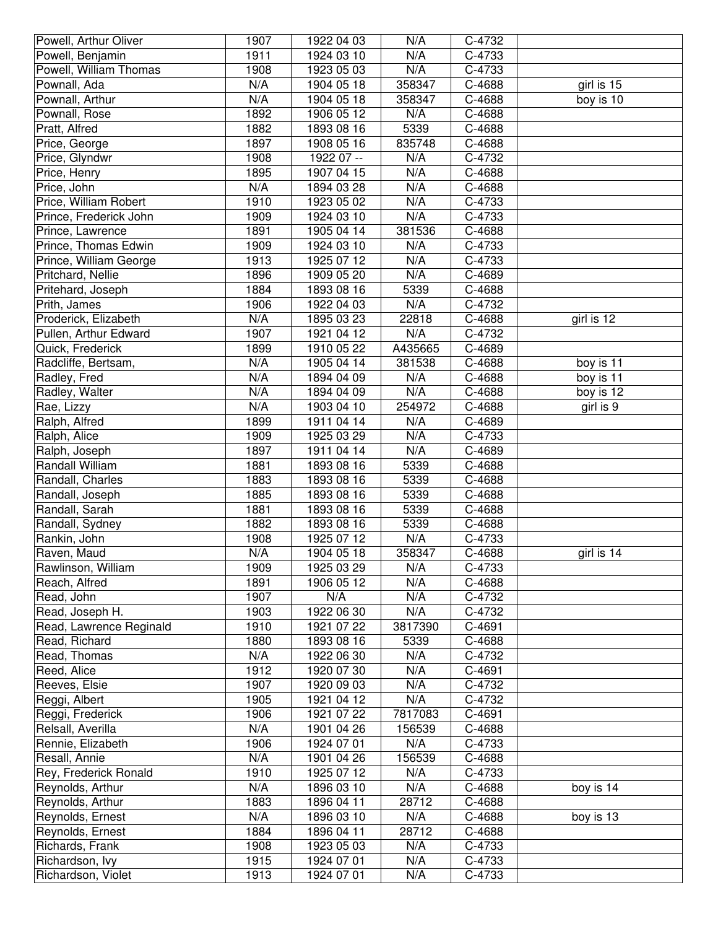| Powell, Arthur Oliver   | 1907         | 1922 04 03 | N/A        | C-4732 |            |
|-------------------------|--------------|------------|------------|--------|------------|
| Powell, Benjamin        | 1911         | 1924 03 10 | N/A        | C-4733 |            |
| Powell, William Thomas  | 1908         | 1923 05 03 | N/A        | C-4733 |            |
| Pownall, Ada            | N/A          | 1904 05 18 | 358347     | C-4688 | girl is 15 |
| Pownall, Arthur         | N/A          | 1904 05 18 | 358347     | C-4688 | boy is 10  |
| Pownall, Rose           | 1892         | 1906 05 12 | N/A        | C-4688 |            |
| Pratt, Alfred           | 1882         | 1893 08 16 | 5339       | C-4688 |            |
| Price, George           | 1897         | 1908 05 16 | 835748     | C-4688 |            |
| Price, Glyndwr          | 1908         | 1922 07 -- | N/A        | C-4732 |            |
| Price, Henry            | 1895         | 1907 04 15 | N/A        | C-4688 |            |
| Price, John             | N/A          | 1894 03 28 | N/A        | C-4688 |            |
| Price, William Robert   | 1910         | 1923 05 02 | N/A        | C-4733 |            |
| Prince, Frederick John  | 1909         | 1924 03 10 | N/A        | C-4733 |            |
| Prince, Lawrence        | 1891         | 1905 04 14 | 381536     | C-4688 |            |
| Prince, Thomas Edwin    | 1909         | 1924 03 10 | N/A        | C-4733 |            |
| Prince, William George  | 1913         | 1925 07 12 | N/A        | C-4733 |            |
| Pritchard, Nellie       | 1896         | 1909 05 20 | N/A        | C-4689 |            |
| Pritehard, Joseph       | 1884         | 1893 08 16 | 5339       | C-4688 |            |
| Prith, James            | 1906         | 1922 04 03 | N/A        | C-4732 |            |
| Proderick, Elizabeth    | N/A          | 1895 03 23 | 22818      | C-4688 | girl is 12 |
| Pullen, Arthur Edward   | 1907         | 1921 04 12 | N/A        | C-4732 |            |
| Quick, Frederick        | 1899         | 1910 05 22 | A435665    | C-4689 |            |
| Radcliffe, Bertsam,     | N/A          | 1905 04 14 | 381538     | C-4688 | boy is 11  |
| Radley, Fred            | N/A          | 1894 04 09 | N/A        | C-4688 | boy is 11  |
| Radley, Walter          | N/A          | 1894 04 09 | N/A        | C-4688 | boy is 12  |
| Rae, Lizzy              | N/A          | 1903 04 10 | 254972     | C-4688 | girl is 9  |
| Ralph, Alfred           | 1899         | 1911 04 14 | N/A        | C-4689 |            |
| Ralph, Alice            | 1909         | 1925 03 29 | N/A        | C-4733 |            |
| Ralph, Joseph           | 1897         | 1911 04 14 | N/A        | C-4689 |            |
|                         |              |            |            |        |            |
| Randall William         | 1881         | 1893 08 16 | 5339       | C-4688 |            |
| Randall, Charles        | 1883         | 1893 08 16 | 5339       | C-4688 |            |
| Randall, Joseph         | 1885         | 1893 08 16 | 5339       | C-4688 |            |
| Randall, Sarah          | 1881         | 1893 08 16 | 5339       | C-4688 |            |
| Randall, Sydney         | 1882         | 1893 08 16 | 5339       | C-4688 |            |
| Rankin, John            | 1908         | 1925 07 12 | N/A        | C-4733 |            |
| Raven, Maud             | N/A          | 1904 05 18 | 358347     | C-4688 | girl is 14 |
| Rawlinson, William      | 1909         | 1925 03 29 | N/A        | C-4733 |            |
| Reach, Alfred           | 1891         | 1906 05 12 | N/A        | C-4688 |            |
| Read, John              | 1907         | N/A        | N/A        | C-4732 |            |
| Read, Joseph H.         | 1903         | 1922 06 30 | N/A        | C-4732 |            |
| Read, Lawrence Reginald | 1910         | 1921 07 22 | 3817390    | C-4691 |            |
| Read, Richard           | 1880         | 1893 08 16 | 5339       | C-4688 |            |
| Read, Thomas            | N/A          | 1922 06 30 | N/A        | C-4732 |            |
| Reed, Alice             | 1912         | 1920 07 30 | N/A        | C-4691 |            |
| Reeves, Elsie           | 1907         | 1920 09 03 | N/A        | C-4732 |            |
| Reggi, Albert           | 1905         | 1921 04 12 | N/A        | C-4732 |            |
| Reggi, Frederick        | 1906         | 1921 07 22 | 7817083    | C-4691 |            |
| Relsall, Averilla       | N/A          | 1901 04 26 | 156539     | C-4688 |            |
| Rennie, Elizabeth       | 1906         | 1924 07 01 | N/A        | C-4733 |            |
| Resall, Annie           | N/A          | 1901 04 26 | 156539     | C-4688 |            |
| Rey, Frederick Ronald   | 1910         | 1925 07 12 | N/A        | C-4733 |            |
| Reynolds, Arthur        | N/A          | 1896 03 10 | N/A        | C-4688 | boy is 14  |
| Reynolds, Arthur        | 1883         | 1896 04 11 | 28712      | C-4688 |            |
| Reynolds, Ernest        | N/A          | 1896 03 10 | N/A        | C-4688 | boy is 13  |
| Reynolds, Ernest        | 1884         | 1896 04 11 | 28712      | C-4688 |            |
| Richards, Frank         | 1908         | 1923 05 03 | N/A        | C-4733 |            |
| Richardson, Ivy         | 1915<br>1913 | 1924 07 01 | N/A<br>N/A | C-4733 |            |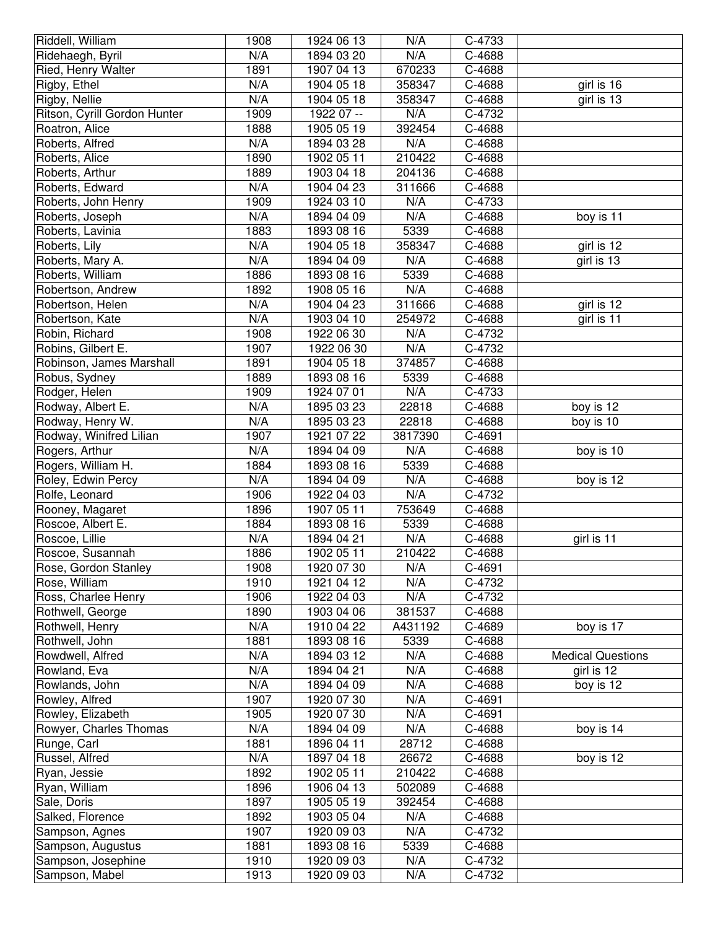| N/A<br>N/A<br>C-4688<br>Ridehaegh, Byril<br>1894 03 20<br>Ried, Henry Walter<br>1891<br>670233<br>C-4688<br>1907 04 13<br>Rigby, Ethel<br>N/A<br>1904 05 18<br>358347<br>C-4688<br>girl is 16<br>N/A<br>1904 05 18<br>girl is 13<br>Rigby, Nellie<br>358347<br>C-4688<br>Ritson, Cyrill Gordon Hunter<br>1909<br>N/A<br>1922 07 --<br>C-4732<br>Roatron, Alice<br>392454<br>1888<br>1905 05 19<br>C-4688<br>N/A<br>N/A<br>C-4688<br>Roberts, Alfred<br>1894 03 28<br>210422<br>C-4688<br>Roberts, Alice<br>1890<br>1902 05 11<br>C-4688<br>Roberts, Arthur<br>1889<br>1903 04 18<br>204136<br>N/A<br>Roberts, Edward<br>1904 04 23<br>311666<br>C-4688<br>1909<br>N/A<br>Roberts, John Henry<br>1924 03 10<br>C-4733<br>N/A<br>Roberts, Joseph<br>1894 04 09<br>N/A<br>C-4688<br>boy is 11<br>1883<br>1893 08 16<br>5339<br>C-4688<br>Roberts, Lavinia<br>N/A<br>girl is 12<br>Roberts, Lily<br>1904 05 18<br>358347<br>C-4688<br>N/A<br>Roberts, Mary A.<br>1894 04 09<br>N/A<br>C-4688<br>girl is 13<br>Roberts, William<br>1886<br>1893 08 16<br>5339<br>C-4688<br>N/A<br>Robertson, Andrew<br>1892<br>1908 05 16<br>C-4688<br>N/A<br>311666<br>girl is 12<br>Robertson, Helen<br>1904 04 23<br>C-4688<br>N/A<br>C-4688<br>girl is 11<br>Robertson, Kate<br>1903 04 10<br>254972<br>Robin, Richard<br>1908<br>1922 06 30<br>N/A<br>C-4732<br>$N/\overline{A}$<br>Robins, Gilbert E.<br>1907<br>C-4732<br>1922 06 30<br>1891<br>C-4688<br>Robinson, James Marshall<br>1904 05 18<br>374857<br>1889<br>C-4688<br>Robus, Sydney<br>1893 08 16<br>5339<br>N/A<br>Rodger, Helen<br>1909<br>1924 07 01<br>C-4733<br>N/A<br>22818<br>Rodway, Albert E.<br>1895 03 23<br>C-4688<br>boy is 12<br>Rodway, Henry W.<br>N/A<br>1895 03 23<br>C-4688<br>boy is 10<br>22818<br>Rodway, Winifred Lilian<br>1907<br>1921 07 22<br>3817390<br>C-4691<br>Rogers, Arthur<br>N/A<br>1894 04 09<br>N/A<br>C-4688<br>boy is 10<br>Rogers, William H.<br>1884<br>1893 08 16<br>5339<br>C-4688<br>N/A<br>N/A<br>Roley, Edwin Percy<br>1894 04 09<br>C-4688<br>boy is 12<br>Rolfe, Leonard<br>N/A<br>1906<br>1922 04 03<br>C-4732<br>1896<br>Rooney, Magaret<br>1907 05 11<br>753649<br>C-4688<br>Roscoe, Albert E.<br>1884<br>1893 08 16<br>5339<br>C-4688<br>N/A<br>N/A<br>Roscoe, Lillie<br>1894 04 21<br>C-4688<br>girl is 11<br>$\overline{C}$ -4688<br>Roscoe, Susannah<br>1886<br>1902 05 11<br>210422<br>N/A<br>Rose, Gordon Stanley<br>1908<br>C-4691<br>1920 07 30<br>1910<br>N/A<br>Rose, William<br>1921 04 12<br>C-4732<br>1906<br>C-4732<br>Ross, Charlee Henry<br>1922 04 03<br>N/A<br>1890<br>381537<br>1903 04 06<br>C-4688<br>Rothwell, George<br>Rothwell, Henry<br>N/A<br>1910 04 22<br>A431192<br>C-4689<br>boy is 17<br>1881<br>Rothwell, John<br>1893 08 16<br>5339<br>C-4688<br>N/A<br>N/A<br>Rowdwell, Alfred<br>1894 03 12<br>C-4688<br><b>Medical Questions</b><br>N/A<br>N/A<br>Rowland, Eva<br>1894 04 21<br>C-4688<br>girl is 12<br>N/A<br>N/A<br>Rowlands, John<br>1894 04 09<br>C-4688<br>boy is 12<br>1907<br>N/A<br>C-4691<br>Rowley, Alfred<br>1920 07 30<br>1905<br>N/A<br>C-4691<br>Rowley, Elizabeth<br>1920 07 30<br>N/A<br>N/A<br>Rowyer, Charles Thomas<br>1894 04 09<br>C-4688<br>boy is 14<br>28712<br>Runge, Carl<br>1881<br>1896 04 11<br>C-4688<br>N/A<br>Russel, Alfred<br>1897 04 18<br>26672<br>C-4688<br>boy is 12<br>1892<br>1902 05 11<br>210422<br>C-4688<br>Ryan, Jessie<br>1896<br>1906 04 13<br>502089<br>C-4688<br>Ryan, William<br>Sale, Doris<br>1897<br>1905 05 19<br>392454<br>C-4688<br>1892<br>1903 05 04<br>N/A<br>Salked, Florence<br>C-4688<br>N/A<br>Sampson, Agnes<br>1907<br>1920 09 03<br>C-4732<br>Sampson, Augustus<br>1881<br>1893 08 16<br>5339<br>C-4688<br>1910<br>1920 09 03<br>N/A<br>Sampson, Josephine<br>C-4732 | Riddell, William | 1908 | 1924 06 13 | N/A | C-4733 |  |
|----------------------------------------------------------------------------------------------------------------------------------------------------------------------------------------------------------------------------------------------------------------------------------------------------------------------------------------------------------------------------------------------------------------------------------------------------------------------------------------------------------------------------------------------------------------------------------------------------------------------------------------------------------------------------------------------------------------------------------------------------------------------------------------------------------------------------------------------------------------------------------------------------------------------------------------------------------------------------------------------------------------------------------------------------------------------------------------------------------------------------------------------------------------------------------------------------------------------------------------------------------------------------------------------------------------------------------------------------------------------------------------------------------------------------------------------------------------------------------------------------------------------------------------------------------------------------------------------------------------------------------------------------------------------------------------------------------------------------------------------------------------------------------------------------------------------------------------------------------------------------------------------------------------------------------------------------------------------------------------------------------------------------------------------------------------------------------------------------------------------------------------------------------------------------------------------------------------------------------------------------------------------------------------------------------------------------------------------------------------------------------------------------------------------------------------------------------------------------------------------------------------------------------------------------------------------------------------------------------------------------------------------------------------------------------------------------------------------------------------------------------------------------------------------------------------------------------------------------------------------------------------------------------------------------------------------------------------------------------------------------------------------------------------------------------------------------------------------------------------------------------------------------------------------------------------------------------------------------------------------------------------------------------------------------------------------------------------------------------------------------------------------------------------------------------------------------------------------------------------------------------------------------------------------------------------------------------------------------------------------------------------------------------------------------------------------------------------------------------------------------------------------------|------------------|------|------------|-----|--------|--|
|                                                                                                                                                                                                                                                                                                                                                                                                                                                                                                                                                                                                                                                                                                                                                                                                                                                                                                                                                                                                                                                                                                                                                                                                                                                                                                                                                                                                                                                                                                                                                                                                                                                                                                                                                                                                                                                                                                                                                                                                                                                                                                                                                                                                                                                                                                                                                                                                                                                                                                                                                                                                                                                                                                                                                                                                                                                                                                                                                                                                                                                                                                                                                                                                                                                                                                                                                                                                                                                                                                                                                                                                                                                                                                                                                                            |                  |      |            |     |        |  |
|                                                                                                                                                                                                                                                                                                                                                                                                                                                                                                                                                                                                                                                                                                                                                                                                                                                                                                                                                                                                                                                                                                                                                                                                                                                                                                                                                                                                                                                                                                                                                                                                                                                                                                                                                                                                                                                                                                                                                                                                                                                                                                                                                                                                                                                                                                                                                                                                                                                                                                                                                                                                                                                                                                                                                                                                                                                                                                                                                                                                                                                                                                                                                                                                                                                                                                                                                                                                                                                                                                                                                                                                                                                                                                                                                                            |                  |      |            |     |        |  |
|                                                                                                                                                                                                                                                                                                                                                                                                                                                                                                                                                                                                                                                                                                                                                                                                                                                                                                                                                                                                                                                                                                                                                                                                                                                                                                                                                                                                                                                                                                                                                                                                                                                                                                                                                                                                                                                                                                                                                                                                                                                                                                                                                                                                                                                                                                                                                                                                                                                                                                                                                                                                                                                                                                                                                                                                                                                                                                                                                                                                                                                                                                                                                                                                                                                                                                                                                                                                                                                                                                                                                                                                                                                                                                                                                                            |                  |      |            |     |        |  |
|                                                                                                                                                                                                                                                                                                                                                                                                                                                                                                                                                                                                                                                                                                                                                                                                                                                                                                                                                                                                                                                                                                                                                                                                                                                                                                                                                                                                                                                                                                                                                                                                                                                                                                                                                                                                                                                                                                                                                                                                                                                                                                                                                                                                                                                                                                                                                                                                                                                                                                                                                                                                                                                                                                                                                                                                                                                                                                                                                                                                                                                                                                                                                                                                                                                                                                                                                                                                                                                                                                                                                                                                                                                                                                                                                                            |                  |      |            |     |        |  |
|                                                                                                                                                                                                                                                                                                                                                                                                                                                                                                                                                                                                                                                                                                                                                                                                                                                                                                                                                                                                                                                                                                                                                                                                                                                                                                                                                                                                                                                                                                                                                                                                                                                                                                                                                                                                                                                                                                                                                                                                                                                                                                                                                                                                                                                                                                                                                                                                                                                                                                                                                                                                                                                                                                                                                                                                                                                                                                                                                                                                                                                                                                                                                                                                                                                                                                                                                                                                                                                                                                                                                                                                                                                                                                                                                                            |                  |      |            |     |        |  |
|                                                                                                                                                                                                                                                                                                                                                                                                                                                                                                                                                                                                                                                                                                                                                                                                                                                                                                                                                                                                                                                                                                                                                                                                                                                                                                                                                                                                                                                                                                                                                                                                                                                                                                                                                                                                                                                                                                                                                                                                                                                                                                                                                                                                                                                                                                                                                                                                                                                                                                                                                                                                                                                                                                                                                                                                                                                                                                                                                                                                                                                                                                                                                                                                                                                                                                                                                                                                                                                                                                                                                                                                                                                                                                                                                                            |                  |      |            |     |        |  |
|                                                                                                                                                                                                                                                                                                                                                                                                                                                                                                                                                                                                                                                                                                                                                                                                                                                                                                                                                                                                                                                                                                                                                                                                                                                                                                                                                                                                                                                                                                                                                                                                                                                                                                                                                                                                                                                                                                                                                                                                                                                                                                                                                                                                                                                                                                                                                                                                                                                                                                                                                                                                                                                                                                                                                                                                                                                                                                                                                                                                                                                                                                                                                                                                                                                                                                                                                                                                                                                                                                                                                                                                                                                                                                                                                                            |                  |      |            |     |        |  |
|                                                                                                                                                                                                                                                                                                                                                                                                                                                                                                                                                                                                                                                                                                                                                                                                                                                                                                                                                                                                                                                                                                                                                                                                                                                                                                                                                                                                                                                                                                                                                                                                                                                                                                                                                                                                                                                                                                                                                                                                                                                                                                                                                                                                                                                                                                                                                                                                                                                                                                                                                                                                                                                                                                                                                                                                                                                                                                                                                                                                                                                                                                                                                                                                                                                                                                                                                                                                                                                                                                                                                                                                                                                                                                                                                                            |                  |      |            |     |        |  |
|                                                                                                                                                                                                                                                                                                                                                                                                                                                                                                                                                                                                                                                                                                                                                                                                                                                                                                                                                                                                                                                                                                                                                                                                                                                                                                                                                                                                                                                                                                                                                                                                                                                                                                                                                                                                                                                                                                                                                                                                                                                                                                                                                                                                                                                                                                                                                                                                                                                                                                                                                                                                                                                                                                                                                                                                                                                                                                                                                                                                                                                                                                                                                                                                                                                                                                                                                                                                                                                                                                                                                                                                                                                                                                                                                                            |                  |      |            |     |        |  |
|                                                                                                                                                                                                                                                                                                                                                                                                                                                                                                                                                                                                                                                                                                                                                                                                                                                                                                                                                                                                                                                                                                                                                                                                                                                                                                                                                                                                                                                                                                                                                                                                                                                                                                                                                                                                                                                                                                                                                                                                                                                                                                                                                                                                                                                                                                                                                                                                                                                                                                                                                                                                                                                                                                                                                                                                                                                                                                                                                                                                                                                                                                                                                                                                                                                                                                                                                                                                                                                                                                                                                                                                                                                                                                                                                                            |                  |      |            |     |        |  |
|                                                                                                                                                                                                                                                                                                                                                                                                                                                                                                                                                                                                                                                                                                                                                                                                                                                                                                                                                                                                                                                                                                                                                                                                                                                                                                                                                                                                                                                                                                                                                                                                                                                                                                                                                                                                                                                                                                                                                                                                                                                                                                                                                                                                                                                                                                                                                                                                                                                                                                                                                                                                                                                                                                                                                                                                                                                                                                                                                                                                                                                                                                                                                                                                                                                                                                                                                                                                                                                                                                                                                                                                                                                                                                                                                                            |                  |      |            |     |        |  |
|                                                                                                                                                                                                                                                                                                                                                                                                                                                                                                                                                                                                                                                                                                                                                                                                                                                                                                                                                                                                                                                                                                                                                                                                                                                                                                                                                                                                                                                                                                                                                                                                                                                                                                                                                                                                                                                                                                                                                                                                                                                                                                                                                                                                                                                                                                                                                                                                                                                                                                                                                                                                                                                                                                                                                                                                                                                                                                                                                                                                                                                                                                                                                                                                                                                                                                                                                                                                                                                                                                                                                                                                                                                                                                                                                                            |                  |      |            |     |        |  |
|                                                                                                                                                                                                                                                                                                                                                                                                                                                                                                                                                                                                                                                                                                                                                                                                                                                                                                                                                                                                                                                                                                                                                                                                                                                                                                                                                                                                                                                                                                                                                                                                                                                                                                                                                                                                                                                                                                                                                                                                                                                                                                                                                                                                                                                                                                                                                                                                                                                                                                                                                                                                                                                                                                                                                                                                                                                                                                                                                                                                                                                                                                                                                                                                                                                                                                                                                                                                                                                                                                                                                                                                                                                                                                                                                                            |                  |      |            |     |        |  |
|                                                                                                                                                                                                                                                                                                                                                                                                                                                                                                                                                                                                                                                                                                                                                                                                                                                                                                                                                                                                                                                                                                                                                                                                                                                                                                                                                                                                                                                                                                                                                                                                                                                                                                                                                                                                                                                                                                                                                                                                                                                                                                                                                                                                                                                                                                                                                                                                                                                                                                                                                                                                                                                                                                                                                                                                                                                                                                                                                                                                                                                                                                                                                                                                                                                                                                                                                                                                                                                                                                                                                                                                                                                                                                                                                                            |                  |      |            |     |        |  |
|                                                                                                                                                                                                                                                                                                                                                                                                                                                                                                                                                                                                                                                                                                                                                                                                                                                                                                                                                                                                                                                                                                                                                                                                                                                                                                                                                                                                                                                                                                                                                                                                                                                                                                                                                                                                                                                                                                                                                                                                                                                                                                                                                                                                                                                                                                                                                                                                                                                                                                                                                                                                                                                                                                                                                                                                                                                                                                                                                                                                                                                                                                                                                                                                                                                                                                                                                                                                                                                                                                                                                                                                                                                                                                                                                                            |                  |      |            |     |        |  |
|                                                                                                                                                                                                                                                                                                                                                                                                                                                                                                                                                                                                                                                                                                                                                                                                                                                                                                                                                                                                                                                                                                                                                                                                                                                                                                                                                                                                                                                                                                                                                                                                                                                                                                                                                                                                                                                                                                                                                                                                                                                                                                                                                                                                                                                                                                                                                                                                                                                                                                                                                                                                                                                                                                                                                                                                                                                                                                                                                                                                                                                                                                                                                                                                                                                                                                                                                                                                                                                                                                                                                                                                                                                                                                                                                                            |                  |      |            |     |        |  |
|                                                                                                                                                                                                                                                                                                                                                                                                                                                                                                                                                                                                                                                                                                                                                                                                                                                                                                                                                                                                                                                                                                                                                                                                                                                                                                                                                                                                                                                                                                                                                                                                                                                                                                                                                                                                                                                                                                                                                                                                                                                                                                                                                                                                                                                                                                                                                                                                                                                                                                                                                                                                                                                                                                                                                                                                                                                                                                                                                                                                                                                                                                                                                                                                                                                                                                                                                                                                                                                                                                                                                                                                                                                                                                                                                                            |                  |      |            |     |        |  |
|                                                                                                                                                                                                                                                                                                                                                                                                                                                                                                                                                                                                                                                                                                                                                                                                                                                                                                                                                                                                                                                                                                                                                                                                                                                                                                                                                                                                                                                                                                                                                                                                                                                                                                                                                                                                                                                                                                                                                                                                                                                                                                                                                                                                                                                                                                                                                                                                                                                                                                                                                                                                                                                                                                                                                                                                                                                                                                                                                                                                                                                                                                                                                                                                                                                                                                                                                                                                                                                                                                                                                                                                                                                                                                                                                                            |                  |      |            |     |        |  |
|                                                                                                                                                                                                                                                                                                                                                                                                                                                                                                                                                                                                                                                                                                                                                                                                                                                                                                                                                                                                                                                                                                                                                                                                                                                                                                                                                                                                                                                                                                                                                                                                                                                                                                                                                                                                                                                                                                                                                                                                                                                                                                                                                                                                                                                                                                                                                                                                                                                                                                                                                                                                                                                                                                                                                                                                                                                                                                                                                                                                                                                                                                                                                                                                                                                                                                                                                                                                                                                                                                                                                                                                                                                                                                                                                                            |                  |      |            |     |        |  |
|                                                                                                                                                                                                                                                                                                                                                                                                                                                                                                                                                                                                                                                                                                                                                                                                                                                                                                                                                                                                                                                                                                                                                                                                                                                                                                                                                                                                                                                                                                                                                                                                                                                                                                                                                                                                                                                                                                                                                                                                                                                                                                                                                                                                                                                                                                                                                                                                                                                                                                                                                                                                                                                                                                                                                                                                                                                                                                                                                                                                                                                                                                                                                                                                                                                                                                                                                                                                                                                                                                                                                                                                                                                                                                                                                                            |                  |      |            |     |        |  |
|                                                                                                                                                                                                                                                                                                                                                                                                                                                                                                                                                                                                                                                                                                                                                                                                                                                                                                                                                                                                                                                                                                                                                                                                                                                                                                                                                                                                                                                                                                                                                                                                                                                                                                                                                                                                                                                                                                                                                                                                                                                                                                                                                                                                                                                                                                                                                                                                                                                                                                                                                                                                                                                                                                                                                                                                                                                                                                                                                                                                                                                                                                                                                                                                                                                                                                                                                                                                                                                                                                                                                                                                                                                                                                                                                                            |                  |      |            |     |        |  |
|                                                                                                                                                                                                                                                                                                                                                                                                                                                                                                                                                                                                                                                                                                                                                                                                                                                                                                                                                                                                                                                                                                                                                                                                                                                                                                                                                                                                                                                                                                                                                                                                                                                                                                                                                                                                                                                                                                                                                                                                                                                                                                                                                                                                                                                                                                                                                                                                                                                                                                                                                                                                                                                                                                                                                                                                                                                                                                                                                                                                                                                                                                                                                                                                                                                                                                                                                                                                                                                                                                                                                                                                                                                                                                                                                                            |                  |      |            |     |        |  |
|                                                                                                                                                                                                                                                                                                                                                                                                                                                                                                                                                                                                                                                                                                                                                                                                                                                                                                                                                                                                                                                                                                                                                                                                                                                                                                                                                                                                                                                                                                                                                                                                                                                                                                                                                                                                                                                                                                                                                                                                                                                                                                                                                                                                                                                                                                                                                                                                                                                                                                                                                                                                                                                                                                                                                                                                                                                                                                                                                                                                                                                                                                                                                                                                                                                                                                                                                                                                                                                                                                                                                                                                                                                                                                                                                                            |                  |      |            |     |        |  |
|                                                                                                                                                                                                                                                                                                                                                                                                                                                                                                                                                                                                                                                                                                                                                                                                                                                                                                                                                                                                                                                                                                                                                                                                                                                                                                                                                                                                                                                                                                                                                                                                                                                                                                                                                                                                                                                                                                                                                                                                                                                                                                                                                                                                                                                                                                                                                                                                                                                                                                                                                                                                                                                                                                                                                                                                                                                                                                                                                                                                                                                                                                                                                                                                                                                                                                                                                                                                                                                                                                                                                                                                                                                                                                                                                                            |                  |      |            |     |        |  |
|                                                                                                                                                                                                                                                                                                                                                                                                                                                                                                                                                                                                                                                                                                                                                                                                                                                                                                                                                                                                                                                                                                                                                                                                                                                                                                                                                                                                                                                                                                                                                                                                                                                                                                                                                                                                                                                                                                                                                                                                                                                                                                                                                                                                                                                                                                                                                                                                                                                                                                                                                                                                                                                                                                                                                                                                                                                                                                                                                                                                                                                                                                                                                                                                                                                                                                                                                                                                                                                                                                                                                                                                                                                                                                                                                                            |                  |      |            |     |        |  |
|                                                                                                                                                                                                                                                                                                                                                                                                                                                                                                                                                                                                                                                                                                                                                                                                                                                                                                                                                                                                                                                                                                                                                                                                                                                                                                                                                                                                                                                                                                                                                                                                                                                                                                                                                                                                                                                                                                                                                                                                                                                                                                                                                                                                                                                                                                                                                                                                                                                                                                                                                                                                                                                                                                                                                                                                                                                                                                                                                                                                                                                                                                                                                                                                                                                                                                                                                                                                                                                                                                                                                                                                                                                                                                                                                                            |                  |      |            |     |        |  |
|                                                                                                                                                                                                                                                                                                                                                                                                                                                                                                                                                                                                                                                                                                                                                                                                                                                                                                                                                                                                                                                                                                                                                                                                                                                                                                                                                                                                                                                                                                                                                                                                                                                                                                                                                                                                                                                                                                                                                                                                                                                                                                                                                                                                                                                                                                                                                                                                                                                                                                                                                                                                                                                                                                                                                                                                                                                                                                                                                                                                                                                                                                                                                                                                                                                                                                                                                                                                                                                                                                                                                                                                                                                                                                                                                                            |                  |      |            |     |        |  |
|                                                                                                                                                                                                                                                                                                                                                                                                                                                                                                                                                                                                                                                                                                                                                                                                                                                                                                                                                                                                                                                                                                                                                                                                                                                                                                                                                                                                                                                                                                                                                                                                                                                                                                                                                                                                                                                                                                                                                                                                                                                                                                                                                                                                                                                                                                                                                                                                                                                                                                                                                                                                                                                                                                                                                                                                                                                                                                                                                                                                                                                                                                                                                                                                                                                                                                                                                                                                                                                                                                                                                                                                                                                                                                                                                                            |                  |      |            |     |        |  |
|                                                                                                                                                                                                                                                                                                                                                                                                                                                                                                                                                                                                                                                                                                                                                                                                                                                                                                                                                                                                                                                                                                                                                                                                                                                                                                                                                                                                                                                                                                                                                                                                                                                                                                                                                                                                                                                                                                                                                                                                                                                                                                                                                                                                                                                                                                                                                                                                                                                                                                                                                                                                                                                                                                                                                                                                                                                                                                                                                                                                                                                                                                                                                                                                                                                                                                                                                                                                                                                                                                                                                                                                                                                                                                                                                                            |                  |      |            |     |        |  |
|                                                                                                                                                                                                                                                                                                                                                                                                                                                                                                                                                                                                                                                                                                                                                                                                                                                                                                                                                                                                                                                                                                                                                                                                                                                                                                                                                                                                                                                                                                                                                                                                                                                                                                                                                                                                                                                                                                                                                                                                                                                                                                                                                                                                                                                                                                                                                                                                                                                                                                                                                                                                                                                                                                                                                                                                                                                                                                                                                                                                                                                                                                                                                                                                                                                                                                                                                                                                                                                                                                                                                                                                                                                                                                                                                                            |                  |      |            |     |        |  |
|                                                                                                                                                                                                                                                                                                                                                                                                                                                                                                                                                                                                                                                                                                                                                                                                                                                                                                                                                                                                                                                                                                                                                                                                                                                                                                                                                                                                                                                                                                                                                                                                                                                                                                                                                                                                                                                                                                                                                                                                                                                                                                                                                                                                                                                                                                                                                                                                                                                                                                                                                                                                                                                                                                                                                                                                                                                                                                                                                                                                                                                                                                                                                                                                                                                                                                                                                                                                                                                                                                                                                                                                                                                                                                                                                                            |                  |      |            |     |        |  |
|                                                                                                                                                                                                                                                                                                                                                                                                                                                                                                                                                                                                                                                                                                                                                                                                                                                                                                                                                                                                                                                                                                                                                                                                                                                                                                                                                                                                                                                                                                                                                                                                                                                                                                                                                                                                                                                                                                                                                                                                                                                                                                                                                                                                                                                                                                                                                                                                                                                                                                                                                                                                                                                                                                                                                                                                                                                                                                                                                                                                                                                                                                                                                                                                                                                                                                                                                                                                                                                                                                                                                                                                                                                                                                                                                                            |                  |      |            |     |        |  |
|                                                                                                                                                                                                                                                                                                                                                                                                                                                                                                                                                                                                                                                                                                                                                                                                                                                                                                                                                                                                                                                                                                                                                                                                                                                                                                                                                                                                                                                                                                                                                                                                                                                                                                                                                                                                                                                                                                                                                                                                                                                                                                                                                                                                                                                                                                                                                                                                                                                                                                                                                                                                                                                                                                                                                                                                                                                                                                                                                                                                                                                                                                                                                                                                                                                                                                                                                                                                                                                                                                                                                                                                                                                                                                                                                                            |                  |      |            |     |        |  |
|                                                                                                                                                                                                                                                                                                                                                                                                                                                                                                                                                                                                                                                                                                                                                                                                                                                                                                                                                                                                                                                                                                                                                                                                                                                                                                                                                                                                                                                                                                                                                                                                                                                                                                                                                                                                                                                                                                                                                                                                                                                                                                                                                                                                                                                                                                                                                                                                                                                                                                                                                                                                                                                                                                                                                                                                                                                                                                                                                                                                                                                                                                                                                                                                                                                                                                                                                                                                                                                                                                                                                                                                                                                                                                                                                                            |                  |      |            |     |        |  |
|                                                                                                                                                                                                                                                                                                                                                                                                                                                                                                                                                                                                                                                                                                                                                                                                                                                                                                                                                                                                                                                                                                                                                                                                                                                                                                                                                                                                                                                                                                                                                                                                                                                                                                                                                                                                                                                                                                                                                                                                                                                                                                                                                                                                                                                                                                                                                                                                                                                                                                                                                                                                                                                                                                                                                                                                                                                                                                                                                                                                                                                                                                                                                                                                                                                                                                                                                                                                                                                                                                                                                                                                                                                                                                                                                                            |                  |      |            |     |        |  |
|                                                                                                                                                                                                                                                                                                                                                                                                                                                                                                                                                                                                                                                                                                                                                                                                                                                                                                                                                                                                                                                                                                                                                                                                                                                                                                                                                                                                                                                                                                                                                                                                                                                                                                                                                                                                                                                                                                                                                                                                                                                                                                                                                                                                                                                                                                                                                                                                                                                                                                                                                                                                                                                                                                                                                                                                                                                                                                                                                                                                                                                                                                                                                                                                                                                                                                                                                                                                                                                                                                                                                                                                                                                                                                                                                                            |                  |      |            |     |        |  |
|                                                                                                                                                                                                                                                                                                                                                                                                                                                                                                                                                                                                                                                                                                                                                                                                                                                                                                                                                                                                                                                                                                                                                                                                                                                                                                                                                                                                                                                                                                                                                                                                                                                                                                                                                                                                                                                                                                                                                                                                                                                                                                                                                                                                                                                                                                                                                                                                                                                                                                                                                                                                                                                                                                                                                                                                                                                                                                                                                                                                                                                                                                                                                                                                                                                                                                                                                                                                                                                                                                                                                                                                                                                                                                                                                                            |                  |      |            |     |        |  |
|                                                                                                                                                                                                                                                                                                                                                                                                                                                                                                                                                                                                                                                                                                                                                                                                                                                                                                                                                                                                                                                                                                                                                                                                                                                                                                                                                                                                                                                                                                                                                                                                                                                                                                                                                                                                                                                                                                                                                                                                                                                                                                                                                                                                                                                                                                                                                                                                                                                                                                                                                                                                                                                                                                                                                                                                                                                                                                                                                                                                                                                                                                                                                                                                                                                                                                                                                                                                                                                                                                                                                                                                                                                                                                                                                                            |                  |      |            |     |        |  |
|                                                                                                                                                                                                                                                                                                                                                                                                                                                                                                                                                                                                                                                                                                                                                                                                                                                                                                                                                                                                                                                                                                                                                                                                                                                                                                                                                                                                                                                                                                                                                                                                                                                                                                                                                                                                                                                                                                                                                                                                                                                                                                                                                                                                                                                                                                                                                                                                                                                                                                                                                                                                                                                                                                                                                                                                                                                                                                                                                                                                                                                                                                                                                                                                                                                                                                                                                                                                                                                                                                                                                                                                                                                                                                                                                                            |                  |      |            |     |        |  |
|                                                                                                                                                                                                                                                                                                                                                                                                                                                                                                                                                                                                                                                                                                                                                                                                                                                                                                                                                                                                                                                                                                                                                                                                                                                                                                                                                                                                                                                                                                                                                                                                                                                                                                                                                                                                                                                                                                                                                                                                                                                                                                                                                                                                                                                                                                                                                                                                                                                                                                                                                                                                                                                                                                                                                                                                                                                                                                                                                                                                                                                                                                                                                                                                                                                                                                                                                                                                                                                                                                                                                                                                                                                                                                                                                                            |                  |      |            |     |        |  |
|                                                                                                                                                                                                                                                                                                                                                                                                                                                                                                                                                                                                                                                                                                                                                                                                                                                                                                                                                                                                                                                                                                                                                                                                                                                                                                                                                                                                                                                                                                                                                                                                                                                                                                                                                                                                                                                                                                                                                                                                                                                                                                                                                                                                                                                                                                                                                                                                                                                                                                                                                                                                                                                                                                                                                                                                                                                                                                                                                                                                                                                                                                                                                                                                                                                                                                                                                                                                                                                                                                                                                                                                                                                                                                                                                                            |                  |      |            |     |        |  |
|                                                                                                                                                                                                                                                                                                                                                                                                                                                                                                                                                                                                                                                                                                                                                                                                                                                                                                                                                                                                                                                                                                                                                                                                                                                                                                                                                                                                                                                                                                                                                                                                                                                                                                                                                                                                                                                                                                                                                                                                                                                                                                                                                                                                                                                                                                                                                                                                                                                                                                                                                                                                                                                                                                                                                                                                                                                                                                                                                                                                                                                                                                                                                                                                                                                                                                                                                                                                                                                                                                                                                                                                                                                                                                                                                                            |                  |      |            |     |        |  |
|                                                                                                                                                                                                                                                                                                                                                                                                                                                                                                                                                                                                                                                                                                                                                                                                                                                                                                                                                                                                                                                                                                                                                                                                                                                                                                                                                                                                                                                                                                                                                                                                                                                                                                                                                                                                                                                                                                                                                                                                                                                                                                                                                                                                                                                                                                                                                                                                                                                                                                                                                                                                                                                                                                                                                                                                                                                                                                                                                                                                                                                                                                                                                                                                                                                                                                                                                                                                                                                                                                                                                                                                                                                                                                                                                                            |                  |      |            |     |        |  |
|                                                                                                                                                                                                                                                                                                                                                                                                                                                                                                                                                                                                                                                                                                                                                                                                                                                                                                                                                                                                                                                                                                                                                                                                                                                                                                                                                                                                                                                                                                                                                                                                                                                                                                                                                                                                                                                                                                                                                                                                                                                                                                                                                                                                                                                                                                                                                                                                                                                                                                                                                                                                                                                                                                                                                                                                                                                                                                                                                                                                                                                                                                                                                                                                                                                                                                                                                                                                                                                                                                                                                                                                                                                                                                                                                                            |                  |      |            |     |        |  |
|                                                                                                                                                                                                                                                                                                                                                                                                                                                                                                                                                                                                                                                                                                                                                                                                                                                                                                                                                                                                                                                                                                                                                                                                                                                                                                                                                                                                                                                                                                                                                                                                                                                                                                                                                                                                                                                                                                                                                                                                                                                                                                                                                                                                                                                                                                                                                                                                                                                                                                                                                                                                                                                                                                                                                                                                                                                                                                                                                                                                                                                                                                                                                                                                                                                                                                                                                                                                                                                                                                                                                                                                                                                                                                                                                                            |                  |      |            |     |        |  |
|                                                                                                                                                                                                                                                                                                                                                                                                                                                                                                                                                                                                                                                                                                                                                                                                                                                                                                                                                                                                                                                                                                                                                                                                                                                                                                                                                                                                                                                                                                                                                                                                                                                                                                                                                                                                                                                                                                                                                                                                                                                                                                                                                                                                                                                                                                                                                                                                                                                                                                                                                                                                                                                                                                                                                                                                                                                                                                                                                                                                                                                                                                                                                                                                                                                                                                                                                                                                                                                                                                                                                                                                                                                                                                                                                                            |                  |      |            |     |        |  |
|                                                                                                                                                                                                                                                                                                                                                                                                                                                                                                                                                                                                                                                                                                                                                                                                                                                                                                                                                                                                                                                                                                                                                                                                                                                                                                                                                                                                                                                                                                                                                                                                                                                                                                                                                                                                                                                                                                                                                                                                                                                                                                                                                                                                                                                                                                                                                                                                                                                                                                                                                                                                                                                                                                                                                                                                                                                                                                                                                                                                                                                                                                                                                                                                                                                                                                                                                                                                                                                                                                                                                                                                                                                                                                                                                                            |                  |      |            |     |        |  |
|                                                                                                                                                                                                                                                                                                                                                                                                                                                                                                                                                                                                                                                                                                                                                                                                                                                                                                                                                                                                                                                                                                                                                                                                                                                                                                                                                                                                                                                                                                                                                                                                                                                                                                                                                                                                                                                                                                                                                                                                                                                                                                                                                                                                                                                                                                                                                                                                                                                                                                                                                                                                                                                                                                                                                                                                                                                                                                                                                                                                                                                                                                                                                                                                                                                                                                                                                                                                                                                                                                                                                                                                                                                                                                                                                                            |                  |      |            |     |        |  |
|                                                                                                                                                                                                                                                                                                                                                                                                                                                                                                                                                                                                                                                                                                                                                                                                                                                                                                                                                                                                                                                                                                                                                                                                                                                                                                                                                                                                                                                                                                                                                                                                                                                                                                                                                                                                                                                                                                                                                                                                                                                                                                                                                                                                                                                                                                                                                                                                                                                                                                                                                                                                                                                                                                                                                                                                                                                                                                                                                                                                                                                                                                                                                                                                                                                                                                                                                                                                                                                                                                                                                                                                                                                                                                                                                                            |                  |      |            |     |        |  |
|                                                                                                                                                                                                                                                                                                                                                                                                                                                                                                                                                                                                                                                                                                                                                                                                                                                                                                                                                                                                                                                                                                                                                                                                                                                                                                                                                                                                                                                                                                                                                                                                                                                                                                                                                                                                                                                                                                                                                                                                                                                                                                                                                                                                                                                                                                                                                                                                                                                                                                                                                                                                                                                                                                                                                                                                                                                                                                                                                                                                                                                                                                                                                                                                                                                                                                                                                                                                                                                                                                                                                                                                                                                                                                                                                                            |                  |      |            |     |        |  |
|                                                                                                                                                                                                                                                                                                                                                                                                                                                                                                                                                                                                                                                                                                                                                                                                                                                                                                                                                                                                                                                                                                                                                                                                                                                                                                                                                                                                                                                                                                                                                                                                                                                                                                                                                                                                                                                                                                                                                                                                                                                                                                                                                                                                                                                                                                                                                                                                                                                                                                                                                                                                                                                                                                                                                                                                                                                                                                                                                                                                                                                                                                                                                                                                                                                                                                                                                                                                                                                                                                                                                                                                                                                                                                                                                                            |                  |      |            |     |        |  |
|                                                                                                                                                                                                                                                                                                                                                                                                                                                                                                                                                                                                                                                                                                                                                                                                                                                                                                                                                                                                                                                                                                                                                                                                                                                                                                                                                                                                                                                                                                                                                                                                                                                                                                                                                                                                                                                                                                                                                                                                                                                                                                                                                                                                                                                                                                                                                                                                                                                                                                                                                                                                                                                                                                                                                                                                                                                                                                                                                                                                                                                                                                                                                                                                                                                                                                                                                                                                                                                                                                                                                                                                                                                                                                                                                                            |                  |      |            |     |        |  |
|                                                                                                                                                                                                                                                                                                                                                                                                                                                                                                                                                                                                                                                                                                                                                                                                                                                                                                                                                                                                                                                                                                                                                                                                                                                                                                                                                                                                                                                                                                                                                                                                                                                                                                                                                                                                                                                                                                                                                                                                                                                                                                                                                                                                                                                                                                                                                                                                                                                                                                                                                                                                                                                                                                                                                                                                                                                                                                                                                                                                                                                                                                                                                                                                                                                                                                                                                                                                                                                                                                                                                                                                                                                                                                                                                                            |                  |      |            |     |        |  |
|                                                                                                                                                                                                                                                                                                                                                                                                                                                                                                                                                                                                                                                                                                                                                                                                                                                                                                                                                                                                                                                                                                                                                                                                                                                                                                                                                                                                                                                                                                                                                                                                                                                                                                                                                                                                                                                                                                                                                                                                                                                                                                                                                                                                                                                                                                                                                                                                                                                                                                                                                                                                                                                                                                                                                                                                                                                                                                                                                                                                                                                                                                                                                                                                                                                                                                                                                                                                                                                                                                                                                                                                                                                                                                                                                                            |                  |      |            |     |        |  |
|                                                                                                                                                                                                                                                                                                                                                                                                                                                                                                                                                                                                                                                                                                                                                                                                                                                                                                                                                                                                                                                                                                                                                                                                                                                                                                                                                                                                                                                                                                                                                                                                                                                                                                                                                                                                                                                                                                                                                                                                                                                                                                                                                                                                                                                                                                                                                                                                                                                                                                                                                                                                                                                                                                                                                                                                                                                                                                                                                                                                                                                                                                                                                                                                                                                                                                                                                                                                                                                                                                                                                                                                                                                                                                                                                                            |                  |      |            |     |        |  |
|                                                                                                                                                                                                                                                                                                                                                                                                                                                                                                                                                                                                                                                                                                                                                                                                                                                                                                                                                                                                                                                                                                                                                                                                                                                                                                                                                                                                                                                                                                                                                                                                                                                                                                                                                                                                                                                                                                                                                                                                                                                                                                                                                                                                                                                                                                                                                                                                                                                                                                                                                                                                                                                                                                                                                                                                                                                                                                                                                                                                                                                                                                                                                                                                                                                                                                                                                                                                                                                                                                                                                                                                                                                                                                                                                                            |                  |      |            |     |        |  |
|                                                                                                                                                                                                                                                                                                                                                                                                                                                                                                                                                                                                                                                                                                                                                                                                                                                                                                                                                                                                                                                                                                                                                                                                                                                                                                                                                                                                                                                                                                                                                                                                                                                                                                                                                                                                                                                                                                                                                                                                                                                                                                                                                                                                                                                                                                                                                                                                                                                                                                                                                                                                                                                                                                                                                                                                                                                                                                                                                                                                                                                                                                                                                                                                                                                                                                                                                                                                                                                                                                                                                                                                                                                                                                                                                                            | Sampson, Mabel   | 1913 | 1920 09 03 | N/A | C-4732 |  |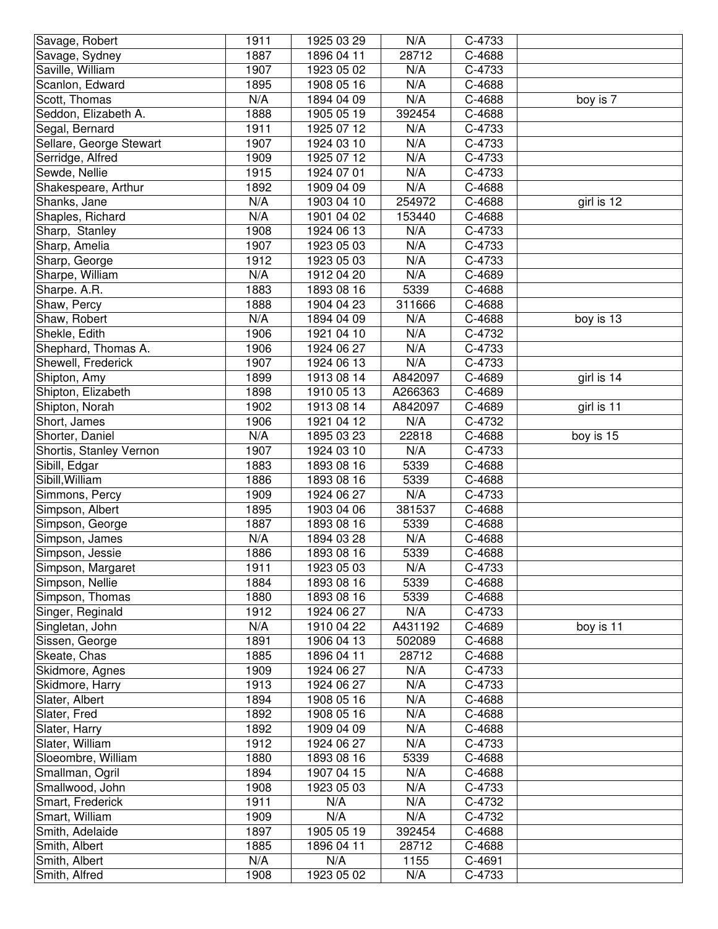| 1887<br>28712<br>C-4688<br>Savage, Sydney<br>1896 04 11<br>1907<br>Saville, William<br>1923 05 02<br>N/A<br>C-4733<br>N/A<br>Scanlon, Edward<br>1895<br>1908 05 16<br>C-4688<br>N/A<br>N/A<br>1894 04 09<br>Scott, Thomas<br>C-4688<br>boy is 7<br>Seddon, Elizabeth A.<br>1888<br>392454<br>1905 05 19<br>C-4688<br>1911<br>N/A<br>C-4733<br>Segal, Bernard<br>1925 07 12<br>1907<br>N/A<br>C-4733<br>Sellare, George Stewart<br>1924 03 10<br>Serridge, Alfred<br>N/A<br>C-4733<br>1909<br>1925 07 12<br>Sewde, Nellie<br>1915<br>1924 07 01<br>N/A<br>C-4733<br>1892<br>N/A<br>1909 04 09<br>C-4688<br>Shakespeare, Arthur<br>N/A<br>254972<br>Shanks, Jane<br>1903 04 10<br>C-4688<br>girl is 12<br>Shaples, Richard<br>N/A<br>1901 04 02<br>153440<br>C-4688<br>1908<br>N/A<br>1924 06 13<br>C-4733<br>Sharp, Stanley<br>N/A<br>Sharp, Amelia<br>1907<br>1923 05 03<br>C-4733<br>N/A<br>Sharp, George<br>1912<br>1923 05 03<br>C-4733<br>N/A<br>N/A<br>Sharpe, William<br>1912 04 20<br>C-4689<br>5339<br>Sharpe. A.R.<br>1883<br>1893 08 16<br>C-4688<br>Shaw, Percy<br>1888<br>1904 04 23<br>311666<br>C-4688<br>N/A<br>N/A<br>C-4688<br>1894 04 09<br>boy is 13<br>Shaw, Robert<br>N/A<br>C-4732<br>1906<br>1921 04 10<br>Shekle, Edith<br>N/A<br>1906<br>C-4733<br>Shephard, Thomas A.<br>1924 06 27<br>Shewell, Frederick<br>1907<br>N/A<br>C-4733<br>1924 06 13<br>1899<br>A842097<br>C-4689<br>girl is 14<br>Shipton, Amy<br>1913 08 14<br>1898<br>Shipton, Elizabeth<br>1910 05 13<br>A266363<br>C-4689<br>1902<br>Shipton, Norah<br>1913 08 14<br>A842097<br>C-4689<br>girl is 11<br>N/A<br>Short, James<br>1906<br>1921 04 12<br>C-4732<br>Shorter, Daniel<br>N/A<br>1895 03 23<br>22818<br>C-4688<br>boy is 15<br>Shortis, Stanley Vernon<br>1907<br>1924 03 10<br>N/A<br>C-4733<br>Sibill, Edgar<br>1883<br>1893 08 16<br>5339<br>C-4688<br>5339<br>Sibill, William<br>1886<br>1893 08 16<br>C-4688<br>1909<br>N/A<br>Simmons, Percy<br>1924 06 27<br>C-4733<br>1895<br>Simpson, Albert<br>1903 04 06<br>381537<br>C-4688<br>1887<br>5339<br>C-4688<br>Simpson, George<br>1893 08 16<br>N/A<br>N/A<br>Simpson, James<br>1894 03 28<br>C-4688<br>C-4688<br>1886<br>1893 08 16<br>5339<br>Simpson, Jessie | Savage, Robert    | 1911 | 1925 03 29 | N/A | C-4733 |  |
|--------------------------------------------------------------------------------------------------------------------------------------------------------------------------------------------------------------------------------------------------------------------------------------------------------------------------------------------------------------------------------------------------------------------------------------------------------------------------------------------------------------------------------------------------------------------------------------------------------------------------------------------------------------------------------------------------------------------------------------------------------------------------------------------------------------------------------------------------------------------------------------------------------------------------------------------------------------------------------------------------------------------------------------------------------------------------------------------------------------------------------------------------------------------------------------------------------------------------------------------------------------------------------------------------------------------------------------------------------------------------------------------------------------------------------------------------------------------------------------------------------------------------------------------------------------------------------------------------------------------------------------------------------------------------------------------------------------------------------------------------------------------------------------------------------------------------------------------------------------------------------------------------------------------------------------------------------------------------------------------------------------------------------------------------------------------------------------------------------------------------------------------------------------------------------------------------------------------------|-------------------|------|------------|-----|--------|--|
|                                                                                                                                                                                                                                                                                                                                                                                                                                                                                                                                                                                                                                                                                                                                                                                                                                                                                                                                                                                                                                                                                                                                                                                                                                                                                                                                                                                                                                                                                                                                                                                                                                                                                                                                                                                                                                                                                                                                                                                                                                                                                                                                                                                                                          |                   |      |            |     |        |  |
|                                                                                                                                                                                                                                                                                                                                                                                                                                                                                                                                                                                                                                                                                                                                                                                                                                                                                                                                                                                                                                                                                                                                                                                                                                                                                                                                                                                                                                                                                                                                                                                                                                                                                                                                                                                                                                                                                                                                                                                                                                                                                                                                                                                                                          |                   |      |            |     |        |  |
|                                                                                                                                                                                                                                                                                                                                                                                                                                                                                                                                                                                                                                                                                                                                                                                                                                                                                                                                                                                                                                                                                                                                                                                                                                                                                                                                                                                                                                                                                                                                                                                                                                                                                                                                                                                                                                                                                                                                                                                                                                                                                                                                                                                                                          |                   |      |            |     |        |  |
|                                                                                                                                                                                                                                                                                                                                                                                                                                                                                                                                                                                                                                                                                                                                                                                                                                                                                                                                                                                                                                                                                                                                                                                                                                                                                                                                                                                                                                                                                                                                                                                                                                                                                                                                                                                                                                                                                                                                                                                                                                                                                                                                                                                                                          |                   |      |            |     |        |  |
|                                                                                                                                                                                                                                                                                                                                                                                                                                                                                                                                                                                                                                                                                                                                                                                                                                                                                                                                                                                                                                                                                                                                                                                                                                                                                                                                                                                                                                                                                                                                                                                                                                                                                                                                                                                                                                                                                                                                                                                                                                                                                                                                                                                                                          |                   |      |            |     |        |  |
|                                                                                                                                                                                                                                                                                                                                                                                                                                                                                                                                                                                                                                                                                                                                                                                                                                                                                                                                                                                                                                                                                                                                                                                                                                                                                                                                                                                                                                                                                                                                                                                                                                                                                                                                                                                                                                                                                                                                                                                                                                                                                                                                                                                                                          |                   |      |            |     |        |  |
|                                                                                                                                                                                                                                                                                                                                                                                                                                                                                                                                                                                                                                                                                                                                                                                                                                                                                                                                                                                                                                                                                                                                                                                                                                                                                                                                                                                                                                                                                                                                                                                                                                                                                                                                                                                                                                                                                                                                                                                                                                                                                                                                                                                                                          |                   |      |            |     |        |  |
|                                                                                                                                                                                                                                                                                                                                                                                                                                                                                                                                                                                                                                                                                                                                                                                                                                                                                                                                                                                                                                                                                                                                                                                                                                                                                                                                                                                                                                                                                                                                                                                                                                                                                                                                                                                                                                                                                                                                                                                                                                                                                                                                                                                                                          |                   |      |            |     |        |  |
|                                                                                                                                                                                                                                                                                                                                                                                                                                                                                                                                                                                                                                                                                                                                                                                                                                                                                                                                                                                                                                                                                                                                                                                                                                                                                                                                                                                                                                                                                                                                                                                                                                                                                                                                                                                                                                                                                                                                                                                                                                                                                                                                                                                                                          |                   |      |            |     |        |  |
|                                                                                                                                                                                                                                                                                                                                                                                                                                                                                                                                                                                                                                                                                                                                                                                                                                                                                                                                                                                                                                                                                                                                                                                                                                                                                                                                                                                                                                                                                                                                                                                                                                                                                                                                                                                                                                                                                                                                                                                                                                                                                                                                                                                                                          |                   |      |            |     |        |  |
|                                                                                                                                                                                                                                                                                                                                                                                                                                                                                                                                                                                                                                                                                                                                                                                                                                                                                                                                                                                                                                                                                                                                                                                                                                                                                                                                                                                                                                                                                                                                                                                                                                                                                                                                                                                                                                                                                                                                                                                                                                                                                                                                                                                                                          |                   |      |            |     |        |  |
|                                                                                                                                                                                                                                                                                                                                                                                                                                                                                                                                                                                                                                                                                                                                                                                                                                                                                                                                                                                                                                                                                                                                                                                                                                                                                                                                                                                                                                                                                                                                                                                                                                                                                                                                                                                                                                                                                                                                                                                                                                                                                                                                                                                                                          |                   |      |            |     |        |  |
|                                                                                                                                                                                                                                                                                                                                                                                                                                                                                                                                                                                                                                                                                                                                                                                                                                                                                                                                                                                                                                                                                                                                                                                                                                                                                                                                                                                                                                                                                                                                                                                                                                                                                                                                                                                                                                                                                                                                                                                                                                                                                                                                                                                                                          |                   |      |            |     |        |  |
|                                                                                                                                                                                                                                                                                                                                                                                                                                                                                                                                                                                                                                                                                                                                                                                                                                                                                                                                                                                                                                                                                                                                                                                                                                                                                                                                                                                                                                                                                                                                                                                                                                                                                                                                                                                                                                                                                                                                                                                                                                                                                                                                                                                                                          |                   |      |            |     |        |  |
|                                                                                                                                                                                                                                                                                                                                                                                                                                                                                                                                                                                                                                                                                                                                                                                                                                                                                                                                                                                                                                                                                                                                                                                                                                                                                                                                                                                                                                                                                                                                                                                                                                                                                                                                                                                                                                                                                                                                                                                                                                                                                                                                                                                                                          |                   |      |            |     |        |  |
|                                                                                                                                                                                                                                                                                                                                                                                                                                                                                                                                                                                                                                                                                                                                                                                                                                                                                                                                                                                                                                                                                                                                                                                                                                                                                                                                                                                                                                                                                                                                                                                                                                                                                                                                                                                                                                                                                                                                                                                                                                                                                                                                                                                                                          |                   |      |            |     |        |  |
|                                                                                                                                                                                                                                                                                                                                                                                                                                                                                                                                                                                                                                                                                                                                                                                                                                                                                                                                                                                                                                                                                                                                                                                                                                                                                                                                                                                                                                                                                                                                                                                                                                                                                                                                                                                                                                                                                                                                                                                                                                                                                                                                                                                                                          |                   |      |            |     |        |  |
|                                                                                                                                                                                                                                                                                                                                                                                                                                                                                                                                                                                                                                                                                                                                                                                                                                                                                                                                                                                                                                                                                                                                                                                                                                                                                                                                                                                                                                                                                                                                                                                                                                                                                                                                                                                                                                                                                                                                                                                                                                                                                                                                                                                                                          |                   |      |            |     |        |  |
|                                                                                                                                                                                                                                                                                                                                                                                                                                                                                                                                                                                                                                                                                                                                                                                                                                                                                                                                                                                                                                                                                                                                                                                                                                                                                                                                                                                                                                                                                                                                                                                                                                                                                                                                                                                                                                                                                                                                                                                                                                                                                                                                                                                                                          |                   |      |            |     |        |  |
|                                                                                                                                                                                                                                                                                                                                                                                                                                                                                                                                                                                                                                                                                                                                                                                                                                                                                                                                                                                                                                                                                                                                                                                                                                                                                                                                                                                                                                                                                                                                                                                                                                                                                                                                                                                                                                                                                                                                                                                                                                                                                                                                                                                                                          |                   |      |            |     |        |  |
|                                                                                                                                                                                                                                                                                                                                                                                                                                                                                                                                                                                                                                                                                                                                                                                                                                                                                                                                                                                                                                                                                                                                                                                                                                                                                                                                                                                                                                                                                                                                                                                                                                                                                                                                                                                                                                                                                                                                                                                                                                                                                                                                                                                                                          |                   |      |            |     |        |  |
|                                                                                                                                                                                                                                                                                                                                                                                                                                                                                                                                                                                                                                                                                                                                                                                                                                                                                                                                                                                                                                                                                                                                                                                                                                                                                                                                                                                                                                                                                                                                                                                                                                                                                                                                                                                                                                                                                                                                                                                                                                                                                                                                                                                                                          |                   |      |            |     |        |  |
|                                                                                                                                                                                                                                                                                                                                                                                                                                                                                                                                                                                                                                                                                                                                                                                                                                                                                                                                                                                                                                                                                                                                                                                                                                                                                                                                                                                                                                                                                                                                                                                                                                                                                                                                                                                                                                                                                                                                                                                                                                                                                                                                                                                                                          |                   |      |            |     |        |  |
|                                                                                                                                                                                                                                                                                                                                                                                                                                                                                                                                                                                                                                                                                                                                                                                                                                                                                                                                                                                                                                                                                                                                                                                                                                                                                                                                                                                                                                                                                                                                                                                                                                                                                                                                                                                                                                                                                                                                                                                                                                                                                                                                                                                                                          |                   |      |            |     |        |  |
|                                                                                                                                                                                                                                                                                                                                                                                                                                                                                                                                                                                                                                                                                                                                                                                                                                                                                                                                                                                                                                                                                                                                                                                                                                                                                                                                                                                                                                                                                                                                                                                                                                                                                                                                                                                                                                                                                                                                                                                                                                                                                                                                                                                                                          |                   |      |            |     |        |  |
|                                                                                                                                                                                                                                                                                                                                                                                                                                                                                                                                                                                                                                                                                                                                                                                                                                                                                                                                                                                                                                                                                                                                                                                                                                                                                                                                                                                                                                                                                                                                                                                                                                                                                                                                                                                                                                                                                                                                                                                                                                                                                                                                                                                                                          |                   |      |            |     |        |  |
|                                                                                                                                                                                                                                                                                                                                                                                                                                                                                                                                                                                                                                                                                                                                                                                                                                                                                                                                                                                                                                                                                                                                                                                                                                                                                                                                                                                                                                                                                                                                                                                                                                                                                                                                                                                                                                                                                                                                                                                                                                                                                                                                                                                                                          |                   |      |            |     |        |  |
|                                                                                                                                                                                                                                                                                                                                                                                                                                                                                                                                                                                                                                                                                                                                                                                                                                                                                                                                                                                                                                                                                                                                                                                                                                                                                                                                                                                                                                                                                                                                                                                                                                                                                                                                                                                                                                                                                                                                                                                                                                                                                                                                                                                                                          |                   |      |            |     |        |  |
|                                                                                                                                                                                                                                                                                                                                                                                                                                                                                                                                                                                                                                                                                                                                                                                                                                                                                                                                                                                                                                                                                                                                                                                                                                                                                                                                                                                                                                                                                                                                                                                                                                                                                                                                                                                                                                                                                                                                                                                                                                                                                                                                                                                                                          |                   |      |            |     |        |  |
|                                                                                                                                                                                                                                                                                                                                                                                                                                                                                                                                                                                                                                                                                                                                                                                                                                                                                                                                                                                                                                                                                                                                                                                                                                                                                                                                                                                                                                                                                                                                                                                                                                                                                                                                                                                                                                                                                                                                                                                                                                                                                                                                                                                                                          |                   |      |            |     |        |  |
|                                                                                                                                                                                                                                                                                                                                                                                                                                                                                                                                                                                                                                                                                                                                                                                                                                                                                                                                                                                                                                                                                                                                                                                                                                                                                                                                                                                                                                                                                                                                                                                                                                                                                                                                                                                                                                                                                                                                                                                                                                                                                                                                                                                                                          |                   |      |            |     |        |  |
|                                                                                                                                                                                                                                                                                                                                                                                                                                                                                                                                                                                                                                                                                                                                                                                                                                                                                                                                                                                                                                                                                                                                                                                                                                                                                                                                                                                                                                                                                                                                                                                                                                                                                                                                                                                                                                                                                                                                                                                                                                                                                                                                                                                                                          |                   |      |            |     |        |  |
|                                                                                                                                                                                                                                                                                                                                                                                                                                                                                                                                                                                                                                                                                                                                                                                                                                                                                                                                                                                                                                                                                                                                                                                                                                                                                                                                                                                                                                                                                                                                                                                                                                                                                                                                                                                                                                                                                                                                                                                                                                                                                                                                                                                                                          |                   |      |            |     |        |  |
|                                                                                                                                                                                                                                                                                                                                                                                                                                                                                                                                                                                                                                                                                                                                                                                                                                                                                                                                                                                                                                                                                                                                                                                                                                                                                                                                                                                                                                                                                                                                                                                                                                                                                                                                                                                                                                                                                                                                                                                                                                                                                                                                                                                                                          |                   |      |            |     |        |  |
|                                                                                                                                                                                                                                                                                                                                                                                                                                                                                                                                                                                                                                                                                                                                                                                                                                                                                                                                                                                                                                                                                                                                                                                                                                                                                                                                                                                                                                                                                                                                                                                                                                                                                                                                                                                                                                                                                                                                                                                                                                                                                                                                                                                                                          |                   |      |            |     |        |  |
|                                                                                                                                                                                                                                                                                                                                                                                                                                                                                                                                                                                                                                                                                                                                                                                                                                                                                                                                                                                                                                                                                                                                                                                                                                                                                                                                                                                                                                                                                                                                                                                                                                                                                                                                                                                                                                                                                                                                                                                                                                                                                                                                                                                                                          | Simpson, Margaret | 1911 | 1923 05 03 | N/A | C-4733 |  |
| 1884<br>Simpson, Nellie<br>1893 08 16<br>5339<br>C-4688                                                                                                                                                                                                                                                                                                                                                                                                                                                                                                                                                                                                                                                                                                                                                                                                                                                                                                                                                                                                                                                                                                                                                                                                                                                                                                                                                                                                                                                                                                                                                                                                                                                                                                                                                                                                                                                                                                                                                                                                                                                                                                                                                                  |                   |      |            |     |        |  |
| 1880<br>Simpson, Thomas<br>1893 08 16<br>5339<br>C-4688                                                                                                                                                                                                                                                                                                                                                                                                                                                                                                                                                                                                                                                                                                                                                                                                                                                                                                                                                                                                                                                                                                                                                                                                                                                                                                                                                                                                                                                                                                                                                                                                                                                                                                                                                                                                                                                                                                                                                                                                                                                                                                                                                                  |                   |      |            |     |        |  |
| 1912<br>Singer, Reginald<br>N/A<br>C-4733<br>1924 06 27                                                                                                                                                                                                                                                                                                                                                                                                                                                                                                                                                                                                                                                                                                                                                                                                                                                                                                                                                                                                                                                                                                                                                                                                                                                                                                                                                                                                                                                                                                                                                                                                                                                                                                                                                                                                                                                                                                                                                                                                                                                                                                                                                                  |                   |      |            |     |        |  |
| Singletan, John<br>N/A<br>1910 04 22<br>A431192<br>C-4689<br>boy is 11                                                                                                                                                                                                                                                                                                                                                                                                                                                                                                                                                                                                                                                                                                                                                                                                                                                                                                                                                                                                                                                                                                                                                                                                                                                                                                                                                                                                                                                                                                                                                                                                                                                                                                                                                                                                                                                                                                                                                                                                                                                                                                                                                   |                   |      |            |     |        |  |
| 1891<br>Sissen, George<br>1906 04 13<br>502089<br>C-4688                                                                                                                                                                                                                                                                                                                                                                                                                                                                                                                                                                                                                                                                                                                                                                                                                                                                                                                                                                                                                                                                                                                                                                                                                                                                                                                                                                                                                                                                                                                                                                                                                                                                                                                                                                                                                                                                                                                                                                                                                                                                                                                                                                 |                   |      |            |     |        |  |
| Skeate, Chas<br>1885<br>1896 04 11<br>28712<br>C-4688                                                                                                                                                                                                                                                                                                                                                                                                                                                                                                                                                                                                                                                                                                                                                                                                                                                                                                                                                                                                                                                                                                                                                                                                                                                                                                                                                                                                                                                                                                                                                                                                                                                                                                                                                                                                                                                                                                                                                                                                                                                                                                                                                                    |                   |      |            |     |        |  |
| 1909<br>Skidmore, Agnes<br>1924 06 27<br>N/A<br>C-4733                                                                                                                                                                                                                                                                                                                                                                                                                                                                                                                                                                                                                                                                                                                                                                                                                                                                                                                                                                                                                                                                                                                                                                                                                                                                                                                                                                                                                                                                                                                                                                                                                                                                                                                                                                                                                                                                                                                                                                                                                                                                                                                                                                   |                   |      |            |     |        |  |
| 1913<br>N/A<br>Skidmore, Harry<br>1924 06 27<br>C-4733                                                                                                                                                                                                                                                                                                                                                                                                                                                                                                                                                                                                                                                                                                                                                                                                                                                                                                                                                                                                                                                                                                                                                                                                                                                                                                                                                                                                                                                                                                                                                                                                                                                                                                                                                                                                                                                                                                                                                                                                                                                                                                                                                                   |                   |      |            |     |        |  |
| 1894<br>N/A<br>C-4688<br>Slater, Albert<br>1908 05 16                                                                                                                                                                                                                                                                                                                                                                                                                                                                                                                                                                                                                                                                                                                                                                                                                                                                                                                                                                                                                                                                                                                                                                                                                                                                                                                                                                                                                                                                                                                                                                                                                                                                                                                                                                                                                                                                                                                                                                                                                                                                                                                                                                    |                   |      |            |     |        |  |
| 1892<br>N/A<br>C-4688<br>Slater, Fred<br>1908 05 16                                                                                                                                                                                                                                                                                                                                                                                                                                                                                                                                                                                                                                                                                                                                                                                                                                                                                                                                                                                                                                                                                                                                                                                                                                                                                                                                                                                                                                                                                                                                                                                                                                                                                                                                                                                                                                                                                                                                                                                                                                                                                                                                                                      |                   |      |            |     |        |  |
| 1892<br>N/A<br>Slater, Harry<br>1909 04 09<br>C-4688                                                                                                                                                                                                                                                                                                                                                                                                                                                                                                                                                                                                                                                                                                                                                                                                                                                                                                                                                                                                                                                                                                                                                                                                                                                                                                                                                                                                                                                                                                                                                                                                                                                                                                                                                                                                                                                                                                                                                                                                                                                                                                                                                                     |                   |      |            |     |        |  |
| 1912<br>N/A<br>Slater, William<br>1924 06 27<br>C-4733                                                                                                                                                                                                                                                                                                                                                                                                                                                                                                                                                                                                                                                                                                                                                                                                                                                                                                                                                                                                                                                                                                                                                                                                                                                                                                                                                                                                                                                                                                                                                                                                                                                                                                                                                                                                                                                                                                                                                                                                                                                                                                                                                                   |                   |      |            |     |        |  |
| 1880<br>Sloeombre, William<br>1893 08 16<br>5339<br>C-4688                                                                                                                                                                                                                                                                                                                                                                                                                                                                                                                                                                                                                                                                                                                                                                                                                                                                                                                                                                                                                                                                                                                                                                                                                                                                                                                                                                                                                                                                                                                                                                                                                                                                                                                                                                                                                                                                                                                                                                                                                                                                                                                                                               |                   |      |            |     |        |  |
| 1894<br>N/A<br>Smallman, Ogril<br>1907 04 15<br>C-4688                                                                                                                                                                                                                                                                                                                                                                                                                                                                                                                                                                                                                                                                                                                                                                                                                                                                                                                                                                                                                                                                                                                                                                                                                                                                                                                                                                                                                                                                                                                                                                                                                                                                                                                                                                                                                                                                                                                                                                                                                                                                                                                                                                   |                   |      |            |     |        |  |
| 1908<br>Smallwood, John<br>1923 05 03<br>N/A<br>C-4733                                                                                                                                                                                                                                                                                                                                                                                                                                                                                                                                                                                                                                                                                                                                                                                                                                                                                                                                                                                                                                                                                                                                                                                                                                                                                                                                                                                                                                                                                                                                                                                                                                                                                                                                                                                                                                                                                                                                                                                                                                                                                                                                                                   |                   |      |            |     |        |  |
| 1911<br>Smart, Frederick<br>N/A<br>N/A<br>C-4732                                                                                                                                                                                                                                                                                                                                                                                                                                                                                                                                                                                                                                                                                                                                                                                                                                                                                                                                                                                                                                                                                                                                                                                                                                                                                                                                                                                                                                                                                                                                                                                                                                                                                                                                                                                                                                                                                                                                                                                                                                                                                                                                                                         |                   |      |            |     |        |  |
| 1909<br>N/A<br>N/A<br>C-4732<br>Smart, William                                                                                                                                                                                                                                                                                                                                                                                                                                                                                                                                                                                                                                                                                                                                                                                                                                                                                                                                                                                                                                                                                                                                                                                                                                                                                                                                                                                                                                                                                                                                                                                                                                                                                                                                                                                                                                                                                                                                                                                                                                                                                                                                                                           |                   |      |            |     |        |  |
| 1905 05 19<br>Smith, Adelaide<br>1897<br>392454<br>C-4688                                                                                                                                                                                                                                                                                                                                                                                                                                                                                                                                                                                                                                                                                                                                                                                                                                                                                                                                                                                                                                                                                                                                                                                                                                                                                                                                                                                                                                                                                                                                                                                                                                                                                                                                                                                                                                                                                                                                                                                                                                                                                                                                                                |                   |      |            |     |        |  |
| Smith, Albert<br>1885<br>1896 04 11<br>28712<br>C-4688                                                                                                                                                                                                                                                                                                                                                                                                                                                                                                                                                                                                                                                                                                                                                                                                                                                                                                                                                                                                                                                                                                                                                                                                                                                                                                                                                                                                                                                                                                                                                                                                                                                                                                                                                                                                                                                                                                                                                                                                                                                                                                                                                                   |                   |      |            |     |        |  |
| Smith, Albert<br>N/A<br>N/A<br>1155<br>C-4691                                                                                                                                                                                                                                                                                                                                                                                                                                                                                                                                                                                                                                                                                                                                                                                                                                                                                                                                                                                                                                                                                                                                                                                                                                                                                                                                                                                                                                                                                                                                                                                                                                                                                                                                                                                                                                                                                                                                                                                                                                                                                                                                                                            |                   |      |            |     |        |  |
| 1908<br>1923 05 02<br>N/A<br>C-4733<br>Smith, Alfred                                                                                                                                                                                                                                                                                                                                                                                                                                                                                                                                                                                                                                                                                                                                                                                                                                                                                                                                                                                                                                                                                                                                                                                                                                                                                                                                                                                                                                                                                                                                                                                                                                                                                                                                                                                                                                                                                                                                                                                                                                                                                                                                                                     |                   |      |            |     |        |  |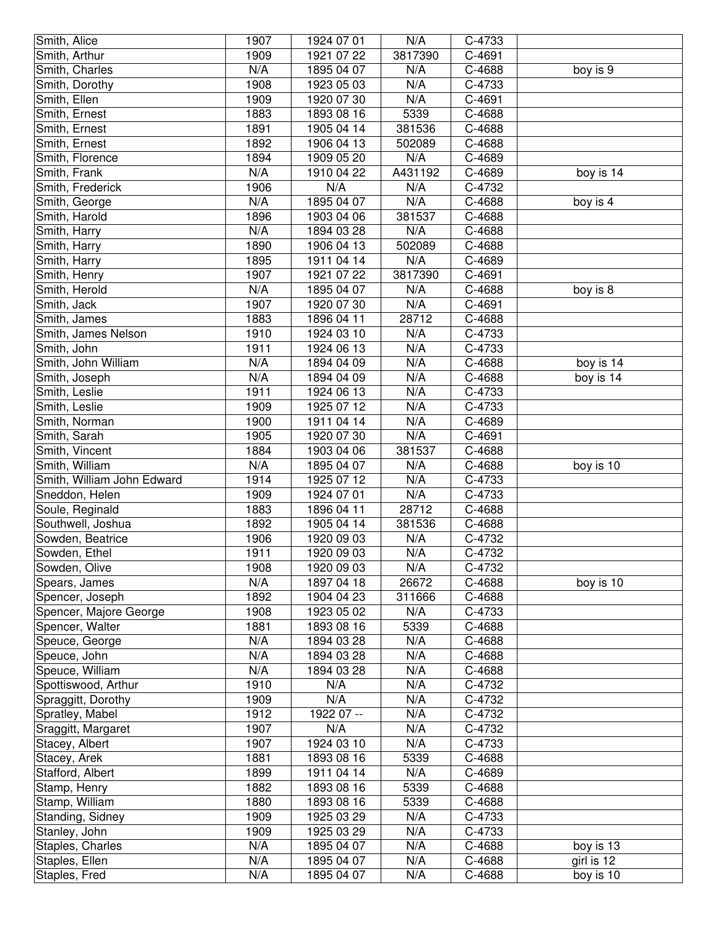| Smith, Alice               | 1907 | 1924 07 01 | N/A     | C-4733 |            |
|----------------------------|------|------------|---------|--------|------------|
| Smith, Arthur              | 1909 | 1921 07 22 | 3817390 | C-4691 |            |
| Smith, Charles             | N/A  | 1895 04 07 | N/A     | C-4688 | boy is 9   |
| Smith, Dorothy             | 1908 | 1923 05 03 | N/A     | C-4733 |            |
| Smith, Ellen               | 1909 | 1920 07 30 | N/A     | C-4691 |            |
| Smith, Ernest              | 1883 | 1893 08 16 | 5339    | C-4688 |            |
| Smith, Ernest              | 1891 | 1905 04 14 | 381536  | C-4688 |            |
| Smith, Ernest              | 1892 | 1906 04 13 | 502089  | C-4688 |            |
| Smith, Florence            | 1894 | 1909 05 20 | N/A     | C-4689 |            |
| Smith, Frank               | N/A  | 1910 04 22 | A431192 | C-4689 | boy is 14  |
| Smith, Frederick           | 1906 | N/A        | N/A     | C-4732 |            |
| Smith, George              | N/A  | 1895 04 07 | N/A     | C-4688 | boy is 4   |
| Smith, Harold              | 1896 | 1903 04 06 | 381537  | C-4688 |            |
| Smith, Harry               | N/A  | 1894 03 28 | N/A     | C-4688 |            |
| Smith, Harry               | 1890 | 1906 04 13 | 502089  | C-4688 |            |
| Smith, Harry               | 1895 | 1911 04 14 | N/A     | C-4689 |            |
| Smith, Henry               | 1907 | 1921 07 22 | 3817390 | C-4691 |            |
| Smith, Herold              | N/A  | 1895 04 07 | N/A     | C-4688 | boy is 8   |
| Smith, Jack                | 1907 | 1920 07 30 | N/A     | C-4691 |            |
| Smith, James               | 1883 | 1896 04 11 | 28712   | C-4688 |            |
| Smith, James Nelson        | 1910 | 1924 03 10 | N/A     | C-4733 |            |
| Smith, John                | 1911 | 1924 06 13 | N/A     | C-4733 |            |
| Smith, John William        | N/A  | 1894 04 09 | N/A     | C-4688 | boy is 14  |
| Smith, Joseph              | N/A  | 1894 04 09 | N/A     | C-4688 | boy is 14  |
| Smith, Leslie              | 1911 | 1924 06 13 | N/A     | C-4733 |            |
| Smith, Leslie              | 1909 | 1925 07 12 | N/A     | C-4733 |            |
| Smith, Norman              | 1900 | 1911 04 14 | N/A     | C-4689 |            |
| Smith, Sarah               | 1905 | 1920 07 30 | N/A     | C-4691 |            |
| Smith, Vincent             | 1884 | 1903 04 06 | 381537  | C-4688 |            |
| Smith, William             | N/A  | 1895 04 07 | N/A     | C-4688 | boy is 10  |
| Smith, William John Edward | 1914 | 1925 07 12 | N/A     | C-4733 |            |
| Sneddon, Helen             | 1909 | 1924 07 01 | N/A     | C-4733 |            |
| Soule, Reginald            | 1883 | 1896 04 11 | 28712   | C-4688 |            |
| Southwell, Joshua          | 1892 | 1905 04 14 | 381536  | C-4688 |            |
| Sowden, Beatrice           | 1906 | 1920 09 03 | N/A     | C-4732 |            |
| Sowden, Ethel              | 1911 | 1920 09 03 | N/A     | C-4732 |            |
| Sowden, Olive              | 1908 | 1920 09 03 | N/A     | C-4732 |            |
| Spears, James              | N/A  | 1897 04 18 | 26672   | C-4688 | boy is 10  |
| Spencer, Joseph            | 1892 | 1904 04 23 | 311666  | C-4688 |            |
| Spencer, Majore George     | 1908 | 1923 05 02 | N/A     | C-4733 |            |
| Spencer, Walter            | 1881 | 1893 08 16 | 5339    | C-4688 |            |
| Speuce, George             | N/A  | 1894 03 28 | N/A     | C-4688 |            |
| Speuce, John               | N/A  | 1894 03 28 | N/A     | C-4688 |            |
| Speuce, William            | N/A  | 1894 03 28 | N/A     | C-4688 |            |
| Spottiswood, Arthur        | 1910 | N/A        | N/A     | C-4732 |            |
| Spraggitt, Dorothy         | 1909 | N/A        | N/A     | C-4732 |            |
| Spratley, Mabel            | 1912 | 1922 07 -- | N/A     | C-4732 |            |
| Sraggitt, Margaret         | 1907 | N/A        | N/A     | C-4732 |            |
| Stacey, Albert             | 1907 | 1924 03 10 | N/A     | C-4733 |            |
| Stacey, Arek               | 1881 | 1893 08 16 | 5339    | C-4688 |            |
| Stafford, Albert           | 1899 | 1911 04 14 | N/A     | C-4689 |            |
| Stamp, Henry               | 1882 | 1893 08 16 | 5339    | C-4688 |            |
| Stamp, William             | 1880 | 1893 08 16 | 5339    | C-4688 |            |
| Standing, Sidney           | 1909 | 1925 03 29 | N/A     | C-4733 |            |
| Stanley, John              | 1909 | 1925 03 29 | N/A     | C-4733 |            |
| Staples, Charles           | N/A  | 1895 04 07 | N/A     | C-4688 | boy is 13  |
| Staples, Ellen             | N/A  | 1895 04 07 | N/A     | C-4688 | girl is 12 |
| Staples, Fred              | N/A  | 1895 04 07 | N/A     | C-4688 | boy is 10  |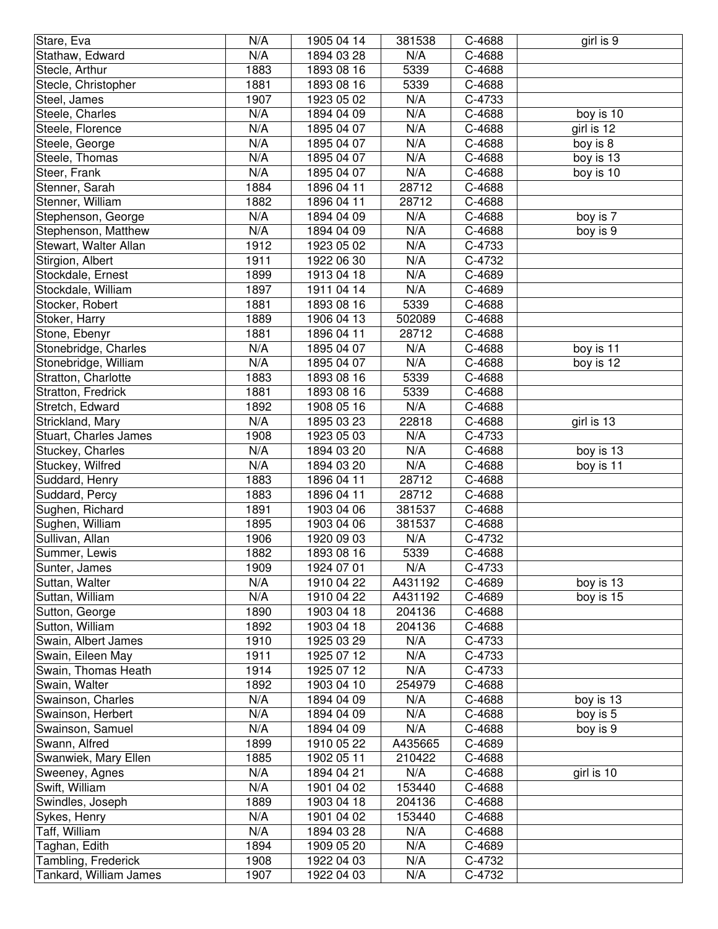| Stare, Eva             | N/A  | 1905 04 14 | 381538  | C-4688 | girl is 9              |
|------------------------|------|------------|---------|--------|------------------------|
| Stathaw, Edward        | N/A  | 1894 03 28 | N/A     | C-4688 |                        |
| Stecle, Arthur         | 1883 | 1893 08 16 | 5339    | C-4688 |                        |
| Stecle, Christopher    | 1881 | 1893 08 16 | 5339    | C-4688 |                        |
| Steel, James           | 1907 | 1923 05 02 | N/A     | C-4733 |                        |
| Steele, Charles        | N/A  | 1894 04 09 | N/A     | C-4688 | boy is 10              |
| Steele, Florence       | N/A  | 1895 04 07 | N/A     | C-4688 | girl is 12             |
| Steele, George         | N/A  | 1895 04 07 | N/A     | C-4688 | boy is 8               |
| Steele, Thomas         | N/A  | 1895 04 07 | N/A     | C-4688 | $\overline{$ boy is 13 |
| Steer, Frank           | N/A  | 1895 04 07 | N/A     | C-4688 | boy is 10              |
| Stenner, Sarah         | 1884 | 1896 04 11 | 28712   | C-4688 |                        |
| Stenner, William       | 1882 | 1896 04 11 | 28712   | C-4688 |                        |
| Stephenson, George     | N/A  | 1894 04 09 | N/A     | C-4688 | boy is 7               |
| Stephenson, Matthew    | N/A  | 1894 04 09 | N/A     | C-4688 | boy is 9               |
| Stewart, Walter Allan  | 1912 | 1923 05 02 | N/A     | C-4733 |                        |
| Stirgion, Albert       | 1911 | 1922 06 30 | N/A     | C-4732 |                        |
| Stockdale, Ernest      | 1899 | 1913 04 18 | N/A     | C-4689 |                        |
| Stockdale, William     | 1897 | 1911 04 14 | N/A     | C-4689 |                        |
| Stocker, Robert        | 1881 | 1893 08 16 | 5339    | C-4688 |                        |
| Stoker, Harry          | 1889 | 1906 04 13 | 502089  | C-4688 |                        |
| Stone, Ebenyr          | 1881 | 1896 04 11 | 28712   | C-4688 |                        |
| Stonebridge, Charles   | N/A  | 1895 04 07 | N/A     | C-4688 | boy is 11              |
| Stonebridge, William   | N/A  | 1895 04 07 | N/A     | C-4688 | boy is 12              |
| Stratton, Charlotte    | 1883 | 1893 08 16 | 5339    | C-4688 |                        |
| Stratton, Fredrick     | 1881 | 1893 08 16 | 5339    | C-4688 |                        |
| Stretch, Edward        | 1892 | 1908 05 16 | N/A     | C-4688 |                        |
| Strickland, Mary       | N/A  | 1895 03 23 | 22818   | C-4688 | girl is 13             |
| Stuart, Charles James  | 1908 | 1923 05 03 | N/A     | C-4733 |                        |
| Stuckey, Charles       | N/A  | 1894 03 20 | N/A     | C-4688 | boy is 13              |
| Stuckey, Wilfred       | N/A  | 1894 03 20 | N/A     | C-4688 | boy is 11              |
| Suddard, Henry         | 1883 | 1896 04 11 | 28712   | C-4688 |                        |
| Suddard, Percy         | 1883 | 1896 04 11 | 28712   | C-4688 |                        |
| Sughen, Richard        | 1891 | 1903 04 06 | 381537  | C-4688 |                        |
| Sughen, William        | 1895 | 1903 04 06 | 381537  | C-4688 |                        |
| Sullivan, Allan        | 1906 | 1920 09 03 | N/A     | C-4732 |                        |
| Summer, Lewis          | 1882 | 1893 08 16 | 5339    | C-4688 |                        |
| Sunter, James          | 1909 | 1924 07 01 | N/A     | C-4733 |                        |
| Suttan, Walter         | N/A  | 1910 04 22 | A431192 | C-4689 | boy is 13              |
| Suttan, William        | N/A  | 1910 04 22 | A431192 | C-4689 | boy is 15              |
| Sutton, George         | 1890 | 1903 04 18 | 204136  | C-4688 |                        |
| Sutton, William        | 1892 | 1903 04 18 | 204136  | C-4688 |                        |
| Swain, Albert James    | 1910 | 1925 03 29 | N/A     | C-4733 |                        |
| Swain, Eileen May      | 1911 | 1925 07 12 | N/A     | C-4733 |                        |
| Swain, Thomas Heath    | 1914 | 1925 07 12 | N/A     | C-4733 |                        |
| Swain, Walter          | 1892 | 1903 04 10 | 254979  | C-4688 |                        |
| Swainson, Charles      | N/A  | 1894 04 09 | N/A     | C-4688 | boy is 13              |
| Swainson, Herbert      | N/A  | 1894 04 09 | N/A     | C-4688 | boy is 5               |
| Swainson, Samuel       | N/A  | 1894 04 09 | N/A     | C-4688 | boy is 9               |
| Swann, Alfred          | 1899 | 1910 05 22 | A435665 | C-4689 |                        |
| Swanwiek, Mary Ellen   | 1885 | 1902 05 11 | 210422  | C-4688 |                        |
| Sweeney, Agnes         | N/A  | 1894 04 21 | N/A     | C-4688 | girl is 10             |
| Swift, William         | N/A  | 1901 04 02 | 153440  | C-4688 |                        |
| Swindles, Joseph       | 1889 | 1903 04 18 | 204136  | C-4688 |                        |
| Sykes, Henry           | N/A  | 1901 04 02 | 153440  | C-4688 |                        |
| Taff, William          | N/A  | 1894 03 28 | N/A     | C-4688 |                        |
| Taghan, Edith          | 1894 | 1909 05 20 | N/A     | C-4689 |                        |
| Tambling, Frederick    | 1908 | 1922 04 03 | N/A     | C-4732 |                        |
| Tankard, William James | 1907 | 1922 04 03 | N/A     | C-4732 |                        |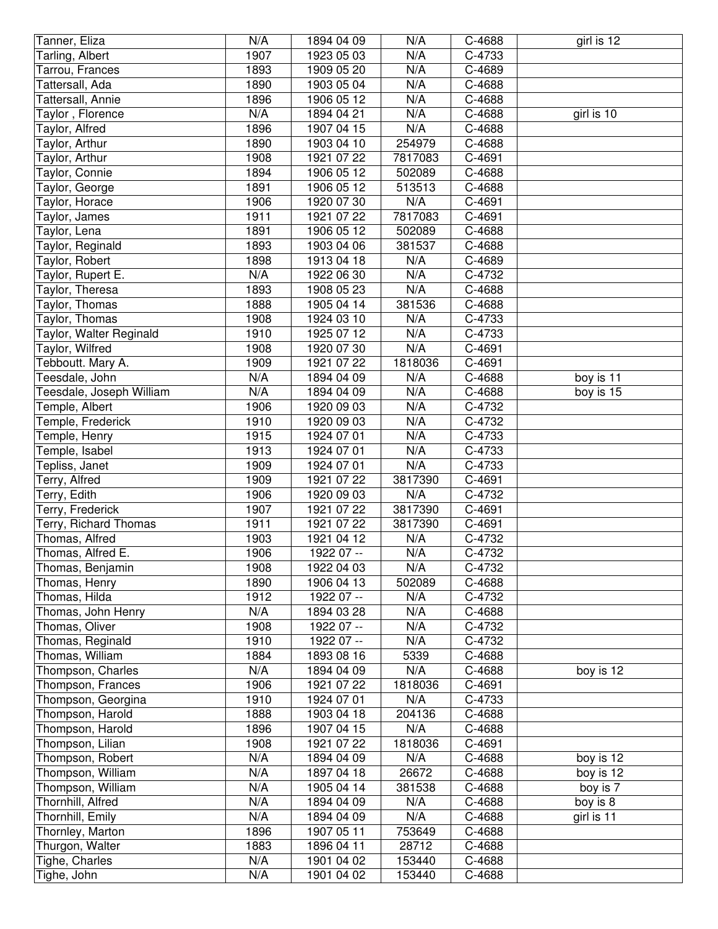| Tanner, Eliza            | N/A  | 1894 04 09 | N/A     | C-4688 | girl is 12 |
|--------------------------|------|------------|---------|--------|------------|
| Tarling, Albert          | 1907 | 1923 05 03 | N/A     | C-4733 |            |
| Tarrou, Frances          | 1893 | 1909 05 20 | N/A     | C-4689 |            |
| Tattersall, Ada          | 1890 | 1903 05 04 | N/A     | C-4688 |            |
| Tattersall, Annie        | 1896 | 1906 05 12 | N/A     | C-4688 |            |
| Taylor, Florence         | N/A  | 1894 04 21 | N/A     | C-4688 | girl is 10 |
| Taylor, Alfred           | 1896 | 1907 04 15 | N/A     | C-4688 |            |
| Taylor, Arthur           | 1890 | 1903 04 10 | 254979  | C-4688 |            |
| Taylor, Arthur           | 1908 | 1921 07 22 | 7817083 | C-4691 |            |
| Taylor, Connie           | 1894 | 1906 05 12 | 502089  | C-4688 |            |
| Taylor, George           | 1891 | 1906 05 12 | 513513  | C-4688 |            |
| Taylor, Horace           | 1906 | 1920 07 30 | N/A     | C-4691 |            |
| Taylor, James            | 1911 | 1921 07 22 | 7817083 | C-4691 |            |
| Taylor, Lena             | 1891 | 1906 05 12 | 502089  | C-4688 |            |
| Taylor, Reginald         | 1893 | 1903 04 06 | 381537  | C-4688 |            |
| Taylor, Robert           | 1898 | 1913 04 18 | N/A     | C-4689 |            |
| Taylor, Rupert E.        | N/A  | 1922 06 30 | N/A     | C-4732 |            |
| Taylor, Theresa          | 1893 | 1908 05 23 | N/A     | C-4688 |            |
| Taylor, Thomas           | 1888 | 1905 04 14 | 381536  | C-4688 |            |
| Taylor, Thomas           | 1908 | 1924 03 10 | N/A     | C-4733 |            |
| Taylor, Walter Reginald  | 1910 | 1925 07 12 | N/A     | C-4733 |            |
| Taylor, Wilfred          | 1908 | 1920 07 30 | N/A     | C-4691 |            |
| Tebboutt. Mary A.        | 1909 | 1921 07 22 | 1818036 | C-4691 |            |
| Teesdale, John           | N/A  | 1894 04 09 | N/A     | C-4688 | boy is 11  |
| Teesdale, Joseph William | N/A  | 1894 04 09 | N/A     | C-4688 | boy is 15  |
| Temple, Albert           | 1906 | 1920 09 03 | N/A     | C-4732 |            |
| Temple, Frederick        | 1910 | 1920 09 03 | N/A     | C-4732 |            |
| Temple, Henry            | 1915 | 1924 07 01 | N/A     | C-4733 |            |
| Temple, Isabel           | 1913 | 1924 07 01 | N/A     | C-4733 |            |
| Tepliss, Janet           | 1909 | 1924 07 01 | N/A     | C-4733 |            |
| Terry, Alfred            | 1909 | 1921 07 22 | 3817390 | C-4691 |            |
| Terry, Edith             | 1906 | 1920 09 03 | N/A     | C-4732 |            |
| Terry, Frederick         | 1907 | 1921 07 22 | 3817390 | C-4691 |            |
| Terry, Richard Thomas    | 1911 | 1921 07 22 | 3817390 | C-4691 |            |
| Thomas, Alfred           | 1903 | 1921 04 12 | N/A     | C-4732 |            |
| Thomas, Alfred E.        | 1906 | 1922 07 -- | N/A     | C-4732 |            |
| Thomas, Benjamin         | 1908 | 1922 04 03 | N/A     | C-4732 |            |
| Thomas, Henry            | 1890 | 1906 04 13 | 502089  | C-4688 |            |
| Thomas, Hilda            | 1912 | 1922 07 -- | N/A     | C-4732 |            |
| Thomas, John Henry       | N/A  | 1894 03 28 | N/A     | C-4688 |            |
| Thomas, Oliver           | 1908 | 1922 07 -- | N/A     | C-4732 |            |
| Thomas, Reginald         | 1910 | 1922 07 -- | N/A     | C-4732 |            |
| Thomas, William          | 1884 | 1893 08 16 | 5339    | C-4688 |            |
| Thompson, Charles        | N/A  | 1894 04 09 | N/A     | C-4688 | boy is 12  |
| Thompson, Frances        | 1906 | 1921 07 22 | 1818036 | C-4691 |            |
| Thompson, Georgina       | 1910 | 1924 07 01 | N/A     | C-4733 |            |
| Thompson, Harold         | 1888 | 1903 04 18 | 204136  | C-4688 |            |
| Thompson, Harold         | 1896 | 1907 04 15 | N/A     | C-4688 |            |
| Thompson, Lilian         | 1908 | 1921 07 22 | 1818036 | C-4691 |            |
| Thompson, Robert         | N/A  | 1894 04 09 | N/A     | C-4688 | boy is 12  |
| Thompson, William        | N/A  | 1897 04 18 | 26672   | C-4688 | boy is 12  |
| Thompson, William        | N/A  | 1905 04 14 | 381538  | C-4688 | boy is 7   |
| Thornhill, Alfred        | N/A  | 1894 04 09 | N/A     | C-4688 | boy is 8   |
| Thornhill, Emily         | N/A  | 1894 04 09 | N/A     | C-4688 | girl is 11 |
| Thornley, Marton         | 1896 | 1907 05 11 | 753649  | C-4688 |            |
| Thurgon, Walter          | 1883 | 1896 04 11 | 28712   | C-4688 |            |
| Tighe, Charles           | N/A  | 1901 04 02 | 153440  | C-4688 |            |
| Tighe, John              | N/A  | 1901 04 02 | 153440  | C-4688 |            |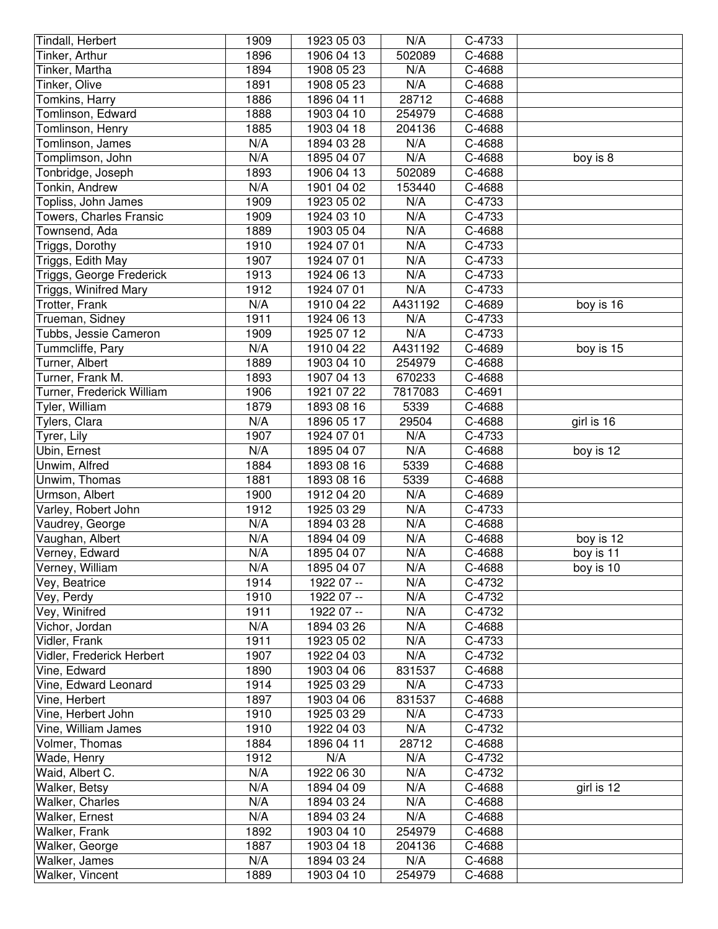| Tindall, Herbert               | 1909 | 1923 05 03 | N/A     | C-4733 |            |
|--------------------------------|------|------------|---------|--------|------------|
| Tinker, Arthur                 | 1896 | 1906 04 13 | 502089  | C-4688 |            |
| Tinker, Martha                 | 1894 | 1908 05 23 | N/A     | C-4688 |            |
| Tinker, Olive                  | 1891 | 1908 05 23 | N/A     | C-4688 |            |
| Tomkins, Harry                 | 1886 | 1896 04 11 | 28712   | C-4688 |            |
| Tomlinson, Edward              | 1888 | 1903 04 10 | 254979  | C-4688 |            |
| Tomlinson, Henry               | 1885 | 1903 04 18 | 204136  | C-4688 |            |
| Tomlinson, James               | N/A  | 1894 03 28 | N/A     | C-4688 |            |
| Tomplimson, John               | N/A  | 1895 04 07 | N/A     | C-4688 | boy is 8   |
| Tonbridge, Joseph              | 1893 | 1906 04 13 | 502089  | C-4688 |            |
| Tonkin, Andrew                 | N/A  | 1901 04 02 | 153440  | C-4688 |            |
| Topliss, John James            | 1909 | 1923 05 02 | N/A     | C-4733 |            |
| <b>Towers, Charles Fransic</b> | 1909 | 1924 03 10 | N/A     | C-4733 |            |
| Townsend, Ada                  | 1889 | 1903 05 04 | N/A     | C-4688 |            |
| Triggs, Dorothy                | 1910 | 1924 07 01 | N/A     | C-4733 |            |
| Triggs, Edith May              | 1907 | 1924 07 01 | N/A     | C-4733 |            |
| Triggs, George Frederick       | 1913 | 1924 06 13 | N/A     | C-4733 |            |
| Triggs, Winifred Mary          | 1912 | 1924 07 01 | N/A     | C-4733 |            |
| Trotter, Frank                 | N/A  | 1910 04 22 | A431192 | C-4689 | boy is 16  |
| Trueman, Sidney                | 1911 | 1924 06 13 | N/A     | C-4733 |            |
| Tubbs, Jessie Cameron          | 1909 | 1925 07 12 | N/A     | C-4733 |            |
| Tummcliffe, Pary               | N/A  | 1910 04 22 | A431192 | C-4689 | boy is 15  |
| Turner, Albert                 | 1889 | 1903 04 10 | 254979  | C-4688 |            |
| Turner, Frank M.               | 1893 | 1907 04 13 | 670233  | C-4688 |            |
| Turner, Frederick William      | 1906 | 1921 07 22 | 7817083 | C-4691 |            |
| Tyler, William                 | 1879 | 1893 08 16 | 5339    | C-4688 |            |
| Tylers, Clara                  | N/A  | 1896 05 17 | 29504   | C-4688 | girl is 16 |
| Tyrer, Lily                    | 1907 | 1924 07 01 | N/A     | C-4733 |            |
| Ubin, Ernest                   | N/A  | 1895 04 07 | N/A     | C-4688 | boy is 12  |
| Unwim, Alfred                  | 1884 | 1893 08 16 | 5339    | C-4688 |            |
| Unwim, Thomas                  | 1881 | 1893 08 16 | 5339    | C-4688 |            |
| Urmson, Albert                 | 1900 | 1912 04 20 | N/A     | C-4689 |            |
| Varley, Robert John            | 1912 | 1925 03 29 | N/A     | C-4733 |            |
| Vaudrey, George                | N/A  | 1894 03 28 | N/A     | C-4688 |            |
| Vaughan, Albert                | N/A  | 1894 04 09 | N/A     | C-4688 | boy is 12  |
| Verney, Edward                 | N/A  | 1895 04 07 | N/A     | C-4688 | boy is 11  |
| Verney, William                | N/A  | 1895 04 07 | N/A     | C-4688 | boy is 10  |
| Vey, Beatrice                  | 1914 | 1922 07 -- | N/A     | C-4732 |            |
| Vey, Perdy                     | 1910 | 1922 07 -- | N/A     | C-4732 |            |
| Vey, Winifred                  | 1911 | 1922 07 -- | N/A     | C-4732 |            |
| Vichor, Jordan                 | N/A  | 1894 03 26 | N/A     | C-4688 |            |
| Vidler, Frank                  | 1911 | 1923 05 02 | N/A     | C-4733 |            |
| Vidler, Frederick Herbert      | 1907 | 1922 04 03 | N/A     | C-4732 |            |
| Vine, Edward                   | 1890 | 1903 04 06 | 831537  | C-4688 |            |
| Vine, Edward Leonard           | 1914 | 1925 03 29 | N/A     | C-4733 |            |
| Vine, Herbert                  | 1897 | 1903 04 06 | 831537  | C-4688 |            |
| Vine, Herbert John             | 1910 | 1925 03 29 | N/A     | C-4733 |            |
| Vine, William James            | 1910 | 1922 04 03 | N/A     | C-4732 |            |
| Volmer, Thomas                 | 1884 | 1896 04 11 | 28712   | C-4688 |            |
| Wade, Henry                    | 1912 | N/A        | N/A     | C-4732 |            |
| Waid, Albert C.                | N/A  | 1922 06 30 | N/A     | C-4732 |            |
| Walker, Betsy                  | N/A  | 1894 04 09 | N/A     | C-4688 | girl is 12 |
| Walker, Charles                | N/A  | 1894 03 24 | N/A     | C-4688 |            |
| Walker, Ernest                 | N/A  | 1894 03 24 | N/A     | C-4688 |            |
| Walker, Frank                  | 1892 | 1903 04 10 | 254979  | C-4688 |            |
| Walker, George                 | 1887 | 1903 04 18 | 204136  | C-4688 |            |
| Walker, James                  | N/A  | 1894 03 24 | N/A     | C-4688 |            |
| Walker, Vincent                | 1889 | 1903 04 10 | 254979  | C-4688 |            |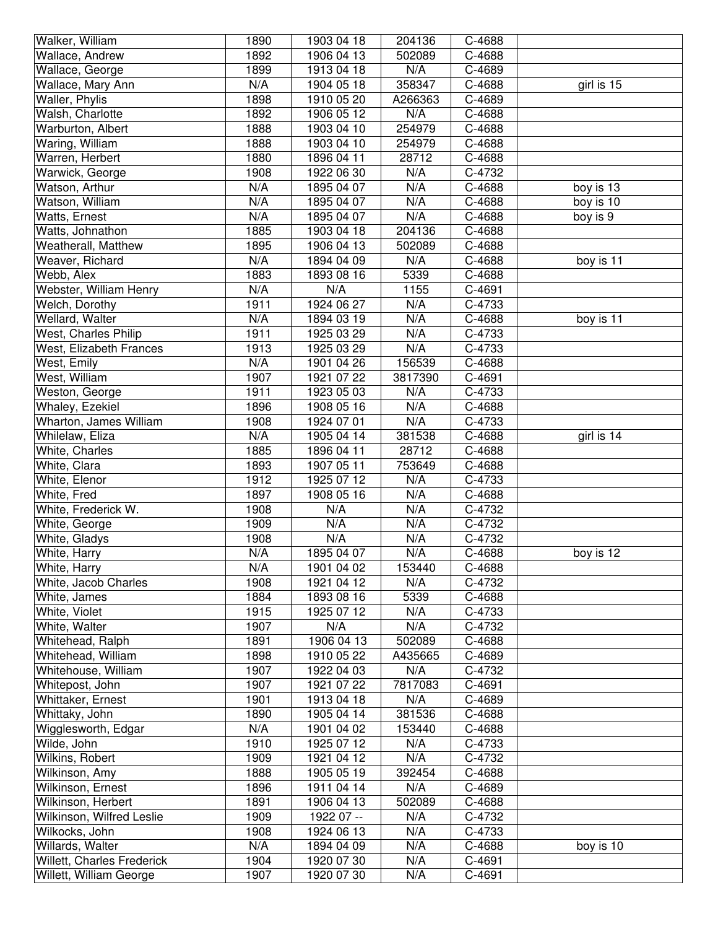| Walker, William            | 1890 | 1903 04 18 | 204136  | C-4688 |            |
|----------------------------|------|------------|---------|--------|------------|
| Wallace, Andrew            | 1892 | 1906 04 13 | 502089  | C-4688 |            |
| Wallace, George            | 1899 | 1913 04 18 | N/A     | C-4689 |            |
| Wallace, Mary Ann          | N/A  | 1904 05 18 | 358347  | C-4688 | girl is 15 |
| Waller, Phylis             | 1898 | 1910 05 20 | A266363 | C-4689 |            |
| Walsh, Charlotte           | 1892 | 1906 05 12 | N/A     | C-4688 |            |
| Warburton, Albert          | 1888 | 1903 04 10 | 254979  | C-4688 |            |
| Waring, William            | 1888 | 1903 04 10 | 254979  | C-4688 |            |
| Warren, Herbert            | 1880 | 1896 04 11 | 28712   | C-4688 |            |
| Warwick, George            | 1908 | 1922 06 30 | N/A     | C-4732 |            |
| Watson, Arthur             | N/A  | 1895 04 07 | N/A     | C-4688 | boy is 13  |
| Watson, William            | N/A  | 1895 04 07 | N/A     | C-4688 | boy is 10  |
| Watts, Ernest              | N/A  | 1895 04 07 | N/A     | C-4688 | boy is 9   |
| Watts, Johnathon           | 1885 | 1903 04 18 | 204136  | C-4688 |            |
| Weatherall, Matthew        | 1895 | 1906 04 13 | 502089  | C-4688 |            |
| Weaver, Richard            | N/A  | 1894 04 09 | N/A     | C-4688 | boy is 11  |
| Webb, Alex                 | 1883 | 1893 08 16 | 5339    | C-4688 |            |
| Webster, William Henry     | N/A  | N/A        | 1155    | C-4691 |            |
| Welch, Dorothy             | 1911 | 1924 06 27 | N/A     | C-4733 |            |
| Wellard, Walter            | N/A  | 1894 03 19 | N/A     | C-4688 | boy is 11  |
| West, Charles Philip       | 1911 | 1925 03 29 | N/A     | C-4733 |            |
| West, Elizabeth Frances    | 1913 | 1925 03 29 | N/A     | C-4733 |            |
| West, Emily                | N/A  | 1901 04 26 | 156539  | C-4688 |            |
| West, William              | 1907 | 1921 07 22 | 3817390 | C-4691 |            |
| Weston, George             | 1911 | 1923 05 03 | N/A     | C-4733 |            |
| Whaley, Ezekiel            | 1896 | 1908 05 16 | N/A     | C-4688 |            |
| Wharton, James William     | 1908 | 1924 07 01 | N/A     | C-4733 |            |
| Whilelaw, Eliza            | N/A  | 1905 04 14 | 381538  | C-4688 | girl is 14 |
| White, Charles             | 1885 | 1896 04 11 | 28712   | C-4688 |            |
| White, Clara               | 1893 | 1907 05 11 | 753649  | C-4688 |            |
| White, Elenor              | 1912 | 1925 07 12 | N/A     | C-4733 |            |
| White, Fred                | 1897 | 1908 05 16 | N/A     | C-4688 |            |
| White, Frederick W.        | 1908 | N/A        | N/A     | C-4732 |            |
| White, George              | 1909 | N/A        | N/A     | C-4732 |            |
| White, Gladys              | 1908 | N/A        | N/A     | C-4732 |            |
| White, Harry               | N/A  | 1895 04 07 | N/A     | C-4688 | boy is 12  |
| White, Harry               | N/A  | 1901 04 02 | 153440  | C-4688 |            |
| White, Jacob Charles       | 1908 | 1921 04 12 | N/A     | C-4732 |            |
| White, James               | 1884 | 1893 08 16 | 5339    | C-4688 |            |
| White, Violet              | 1915 | 1925 07 12 | N/A     | C-4733 |            |
| White, Walter              | 1907 | N/A        | N/A     | C-4732 |            |
| Whitehead, Ralph           | 1891 | 1906 04 13 | 502089  | C-4688 |            |
| Whitehead, William         | 1898 | 1910 05 22 | A435665 | C-4689 |            |
| Whitehouse, William        | 1907 | 1922 04 03 | N/A     | C-4732 |            |
| Whitepost, John            | 1907 | 1921 07 22 | 7817083 | C-4691 |            |
| Whittaker, Ernest          | 1901 | 1913 04 18 | N/A     | C-4689 |            |
| Whittaky, John             | 1890 | 1905 04 14 | 381536  | C-4688 |            |
| Wigglesworth, Edgar        | N/A  | 1901 04 02 | 153440  | C-4688 |            |
| Wilde, John                | 1910 | 1925 07 12 | N/A     | C-4733 |            |
| Wilkins, Robert            | 1909 | 1921 04 12 | N/A     | C-4732 |            |
| Wilkinson, Amy             | 1888 | 1905 05 19 | 392454  | C-4688 |            |
| Wilkinson, Ernest          | 1896 | 1911 04 14 | N/A     | C-4689 |            |
| Wilkinson, Herbert         | 1891 | 1906 04 13 | 502089  | C-4688 |            |
| Wilkinson, Wilfred Leslie  | 1909 | 1922 07 -- | N/A     | C-4732 |            |
| Wilkocks, John             | 1908 | 1924 06 13 | N/A     | C-4733 |            |
| Willards, Walter           | N/A  | 1894 04 09 | N/A     | C-4688 | boy is 10  |
| Willett, Charles Frederick | 1904 | 1920 07 30 | N/A     | C-4691 |            |
| Willett, William George    | 1907 | 1920 07 30 | N/A     | C-4691 |            |
|                            |      |            |         |        |            |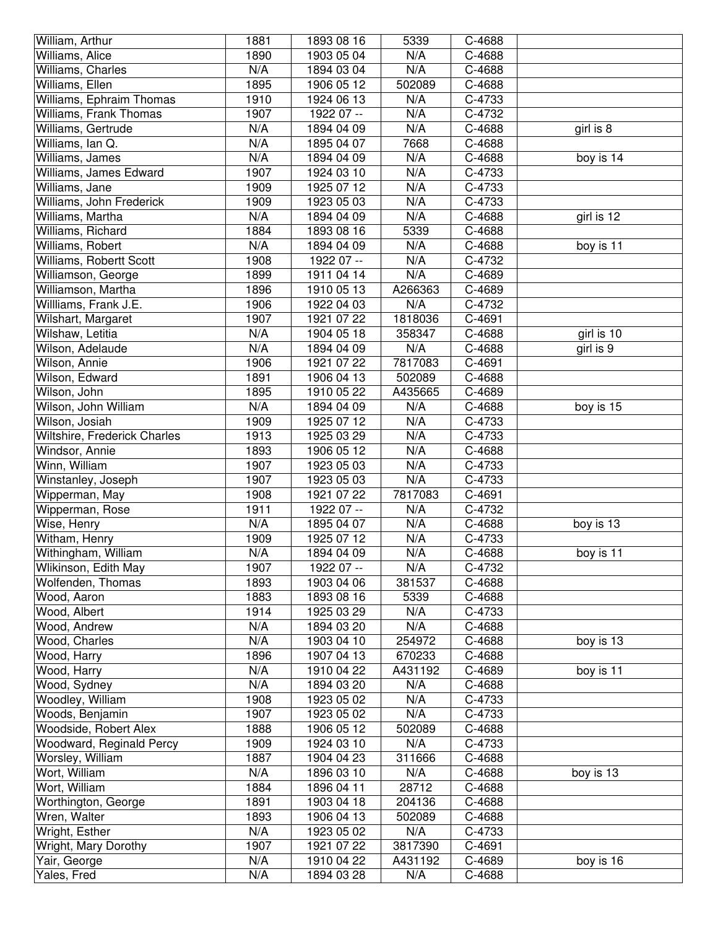| William, Arthur              | 1881 | 1893 08 16 | 5339    | C-4688 |            |
|------------------------------|------|------------|---------|--------|------------|
| Williams, Alice              | 1890 | 1903 05 04 | N/A     | C-4688 |            |
| Williams, Charles            | N/A  | 1894 03 04 | N/A     | C-4688 |            |
| Williams, Ellen              | 1895 | 1906 05 12 | 502089  | C-4688 |            |
| Williams, Ephraim Thomas     | 1910 | 1924 06 13 | N/A     | C-4733 |            |
| Williams, Frank Thomas       | 1907 | 1922 07 -- | N/A     | C-4732 |            |
| Williams, Gertrude           | N/A  | 1894 04 09 | N/A     | C-4688 | girl is 8  |
| Williams, Ian Q.             | N/A  | 1895 04 07 | 7668    | C-4688 |            |
| Williams, James              | N/A  | 1894 04 09 | N/A     | C-4688 | boy is 14  |
| Williams, James Edward       | 1907 | 1924 03 10 | N/A     | C-4733 |            |
| Williams, Jane               | 1909 | 1925 07 12 | N/A     | C-4733 |            |
| Williams, John Frederick     | 1909 | 1923 05 03 | N/A     | C-4733 |            |
| Williams, Martha             | N/A  | 1894 04 09 | N/A     | C-4688 | girl is 12 |
| Williams, Richard            | 1884 | 1893 08 16 | 5339    | C-4688 |            |
| Williams, Robert             | N/A  | 1894 04 09 | N/A     | C-4688 | boy is 11  |
| Williams, Robertt Scott      | 1908 | 1922 07 -- | N/A     | C-4732 |            |
| Williamson, George           | 1899 | 1911 04 14 | N/A     | C-4689 |            |
| Williamson, Martha           | 1896 | 1910 05 13 | A266363 | C-4689 |            |
| Willliams, Frank J.E.        | 1906 | 1922 04 03 | N/A     | C-4732 |            |
| Wilshart, Margaret           | 1907 | 1921 07 22 | 1818036 | C-4691 |            |
| Wilshaw, Letitia             | N/A  | 1904 05 18 | 358347  | C-4688 | girl is 10 |
| Wilson, Adelaude             | N/A  | 1894 04 09 | N/A     | C-4688 | girl is 9  |
| Wilson, Annie                | 1906 | 1921 07 22 | 7817083 | C-4691 |            |
| Wilson, Edward               | 1891 | 1906 04 13 | 502089  | C-4688 |            |
| Wilson, John                 | 1895 | 1910 05 22 | A435665 | C-4689 |            |
| Wilson, John William         | N/A  | 1894 04 09 | N/A     | C-4688 | boy is 15  |
| Wilson, Josiah               | 1909 | 1925 07 12 | N/A     | C-4733 |            |
| Wiltshire, Frederick Charles | 1913 | 1925 03 29 | N/A     | C-4733 |            |
| Windsor, Annie               | 1893 | 1906 05 12 | N/A     | C-4688 |            |
| Winn, William                | 1907 | 1923 05 03 | N/A     | C-4733 |            |
| Winstanley, Joseph           | 1907 | 1923 05 03 | N/A     | C-4733 |            |
| Wipperman, May               | 1908 | 1921 07 22 | 7817083 | C-4691 |            |
| Wipperman, Rose              | 1911 | 1922 07 -- | N/A     | C-4732 |            |
| Wise, Henry                  | N/A  | 1895 04 07 | N/A     | C-4688 | boy is 13  |
| Witham, Henry                | 1909 | 1925 07 12 | N/A     | C-4733 |            |
| Withingham, William          | N/A  | 1894 04 09 | N/A     | C-4688 | boy is 11  |
| Wlikinson, Edith May         | 1907 | 1922 07 -- | N/A     | C-4732 |            |
| Wolfenden, Thomas            | 1893 | 1903 04 06 | 381537  | C-4688 |            |
| Wood, Aaron                  | 1883 | 1893 08 16 | 5339    | C-4688 |            |
| Wood, Albert                 | 1914 | 1925 03 29 | N/A     | C-4733 |            |
| Wood, Andrew                 | N/A  | 1894 03 20 | N/A     | C-4688 |            |
| Wood, Charles                | N/A  | 1903 04 10 | 254972  | C-4688 | boy is 13  |
| Wood, Harry                  | 1896 | 1907 04 13 | 670233  | C-4688 |            |
| Wood, Harry                  | N/A  | 1910 04 22 | A431192 | C-4689 | boy is 11  |
| Wood, Sydney                 | N/A  | 1894 03 20 | N/A     | C-4688 |            |
| Woodley, William             | 1908 | 1923 05 02 | N/A     | C-4733 |            |
| Woods, Benjamin              | 1907 | 1923 05 02 | N/A     | C-4733 |            |
| Woodside, Robert Alex        | 1888 | 1906 05 12 | 502089  | C-4688 |            |
| Woodward, Reginald Percy     | 1909 | 1924 03 10 | N/A     | C-4733 |            |
| Worsley, William             | 1887 | 1904 04 23 | 311666  | C-4688 |            |
| Wort, William                | N/A  | 1896 03 10 | N/A     | C-4688 | boy is 13  |
| Wort, William                | 1884 | 1896 04 11 | 28712   | C-4688 |            |
| Worthington, George          | 1891 | 1903 04 18 | 204136  | C-4688 |            |
| Wren, Walter                 | 1893 | 1906 04 13 | 502089  | C-4688 |            |
| Wright, Esther               | N/A  | 1923 05 02 | N/A     | C-4733 |            |
| Wright, Mary Dorothy         | 1907 | 1921 07 22 | 3817390 | C-4691 |            |
| Yair, George                 | N/A  | 1910 04 22 | A431192 | C-4689 | boy is 16  |
| Yales, Fred                  | N/A  | 1894 03 28 | N/A     | C-4688 |            |
|                              |      |            |         |        |            |